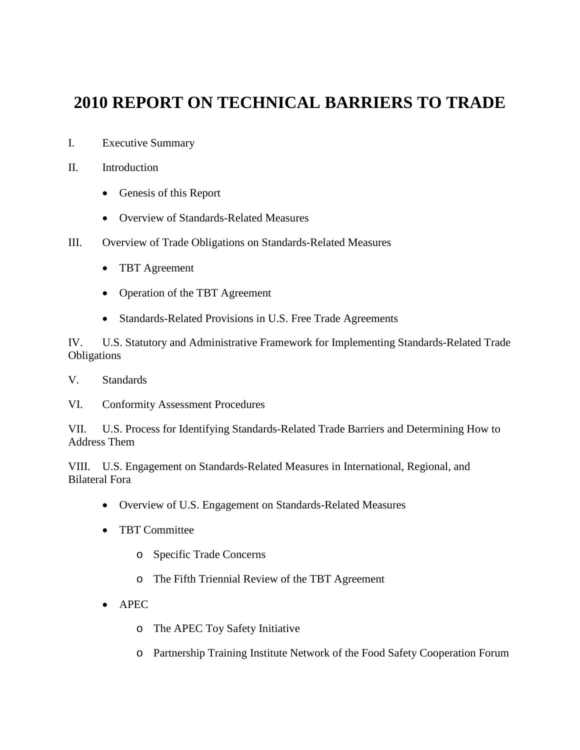# **2010 REPORT ON TECHNICAL BARRIERS TO TRADE**

- I. Executive Summary
- II. Introduction
	- Genesis of this Report
	- Overview of Standards-Related Measures
- III. Overview of Trade Obligations on Standards-Related Measures
	- TBT Agreement
	- Operation of the TBT Agreement
	- Standards-Related Provisions in U.S. Free Trade Agreements

IV. U.S. Statutory and Administrative Framework for Implementing Standards-Related Trade Obligations

- V. Standards
- VI. Conformity Assessment Procedures

VII. U.S. Process for Identifying Standards-Related Trade Barriers and Determining How to Address Them

VIII. U.S. Engagement on Standards-Related Measures in International, Regional, and Bilateral Fora

- Overview of U.S. Engagement on Standards-Related Measures
- TBT Committee
	- o Specific Trade Concerns
	- o The Fifth Triennial Review of the TBT Agreement
- APEC
	- o The APEC Toy Safety Initiative
	- o Partnership Training Institute Network of the Food Safety Cooperation Forum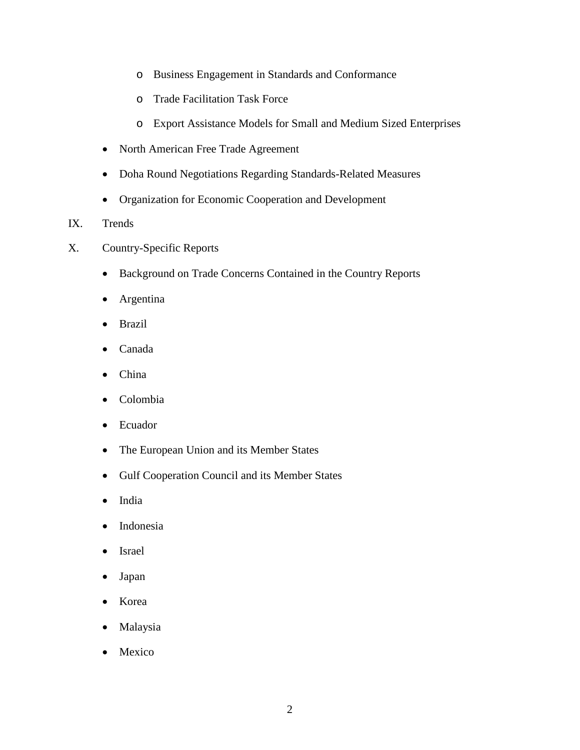- o Business Engagement in Standards and Conformance
- o Trade Facilitation Task Force
- o Export Assistance Models for Small and Medium Sized Enterprises
- North American Free Trade Agreement
- Doha Round Negotiations Regarding Standards-Related Measures
- Organization for Economic Cooperation and Development
- IX. Trends
- X. Country-Specific Reports
	- Background on Trade Concerns Contained in the Country Reports
	- Argentina
	- Brazil
	- Canada
	- China
	- Colombia
	- Ecuador
	- The European Union and its Member States
	- Gulf Cooperation Council and its Member States
	- India
	- Indonesia
	- Israel
	- Japan
	- Korea
	- Malaysia
	- Mexico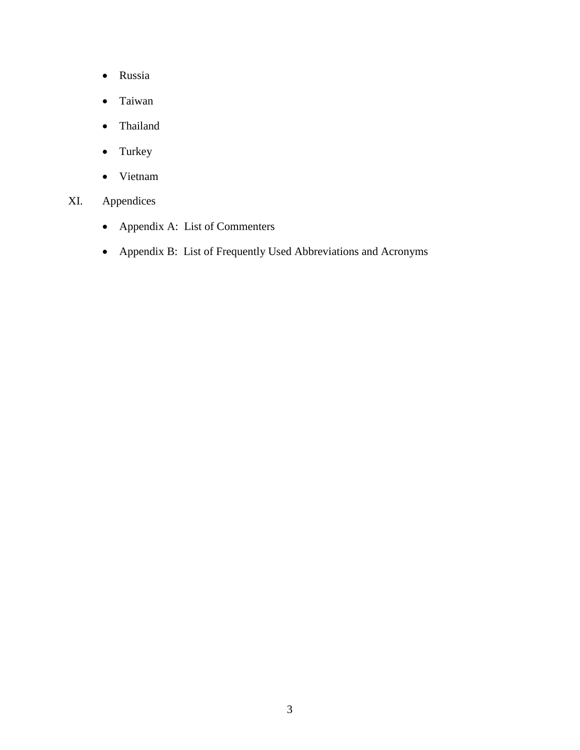- Russia
- Taiwan
- Thailand
- Turkey
- Vietnam
- XI. Appendices
	- Appendix A: List of Commenters
	- Appendix B: List of Frequently Used Abbreviations and Acronyms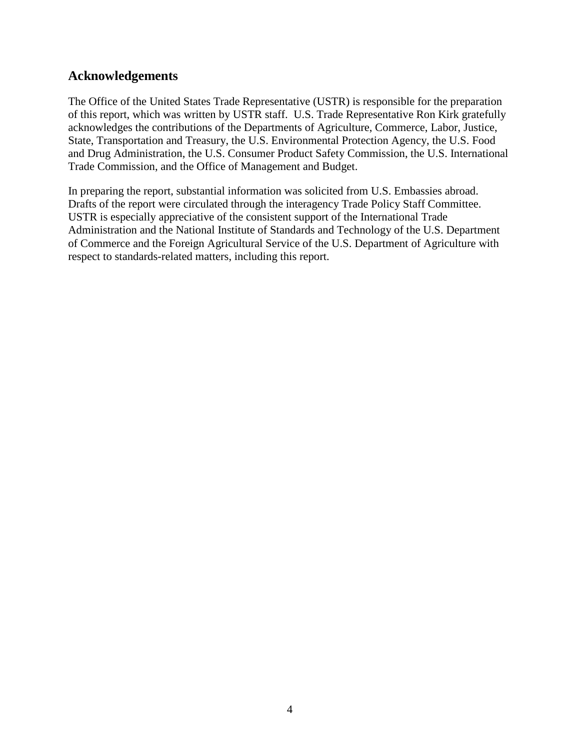## **Acknowledgements**

The Office of the United States Trade Representative (USTR) is responsible for the preparation of this report, which was written by USTR staff. U.S. Trade Representative Ron Kirk gratefully acknowledges the contributions of the Departments of Agriculture, Commerce, Labor, Justice, State, Transportation and Treasury, the U.S. Environmental Protection Agency, the U.S. Food and Drug Administration, the U.S. Consumer Product Safety Commission, the U.S. International Trade Commission, and the Office of Management and Budget.

In preparing the report, substantial information was solicited from U.S. Embassies abroad. Drafts of the report were circulated through the interagency Trade Policy Staff Committee. USTR is especially appreciative of the consistent support of the International Trade Administration and the National Institute of Standards and Technology of the U.S. Department of Commerce and the Foreign Agricultural Service of the U.S. Department of Agriculture with respect to standards-related matters, including this report.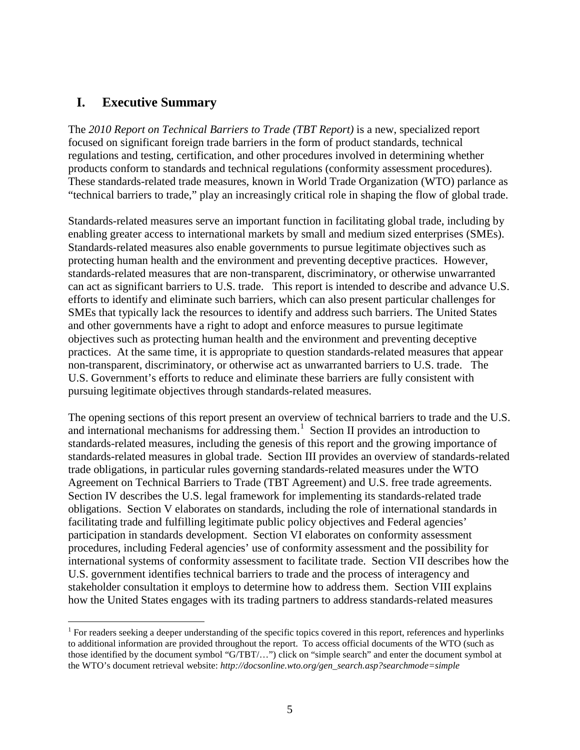## **I. Executive Summary**

The *2010 Report on Technical Barriers to Trade (TBT Report)* is a new, specialized report focused on significant foreign trade barriers in the form of product standards, technical regulations and testing, certification, and other procedures involved in determining whether products conform to standards and technical regulations (conformity assessment procedures). These standards-related trade measures, known in World Trade Organization (WTO) parlance as "technical barriers to trade," play an increasingly critical role in shaping the flow of global trade.

Standards-related measures serve an important function in facilitating global trade, including by enabling greater access to international markets by small and medium sized enterprises (SMEs). Standards-related measures also enable governments to pursue legitimate objectives such as protecting human health and the environment and preventing deceptive practices. However, standards-related measures that are non-transparent, discriminatory, or otherwise unwarranted can act as significant barriers to U.S. trade. This report is intended to describe and advance U.S. efforts to identify and eliminate such barriers, which can also present particular challenges for SMEs that typically lack the resources to identify and address such barriers. The United States and other governments have a right to adopt and enforce measures to pursue legitimate objectives such as protecting human health and the environment and preventing deceptive practices. At the same time, it is appropriate to question standards-related measures that appear non-transparent, discriminatory, or otherwise act as unwarranted barriers to U.S. trade. The U.S. Government's efforts to reduce and eliminate these barriers are fully consistent with pursuing legitimate objectives through standards-related measures.

The opening sections of this report present an overview of technical barriers to trade and the U.S. and international mechanisms for addressing them.<sup>[1](#page-4-0)</sup> Section II provides an introduction to standards-related measures, including the genesis of this report and the growing importance of standards-related measures in global trade. Section III provides an overview of standards-related trade obligations, in particular rules governing standards-related measures under the WTO Agreement on Technical Barriers to Trade (TBT Agreement) and U.S. free trade agreements. Section IV describes the U.S. legal framework for implementing its standards-related trade obligations. Section V elaborates on standards, including the role of international standards in facilitating trade and fulfilling legitimate public policy objectives and Federal agencies' participation in standards development. Section VI elaborates on conformity assessment procedures, including Federal agencies' use of conformity assessment and the possibility for international systems of conformity assessment to facilitate trade. Section VII describes how the U.S. government identifies technical barriers to trade and the process of interagency and stakeholder consultation it employs to determine how to address them. Section VIII explains how the United States engages with its trading partners to address standards-related measures

<span id="page-4-0"></span><sup>&</sup>lt;sup>1</sup> For readers seeking a deeper understanding of the specific topics covered in this report, references and hyperlinks to additional information are provided throughout the report. To access official documents of the WTO (such as those identified by the document symbol "G/TBT/…") click on "simple search" and enter the document symbol at the WTO's document retrieval website: *http://docsonline.wto.org/gen\_search.asp?searchmode=simple*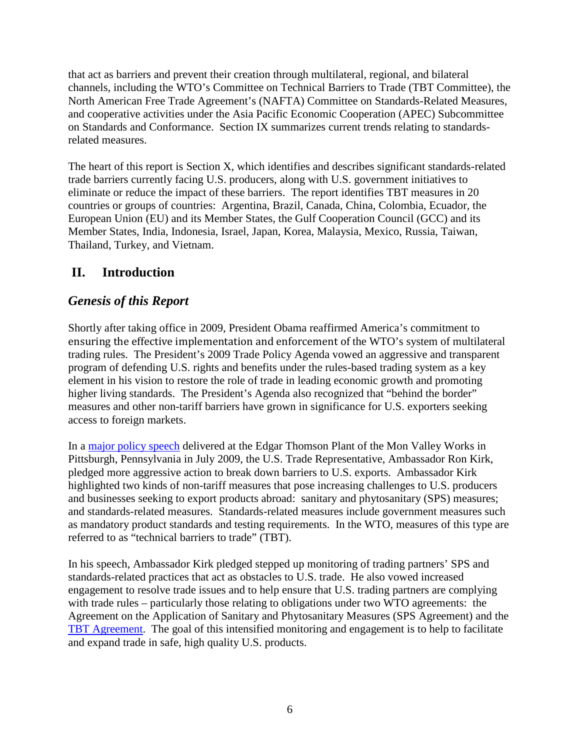that act as barriers and prevent their creation through multilateral, regional, and bilateral channels, including the WTO's Committee on Technical Barriers to Trade (TBT Committee), the North American Free Trade Agreement's (NAFTA) Committee on Standards-Related Measures, and cooperative activities under the Asia Pacific Economic Cooperation (APEC) Subcommittee on Standards and Conformance. Section IX summarizes current trends relating to standardsrelated measures.

The heart of this report is Section X, which identifies and describes significant standards-related trade barriers currently facing U.S. producers, along with U.S. government initiatives to eliminate or reduce the impact of these barriers. The report identifies TBT measures in 20 countries or groups of countries: Argentina, Brazil, Canada, China, Colombia, Ecuador, the European Union (EU) and its Member States, the Gulf Cooperation Council (GCC) and its Member States, India, Indonesia, Israel, Japan, Korea, Malaysia, Mexico, Russia, Taiwan, Thailand, Turkey, and Vietnam.

# **II. Introduction**

# *Genesis of this Report*

Shortly after taking office in 2009, President Obama reaffirmed America's commitment to ensuring the effective implementation and enforcement of the WTO's system of multilateral trading rules. The President's 2009 Trade Policy Agenda vowed an aggressive and transparent program of defending U.S. rights and benefits under the rules-based trading system as a key element in his vision to restore the role of trade in leading economic growth and promoting higher living standards. The President's Agenda also recognized that "behind the border" measures and other non-tariff barriers have grown in significance for U.S. exporters seeking access to foreign markets.

In a [major policy speech](http://www.ustr.gov/about-us/press-office/speeches/transcripts/2009/july/ambassador-kirk-announces-new-initiatives-trade) delivered at the Edgar Thomson Plant of the Mon Valley Works in Pittsburgh, Pennsylvania in July 2009, the U.S. Trade Representative, Ambassador Ron Kirk, pledged more aggressive action to break down barriers to U.S. exports. Ambassador Kirk highlighted two kinds of non-tariff measures that pose increasing challenges to U.S. producers and businesses seeking to export products abroad: sanitary and phytosanitary (SPS) measures; and standards-related measures. Standards-related measures include government measures such as mandatory product standards and testing requirements. In the WTO, measures of this type are referred to as "technical barriers to trade" (TBT).

In his speech, Ambassador Kirk pledged stepped up monitoring of trading partners' SPS and standards-related practices that act as obstacles to U.S. trade. He also vowed increased engagement to resolve trade issues and to help ensure that U.S. trading partners are complying with trade rules – particularly those relating to obligations under two WTO agreements: the Agreement on the Application of Sanitary and Phytosanitary Measures (SPS Agreement) and the [TBT Agreement.](http://www.wto.org/english/docs_e/legal_e/17-tbt_e.htm) The goal of this intensified monitoring and engagement is to help to facilitate and expand trade in safe, high quality U.S. products.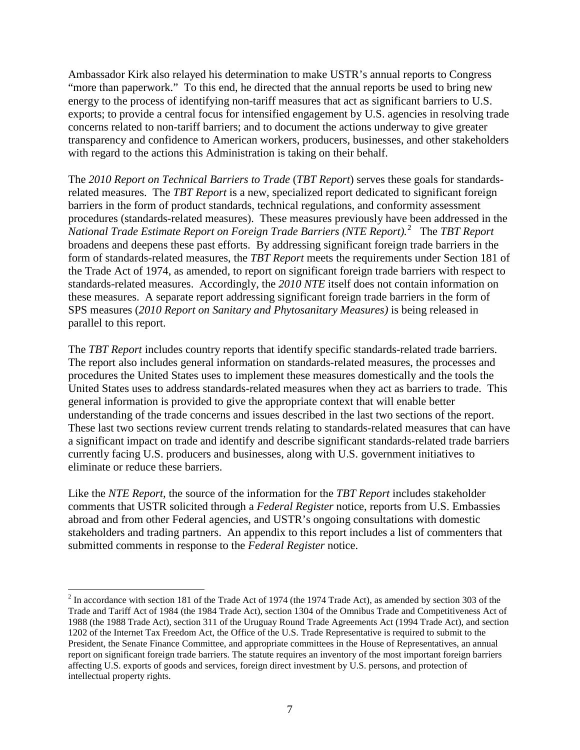Ambassador Kirk also relayed his determination to make USTR's annual reports to Congress "more than paperwork." To this end, he directed that the annual reports be used to bring new energy to the process of identifying non-tariff measures that act as significant barriers to U.S. exports; to provide a central focus for intensified engagement by U.S. agencies in resolving trade concerns related to non-tariff barriers; and to document the actions underway to give greater transparency and confidence to American workers, producers, businesses, and other stakeholders with regard to the actions this Administration is taking on their behalf.

The *2010 Report on Technical Barriers to Trade* (*TBT Report*) serves these goals for standardsrelated measures. The *TBT Report* is a new, specialized report dedicated to significant foreign barriers in the form of product standards, technical regulations, and conformity assessment procedures (standards-related measures). These measures previously have been addressed in the *National Trade Estimate Report on Foreign Trade Barriers (NTE Report).*[2](#page-6-0) The *TBT Report*  broadens and deepens these past efforts. By addressing significant foreign trade barriers in the form of standards-related measures, the *TBT Report* meets the requirements under Section 181 of the Trade Act of 1974, as amended, to report on significant foreign trade barriers with respect to standards-related measures. Accordingly, the *2010 NTE* itself does not contain information on these measures. A separate report addressing significant foreign trade barriers in the form of SPS measures (*2010 Report on Sanitary and Phytosanitary Measures)* is being released in parallel to this report.

The *TBT Report* includes country reports that identify specific standards-related trade barriers. The report also includes general information on standards-related measures, the processes and procedures the United States uses to implement these measures domestically and the tools the United States uses to address standards-related measures when they act as barriers to trade. This general information is provided to give the appropriate context that will enable better understanding of the trade concerns and issues described in the last two sections of the report. These last two sections review current trends relating to standards-related measures that can have a significant impact on trade and identify and describe significant standards-related trade barriers currently facing U.S. producers and businesses, along with U.S. government initiatives to eliminate or reduce these barriers.

Like the *NTE Report*, the source of the information for the *TBT Report* includes stakeholder comments that USTR solicited through a *Federal Register* notice, reports from U.S. Embassies abroad and from other Federal agencies, and USTR's ongoing consultations with domestic stakeholders and trading partners. An appendix to this report includes a list of commenters that submitted comments in response to the *Federal Register* notice.

<span id="page-6-0"></span> $2$  In accordance with section 181 of the Trade Act of 1974 (the 1974 Trade Act), as amended by section 303 of the Trade and Tariff Act of 1984 (the 1984 Trade Act), section 1304 of the Omnibus Trade and Competitiveness Act of 1988 (the 1988 Trade Act), section 311 of the Uruguay Round Trade Agreements Act (1994 Trade Act), and section 1202 of the Internet Tax Freedom Act, the Office of the U.S. Trade Representative is required to submit to the President, the Senate Finance Committee, and appropriate committees in the House of Representatives, an annual report on significant foreign trade barriers. The statute requires an inventory of the most important foreign barriers affecting U.S. exports of goods and services, foreign direct investment by U.S. persons, and protection of intellectual property rights.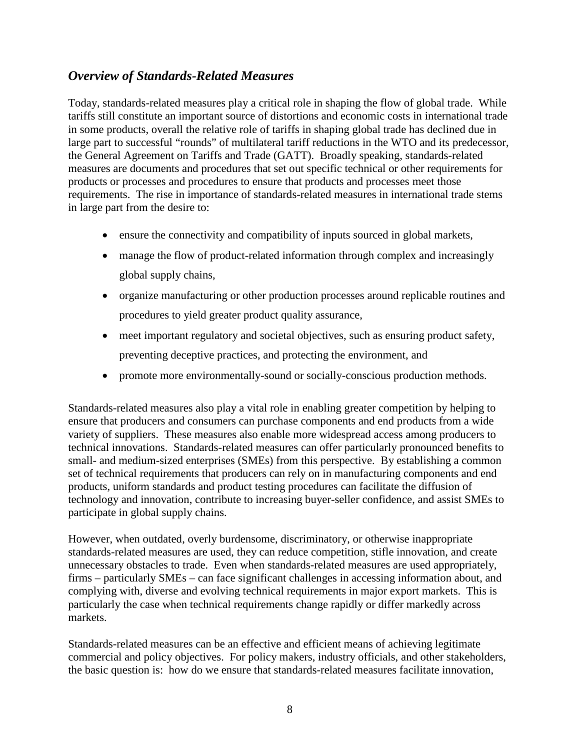## *Overview of Standards-Related Measures*

Today, standards-related measures play a critical role in shaping the flow of global trade. While tariffs still constitute an important source of distortions and economic costs in international trade in some products, overall the relative role of tariffs in shaping global trade has declined due in large part to successful "rounds" of multilateral tariff reductions in the WTO and its predecessor, the General Agreement on Tariffs and Trade (GATT). Broadly speaking, standards-related measures are documents and procedures that set out specific technical or other requirements for products or processes and procedures to ensure that products and processes meet those requirements. The rise in importance of standards-related measures in international trade stems in large part from the desire to:

- ensure the connectivity and compatibility of inputs sourced in global markets,
- manage the flow of product-related information through complex and increasingly global supply chains,
- organize manufacturing or other production processes around replicable routines and procedures to yield greater product quality assurance,
- meet important regulatory and societal objectives, such as ensuring product safety, preventing deceptive practices, and protecting the environment, and
- promote more environmentally-sound or socially-conscious production methods.

Standards-related measures also play a vital role in enabling greater competition by helping to ensure that producers and consumers can purchase components and end products from a wide variety of suppliers. These measures also enable more widespread access among producers to technical innovations. Standards-related measures can offer particularly pronounced benefits to small- and medium-sized enterprises (SMEs) from this perspective. By establishing a common set of technical requirements that producers can rely on in manufacturing components and end products, uniform standards and product testing procedures can facilitate the diffusion of technology and innovation, contribute to increasing buyer-seller confidence, and assist SMEs to participate in global supply chains.

However, when outdated, overly burdensome, discriminatory, or otherwise inappropriate standards-related measures are used, they can reduce competition, stifle innovation, and create unnecessary obstacles to trade. Even when standards-related measures are used appropriately, firms – particularly SMEs – can face significant challenges in accessing information about, and complying with, diverse and evolving technical requirements in major export markets. This is particularly the case when technical requirements change rapidly or differ markedly across markets.

Standards-related measures can be an effective and efficient means of achieving legitimate commercial and policy objectives. For policy makers, industry officials, and other stakeholders, the basic question is: how do we ensure that standards-related measures facilitate innovation,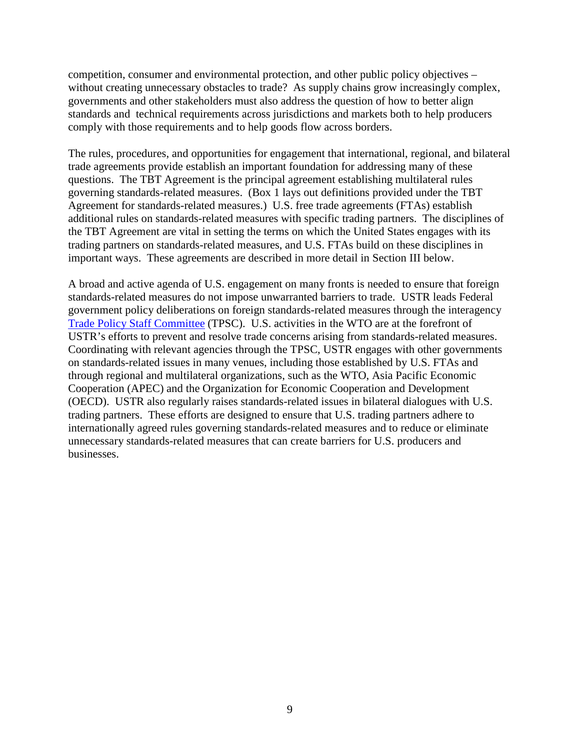competition, consumer and environmental protection, and other public policy objectives – without creating unnecessary obstacles to trade? As supply chains grow increasingly complex, governments and other stakeholders must also address the question of how to better align standards and technical requirements across jurisdictions and markets both to help producers comply with those requirements and to help goods flow across borders.

The rules, procedures, and opportunities for engagement that international, regional, and bilateral trade agreements provide establish an important foundation for addressing many of these questions. The TBT Agreement is the principal agreement establishing multilateral rules governing standards-related measures. (Box 1 lays out definitions provided under the TBT Agreement for standards-related measures.) U.S. free trade agreements (FTAs) establish additional rules on standards-related measures with specific trading partners. The disciplines of the TBT Agreement are vital in setting the terms on which the United States engages with its trading partners on standards-related measures, and U.S. FTAs build on these disciplines in important ways. These agreements are described in more detail in Section III below.

A broad and active agenda of U.S. engagement on many fronts is needed to ensure that foreign standards-related measures do not impose unwarranted barriers to trade. USTR leads Federal government policy deliberations on foreign standards-related measures through the interagency [Trade Policy Staff Committee](http://www.ustr.gov/about-us/executive-branch-agencies-trade-policy-staff-committee-and-trade-policy-review-group) (TPSC). U.S. activities in the WTO are at the forefront of USTR's efforts to prevent and resolve trade concerns arising from standards-related measures. Coordinating with relevant agencies through the TPSC, USTR engages with other governments on standards-related issues in many venues, including those established by U.S. FTAs and through regional and multilateral organizations, such as the WTO, Asia Pacific Economic Cooperation (APEC) and the Organization for Economic Cooperation and Development (OECD). USTR also regularly raises standards-related issues in bilateral dialogues with U.S. trading partners. These efforts are designed to ensure that U.S. trading partners adhere to internationally agreed rules governing standards-related measures and to reduce or eliminate unnecessary standards-related measures that can create barriers for U.S. producers and businesses.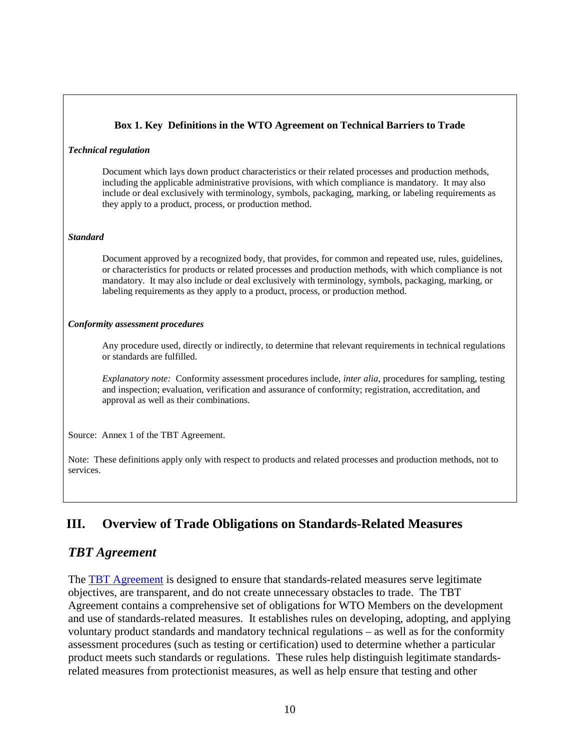### **Box 1. Key Definitions in the WTO Agreement on Technical Barriers to Trade**

#### *Technical regulation*

Document which lays down product characteristics or their related processes and production methods, including the applicable administrative provisions, with which compliance is mandatory. It may also include or deal exclusively with terminology, symbols, packaging, marking, or labeling requirements as they apply to a product, process, or production method.

### *Standard*

Document approved by a recognized body, that provides, for common and repeated use, rules, guidelines, or characteristics for products or related processes and production methods, with which compliance is not mandatory. It may also include or deal exclusively with terminology, symbols, packaging, marking, or labeling requirements as they apply to a product, process, or production method.

### *Conformity assessment procedures*

Any procedure used, directly or indirectly, to determine that relevant requirements in technical regulations or standards are fulfilled.

*Explanatory note:* Conformity assessment procedures include, *inter alia*, procedures for sampling, testing and inspection; evaluation, verification and assurance of conformity; registration, accreditation, and approval as well as their combinations.

Source: Annex 1 of the TBT Agreement.

Note: These definitions apply only with respect to products and related processes and production methods, not to services.

# **III. Overview of Trade Obligations on Standards-Related Measures**

## *TBT Agreement*

The [TBT Agreement](http://www.wto.org/english/docs_e/legal_e/17-tbt_e.htm) is designed to ensure that standards-related measures serve legitimate objectives, are transparent, and do not create unnecessary obstacles to trade. The TBT Agreement contains a comprehensive set of obligations for WTO Members on the development and use of standards-related measures. It establishes rules on developing, adopting, and applying voluntary product standards and mandatory technical regulations – as well as for the conformity assessment procedures (such as testing or certification) used to determine whether a particular product meets such standards or regulations. These rules help distinguish legitimate standardsrelated measures from protectionist measures, as well as help ensure that testing and other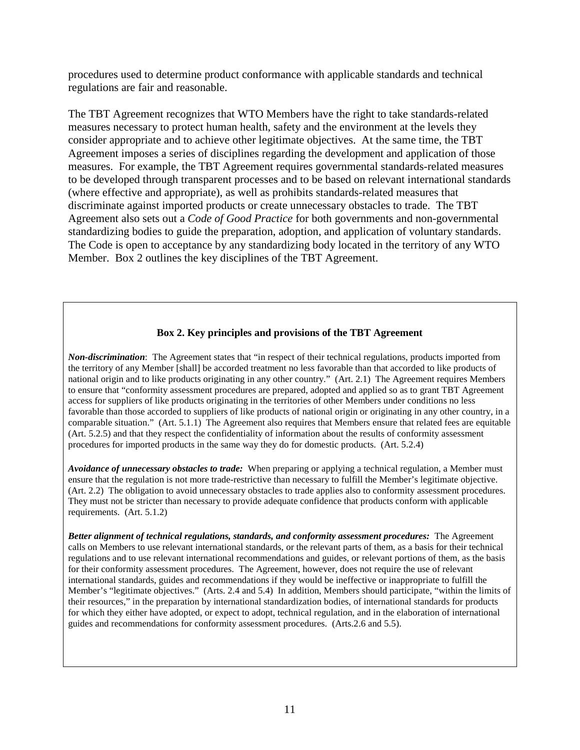procedures used to determine product conformance with applicable standards and technical regulations are fair and reasonable.

The TBT Agreement recognizes that WTO Members have the right to take standards-related measures necessary to protect human health, safety and the environment at the levels they consider appropriate and to achieve other legitimate objectives. At the same time, the TBT Agreement imposes a series of disciplines regarding the development and application of those measures. For example, the TBT Agreement requires governmental standards-related measures to be developed through transparent processes and to be based on relevant international standards (where effective and appropriate), as well as prohibits standards-related measures that discriminate against imported products or create unnecessary obstacles to trade. The TBT Agreement also sets out a *Code of Good Practice* for both governments and non-governmental standardizing bodies to guide the preparation, adoption, and application of voluntary standards. The Code is open to acceptance by any standardizing body located in the territory of any WTO Member. Box 2 outlines the key disciplines of the TBT Agreement.

### **Box 2. Key principles and provisions of the TBT Agreement**

*Non-discrimination*: The Agreement states that "in respect of their technical regulations, products imported from the territory of any Member [shall] be accorded treatment no less favorable than that accorded to like products of national origin and to like products originating in any other country." (Art. 2.1) The Agreement requires Members to ensure that "conformity assessment procedures are prepared, adopted and applied so as to grant TBT Agreement access for suppliers of like products originating in the territories of other Members under conditions no less favorable than those accorded to suppliers of like products of national origin or originating in any other country, in a comparable situation." (Art. 5.1.1) The Agreement also requires that Members ensure that related fees are equitable (Art. 5.2.5) and that they respect the confidentiality of information about the results of conformity assessment procedures for imported products in the same way they do for domestic products. (Art. 5.2.4)

*Avoidance of unnecessary obstacles to trade:* When preparing or applying a technical regulation, a Member must ensure that the regulation is not more trade-restrictive than necessary to fulfill the Member's legitimate objective. (Art. 2.2) The obligation to avoid unnecessary obstacles to trade applies also to conformity assessment procedures. They must not be stricter than necessary to provide adequate confidence that products conform with applicable requirements. (Art. 5.1.2)

*Better alignment of technical regulations, standards, and conformity assessment procedures:* The Agreement calls on Members to use relevant international standards, or the relevant parts of them, as a basis for their technical regulations and to use relevant international recommendations and guides, or relevant portions of them, as the basis for their conformity assessment procedures. The Agreement, however, does not require the use of relevant international standards, guides and recommendations if they would be ineffective or inappropriate to fulfill the Member's "legitimate objectives." (Arts. 2.4 and 5.4) In addition, Members should participate, "within the limits of their resources," in the preparation by international standardization bodies, of international standards for products for which they either have adopted, or expect to adopt, technical regulation, and in the elaboration of international guides and recommendations for conformity assessment procedures. (Arts.2.6 and 5.5).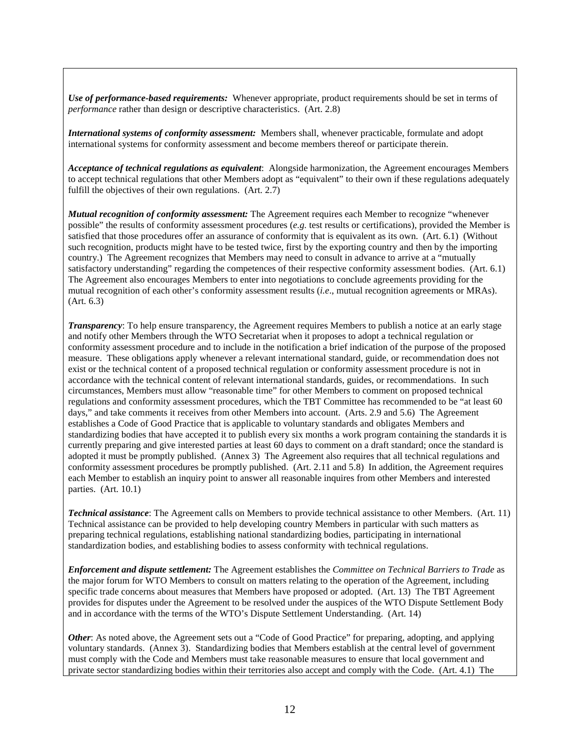*Use of performance-based requirements:* Whenever appropriate, product requirements should be set in terms of *performance* rather than design or descriptive characteristics. (Art. 2.8)

*International systems of conformity assessment:* Members shall, whenever practicable, formulate and adopt international systems for conformity assessment and become members thereof or participate therein.

*Acceptance of technical regulations as equivalent*: Alongside harmonization, the Agreement encourages Members to accept technical regulations that other Members adopt as "equivalent" to their own if these regulations adequately fulfill the objectives of their own regulations. (Art. 2.7)

*Mutual recognition of conformity assessment:* The Agreement requires each Member to recognize "whenever possible" the results of conformity assessment procedures (*e.g.* test results or certifications), provided the Member is satisfied that those procedures offer an assurance of conformity that is equivalent as its own. (Art. 6.1) (Without such recognition, products might have to be tested twice, first by the exporting country and then by the importing country.) The Agreement recognizes that Members may need to consult in advance to arrive at a "mutually satisfactory understanding" regarding the competences of their respective conformity assessment bodies. (Art. 6.1) The Agreement also encourages Members to enter into negotiations to conclude agreements providing for the mutual recognition of each other's conformity assessment results (*i.e*., mutual recognition agreements or MRAs). (Art. 6.3)

*Transparency*: To help ensure transparency, the Agreement requires Members to publish a notice at an early stage and notify other Members through the WTO Secretariat when it proposes to adopt a technical regulation or conformity assessment procedure and to include in the notification a brief indication of the purpose of the proposed measure. These obligations apply whenever a relevant international standard, guide, or recommendation does not exist or the technical content of a proposed technical regulation or conformity assessment procedure is not in accordance with the technical content of relevant international standards, guides, or recommendations. In such circumstances, Members must allow "reasonable time" for other Members to comment on proposed technical regulations and conformity assessment procedures, which the TBT Committee has recommended to be "at least 60 days," and take comments it receives from other Members into account. (Arts. 2.9 and 5.6) The Agreement establishes a Code of Good Practice that is applicable to voluntary standards and obligates Members and standardizing bodies that have accepted it to publish every six months a work program containing the standards it is currently preparing and give interested parties at least 60 days to comment on a draft standard; once the standard is adopted it must be promptly published. (Annex 3) The Agreement also requires that all technical regulations and conformity assessment procedures be promptly published. (Art. 2.11 and 5.8) In addition, the Agreement requires each Member to establish an inquiry point to answer all reasonable inquires from other Members and interested parties. (Art. 10.1)

*Technical assistance*: The Agreement calls on Members to provide technical assistance to other Members. (Art. 11) Technical assistance can be provided to help developing country Members in particular with such matters as preparing technical regulations, establishing national standardizing bodies, participating in international standardization bodies, and establishing bodies to assess conformity with technical regulations.

*Enforcement and dispute settlement:* The Agreement establishes the *Committee on Technical Barriers to Trade* as the major forum for WTO Members to consult on matters relating to the operation of the Agreement, including specific trade concerns about measures that Members have proposed or adopted. (Art. 13) The TBT Agreement provides for disputes under the Agreement to be resolved under the auspices of the WTO Dispute Settlement Body and in accordance with the terms of the WTO's Dispute Settlement Understanding. (Art. 14)

*Other*: As noted above, the Agreement sets out a "Code of Good Practice" for preparing, adopting, and applying voluntary standards. (Annex 3). Standardizing bodies that Members establish at the central level of government must comply with the Code and Members must take reasonable measures to ensure that local government and private sector standardizing bodies within their territories also accept and comply with the Code. (Art. 4.1) The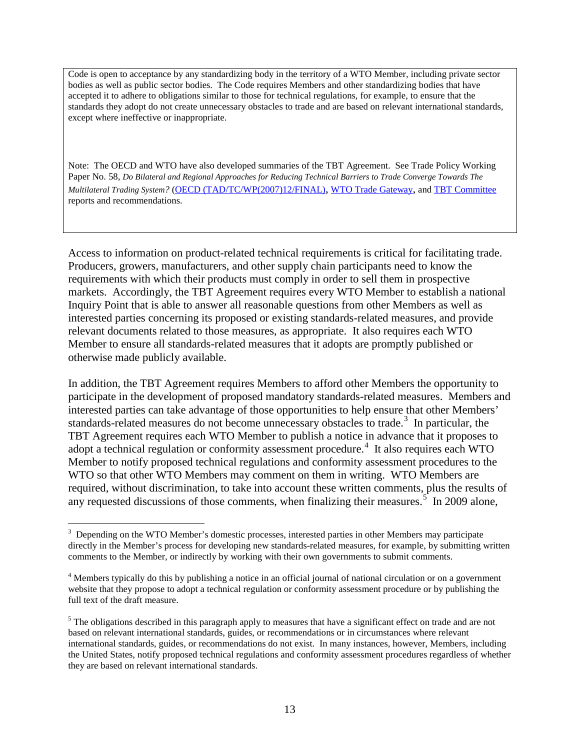Code is open to acceptance by any standardizing body in the territory of a WTO Member, including private sector bodies as well as public sector bodies. The Code requires Members and other standardizing bodies that have accepted it to adhere to obligations similar to those for technical regulations, for example, to ensure that the standards they adopt do not create unnecessary obstacles to trade and are based on relevant international standards, except where ineffective or inappropriate.

Note: The OECD and WTO have also developed summaries of the TBT Agreement. See Trade Policy Working Paper No. 58, *Do Bilateral and Regional Approaches for Reducing Technical Barriers to Trade Converge Towards The Multilateral Trading System?* [\(OECD \(TAD/TC/WP\(2007\)12/FINAL\),](http://www.olis.oecd.org/olis/2007doc.nsf/linkto/tad-tc-wp(2007)12-final) [WTO Trade Gateway,](http://www.wto.org/english/tratop_e/tbt_e/tbt_e.htm) and [TBT Committee](http://www.wto.org/english/tratop_e/tbt_e/tbt_work_docs_e.htm) reports and recommendations.

Access to information on product-related technical requirements is critical for facilitating trade. Producers, growers, manufacturers, and other supply chain participants need to know the requirements with which their products must comply in order to sell them in prospective markets. Accordingly, the TBT Agreement requires every WTO Member to establish a national Inquiry Point that is able to answer all reasonable questions from other Members as well as interested parties concerning its proposed or existing standards-related measures, and provide relevant documents related to those measures, as appropriate. It also requires each WTO Member to ensure all standards-related measures that it adopts are promptly published or otherwise made publicly available.

In addition, the TBT Agreement requires Members to afford other Members the opportunity to participate in the development of proposed mandatory standards-related measures. Members and interested parties can take advantage of those opportunities to help ensure that other Members' standards-related measures do not become unnecessary obstacles to trade.<sup>[3](#page-12-0)</sup> In particular, the TBT Agreement requires each WTO Member to publish a notice in advance that it proposes to adopt a technical regulation or conformity assessment procedure.<sup>[4](#page-12-1)</sup> It also requires each WTO Member to notify proposed technical regulations and conformity assessment procedures to the WTO so that other WTO Members may comment on them in writing. WTO Members are required, without discrimination, to take into account these written comments, plus the results of any requested discussions of those comments, when finalizing their measures.<sup>[5](#page-12-2)</sup> In 2009 alone,

<span id="page-12-0"></span><sup>&</sup>lt;sup>2</sup><br>3  $3$  Depending on the WTO Member's domestic processes, interested parties in other Members may participate directly in the Member's process for developing new standards-related measures, for example, by submitting written comments to the Member, or indirectly by working with their own governments to submit comments.

<span id="page-12-1"></span><sup>&</sup>lt;sup>4</sup> Members typically do this by publishing a notice in an official journal of national circulation or on a government website that they propose to adopt a technical regulation or conformity assessment procedure or by publishing the full text of the draft measure.

<span id="page-12-2"></span> $<sup>5</sup>$  The obligations described in this paragraph apply to measures that have a significant effect on trade and are not</sup> based on relevant international standards, guides, or recommendations or in circumstances where relevant international standards, guides, or recommendations do not exist. In many instances, however, Members, including the United States, notify proposed technical regulations and conformity assessment procedures regardless of whether they are based on relevant international standards.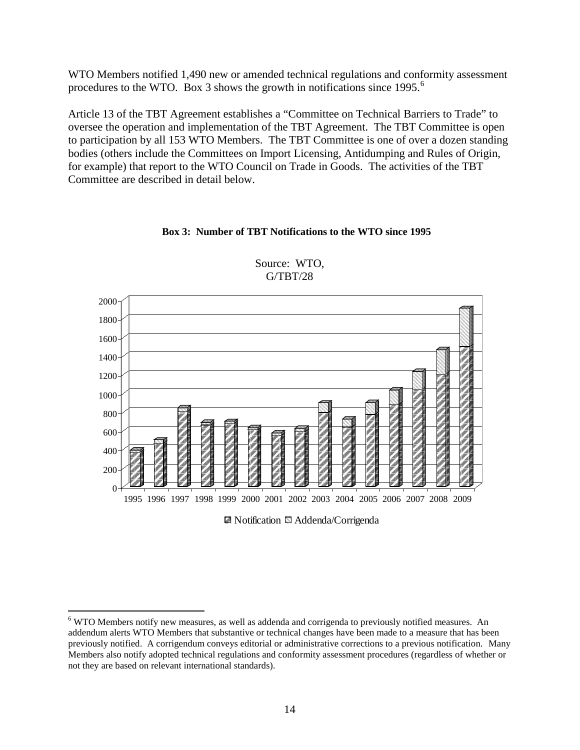WTO Members notified 1,490 new or amended technical regulations and conformity assessment procedures to the WTO. Box 3 shows the growth in notifications since  $1995$ .<sup>[6](#page-13-0)</sup>

Article 13 of the TBT Agreement establishes a "Committee on Technical Barriers to Trade" to oversee the operation and implementation of the TBT Agreement. The TBT Committee is open to participation by all 153 WTO Members. The TBT Committee is one of over a dozen standing bodies (others include the Committees on Import Licensing, Antidumping and Rules of Origin, for example) that report to the WTO Council on Trade in Goods. The activities of the TBT Committee are described in detail below.

### **Box 3: Number of TBT Notifications to the WTO since 1995**



Source: WTO, G/TBT/28

■ Notification ■ Addenda/Corrigenda

<span id="page-13-0"></span> <sup>6</sup> WTO Members notify new measures, as well as addenda and corrigenda to previously notified measures. An addendum alerts WTO Members that substantive or technical changes have been made to a measure that has been previously notified. A corrigendum conveys editorial or administrative corrections to a previous notification. Many Members also notify adopted technical regulations and conformity assessment procedures (regardless of whether or not they are based on relevant international standards).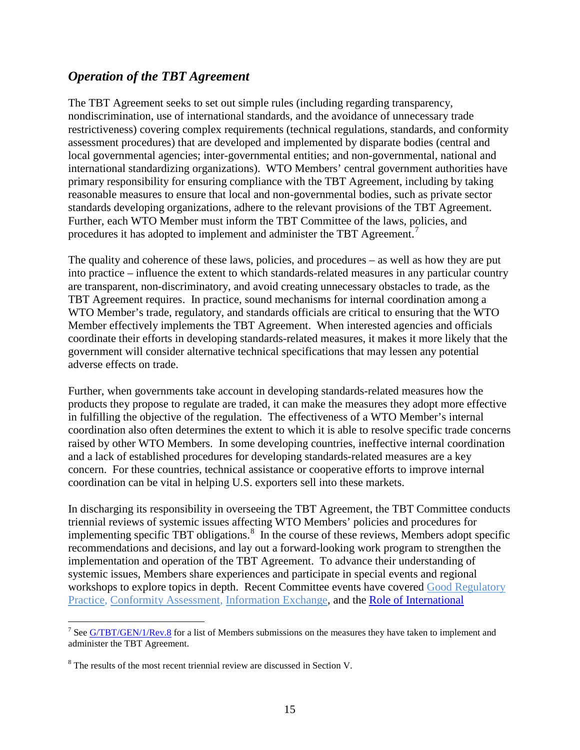## *Operation of the TBT Agreement*

The TBT Agreement seeks to set out simple rules (including regarding transparency, nondiscrimination, use of international standards, and the avoidance of unnecessary trade restrictiveness) covering complex requirements (technical regulations, standards, and conformity assessment procedures) that are developed and implemented by disparate bodies (central and local governmental agencies; inter-governmental entities; and non-governmental, national and international standardizing organizations). WTO Members' central government authorities have primary responsibility for ensuring compliance with the TBT Agreement, including by taking reasonable measures to ensure that local and non-governmental bodies, such as private sector standards developing organizations, adhere to the relevant provisions of the TBT Agreement. Further, each WTO Member must inform the TBT Committee of the laws, policies, and procedures it has adopted to implement and administer the TBT Agreement.<sup>[7](#page-14-0)</sup>

The quality and coherence of these laws, policies, and procedures – as well as how they are put into practice – influence the extent to which standards-related measures in any particular country are transparent, non-discriminatory, and avoid creating unnecessary obstacles to trade, as the TBT Agreement requires. In practice, sound mechanisms for internal coordination among a WTO Member's trade, regulatory, and standards officials are critical to ensuring that the WTO Member effectively implements the TBT Agreement. When interested agencies and officials coordinate their efforts in developing standards-related measures, it makes it more likely that the government will consider alternative technical specifications that may lessen any potential adverse effects on trade.

Further, when governments take account in developing standards-related measures how the products they propose to regulate are traded, it can make the measures they adopt more effective in fulfilling the objective of the regulation. The effectiveness of a WTO Member's internal coordination also often determines the extent to which it is able to resolve specific trade concerns raised by other WTO Members. In some developing countries, ineffective internal coordination and a lack of established procedures for developing standards-related measures are a key concern. For these countries, technical assistance or cooperative efforts to improve internal coordination can be vital in helping U.S. exporters sell into these markets.

In discharging its responsibility in overseeing the TBT Agreement, the TBT Committee conducts triennial reviews of systemic issues affecting WTO Members' policies and procedures for implementing specific TBT obligations.<sup>[8](#page-14-1)</sup> In the course of these reviews, Members adopt specific workshops to explore topics in depth. Recent Committee events have covered Good Regulatory [Practice](http://www.wto.org/english/tratop_e/tbt_e/wkshop_march08_e/wkshop_march08_e.htm), [Conformity Assessment,](http://www.wto.org/english/tratop_e/tbt_e/tbt_supplier_prog_21mar05_e.htm) [Information Exchange,](http://www.wto.org/english/tratop_e/tbt_e/meeting_nov07_e/tbt_fifth_meeting7_8nov_07_e.htm) and the Role of International recommendations and decisions, and lay out a forward-looking work program to strengthen the implementation and operation of the TBT Agreement. To advance their understanding of systemic issues, Members share experiences and participate in special events and regional

<span id="page-14-0"></span><sup>&</sup>lt;sup>7</sup> Se[e G/TBT/GEN/1/Rev.8](http://docsonline.wto.org/gen_search.asp?searchmode=simple) for a list of Members submissions on the measures they have taken to implement and administer the TBT Agreement.

<span id="page-14-1"></span><sup>&</sup>lt;sup>8</sup> The results of the most recent triennial review are discussed in Section V.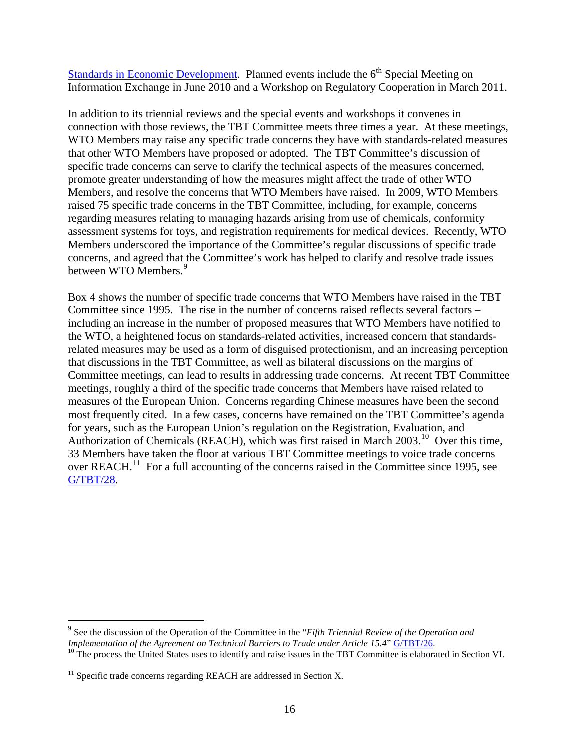Standards in Economic Development. Planned events include the  $6<sup>th</sup>$  Special Meeting on Information Exchange in June 2010 and a Workshop on Regulatory Cooperation in March 2011.

In addition to its triennial reviews and the special events and workshops it convenes in connection with those reviews, the TBT Committee meets three times a year. At these meetings, WTO Members may raise any specific trade concerns they have with standards-related measures that other WTO Members have proposed or adopted. The TBT Committee's discussion of specific trade concerns can serve to clarify the technical aspects of the measures concerned, promote greater understanding of how the measures might affect the trade of other WTO Members, and resolve the concerns that WTO Members have raised. In 2009, WTO Members raised 75 specific trade concerns in the TBT Committee, including, for example, concerns regarding measures relating to managing hazards arising from use of chemicals, conformity assessment systems for toys, and registration requirements for medical devices. Recently, WTO Members underscored the importance of the Committee's regular discussions of specific trade concerns, and agreed that the Committee's work has helped to clarify and resolve trade issues between WTO Members.<sup>[9](#page-15-0)</sup>

Box 4 shows the number of specific trade concerns that WTO Members have raised in the TBT Committee since 1995. The rise in the number of concerns raised reflects several factors – including an increase in the number of proposed measures that WTO Members have notified to the WTO, a heightened focus on standards-related activities, increased concern that standardsrelated measures may be used as a form of disguised protectionism, and an increasing perception that discussions in the TBT Committee, as well as bilateral discussions on the margins of Committee meetings, can lead to results in addressing trade concerns. At recent TBT Committee meetings, roughly a third of the specific trade concerns that Members have raised related to measures of the European Union. Concerns regarding Chinese measures have been the second most frequently cited. In a few cases, concerns have remained on the TBT Committee's agenda for years, such as the European Union's regulation on the Registration, Evaluation, and Authorization of Chemicals (REACH), which was first raised in March 2003.<sup>[10](#page-15-1)</sup> Over this time, 33 Members have taken the floor at various TBT Committee meetings to voice trade concerns over REACH.<sup>[11](#page-15-2)</sup> For a full accounting of the concerns raised in the Committee since 1995, see [G/TBT/28](http://www.wto.org/english/tratop_e/tbt_e/tbt_work_docs_e.htm) .

<span id="page-15-0"></span><sup>&</sup>lt;sup>9</sup> See the discussion of the Operation of the Committee in the "*Fifth Triennial Review of the Operation and Implementation of the Agreement on Technical Barriers to Trade under Article 15.4" <u>G/TBT/26</u>.* 

<span id="page-15-1"></span><sup>&</sup>lt;sup>10</sup> The process the United States uses to identify and raise issues in the TBT Committee is elaborated in Section VI.

<span id="page-15-2"></span> $11$  Specific trade concerns regarding REACH are addressed in Section X.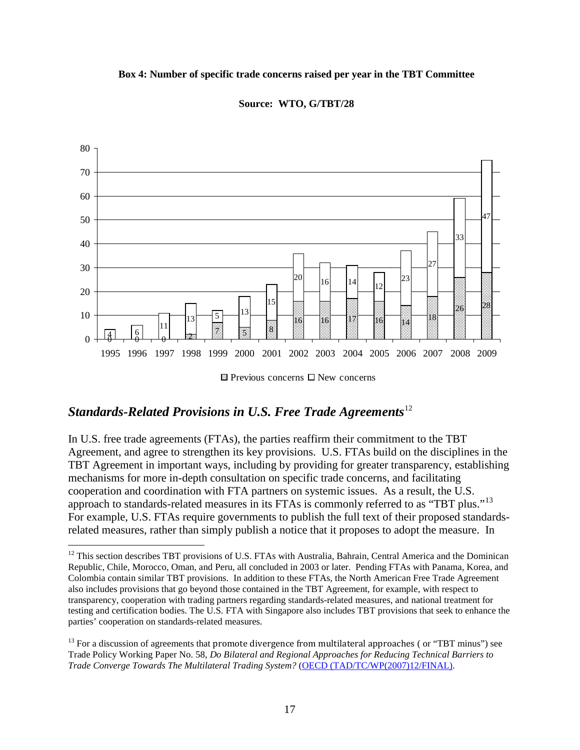### **Box 4: Number of specific trade concerns raised per year in the TBT Committee**



### **Source: WTO, G/TBT/28**

# *Standards-Related Provisions in U.S. Free Trade Agreements*[12](#page-16-0)

In U.S. free trade agreements (FTAs), the parties reaffirm their commitment to the TBT Agreement, and agree to strengthen its key provisions. U.S. FTAs build on the disciplines in the TBT Agreement in important ways, including by providing for greater transparency, establishing mechanisms for more in-depth consultation on specific trade concerns, and facilitating cooperation and coordination with FTA partners on systemic issues. As a result, the U.S. approach to standards-related measures in its FTAs is commonly referred to as "TBT plus."<sup>[13](#page-16-1)</sup> For example, U.S. FTAs require governments to publish the full text of their proposed standardsrelated measures, rather than simply publish a notice that it proposes to adopt the measure. In

<span id="page-16-0"></span><sup>&</sup>lt;sup>12</sup> This section describes TBT provisions of U.S. FTAs with Australia, Bahrain, Central America and the Dominican Republic, Chile, Morocco, Oman, and Peru, all concluded in 2003 or later. Pending FTAs with Panama, Korea, and Colombia contain similar TBT provisions. In addition to these FTAs, the North American Free Trade Agreement also includes provisions that go beyond those contained in the TBT Agreement, for example, with respect to transparency, cooperation with trading partners regarding standards-related measures, and national treatment for testing and certification bodies. The U.S. FTA with Singapore also includes TBT provisions that seek to enhance the parties' cooperation on standards-related measures.

<span id="page-16-1"></span><sup>&</sup>lt;sup>13</sup> For a discussion of agreements that promote divergence from multilateral approaches (or "TBT minus") see Trade Policy Working Paper No. 58, *Do Bilateral and Regional Approaches for Reducing Technical Barriers to Trade Converge Towards The Multilateral Trading System?* [\(OECD \(TAD/TC/WP\(2007\)12/FINAL\).](http://www.olis.oecd.org/olis/2007doc.nsf/linkto/tad-tc-wp(2007)12-final)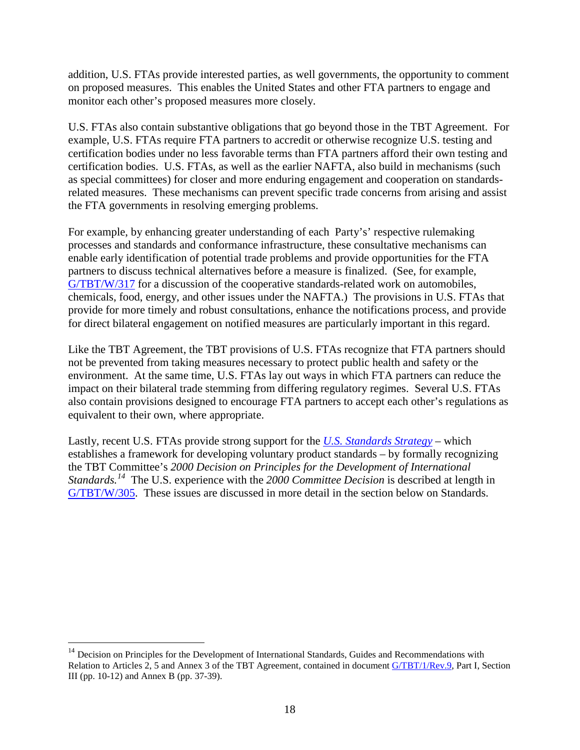addition, U.S. FTAs provide interested parties, as well governments, the opportunity to comment on proposed measures. This enables the United States and other FTA partners to engage and monitor each other's proposed measures more closely.

U.S. FTAs also contain substantive obligations that go beyond those in the TBT Agreement. For example, U.S. FTAs require FTA partners to accredit or otherwise recognize U.S. testing and certification bodies under no less favorable terms than FTA partners afford their own testing and certification bodies. U.S. FTAs, as well as the earlier NAFTA, also build in mechanisms (such as special committees) for closer and more enduring engagement and cooperation on standardsrelated measures. These mechanisms can prevent specific trade concerns from arising and assist the FTA governments in resolving emerging problems.

For example, by enhancing greater understanding of each Party's' respective rulemaking processes and standards and conformance infrastructure, these consultative mechanisms can enable early identification of potential trade problems and provide opportunities for the FTA partners to discuss technical alternatives before a measure is finalized. (See, for example, [G/TBT/W/317](http://docsonline.wto.org/gen_search.asp?searchmode=simple) for a discussion of the cooperative standards-related work on automobiles, chemicals, food, energy, and other issues under the NAFTA.) The provisions in U.S. FTAs that provide for more timely and robust consultations, enhance the notifications process, and provide for direct bilateral engagement on notified measures are particularly important in this regard.

Like the TBT Agreement, the TBT provisions of U.S. FTAs recognize that FTA partners should not be prevented from taking measures necessary to protect public health and safety or the environment. At the same time, U.S. FTAs lay out ways in which FTA partners can reduce the impact on their bilateral trade stemming from differing regulatory regimes. Several U.S. FTAs also contain provisions designed to encourage FTA partners to accept each other's regulations as equivalent to their own, where appropriate.

Lastly, recent U.S. FTAs provide strong support for the *[U.S. Standards Strategy](http://www.ansi.org/standards_activities/nss/usss.aspx)* – which establishes a framework for developing voluntary product standards – by formally recognizing the TBT Committee's *2000 Decision on Principles for the Development of International Standards. [14](#page-17-0)* The U.S. experience with the *2000 Committee Decision* is described at length in [G/TBT/W/305](http://docsonline.wto.org/gen_search.asp?searchmode=simple). These issues are discussed in more detail in the section below on Standards.

<span id="page-17-0"></span> $14$  Decision on Principles for the Development of International Standards, Guides and Recommendations with Relation to Articles 2, 5 and Annex 3 of the TBT Agreement, contained in document [G/TBT/1/Rev.9,](http://docsonline.wto.org/gen_search.asp?searchmode=simple) Part I, Section III (pp. 10-12) and Annex B (pp. 37-39).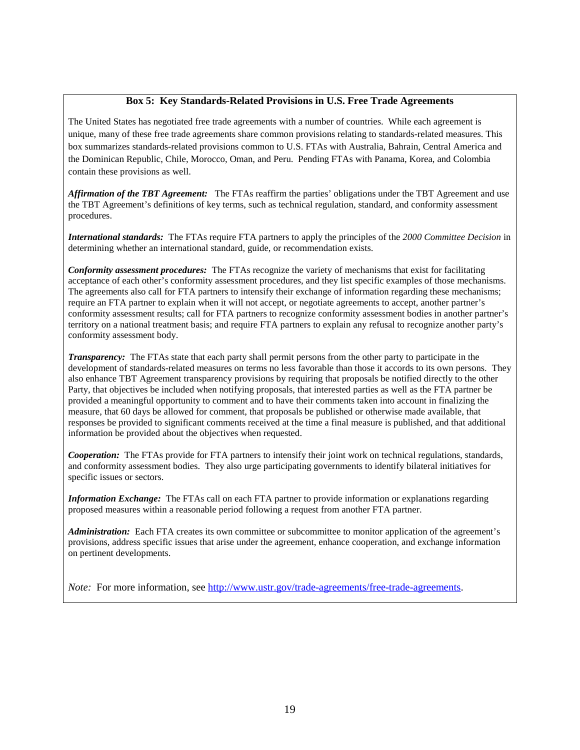### **Box 5: Key Standards-Related Provisions in U.S. Free Trade Agreements**

The United States has negotiated free trade agreements with a number of countries. While each agreement is unique, many of these free trade agreements share common provisions relating to standards-related measures. This box summarizes standards-related provisions common to U.S. FTAs with Australia, Bahrain, Central America and the Dominican Republic, Chile, Morocco, Oman, and Peru. Pending FTAs with Panama, Korea, and Colombia contain these provisions as well.

*Affirmation of the TBT Agreement:* The FTAs reaffirm the parties' obligations under the TBT Agreement and use the TBT Agreement's definitions of key terms, such as technical regulation, standard, and conformity assessment procedures.

*International standards:* The FTAs require FTA partners to apply the principles of the *2000 Committee Decision* in determining whether an international standard, guide, or recommendation exists.

*Conformity assessment procedures:* The FTAs recognize the variety of mechanisms that exist for facilitating acceptance of each other's conformity assessment procedures, and they list specific examples of those mechanisms. The agreements also call for FTA partners to intensify their exchange of information regarding these mechanisms; require an FTA partner to explain when it will not accept, or negotiate agreements to accept, another partner's conformity assessment results; call for FTA partners to recognize conformity assessment bodies in another partner's territory on a national treatment basis; and require FTA partners to explain any refusal to recognize another party's conformity assessment body.

*Transparency:* The FTAs state that each party shall permit persons from the other party to participate in the development of standards-related measures on terms no less favorable than those it accords to its own persons. They also enhance TBT Agreement transparency provisions by requiring that proposals be notified directly to the other Party, that objectives be included when notifying proposals, that interested parties as well as the FTA partner be provided a meaningful opportunity to comment and to have their comments taken into account in finalizing the measure, that 60 days be allowed for comment, that proposals be published or otherwise made available, that responses be provided to significant comments received at the time a final measure is published, and that additional information be provided about the objectives when requested.

*Cooperation:* The FTAs provide for FTA partners to intensify their joint work on technical regulations, standards, and conformity assessment bodies. They also urge participating governments to identify bilateral initiatives for specific issues or sectors.

*Information Exchange:* The FTAs call on each FTA partner to provide information or explanations regarding proposed measures within a reasonable period following a request from another FTA partner.

*Administration:* Each FTA creates its own committee or subcommittee to monitor application of the agreement's provisions, address specific issues that arise under the agreement, enhance cooperation, and exchange information on pertinent developments.

*Note:* For more information, see [http://www.ustr.gov/trade-agreements/free-trade-agreements.](http://www.ustr.gov/trade-agreements/free-trade-agreements)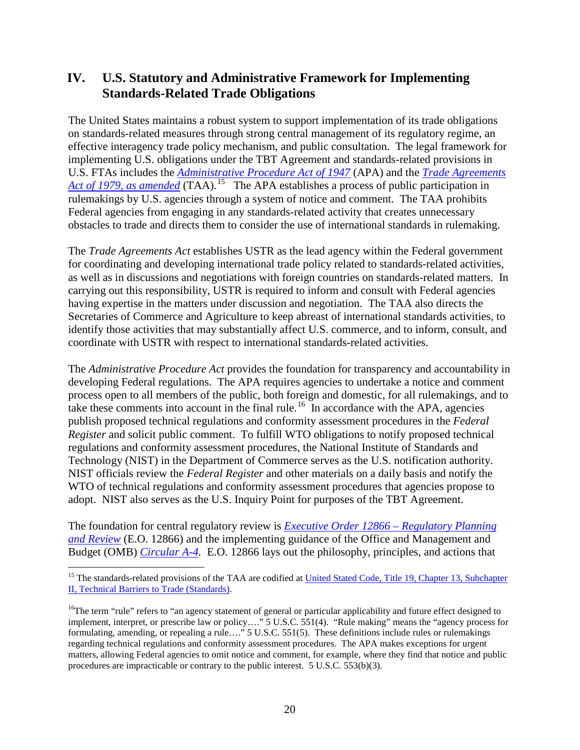## **IV. U.S. Statutory and Administrative Framework for Implementing Standards-Related Trade Obligations**

The United States maintains a robust system to support implementation of its trade obligations on standards-related measures through strong central management of its regulatory regime, an effective interagency trade policy mechanism, and public consultation. The legal framework for implementing U.S. obligations under the TBT Agreement and standards-related provisions in U.S. FTAs includes the *[Administrative Procedure Act of 1947](http://biotech.law.lsu.edu/Courses/study_aids/adlaw/)* (APA) and the *[Trade Agreements](http://www.law.cornell.edu/uscode/uscode19/usc_sup_01_19_10_13_20_II.html)*  [Act of 1979, as amended](http://www.law.cornell.edu/uscode/uscode19/usc_sup_01_19_10_13_20_II.html) (TAA).<sup>[15](#page-19-0)</sup> The APA establishes a process of public participation in rulemakings by U.S. agencies through a system of notice and comment. The TAA prohibits Federal agencies from engaging in any standards-related activity that creates unnecessary obstacles to trade and directs them to consider the use of international standards in rulemaking.

The *Trade Agreements Act* establishes USTR as the lead agency within the Federal government for coordinating and developing international trade policy related to standards-related activities, as well as in discussions and negotiations with foreign countries on standards-related matters. In carrying out this responsibility, USTR is required to inform and consult with Federal agencies having expertise in the matters under discussion and negotiation. The TAA also directs the Secretaries of Commerce and Agriculture to keep abreast of international standards activities, to identify those activities that may substantially affect U.S. commerce, and to inform, consult, and coordinate with USTR with respect to international standards-related activities.

The *Administrative Procedure Act* provides the foundation for transparency and accountability in developing Federal regulations. The APA requires agencies to undertake a notice and comment process open to all members of the public, both foreign and domestic, for all rulemakings, and to take these comments into account in the final rule.<sup>[16](#page-19-1)</sup> In accordance with the APA, agencies publish proposed technical regulations and conformity assessment procedures in the *Federal Register* and solicit public comment. To fulfill WTO obligations to notify proposed technical regulations and conformity assessment procedures, the National Institute of Standards and Technology (NIST) in the Department of Commerce serves as the U.S. notification authority. NIST officials review the *Federal Register* and other materials on a daily basis and notify the WTO of technical regulations and conformity assessment procedures that agencies propose to adopt. NIST also serves as the U.S. Inquiry Point for purposes of the TBT Agreement.

The foundation for central regulatory review is *[Executive Order 12866 –](http://www.whitehouse.gov/OMB/inforeg/eo12866.pdf) Regulatory Planning [and Review](http://www.whitehouse.gov/OMB/inforeg/eo12866.pdf)* (E.O. 12866) and the implementing guidance of the Office and Management and Budget (OMB) *[Circular A-4.](http://www.whitehouse.gov/OMB/Circulars/a004/a-4.pdf)* E.O. 12866 lays out the philosophy, principles, and actions that

<span id="page-19-0"></span><sup>&</sup>lt;sup>15</sup> The standards-related provisions of the TAA are codified at United Stated Code, Title 19, Chapter 13, Subchapter [II, Technical Barriers to Trade \(Standards\).](http://www.law.cornell.edu/uscode/uscode19/usc_sup_01_19_10_13_20_II.html)

<span id="page-19-1"></span><sup>&</sup>lt;sup>16</sup>The term "rule" refers to "an agency statement of general or particular applicability and future effect designed to implement, interpret, or prescribe law or policy…." 5 U.S.C. 551(4). "Rule making" means the "agency process for formulating, amending, or repealing a rule…." 5 U.S.C. 551(5). These definitions include rules or rulemakings regarding technical regulations and conformity assessment procedures. The APA makes exceptions for urgent matters, allowing Federal agencies to omit notice and comment, for example, where they find that notice and public procedures are impracticable or contrary to the public interest. 5 U.S.C. 553(b)(3).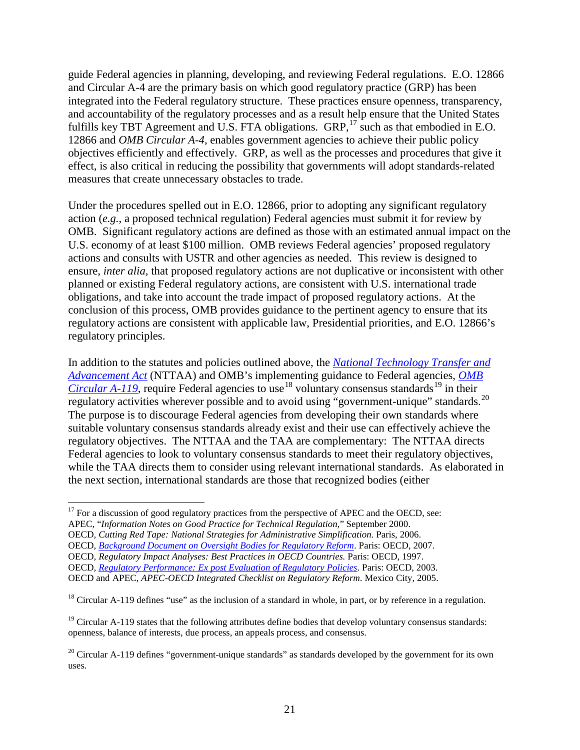guide Federal agencies in planning, developing, and reviewing Federal regulations. E.O. 12866 and Circular A-4 are the primary basis on which good regulatory practice (GRP) has been integrated into the Federal regulatory structure. These practices ensure openness, transparency, and accountability of the regulatory processes and as a result help ensure that the United States fulfills key TBT Agreement and U.S. FTA obligations. GRP,<sup>[17](#page-20-0)</sup> such as that embodied in E.O. 12866 and *OMB Circular A-4,* enables government agencies to achieve their public policy objectives efficiently and effectively. GRP, as well as the processes and procedures that give it effect, is also critical in reducing the possibility that governments will adopt standards-related measures that create unnecessary obstacles to trade.

Under the procedures spelled out in E.O. 12866, prior to adopting any significant regulatory action (*e.g.*, a proposed technical regulation) Federal agencies must submit it for review by OMB. Significant regulatory actions are defined as those with an estimated annual impact on the U.S. economy of at least \$100 million. OMB reviews Federal agencies' proposed regulatory actions and consults with USTR and other agencies as needed. This review is designed to ensure, *inter alia,* that proposed regulatory actions are not duplicative or inconsistent with other planned or existing Federal regulatory actions, are consistent with U.S. international trade obligations, and take into account the trade impact of proposed regulatory actions. At the conclusion of this process, OMB provides guidance to the pertinent agency to ensure that its regulatory actions are consistent with applicable law, Presidential priorities, and E.O. 12866's regulatory principles.

In addition to the statutes and policies outlined above, the *[National Technology Transfer and](http://ts.nist.gov/standards/information/113.cfm)  [Advancement Act](http://ts.nist.gov/standards/information/113.cfm)* (NTTAA) and OMB's implementing guidance to Federal agencies, *[OMB](http://www.whitehouse.gov/omb/rewrite/circulars/a119/a119.html)  [Circular A-119](http://www.whitehouse.gov/omb/rewrite/circulars/a119/a119.html)*, require Federal agencies to use<sup>[18](#page-20-1)</sup> voluntary consensus standards<sup>[19](#page-20-2)</sup> in their regulatory activities wherever possible and to avoid using "government-unique" standards.<sup>[20](#page-20-3)</sup> The purpose is to discourage Federal agencies from developing their own standards where suitable voluntary consensus standards already exist and their use can effectively achieve the regulatory objectives. The NTTAA and the TAA are complementary: The NTTAA directs Federal agencies to look to voluntary consensus standards to meet their regulatory objectives, while the TAA directs them to consider using relevant international standards.As elaborated in the next section, international standards are those that recognized bodies (either

<span id="page-20-0"></span> $17$  For a discussion of good regulatory practices from the perspective of APEC and the OECD, see:

APEC, "*Information Notes on Good Practice for Technical Regulation*," September 2000.

OECD*, Cutting Red Tape: National Strategies for Administrative Simplification.* Paris, 2006. OECD, *[Background Document on Oversight Bodies for Regulatory Reform](http://www.oecd.org/dataoecd/4/41/36785272.pdf.)*. Paris: OECD, 2007. OECD, *Regulatory Impact Analyses: Best Practices in OECD Countries.* Paris: OECD, 1997. OECD, *[Regulatory Performance: Ex post Evaluation of Regulatory Policies](http://www.oecd.org/dataoecd/34/30/30401951.pdf)*. Paris: OECD, 2003.

OECD and APEC, *APEC-OECD Integrated Checklist on Regulatory Reform*. Mexico City, 2005.

<span id="page-20-1"></span> $^{18}$  Circular A-119 defines "use" as the inclusion of a standard in whole, in part, or by reference in a regulation.

<span id="page-20-2"></span><sup>&</sup>lt;sup>19</sup> Circular A-119 states that the following attributes define bodies that develop voluntary consensus standards: openness, balance of interests, due process, an appeals process, and consensus.

<span id="page-20-3"></span><sup>&</sup>lt;sup>20</sup> Circular A-119 defines "government-unique standards" as standards developed by the government for its own uses.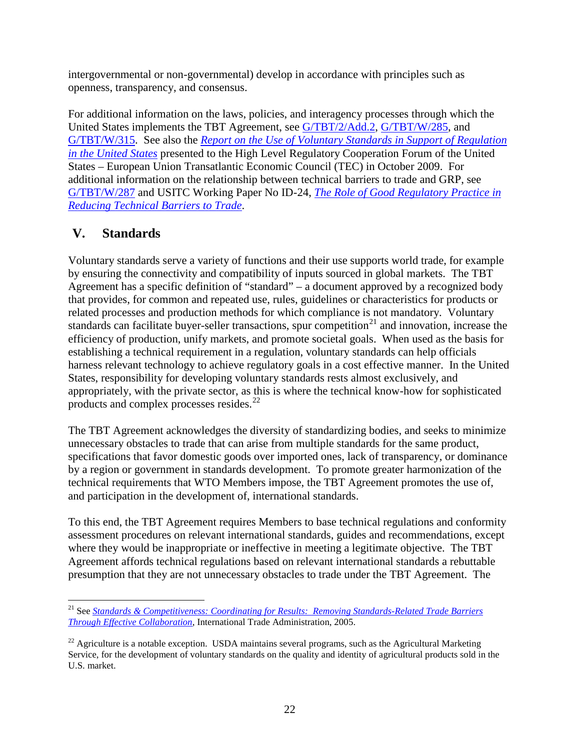intergovernmental or non-governmental) develop in accordance with principles such as openness, transparency, and consensus.

For additional information on the laws, policies, and interagency processes through which the United States implements the TBT Agreement, see [G/TBT/2/Add.2, G/TBT/W/285,](http://docsonline.wto.org/gen_search.asp?searchmode=simple) and [G/TBT/W/315.](http://docsonline.wto.org/gen_search.asp?searchmode=simple) See also the *[Report on the Use of Voluntary Standards in Support of Regulation](http://ts.nist.gov/Standards/upload/Use-of-Voluntary-Standards-in-Support-of-US-Regulation.pdf)  [in the United States](http://ts.nist.gov/Standards/upload/Use-of-Voluntary-Standards-in-Support-of-US-Regulation.pdf)* presented to the High Level Regulatory Cooperation Forum of the United States – European Union Transatlantic Economic Council (TEC) in October 2009. For additional information on the relationship between technical barriers to trade and GRP, see [G/TBT/W/287](http://docsonline.wto.org/gen_search.asp?searchmode=simple) and USITC Working Paper No ID-24, *[The Role of Good Regulatory Practice in](http://www.usitc.gov/publications/332/working_papers/ID_24.pdf)  [Reducing Technical Barriers to Trade](http://www.usitc.gov/publications/332/working_papers/ID_24.pdf)*.

# **V. Standards**

Voluntary standards serve a variety of functions and their use supports world trade, for example by ensuring the connectivity and compatibility of inputs sourced in global markets. The TBT Agreement has a specific definition of "standard" – a document approved by a recognized body that provides, for common and repeated use, rules, guidelines or characteristics for products or related processes and production methods for which compliance is not mandatory. Voluntary standards can facilitate buyer-seller transactions, spur competition<sup>[21](#page-21-0)</sup> and innovation, increase the efficiency of production, unify markets, and promote societal goals. When used as the basis for establishing a technical requirement in a regulation, voluntary standards can help officials harness relevant technology to achieve regulatory goals in a cost effective manner. In the United States, responsibility for developing voluntary standards rests almost exclusively, and appropriately, with the private sector, as this is where the technical know-how for sophisticated products and complex processes resides.<sup>[22](#page-21-1)</sup>

The TBT Agreement acknowledges the diversity of standardizing bodies, and seeks to minimize unnecessary obstacles to trade that can arise from multiple standards for the same product, specifications that favor domestic goods over imported ones, lack of transparency, or dominance by a region or government in standards development. To promote greater harmonization of the technical requirements that WTO Members impose, the TBT Agreement promotes the use of, and participation in the development of, international standards.

To this end, the TBT Agreement requires Members to base technical regulations and conformity assessment procedures on relevant international standards, guides and recommendations, except where they would be inappropriate or ineffective in meeting a legitimate objective. The TBT Agreement affords technical regulations based on relevant international standards a rebuttable presumption that they are not unnecessary obstacles to trade under the TBT Agreement. The

<span id="page-21-0"></span> <sup>21</sup> See *[Standards & Competitiveness: Coordinating for Results: Removing Standards-Related Trade Barriers](http://www.trade.gov/td/standards/pdf%20files/Standards%20and%20Competitiveness.pdf)  Through [Effective Collaboration](http://www.trade.gov/td/standards/pdf%20files/Standards%20and%20Competitiveness.pdf)*, International Trade Administration, 2005.

<span id="page-21-1"></span> $22$  Agriculture is a notable exception. USDA maintains several programs, such as the Agricultural Marketing Service, for the development of voluntary standards on the quality and identity of agricultural products sold in the U.S. market.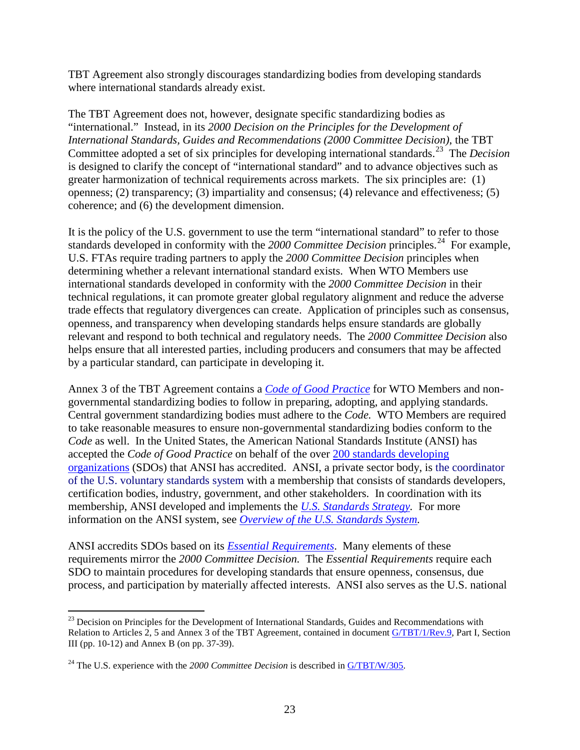TBT Agreement also strongly discourages standardizing bodies from developing standards where international standards already exist.

The TBT Agreement does not, however, designate specific standardizing bodies as "international." Instead, in its *2000 Decision on the Principles for the Development of International Standards, Guides and Recommendations (2000 Committee Decision)*, the TBT Committee adopted a set of six principles for developing international standards. [23](#page-22-0) The *Decision*  is designed to clarify the concept of "international standard" and to advance objectives such as greater harmonization of technical requirements across markets. The six principles are: (1) openness; (2) transparency; (3) impartiality and consensus; (4) relevance and effectiveness; (5) coherence; and (6) the development dimension.

It is the policy of the U.S. government to use the term "international standard" to refer to those standards developed in conformity with the *2000 Committee Decision* principles. [24](#page-22-1) For example, U.S. FTAs require trading partners to apply the *2000 Committee Decision* principles when determining whether a relevant international standard exists. When WTO Members use international standards developed in conformity with the *2000 Committee Decision* in their technical regulations, it can promote greater global regulatory alignment and reduce the adverse trade effects that regulatory divergences can create. Application of principles such as consensus, openness, and transparency when developing standards helps ensure standards are globally relevant and respond to both technical and regulatory needs. The *2000 Committee Decision* also helps ensure that all interested parties, including producers and consumers that may be affected by a particular standard, can participate in developing it.

Annex 3 of the TBT Agreement contains a *[Code of Good Practice](http://www.wto.org/english/docs_e/legal_e/17-tbt_e.htm)* for WTO Members and nongovernmental standardizing bodies to follow in preparing, adopting, and applying standards. Central government standardizing bodies must adhere to the *Code.* WTO Members are required to take reasonable measures to ensure non-governmental standardizing bodies conform to the *Code* as well. In the United States, the American National Standards Institute (ANSI) has accepted the *Code of Good Practice* on behalf of the over 200 [standards developing](http://publicaa.ansi.org/sites/apdl/Documents/Forms/AllItems.aspx?RootFolder=http%3a%2f%2fpublicaa%2eansi%2eorg%2fsites%2fapdl%2fDocuments%2fStandards%20Activities%2fAmerican%20National%20Standards%2fANSI%20Accredited%20Standards%20Developers)  [organizations](http://publicaa.ansi.org/sites/apdl/Documents/Forms/AllItems.aspx?RootFolder=http%3a%2f%2fpublicaa%2eansi%2eorg%2fsites%2fapdl%2fDocuments%2fStandards%20Activities%2fAmerican%20National%20Standards%2fANSI%20Accredited%20Standards%20Developers) (SDOs) that ANSI has accredited. ANSI, a private sector body, is the coordinator of the U.S. voluntary standards system with a membership that consists of standards developers, certification bodies, industry, government, and other stakeholders. In coordination with its membership, ANSI developed and implements the *U.S. Standards Strategy*. For more information on the ANSI system, see *[Overview of the U.S. Standards System.](http://publicaa.ansi.org/sites/apdl/Documents/News%20and%20Publications/Brochures/U.S.%20Standardization%20System-07.pdf)*

ANSI accredits SDOs based on its *[Essential Requirements](http://publicaa.ansi.org/sites/apdl/Documents/Forms/AllItems.aspx?RootFolder=%2Fsites%2Fapdl%2FDocuments%2FStandards%20Activities%2FAmerican%20National%20Standards%2FProcedures%2C%20Guides%2C%20and%20Forms%2F2009%20ANSI%20Essential%20Requirements%20and%20A)*. Many elements of these requirements mirror the *2000 Committee Decision.* The *Essential Requirements* require each SDO to maintain procedures for developing standards that ensure openness, consensus, due process, and participation by materially affected interests. ANSI also serves as the U.S. national

<span id="page-22-0"></span> $^{23}$  Decision on Principles for the Development of International Standards, Guides and Recommendations with Relation to Articles 2, 5 and Annex 3 of the TBT Agreement, contained in document [G/TBT/1/Rev.9,](http://docsonline.wto.org/gen_search.asp?searchmode=simple) Part I, Section III (pp. 10-12) and Annex B (on pp. 37-39).

<span id="page-22-1"></span><sup>&</sup>lt;sup>24</sup> The U.S. experience with the 2000 *Committee Decision* is described in [G/TBT/W/305.](http://docsonline.wto.org/gen_search.asp?searchmode=simple)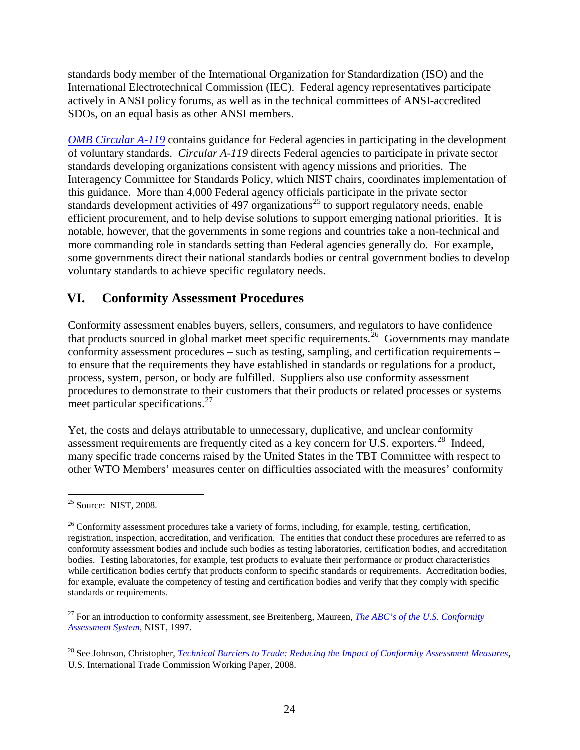standards body member of the International Organization for Standardization (ISO) and the International Electrotechnical Commission (IEC). Federal agency representatives participate actively in ANSI policy forums, as well as in the technical committees of ANSI-accredited SDOs, on an equal basis as other ANSI members.

*[OMB Circular A-119](http://www.whitehouse.gov/omb/rewrite/circulars/a119/a119.html)* contains guidance for Federal agencies in participating in the development of voluntary standards. *Circular A-119* directs Federal agencies to participate in private sector standards developing organizations consistent with agency missions and priorities. The Interagency Committee for Standards Policy, which NIST chairs, coordinates implementation of this guidance. More than 4,000 Federal agency officials participate in the private sector standards development activities of 497 organizations<sup>[25](#page-23-0)</sup> to support regulatory needs, enable efficient procurement, and to help devise solutions to support emerging national priorities. It is notable, however, that the governments in some regions and countries take a non-technical and more commanding role in standards setting than Federal agencies generally do. For example, some governments direct their national standards bodies or central government bodies to develop voluntary standards to achieve specific regulatory needs.

## **VI. Conformity Assessment Procedures**

Conformity assessment enables buyers, sellers, consumers, and regulators to have confidence that products sourced in global market meet specific requirements.<sup>[26](#page-23-1)</sup> Governments may mandate conformity assessment procedures – such as testing, sampling, and certification requirements – to ensure that the requirements they have established in standards or regulations for a product, process, system, person, or body are fulfilled. Suppliers also use conformity assessment procedures to demonstrate to their customers that their products or related processes or systems meet particular specifications.<sup>[27](#page-23-2)</sup>

Yet, the costs and delays attributable to unnecessary, duplicative, and unclear conformity assessment requirements are frequently cited as a key concern for U.S. exporters.<sup>[28](#page-23-3)</sup> Indeed, many specific trade concerns raised by the United States in the TBT Committee with respect to other WTO Members' measures center on difficulties associated with the measures' conformity

<span id="page-23-0"></span> $25$  Source: NIST, 2008.

<span id="page-23-1"></span> $26$  Conformity assessment procedures take a variety of forms, including, for example, testing, certification, registration, inspection, accreditation, and verification. The entities that conduct these procedures are referred to as conformity assessment bodies and include such bodies as testing laboratories, certification bodies, and accreditation bodies. Testing laboratories, for example, test products to evaluate their performance or product characteristics while certification bodies certify that products conform to specific standards or requirements. Accreditation bodies, for example, evaluate the competency of testing and certification bodies and verify that they comply with specific standards or requirements.

<span id="page-23-2"></span><sup>27</sup> For an introduction to conformity assessment, see Breitenberg, Maureen, *[The ABC's of the U.S. Conformity](http://ts.nist.gov/Standards/Conformity/primer.cfm)  [Assessment System,](http://ts.nist.gov/Standards/Conformity/primer.cfm)* NIST, 1997.

<span id="page-23-3"></span><sup>28</sup> See Johnson, Christopher, *Technical [Barriers to Trade: Reducing the Impact of Conformity Assessment Measures](http://www.usitc.gov/publications/332/working_papers/ca-dft-rev-final082008.pdf)*, U.S. International Trade Commission Working Paper, 2008.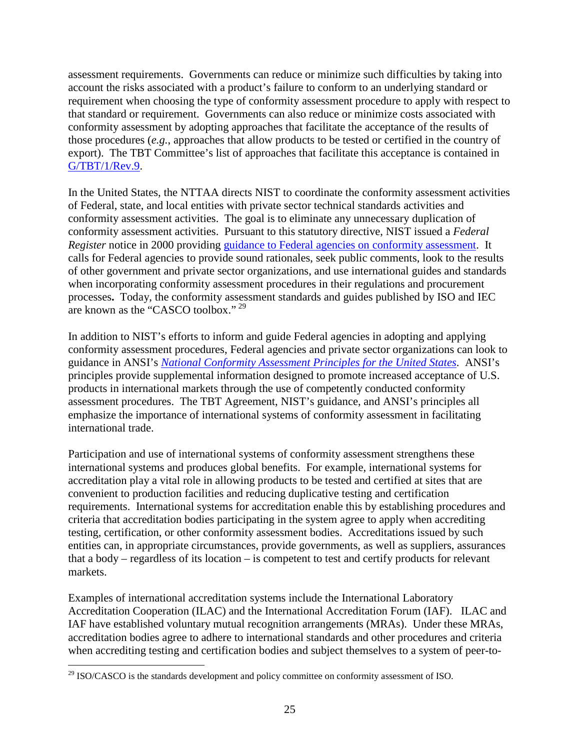assessment requirements. Governments can reduce or minimize such difficulties by taking into account the risks associated with a product's failure to conform to an underlying standard or requirement when choosing the type of conformity assessment procedure to apply with respect to that standard or requirement. Governments can also reduce or minimize costs associated with conformity assessment by adopting approaches that facilitate the acceptance of the results of those procedures (*e.g.*, approaches that allow products to be tested or certified in the country of export). The TBT Committee's list of approaches that facilitate this acceptance is contained in [G/TBT/1/Rev.9.](http://docsonline.wto.org/gen_search.asp?searchmode=simple)

In the United States, the NTTAA directs NIST to coordinate the conformity assessment activities of Federal, state, and local entities with private sector technical standards activities and conformity assessment activities. The goal is to eliminate any unnecessary duplication of conformity assessment activities. Pursuant to this statutory directive, NIST issued a *Federal Register* notice in 2000 providing [guidance to Federal agencies on conformity assessment.](http://ts.nist.gov/Standards/Global/caguidance.cfm) It calls for Federal agencies to provide sound rationales, seek public comments, look to the results of other government and private sector organizations, and use international guides and standards when incorporating conformity assessment procedures in their regulations and procurement processes**.** Today, the conformity assessment standards and guides published by ISO and IEC are known as the "CASCO toolbox." [29](#page-24-0)

In addition to NIST's efforts to inform and guide Federal agencies in adopting and applying conformity assessment procedures, Federal agencies and private sector organizations can look to guidance in ANSI's *[National Conformity Assessment Principles for the United States](http://publicaa.ansi.org/sites/apdl/Documents/News%20and%20Publications/Brochures/NCAP%20second%20edition.pdf)*. ANSI's principles provide supplemental information designed to promote increased acceptance of U.S. products in international markets through the use of competently conducted conformity assessment procedures. The TBT Agreement, NIST's guidance, and ANSI's principles all emphasize the importance of international systems of conformity assessment in facilitating international trade.

Participation and use of international systems of conformity assessment strengthens these international systems and produces global benefits. For example, international systems for accreditation play a vital role in allowing products to be tested and certified at sites that are convenient to production facilities and reducing duplicative testing and certification requirements. International systems for accreditation enable this by establishing procedures and criteria that accreditation bodies participating in the system agree to apply when accrediting testing, certification, or other conformity assessment bodies. Accreditations issued by such entities can, in appropriate circumstances, provide governments, as well as suppliers, assurances that a body – regardless of its location – is competent to test and certify products for relevant markets.

Examples of international accreditation systems include the International Laboratory Accreditation Cooperation (ILAC) and the International Accreditation Forum (IAF). ILAC and IAF have established voluntary mutual recognition arrangements (MRAs). Under these MRAs, accreditation bodies agree to adhere to international standards and other procedures and criteria when accrediting testing and certification bodies and subject themselves to a system of peer-to-

<span id="page-24-0"></span><sup>&</sup>lt;sup>29</sup> ISO/CASCO is the standards development and policy committee on conformity assessment of ISO.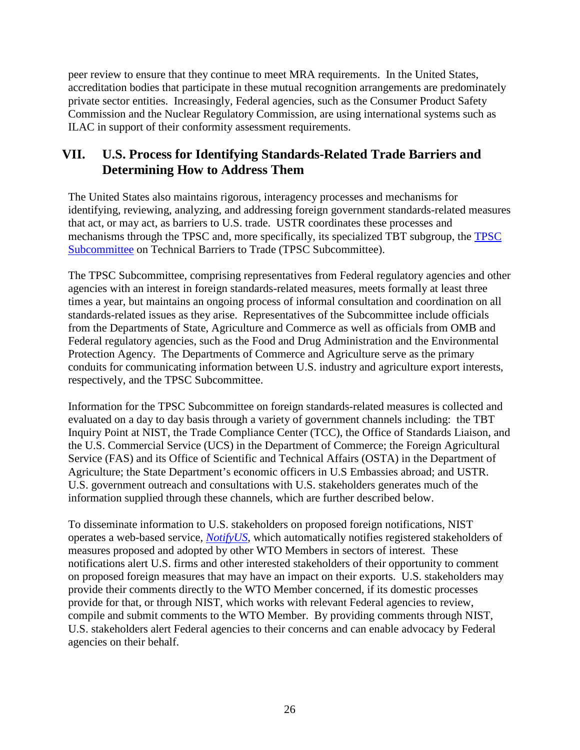peer review to ensure that they continue to meet MRA requirements. In the United States, accreditation bodies that participate in these mutual recognition arrangements are predominately private sector entities. Increasingly, Federal agencies, such as the Consumer Product Safety Commission and the Nuclear Regulatory Commission, are using international systems such as ILAC in support of their conformity assessment requirements.

## **VII. U.S. Process for Identifying Standards-Related Trade Barriers and Determining How to Address Them**

The United States also maintains rigorous, interagency processes and mechanisms for identifying, reviewing, analyzing, and addressing foreign government standards-related measures that act, or may act, as barriers to U.S. trade. USTR coordinates these processes and mechanisms through the TPSC and, more specifically, its specialized TBT subgroup, the [TPSC](http://www.ustr.gov/about-us/executive-branch-agencies-trade-policy-staff-committee-and-trade-policy-review-group) [Subcommittee](http://www.ustr.gov/about-us/executive-branch-agencies-trade-policy-staff-committee-and-trade-policy-review-group) on Technical Barriers to Trade (TPSC Subcommittee).

The TPSC Subcommittee, comprising representatives from Federal regulatory agencies and other agencies with an interest in foreign standards-related measures, meets formally at least three times a year, but maintains an ongoing process of informal consultation and coordination on all standards-related issues as they arise. Representatives of the Subcommittee include officials from the Departments of State, Agriculture and Commerce as well as officials from OMB and Federal regulatory agencies, such as the Food and Drug Administration and the Environmental Protection Agency. The Departments of Commerce and Agriculture serve as the primary conduits for communicating information between U.S. industry and agriculture export interests, respectively, and the TPSC Subcommittee.

Information for the TPSC Subcommittee on foreign standards-related measures is collected and evaluated on a day to day basis through a variety of government channels including: the TBT Inquiry Point at NIST, the Trade Compliance Center (TCC), the Office of Standards Liaison, and the U.S. Commercial Service (UCS) in the Department of Commerce; the Foreign Agricultural Service (FAS) and its Office of Scientific and Technical Affairs (OSTA) in the Department of Agriculture; the State Department's economic officers in U.S Embassies abroad; and USTR. U.S. government outreach and consultations with U.S. stakeholders generates much of the information supplied through these channels, which are further described below.

To disseminate information to U.S. stakeholders on proposed foreign notifications, NIST operates a web-based service, *[NotifyUS](https://tsapps.nist.gov/notifyus/data/index/index.cfm)*, which automatically notifies registered stakeholders of measures proposed and adopted by other WTO Members in sectors of interest. These notifications alert U.S. firms and other interested stakeholders of their opportunity to comment on proposed foreign measures that may have an impact on their exports. U.S. stakeholders may provide their comments directly to the WTO Member concerned, if its domestic processes provide for that, or through NIST, which works with relevant Federal agencies to review, compile and submit comments to the WTO Member. By providing comments through NIST, U.S. stakeholders alert Federal agencies to their concerns and can enable advocacy by Federal agencies on their behalf.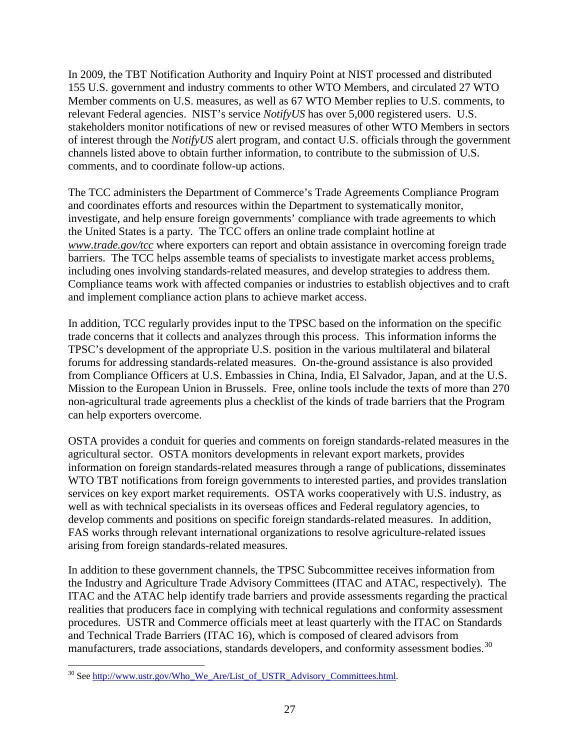In 2009, the TBT Notification Authority and Inquiry Point at NIST processed and distributed 155 U.S. government and industry comments to other WTO Members, and circulated 27 WTO Member comments on U.S. measures, as well as 67 WTO Member replies to U.S. comments, to relevant Federal agencies. NIST's service *NotifyUS* has over 5,000 registered users. U.S. stakeholders monitor notifications of new or revised measures of other WTO Members in sectors of interest through the *NotifyUS* alert program, and contact U.S. officials through the government channels listed above to obtain further information, to contribute to the submission of U.S. comments, and to coordinate follow-up actions.

The TCC administers the Department of Commerce's Trade Agreements Compliance Program and coordinates efforts and resources within the Department to systematically monitor, investigate, and help ensure foreign governments' compliance with trade agreements to which the United States is a party. The TCC offers an online trade complaint hotline at *[www.trade.gov/tcc](http://www.trade.gov/tcc)* where exporters can report and obtain assistance in overcoming foreign trade barriers. The TCC helps assemble teams of specialists to investigate market access problems, including ones involving standards-related measures, and develop strategies to address them. Compliance teams work with affected companies or industries to establish objectives and to craft and implement compliance action plans to achieve market access.

In addition, TCC regularly provides input to the TPSC based on the information on the specific trade concerns that it collects and analyzes through this process. This information informs the TPSC's development of the appropriate U.S. position in the various multilateral and bilateral forums for addressing standards-related measures. On-the-ground assistance is also provided from Compliance Officers at U.S. Embassies in China, India, El Salvador, Japan, and at the U.S. Mission to the European Union in Brussels. Free, online tools include the texts of more than 270 non-agricultural trade agreements plus a checklist of the kinds of trade barriers that the Program can help exporters overcome.

OSTA provides a conduit for queries and comments on foreign standards-related measures in the agricultural sector. OSTA monitors developments in relevant export markets, provides information on foreign standards-related measures through a range of publications, disseminates WTO TBT notifications from foreign governments to interested parties, and provides translation services on key export market requirements. OSTA works cooperatively with U.S. industry, as well as with technical specialists in its overseas offices and Federal regulatory agencies, to develop comments and positions on specific foreign standards-related measures. In addition, FAS works through relevant international organizations to resolve agriculture-related issues arising from foreign standards-related measures.

In addition to these government channels, the TPSC Subcommittee receives information from the Industry and Agriculture Trade Advisory Committees (ITAC and ATAC, respectively). The ITAC and the ATAC help identify trade barriers and provide assessments regarding the practical realities that producers face in complying with technical regulations and conformity assessment procedures. USTR and Commerce officials meet at least quarterly with the ITAC on Standards and Technical Trade Barriers (ITAC 16), which is composed of cleared advisors from manufacturers, trade associations, standards developers, and conformity assessment bodies.<sup>[30](#page-26-0)</sup>

<span id="page-26-0"></span> <sup>30</sup> See [http://www.ustr.gov/Who\\_We\\_Are/List\\_of\\_USTR\\_Advisory\\_Committees.html.](http://www.ustr.gov/Who_We_Are/List_of_USTR_Advisory_Committees.html)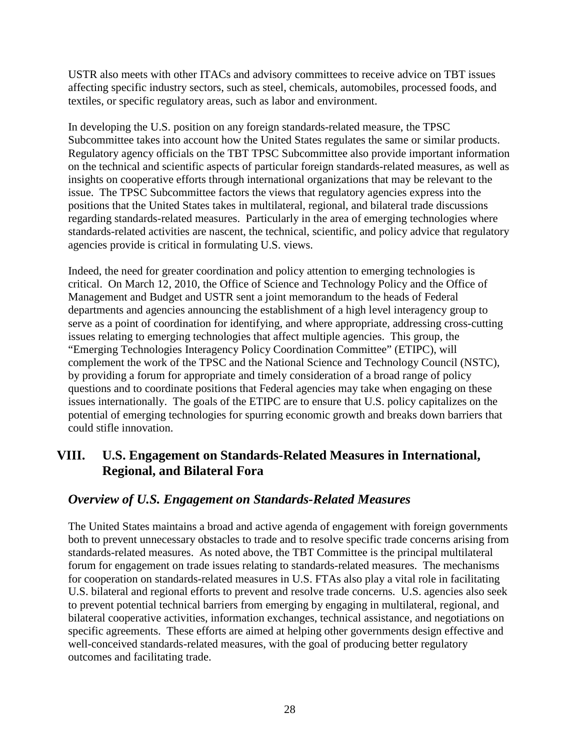USTR also meets with other ITACs and advisory committees to receive advice on TBT issues affecting specific industry sectors, such as steel, chemicals, automobiles, processed foods, and textiles, or specific regulatory areas, such as labor and environment.

In developing the U.S. position on any foreign standards-related measure, the TPSC Subcommittee takes into account how the United States regulates the same or similar products. Regulatory agency officials on the TBT TPSC Subcommittee also provide important information on the technical and scientific aspects of particular foreign standards-related measures, as well as insights on cooperative efforts through international organizations that may be relevant to the issue. The TPSC Subcommittee factors the views that regulatory agencies express into the positions that the United States takes in multilateral, regional, and bilateral trade discussions regarding standards-related measures. Particularly in the area of emerging technologies where standards-related activities are nascent, the technical, scientific, and policy advice that regulatory agencies provide is critical in formulating U.S. views.

Indeed, the need for greater coordination and policy attention to emerging technologies is critical. On March 12, 2010, the Office of Science and Technology Policy and the Office of Management and Budget and USTR sent a joint memorandum to the heads of Federal departments and agencies announcing the establishment of a high level interagency group to serve as a point of coordination for identifying, and where appropriate, addressing cross-cutting issues relating to emerging technologies that affect multiple agencies. This group, the "Emerging Technologies Interagency Policy Coordination Committee" (ETIPC), will complement the work of the TPSC and the National Science and Technology Council (NSTC), by providing a forum for appropriate and timely consideration of a broad range of policy questions and to coordinate positions that Federal agencies may take when engaging on these issues internationally. The goals of the ETIPC are to ensure that U.S. policy capitalizes on the potential of emerging technologies for spurring economic growth and breaks down barriers that could stifle innovation.

## **VIII. U.S. Engagement on Standards-Related Measures in International, Regional, and Bilateral Fora**

## *Overview of U.S. Engagement on Standards-Related Measures*

The United States maintains a broad and active agenda of engagement with foreign governments both to prevent unnecessary obstacles to trade and to resolve specific trade concerns arising from standards-related measures. As noted above, the TBT Committee is the principal multilateral forum for engagement on trade issues relating to standards-related measures. The mechanisms for cooperation on standards-related measures in U.S. FTAs also play a vital role in facilitating U.S. bilateral and regional efforts to prevent and resolve trade concerns. U.S. agencies also seek to prevent potential technical barriers from emerging by engaging in multilateral, regional, and bilateral cooperative activities, information exchanges, technical assistance, and negotiations on specific agreements. These efforts are aimed at helping other governments design effective and well-conceived standards-related measures, with the goal of producing better regulatory outcomes and facilitating trade.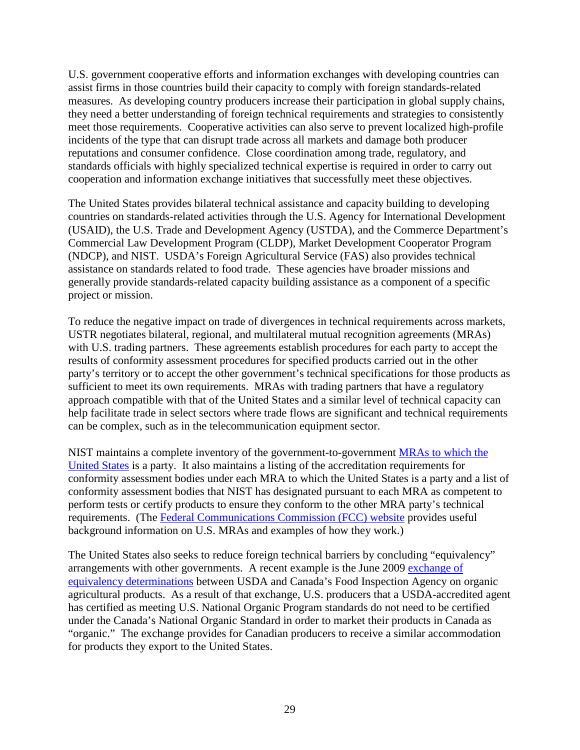U.S. government cooperative efforts and information exchanges with developing countries can assist firms in those countries build their capacity to comply with foreign standards-related measures. As developing country producers increase their participation in global supply chains, they need a better understanding of foreign technical requirements and strategies to consistently meet those requirements. Cooperative activities can also serve to prevent localized high-profile incidents of the type that can disrupt trade across all markets and damage both producer reputations and consumer confidence. Close coordination among trade, regulatory, and standards officials with highly specialized technical expertise is required in order to carry out cooperation and information exchange initiatives that successfully meet these objectives.

The United States provides bilateral technical assistance and capacity building to developing countries on standards-related activities through the U.S. Agency for International Development (USAID), the U.S. Trade and Development Agency (USTDA), and the Commerce Department's Commercial Law Development Program (CLDP), Market Development Cooperator Program (NDCP), and NIST. USDA's Foreign Agricultural Service (FAS) also provides technical assistance on standards related to food trade. These agencies have broader missions and generally provide standards-related capacity building assistance as a component of a specific project or mission.

To reduce the negative impact on trade of divergences in technical requirements across markets, USTR negotiates bilateral, regional, and multilateral mutual recognition agreements (MRAs) with U.S. trading partners. These agreements establish procedures for each party to accept the results of conformity assessment procedures for specified products carried out in the other party's territory or to accept the other government's technical specifications for those products as sufficient to meet its own requirements. MRAs with trading partners that have a regulatory approach compatible with that of the United States and a similar level of technical capacity can help facilitate trade in select sectors where trade flows are significant and technical requirements can be complex, such as in the telecommunication equipment sector.

NIST maintains a complete inventory of the government-to-government [MRAs to which the](http://ts.nist.gov/standards/conformity/mra/mra.cfm)  [United States](http://ts.nist.gov/standards/conformity/mra/mra.cfm) is a party. It also maintains a listing of the accreditation requirements for conformity assessment bodies under each MRA to which the United States is a party and a list of conformity assessment bodies that NIST has designated pursuant to each MRA as competent to perform tests or certify products to ensure they conform to the other MRA party's technical requirements. (The [Federal Communications Commission \(FCC\) website](http://www.fcc.gov/oet/ea/mra/) provides useful background information on U.S. MRAs and examples of how they work.)

The United States also seeks to reduce foreign technical barriers by concluding "equivalency" arrangements with other governments. A recent example is the June 2009 [exchange of](http://www.ams.usda.gov/AMSv1.0/ams.fetchTemplateData.do?template=TemplateN&navID=NationalOrganicProgram&page=USCanadaDeterminationofEquivalency&leftNav=NationalOrganicProgram&description=US-Canada%20Determination%20of%20Equivalency&acct=nopgeninfo)  [equivalency determinations](http://www.ams.usda.gov/AMSv1.0/ams.fetchTemplateData.do?template=TemplateN&navID=NationalOrganicProgram&page=USCanadaDeterminationofEquivalency&leftNav=NationalOrganicProgram&description=US-Canada%20Determination%20of%20Equivalency&acct=nopgeninfo) between USDA and Canada's Food Inspection Agency on organic agricultural products. As a result of that exchange, U.S. producers that a USDA-accredited agent has certified as meeting U.S. National Organic Program standards do not need to be certified under the Canada's National Organic Standard in order to market their products in Canada as "organic." The exchange provides for Canadian producers to receive a similar accommodation for products they export to the United States.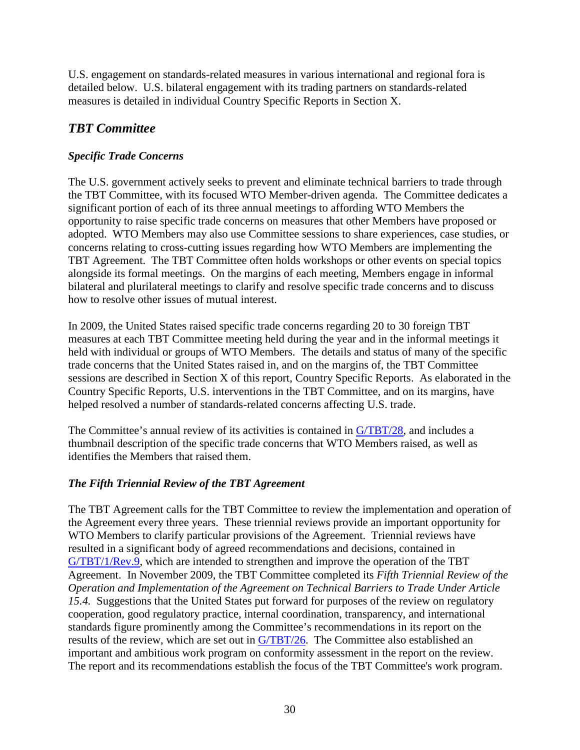U.S. engagement on standards-related measures in various international and regional fora is detailed below. U.S. bilateral engagement with its trading partners on standards-related measures is detailed in individual Country Specific Reports in Section X.

# *TBT Committee*

## *Specific Trade Concerns*

The U.S. government actively seeks to prevent and eliminate technical barriers to trade through the TBT Committee, with its focused WTO Member-driven agenda. The Committee dedicates a significant portion of each of its three annual meetings to affording WTO Members the opportunity to raise specific trade concerns on measures that other Members have proposed or adopted. WTO Members may also use Committee sessions to share experiences, case studies, or concerns relating to cross-cutting issues regarding how WTO Members are implementing the TBT Agreement. The TBT Committee often holds workshops or other events on special topics alongside its formal meetings. On the margins of each meeting, Members engage in informal bilateral and plurilateral meetings to clarify and resolve specific trade concerns and to discuss how to resolve other issues of mutual interest.

In 2009, the United States raised specific trade concerns regarding 20 to 30 foreign TBT measures at each TBT Committee meeting held during the year and in the informal meetings it held with individual or groups of WTO Members. The details and status of many of the specific trade concerns that the United States raised in, and on the margins of, the TBT Committee sessions are described in Section X of this report, Country Specific Reports. As elaborated in the Country Specific Reports, U.S. interventions in the TBT Committee, and on its margins, have helped resolved a number of standards-related concerns affecting U.S. trade.

The Committee's annual review of its activities is contained in [G/TBT/28,](http://docsonline.wto.org/gen_search.asp?searchmode=simple) and includes a thumbnail description of the specific trade concerns that WTO Members raised, as well as identifies the Members that raised them.

## *The Fifth Triennial Review of the TBT Agreement*

The TBT Agreement calls for the TBT Committee to review the implementation and operation of the Agreement every three years. These triennial reviews provide an important opportunity for WTO Members to clarify particular provisions of the Agreement. Triennial reviews have resulted in a significant body of agreed recommendations and decisions, contained in [G/TBT/1/Rev.9,](http://docsonline.wto.org/gen_search.asp?searchmode=simple) which are intended to strengthen and improve the operation of the TBT Agreement. In November 2009, the TBT Committee completed its *Fifth Triennial Review of the Operation and Implementation of the Agreement on Technical Barriers to Trade Under Article 15.4.* Suggestions that the United States put forward for purposes of the review on regulatory cooperation, good regulatory practice, internal coordination, transparency, and international standards figure prominently among the Committee's recommendations in its report on the results of the review, which are set out in [G/TBT/26.](http://docsonline.wto.org/gen_search.asp?searchmode=simple) The Committee also established an important and ambitious work program on conformity assessment in the report on the review. The report and its recommendations establish the focus of the TBT Committee's work program.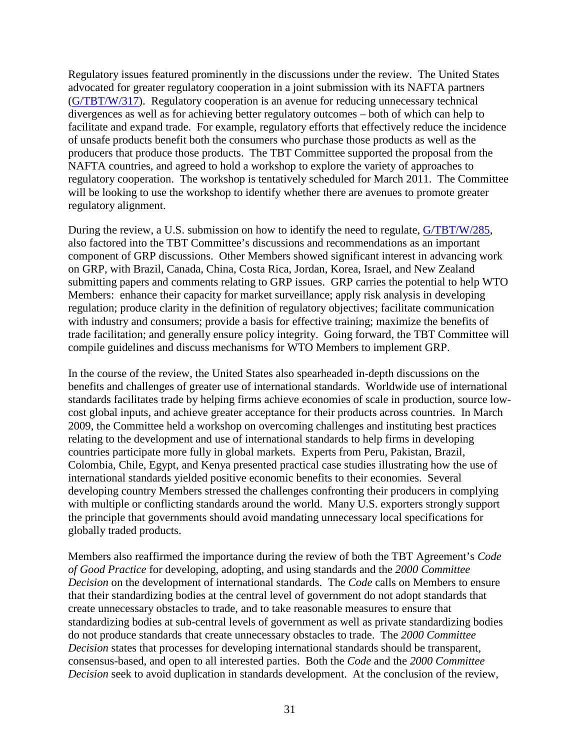Regulatory issues featured prominently in the discussions under the review. The United States advocated for greater regulatory cooperation in a joint submission with its NAFTA partners [\(G/TBT/W/317\)](http://docsonline.wto.org/gen_search.asp?searchmode=simple). Regulatory cooperation is an avenue for reducing unnecessary technical divergences as well as for achieving better regulatory outcomes – both of which can help to facilitate and expand trade. For example, regulatory efforts that effectively reduce the incidence of unsafe products benefit both the consumers who purchase those products as well as the producers that produce those products. The TBT Committee supported the proposal from the NAFTA countries, and agreed to hold a workshop to explore the variety of approaches to regulatory cooperation. The workshop is tentatively scheduled for March 2011. The Committee will be looking to use the workshop to identify whether there are avenues to promote greater regulatory alignment.

During the review, a U.S. submission on how to identify the need to regulate, [G/TBT/W/285,](http://docsonline.wto.org/gen_search.asp?searchmode=simple) also factored into the TBT Committee's discussions and recommendations as an important component of GRP discussions. Other Members showed significant interest in advancing work on GRP, with Brazil, Canada, China, Costa Rica, Jordan, Korea, Israel, and New Zealand submitting papers and comments relating to GRP issues. GRP carries the potential to help WTO Members: enhance their capacity for market surveillance; apply risk analysis in developing regulation; produce clarity in the definition of regulatory objectives; facilitate communication with industry and consumers; provide a basis for effective training; maximize the benefits of trade facilitation; and generally ensure policy integrity. Going forward, the TBT Committee will compile guidelines and discuss mechanisms for WTO Members to implement GRP.

In the course of the review, the United States also spearheaded in-depth discussions on the benefits and challenges of greater use of international standards. Worldwide use of international standards facilitates trade by helping firms achieve economies of scale in production, source lowcost global inputs, and achieve greater acceptance for their products across countries. In March 2009, the Committee held a workshop on overcoming challenges and instituting best practices relating to the development and use of international standards to help firms in developing countries participate more fully in global markets. Experts from Peru, Pakistan, Brazil, Colombia, Chile, Egypt, and Kenya presented practical case studies illustrating how the use of international standards yielded positive economic benefits to their economies. Several developing country Members stressed the challenges confronting their producers in complying with multiple or conflicting standards around the world. Many U.S. exporters strongly support the principle that governments should avoid mandating unnecessary local specifications for globally traded products.

Members also reaffirmed the importance during the review of both the TBT Agreement's *Code of Good Practice* for developing, adopting, and using standards and the *2000 Committee Decision* on the development of international standards. The *Code* calls on Members to ensure that their standardizing bodies at the central level of government do not adopt standards that create unnecessary obstacles to trade, and to take reasonable measures to ensure that standardizing bodies at sub-central levels of government as well as private standardizing bodies do not produce standards that create unnecessary obstacles to trade. The *2000 Committee Decision* states that processes for developing international standards should be transparent, consensus-based, and open to all interested parties. Both the *Code* and the *2000 Committee Decision* seek to avoid duplication in standards development. At the conclusion of the review,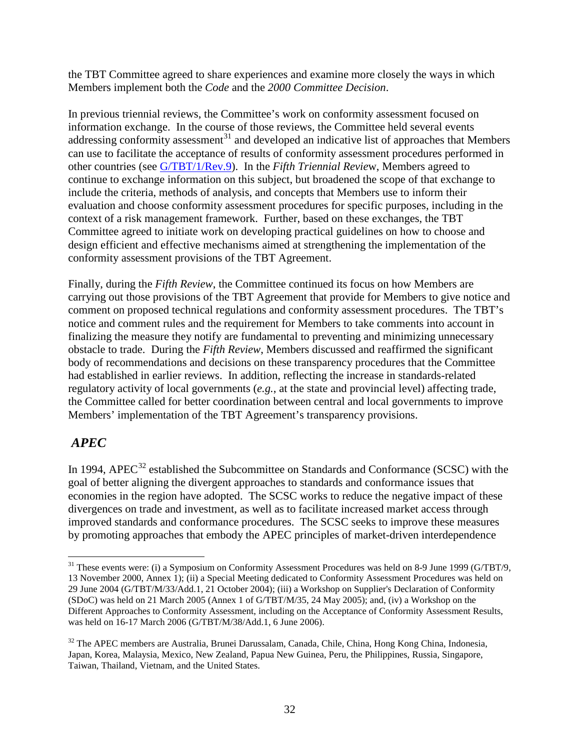the TBT Committee agreed to share experiences and examine more closely the ways in which Members implement both the *Code* and the *2000 Committee Decision*.

In previous triennial reviews, the Committee's work on conformity assessment focused on information exchange. In the course of those reviews, the Committee held several events addressing conformity assessment<sup>[31](#page-31-0)</sup> and developed an indicative list of approaches that Members other countries (see *G*/TBT/1/Rev.9). In the *Fifth Triennial Review*, Members agreed to can use to facilitate the acceptance of results of conformity assessment procedures performed in continue to exchange information on this subject, but broadened the scope of that exchange to include the criteria, methods of analysis, and concepts that Members use to inform their evaluation and choose conformity assessment procedures for specific purposes, including in the context of a risk management framework. Further, based on these exchanges, the TBT Committee agreed to initiate work on developing practical guidelines on how to choose and design efficient and effective mechanisms aimed at strengthening the implementation of the conformity assessment provisions of the TBT Agreement.

Finally, during the *Fifth Review*, the Committee continued its focus on how Members are carrying out those provisions of the TBT Agreement that provide for Members to give notice and comment on proposed technical regulations and conformity assessment procedures. The TBT's notice and comment rules and the requirement for Members to take comments into account in finalizing the measure they notify are fundamental to preventing and minimizing unnecessary obstacle to trade. During the *Fifth Review*, Members discussed and reaffirmed the significant body of recommendations and decisions on these transparency procedures that the Committee had established in earlier reviews. In addition, reflecting the increase in standards-related regulatory activity of local governments (*e.g.*, at the state and provincial level) affecting trade, the Committee called for better coordination between central and local governments to improve Members' implementation of the TBT Agreement's transparency provisions.

# *APEC*

In 1994, APEC<sup>[32](#page-31-1)</sup> established the Subcommittee on Standards and Conformance (SCSC) with the goal of better aligning the divergent approaches to standards and conformance issues that economies in the region have adopted. The SCSC works to reduce the negative impact of these divergences on trade and investment, as well as to facilitate increased market access through improved standards and conformance procedures. The SCSC seeks to improve these measures by promoting approaches that embody the APEC principles of market-driven interdependence

<span id="page-31-0"></span><sup>&</sup>lt;sup>31</sup> These events were: (i) a Symposium on Conformity Assessment Procedures was held on 8-9 June 1999 (G/TBT/9, 13 November 2000, Annex 1); (ii) a Special Meeting dedicated to Conformity Assessment Procedures was held on 29 June 2004 (G/TBT/M/33/Add.1, 21 October 2004); (iii) a Workshop on Supplier's Declaration of Conformity (SDoC) was held on 21 March 2005 (Annex 1 of G/TBT/M/35, 24 May 2005); and, (iv) a Workshop on the Different Approaches to Conformity Assessment, including on the Acceptance of Conformity Assessment Results, was held on 16-17 March 2006 (G/TBT/M/38/Add.1, 6 June 2006).

<span id="page-31-1"></span><sup>&</sup>lt;sup>32</sup> The APEC members are Australia, Brunei Darussalam, Canada, Chile, China, Hong Kong China, Indonesia, Japan, Korea, Malaysia, Mexico, New Zealand, Papua New Guinea, Peru, the Philippines, Russia, Singapore, Taiwan, Thailand, Vietnam, and the United States.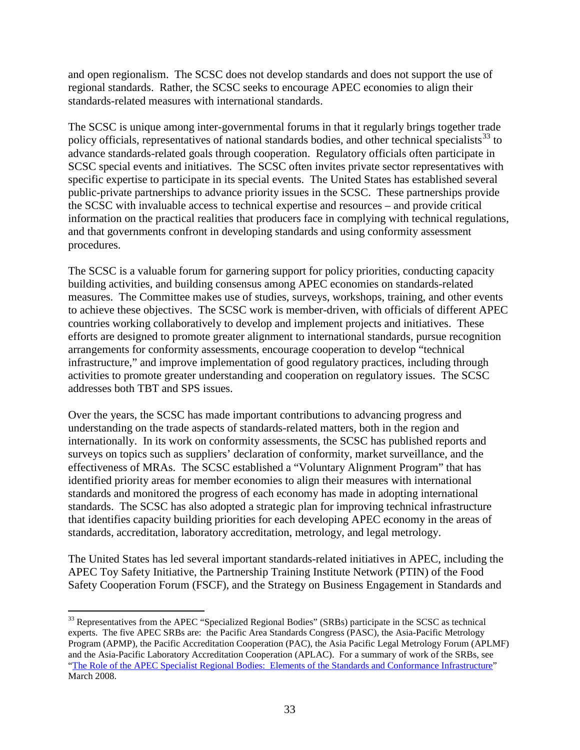and open regionalism. The SCSC does not develop standards and does not support the use of regional standards. Rather, the SCSC seeks to encourage APEC economies to align their standards-related measures with international standards.

The SCSC is unique among inter-governmental forums in that it regularly brings together trade policy officials, representatives of national standards bodies, and other technical specialists<sup>[33](#page-32-0)</sup> to advance standards-related goals through cooperation. Regulatory officials often participate in SCSC special events and initiatives. The SCSC often invites private sector representatives with specific expertise to participate in its special events. The United States has established several public-private partnerships to advance priority issues in the SCSC. These partnerships provide the SCSC with invaluable access to technical expertise and resources – and provide critical information on the practical realities that producers face in complying with technical regulations, and that governments confront in developing standards and using conformity assessment procedures.

The SCSC is a valuable forum for garnering support for policy priorities, conducting capacity building activities, and building consensus among APEC economies on standards-related measures. The Committee makes use of studies, surveys, workshops, training, and other events to achieve these objectives. The SCSC work is member-driven, with officials of different APEC countries working collaboratively to develop and implement projects and initiatives. These efforts are designed to promote greater alignment to international standards, pursue recognition arrangements for conformity assessments, encourage cooperation to develop "technical infrastructure," and improve implementation of good regulatory practices, including through activities to promote greater understanding and cooperation on regulatory issues. The SCSC addresses both TBT and SPS issues.

Over the years, the SCSC has made important contributions to advancing progress and understanding on the trade aspects of standards-related matters, both in the region and internationally. In its work on conformity assessments, the SCSC has published reports and surveys on topics such as suppliers' declaration of conformity, market surveillance, and the effectiveness of MRAs. The SCSC established a "Voluntary Alignment Program" that has identified priority areas for member economies to align their measures with international standards and monitored the progress of each economy has made in adopting international standards. The SCSC has also adopted a strategic plan for improving technical infrastructure that identifies capacity building priorities for each developing APEC economy in the areas of standards, accreditation, laboratory accreditation, metrology, and legal metrology.

The United States has led several important standards-related initiatives in APEC, including the APEC Toy Safety Initiative, the Partnership Training Institute Network (PTIN) of the Food Safety Cooperation Forum (FSCF), and the Strategy on Business Engagement in Standards and

<span id="page-32-0"></span><sup>&</sup>lt;sup>33</sup> Representatives from the APEC "Specialized Regional Bodies" (SRBs) participate in the SCSC as technical experts. The five APEC SRBs are: the Pacific Area Standards Congress (PASC), the Asia-Pacific Metrology Program (APMP), the Pacific Accreditation Cooperation (PAC), the Asia Pacific Legal Metrology Forum (APLMF) and the Asia-Pacific Laboratory Accreditation Cooperation (APLAC). For a summary of work of the SRBs, see ["The Role of the APEC Specialist Regional Bodies: Elements of the Standards and Conformance Infrastructure"](http://www.apec.org/etc/medialib/apec_media_library/downloads/committees/cti/scsc/misc/2009.Par.0001.File.tmp/0430_MSC_longform_250309.pdf) March 2008.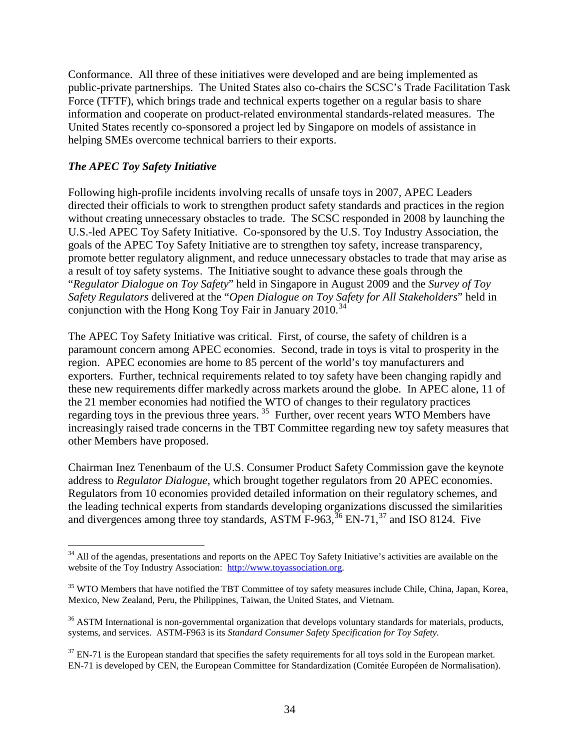Conformance. All three of these initiatives were developed and are being implemented as public-private partnerships. The United States also co-chairs the SCSC's Trade Facilitation Task Force (TFTF), which brings trade and technical experts together on a regular basis to share information and cooperate on product-related environmental standards-related measures. The United States recently co-sponsored a project led by Singapore on models of assistance in helping SMEs overcome technical barriers to their exports.

## *The APEC Toy Safety Initiative*

Following high-profile incidents involving recalls of unsafe toys in 2007, APEC Leaders directed their officials to work to strengthen product safety standards and practices in the region without creating unnecessary obstacles to trade. The SCSC responded in 2008 by launching the U.S.-led APEC Toy Safety Initiative. Co-sponsored by the U.S. Toy Industry Association, the goals of the APEC Toy Safety Initiative are to strengthen toy safety, increase transparency, promote better regulatory alignment, and reduce unnecessary obstacles to trade that may arise as a result of toy safety systems. The Initiative sought to advance these goals through the "*Regulator Dialogue on Toy Safety*" held in Singapore in August 2009 and the *Survey of Toy Safety Regulators* delivered at the "*Open Dialogue on Toy Safety for All Stakeholders*" held in conjunction with the Hong Kong Toy Fair in January 2010.<sup>[34](#page-33-0)</sup>

The APEC Toy Safety Initiative was critical. First, of course, the safety of children is a paramount concern among APEC economies. Second, trade in toys is vital to prosperity in the region. APEC economies are home to 85 percent of the world's toy manufacturers and exporters. Further, technical requirements related to toy safety have been changing rapidly and these new requirements differ markedly across markets around the globe. In APEC alone, 11 of the 21 member economies had notified the WTO of changes to their regulatory practices regarding toys in the previous three years.<sup>[35](#page-33-1)</sup> Further, over recent years WTO Members have increasingly raised trade concerns in the TBT Committee regarding new toy safety measures that other Members have proposed.

Chairman Inez Tenenbaum of the U.S. Consumer Product Safety Commission gave the keynote address to *Regulator Dialogue,* which brought together regulators from 20 APEC economies. Regulators from 10 economies provided detailed information on their regulatory schemes, and the leading technical experts from standards developing organizations discussed the similarities and divergences among three toy standards, ASTM  $F-963$ ,  $^{36}$  $^{36}$  $^{36}$  EN-71,  $^{37}$  $^{37}$  $^{37}$  and ISO 8124. Five

<span id="page-33-0"></span><sup>&</sup>lt;sup>34</sup> All of the agendas, presentations and reports on the APEC Toy Safety Initiative's activities are available on the website of the Toy Industry Association: [http://www.toyassociation.org.](http://www.toyassociation.org/)

<span id="page-33-1"></span><sup>&</sup>lt;sup>35</sup> WTO Members that have notified the TBT Committee of toy safety measures include Chile, China, Japan, Korea, Mexico, New Zealand, Peru, the Philippines, Taiwan, the United States, and Vietnam.

<span id="page-33-2"></span><sup>&</sup>lt;sup>36</sup> ASTM International is non-governmental organization that develops voluntary standards for materials, products, systems, and services. ASTM-F963 is its *Standard Consumer Safety Specification for Toy Safety.*

<span id="page-33-3"></span> $37$  EN-71 is the European standard that specifies the safety requirements for all toys sold in the European market. EN-71 is developed by CEN, the European Committee for Standardization (Comitée Européen de Normalisation).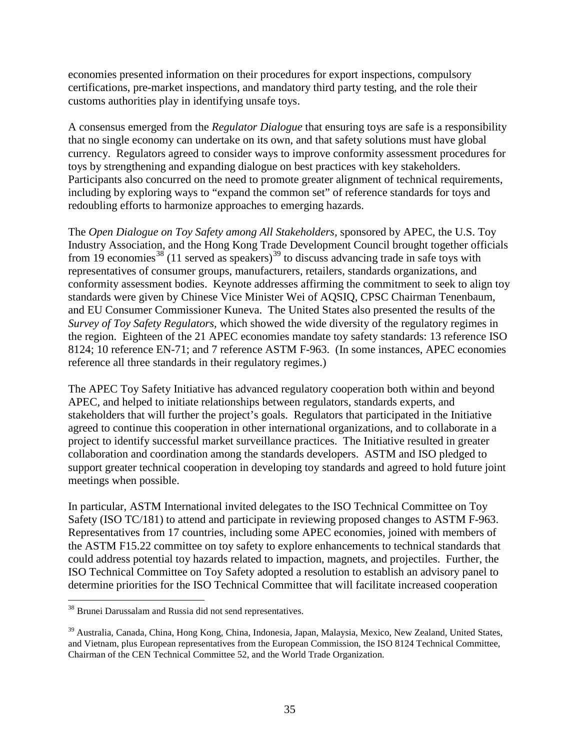economies presented information on their procedures for export inspections, compulsory certifications, pre-market inspections, and mandatory third party testing, and the role their customs authorities play in identifying unsafe toys.

A consensus emerged from the *Regulator Dialogue* that ensuring toys are safe is a responsibility that no single economy can undertake on its own, and that safety solutions must have global currency. Regulators agreed to consider ways to improve conformity assessment procedures for toys by strengthening and expanding dialogue on best practices with key stakeholders. Participants also concurred on the need to promote greater alignment of technical requirements, including by exploring ways to "expand the common set" of reference standards for toys and redoubling efforts to harmonize approaches to emerging hazards.

The *Open Dialogue on Toy Safety among All Stakeholders,* sponsored by APEC, the U.S. Toy Industry Association, and the Hong Kong Trade Development Council brought together officials from 19 economies<sup>[38](#page-34-0)</sup> (11 served as speakers)<sup>[39](#page-34-1)</sup> to discuss advancing trade in safe toys with representatives of consumer groups, manufacturers, retailers, standards organizations, and conformity assessment bodies. Keynote addresses affirming the commitment to seek to align toy standards were given by Chinese Vice Minister Wei of AQSIQ, CPSC Chairman Tenenbaum, and EU Consumer Commissioner Kuneva. The United States also presented the results of the *Survey of Toy Safety Regulators,* which showed the wide diversity of the regulatory regimes in the region. Eighteen of the 21 APEC economies mandate toy safety standards: 13 reference ISO 8124; 10 reference EN-71; and 7 reference ASTM F-963. (In some instances, APEC economies reference all three standards in their regulatory regimes.)

The APEC Toy Safety Initiative has advanced regulatory cooperation both within and beyond APEC, and helped to initiate relationships between regulators, standards experts, and stakeholders that will further the project's goals. Regulators that participated in the Initiative agreed to continue this cooperation in other international organizations, and to collaborate in a project to identify successful market surveillance practices. The Initiative resulted in greater collaboration and coordination among the standards developers. ASTM and ISO pledged to support greater technical cooperation in developing toy standards and agreed to hold future joint meetings when possible.

In particular, ASTM International invited delegates to the ISO Technical Committee on Toy Safety (ISO TC/181) to attend and participate in reviewing proposed changes to ASTM F-963. Representatives from 17 countries, including some APEC economies, joined with members of the ASTM F15.22 committee on toy safety to explore enhancements to technical standards that could address potential toy hazards related to impaction, magnets, and projectiles. Further, the ISO Technical Committee on Toy Safety adopted a resolution to establish an advisory panel to determine priorities for the ISO Technical Committee that will facilitate increased cooperation

<span id="page-34-0"></span> <sup>38</sup> Brunei Darussalam and Russia did not send representatives.

<span id="page-34-1"></span><sup>39</sup> Australia, Canada, China, Hong Kong, China, Indonesia, Japan, Malaysia, Mexico, New Zealand, United States, and Vietnam, plus European representatives from the European Commission, the ISO 8124 Technical Committee, Chairman of the CEN Technical Committee 52, and the World Trade Organization.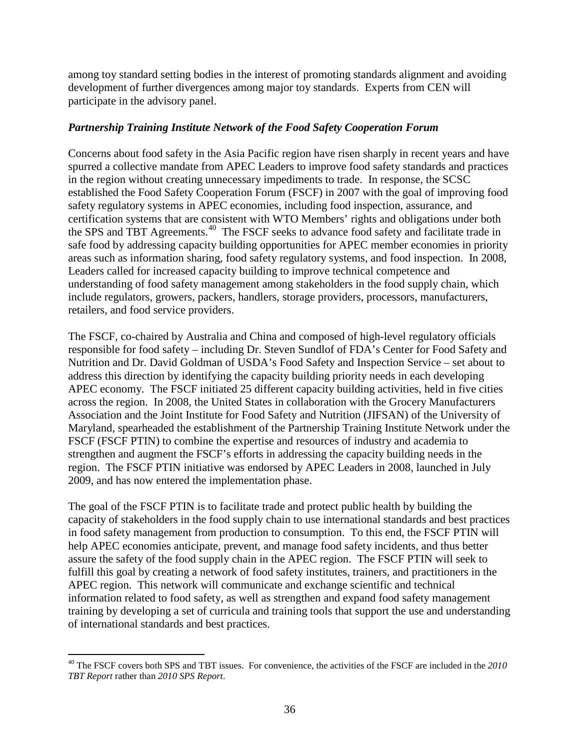among toy standard setting bodies in the interest of promoting standards alignment and avoiding development of further divergences among major toy standards. Experts from CEN will participate in the advisory panel.

## *Partnership Training Institute Network of the Food Safety Cooperation Forum*

Concerns about food safety in the Asia Pacific region have risen sharply in recent years and have spurred a collective mandate from APEC Leaders to improve food safety standards and practices in the region without creating unnecessary impediments to trade. In response, the SCSC established the Food Safety Cooperation Forum (FSCF) in 2007 with the goal of improving food safety regulatory systems in APEC economies, including food inspection, assurance, and certification systems that are consistent with WTO Members' rights and obligations under both the SPS and TBT Agreements.<sup>[40](#page-35-0)</sup> The FSCF seeks to advance food safety and facilitate trade in safe food by addressing capacity building opportunities for APEC member economies in priority areas such as information sharing, food safety regulatory systems, and food inspection. In 2008, Leaders called for increased capacity building to improve technical competence and understanding of food safety management among stakeholders in the food supply chain, which include regulators, growers, packers, handlers, storage providers, processors, manufacturers, retailers, and food service providers.

The FSCF, co-chaired by Australia and China and composed of high-level regulatory officials responsible for food safety – including Dr. Steven Sundlof of FDA's Center for Food Safety and Nutrition and Dr. David Goldman of USDA's Food Safety and Inspection Service – set about to address this direction by identifying the capacity building priority needs in each developing APEC economy. The FSCF initiated 25 different capacity building activities, held in five cities across the region. In 2008, the United States in collaboration with the Grocery Manufacturers Association and the Joint Institute for Food Safety and Nutrition (JIFSAN) of the University of Maryland, spearheaded the establishment of the Partnership Training Institute Network under the FSCF (FSCF PTIN) to combine the expertise and resources of industry and academia to strengthen and augment the FSCF's efforts in addressing the capacity building needs in the region. The FSCF PTIN initiative was endorsed by APEC Leaders in 2008, launched in July 2009, and has now entered the implementation phase.

The goal of the FSCF PTIN is to facilitate trade and protect public health by building the capacity of stakeholders in the food supply chain to use international standards and best practices in food safety management from production to consumption. To this end, the FSCF PTIN will help APEC economies anticipate, prevent, and manage food safety incidents, and thus better assure the safety of the food supply chain in the APEC region. The FSCF PTIN will seek to fulfill this goal by creating a network of food safety institutes, trainers, and practitioners in the APEC region. This network will communicate and exchange scientific and technical information related to food safety, as well as strengthen and expand food safety management training by developing a set of curricula and training tools that support the use and understanding of international standards and best practices.

<span id="page-35-0"></span> <sup>40</sup> The FSCF covers both SPS and TBT issues. For convenience, the activities of the FSCF are included in the *<sup>2010</sup> TBT Report* rather than *2010 SPS Report*.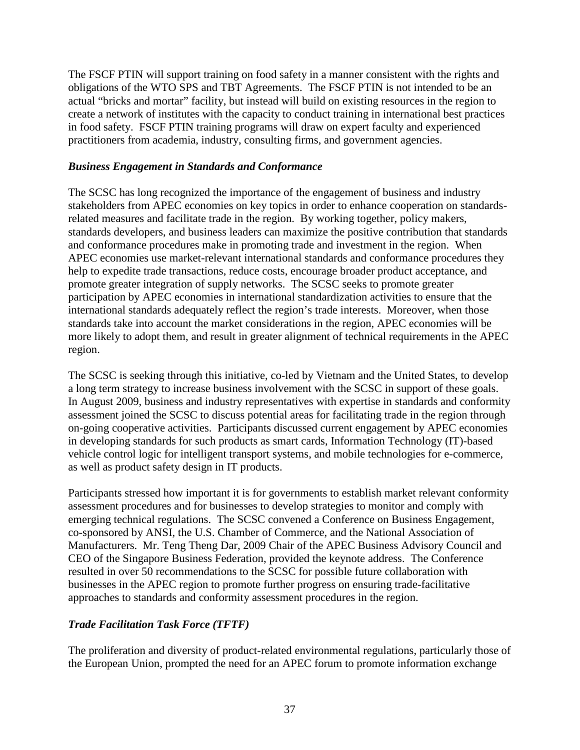The FSCF PTIN will support training on food safety in a manner consistent with the rights and obligations of the WTO SPS and TBT Agreements. The FSCF PTIN is not intended to be an actual "bricks and mortar" facility, but instead will build on existing resources in the region to create a network of institutes with the capacity to conduct training in international best practices in food safety. FSCF PTIN training programs will draw on expert faculty and experienced practitioners from academia, industry, consulting firms, and government agencies.

#### *Business Engagement in Standards and Conformance*

The SCSC has long recognized the importance of the engagement of business and industry stakeholders from APEC economies on key topics in order to enhance cooperation on standardsrelated measures and facilitate trade in the region. By working together, policy makers, standards developers, and business leaders can maximize the positive contribution that standards and conformance procedures make in promoting trade and investment in the region. When APEC economies use market-relevant international standards and conformance procedures they help to expedite trade transactions, reduce costs, encourage broader product acceptance, and promote greater integration of supply networks. The SCSC seeks to promote greater participation by APEC economies in international standardization activities to ensure that the international standards adequately reflect the region's trade interests. Moreover, when those standards take into account the market considerations in the region, APEC economies will be more likely to adopt them, and result in greater alignment of technical requirements in the APEC region.

The SCSC is seeking through this initiative, co-led by Vietnam and the United States, to develop a long term strategy to increase business involvement with the SCSC in support of these goals. In August 2009, business and industry representatives with expertise in standards and conformity assessment joined the SCSC to discuss potential areas for facilitating trade in the region through on-going cooperative activities. Participants discussed current engagement by APEC economies in developing standards for such products as smart cards, Information Technology (IT)-based vehicle control logic for intelligent transport systems, and mobile technologies for e-commerce, as well as product safety design in IT products.

Participants stressed how important it is for governments to establish market relevant conformity assessment procedures and for businesses to develop strategies to monitor and comply with emerging technical regulations. The SCSC convened a Conference on Business Engagement, co-sponsored by ANSI, the U.S. Chamber of Commerce, and the National Association of Manufacturers. Mr. Teng Theng Dar, 2009 Chair of the APEC Business Advisory Council and CEO of the Singapore Business Federation, provided the keynote address. The Conference resulted in over 50 recommendations to the SCSC for possible future collaboration with businesses in the APEC region to promote further progress on ensuring trade-facilitative approaches to standards and conformity assessment procedures in the region.

#### *Trade Facilitation Task Force (TFTF)*

The proliferation and diversity of product-related environmental regulations, particularly those of the European Union, prompted the need for an APEC forum to promote information exchange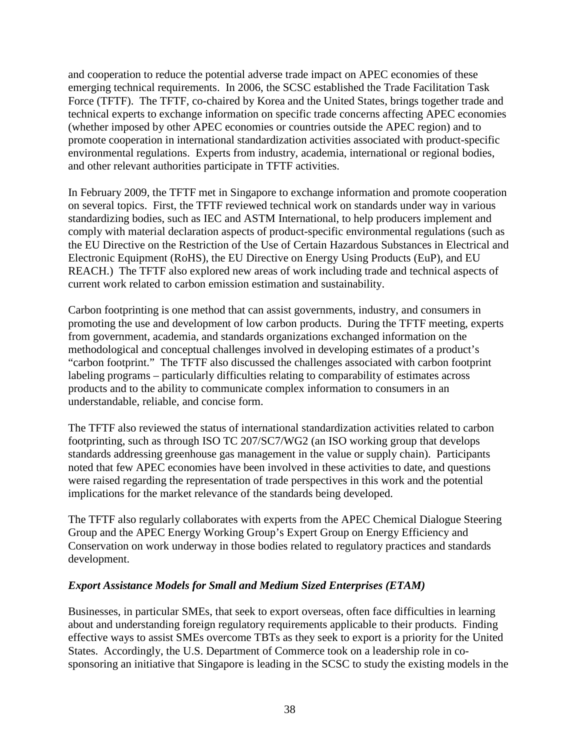and cooperation to reduce the potential adverse trade impact on APEC economies of these emerging technical requirements. In 2006, the SCSC established the Trade Facilitation Task Force (TFTF). The TFTF, co-chaired by Korea and the United States, brings together trade and technical experts to exchange information on specific trade concerns affecting APEC economies (whether imposed by other APEC economies or countries outside the APEC region) and to promote cooperation in international standardization activities associated with product-specific environmental regulations. Experts from industry, academia, international or regional bodies, and other relevant authorities participate in TFTF activities.

In February 2009, the TFTF met in Singapore to exchange information and promote cooperation on several topics. First, the TFTF reviewed technical work on standards under way in various standardizing bodies, such as IEC and ASTM International, to help producers implement and comply with material declaration aspects of product-specific environmental regulations (such as the EU Directive on the Restriction of the Use of Certain Hazardous Substances in Electrical and Electronic Equipment (RoHS), the EU Directive on Energy Using Products (EuP), and EU REACH.) The TFTF also explored new areas of work including trade and technical aspects of current work related to carbon emission estimation and sustainability.

Carbon footprinting is one method that can assist governments, industry, and consumers in promoting the use and development of low carbon products. During the TFTF meeting, experts from government, academia, and standards organizations exchanged information on the methodological and conceptual challenges involved in developing estimates of a product's "carbon footprint." The TFTF also discussed the challenges associated with carbon footprint labeling programs – particularly difficulties relating to comparability of estimates across products and to the ability to communicate complex information to consumers in an understandable, reliable, and concise form.

The TFTF also reviewed the status of international standardization activities related to carbon footprinting, such as through ISO TC 207/SC7/WG2 (an ISO working group that develops standards addressing greenhouse gas management in the value or supply chain). Participants noted that few APEC economies have been involved in these activities to date, and questions were raised regarding the representation of trade perspectives in this work and the potential implications for the market relevance of the standards being developed.

The TFTF also regularly collaborates with experts from the APEC Chemical Dialogue Steering Group and the APEC Energy Working Group's Expert Group on Energy Efficiency and Conservation on work underway in those bodies related to regulatory practices and standards development.

### *Export Assistance Models for Small and Medium Sized Enterprises (ETAM)*

Businesses, in particular SMEs, that seek to export overseas, often face difficulties in learning about and understanding foreign regulatory requirements applicable to their products. Finding effective ways to assist SMEs overcome TBTs as they seek to export is a priority for the United States. Accordingly, the U.S. Department of Commerce took on a leadership role in cosponsoring an initiative that Singapore is leading in the SCSC to study the existing models in the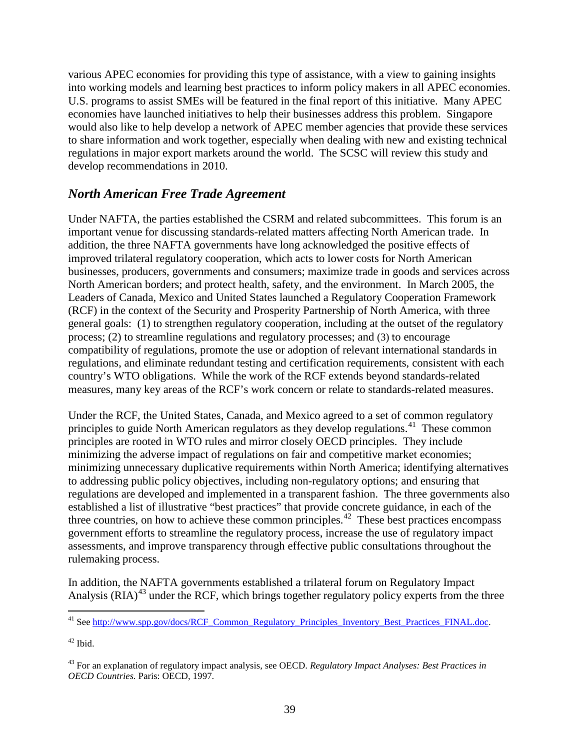various APEC economies for providing this type of assistance, with a view to gaining insights into working models and learning best practices to inform policy makers in all APEC economies. U.S. programs to assist SMEs will be featured in the final report of this initiative. Many APEC economies have launched initiatives to help their businesses address this problem. Singapore would also like to help develop a network of APEC member agencies that provide these services to share information and work together, especially when dealing with new and existing technical regulations in major export markets around the world. The SCSC will review this study and develop recommendations in 2010.

# *North American Free Trade Agreement*

Under NAFTA, the parties established the CSRM and related subcommittees. This forum is an important venue for discussing standards-related matters affecting North American trade. In addition, the three NAFTA governments have long acknowledged the positive effects of improved trilateral regulatory cooperation, which acts to lower costs for North American businesses, producers, governments and consumers; maximize trade in goods and services across North American borders; and protect health, safety, and the environment. In March 2005, the Leaders of Canada, Mexico and United States launched a Regulatory Cooperation Framework (RCF) in the context of the Security and Prosperity Partnership of North America, with three general goals: (1) to strengthen regulatory cooperation, including at the outset of the regulatory process; (2) to streamline regulations and regulatory processes; and (3) to encourage compatibility of regulations, promote the use or adoption of relevant international standards in regulations, and eliminate redundant testing and certification requirements, consistent with each country's WTO obligations. While the work of the RCF extends beyond standards-related measures, many key areas of the RCF's work concern or relate to standards-related measures.

Under the RCF, the United States, Canada, and Mexico agreed to a set of common regulatory principles to guide North American regulators as they develop regulations.<sup>[41](#page-38-0)</sup> These common principles are rooted in WTO rules and mirror closely OECD principles. They include minimizing the adverse impact of regulations on fair and competitive market economies; minimizing unnecessary duplicative requirements within North America; identifying alternatives to addressing public policy objectives, including non-regulatory options; and ensuring that regulations are developed and implemented in a transparent fashion. The three governments also established a list of illustrative "best practices" that provide concrete guidance, in each of the three countries, on how to achieve these common principles.<sup> $42$ </sup> These best practices encompass government efforts to streamline the regulatory process, increase the use of regulatory impact assessments, and improve transparency through effective public consultations throughout the rulemaking process.

In addition, the NAFTA governments established a trilateral forum on Regulatory Impact Analysis (RIA)<sup>[43](#page-38-2)</sup> under the RCF, which brings together regulatory policy experts from the three

<span id="page-38-0"></span><sup>41</sup> See [http://www.spp.gov/docs/RCF\\_Common\\_Regulatory\\_Principles\\_Inventory\\_Best\\_Practices\\_FINAL.doc.](http://www.spp.gov/docs/RCF_Common_Regulatory_Principles_Inventory_Best_Practices_FINAL.doc)

<span id="page-38-1"></span> $42$  Ibid.

<span id="page-38-2"></span><sup>43</sup> For an explanation of regulatory impact analysis, see OECD. *Regulatory Impact Analyses: Best Practices in OECD Countries.* Paris: OECD, 1997.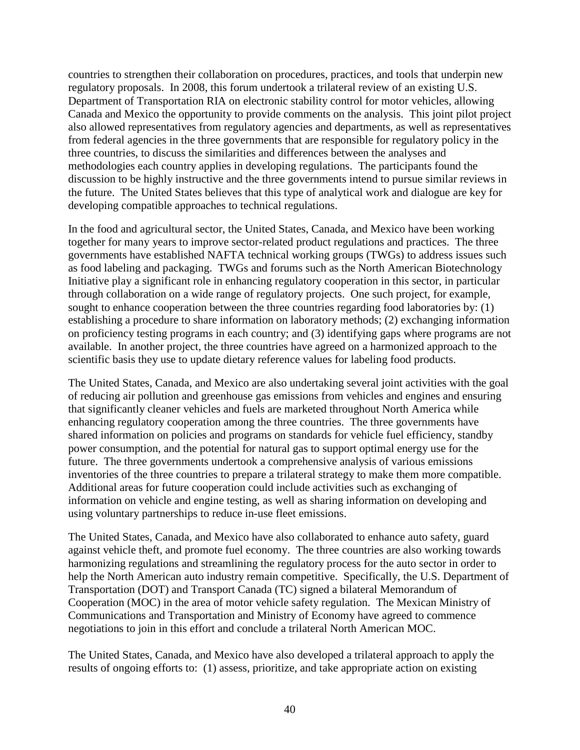countries to strengthen their collaboration on procedures, practices, and tools that underpin new regulatory proposals. In 2008, this forum undertook a trilateral review of an existing U.S. Department of Transportation RIA on electronic stability control for motor vehicles, allowing Canada and Mexico the opportunity to provide comments on the analysis. This joint pilot project also allowed representatives from regulatory agencies and departments, as well as representatives from federal agencies in the three governments that are responsible for regulatory policy in the three countries, to discuss the similarities and differences between the analyses and methodologies each country applies in developing regulations. The participants found the discussion to be highly instructive and the three governments intend to pursue similar reviews in the future. The United States believes that this type of analytical work and dialogue are key for developing compatible approaches to technical regulations.

In the food and agricultural sector, the United States, Canada, and Mexico have been working together for many years to improve sector-related product regulations and practices. The three governments have established NAFTA technical working groups (TWGs) to address issues such as food labeling and packaging. TWGs and forums such as the North American Biotechnology Initiative play a significant role in enhancing regulatory cooperation in this sector, in particular through collaboration on a wide range of regulatory projects. One such project, for example, sought to enhance cooperation between the three countries regarding food laboratories by: (1) establishing a procedure to share information on laboratory methods; (2) exchanging information on proficiency testing programs in each country; and (3) identifying gaps where programs are not available. In another project, the three countries have agreed on a harmonized approach to the scientific basis they use to update dietary reference values for labeling food products.

The United States, Canada, and Mexico are also undertaking several joint activities with the goal of reducing air pollution and greenhouse gas emissions from vehicles and engines and ensuring that significantly cleaner vehicles and fuels are marketed throughout North America while enhancing regulatory cooperation among the three countries. The three governments have shared information on policies and programs on standards for vehicle fuel efficiency, standby power consumption, and the potential for natural gas to support optimal energy use for the future. The three governments undertook a comprehensive analysis of various emissions inventories of the three countries to prepare a trilateral strategy to make them more compatible. Additional areas for future cooperation could include activities such as exchanging of information on vehicle and engine testing, as well as sharing information on developing and using voluntary partnerships to reduce in-use fleet emissions.

The United States, Canada, and Mexico have also collaborated to enhance auto safety, guard against vehicle theft, and promote fuel economy. The three countries are also working towards harmonizing regulations and streamlining the regulatory process for the auto sector in order to help the North American auto industry remain competitive. Specifically, the U.S. Department of Transportation (DOT) and Transport Canada (TC) signed a bilateral Memorandum of Cooperation (MOC) in the area of motor vehicle safety regulation. The Mexican Ministry of Communications and Transportation and Ministry of Economy have agreed to commence negotiations to join in this effort and conclude a trilateral North American MOC.

The United States, Canada, and Mexico have also developed a trilateral approach to apply the results of ongoing efforts to: (1) assess, prioritize, and take appropriate action on existing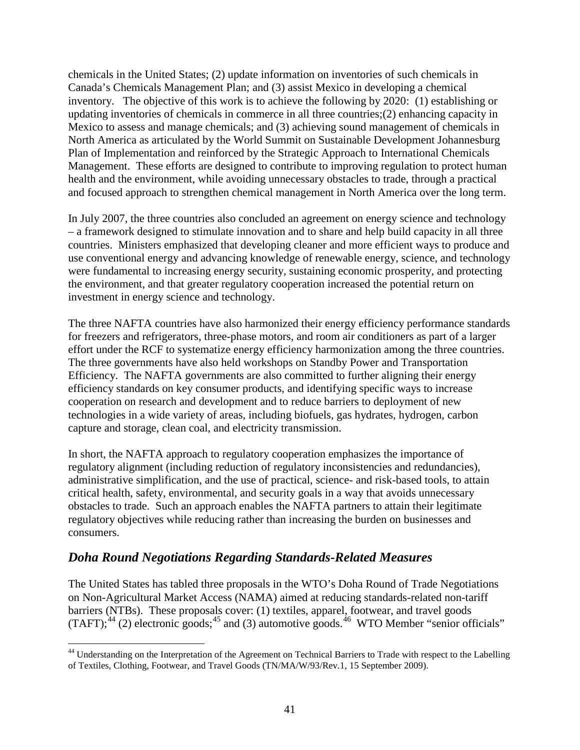chemicals in the United States; (2) update information on inventories of such chemicals in Canada's Chemicals Management Plan; and (3) assist Mexico in developing a chemical inventory. The objective of this work is to achieve the following by 2020: (1) establishing or updating inventories of chemicals in commerce in all three countries;(2) enhancing capacity in Mexico to assess and manage chemicals; and (3) achieving sound management of chemicals in North America as articulated by the World Summit on Sustainable Development Johannesburg Plan of Implementation and reinforced by the Strategic Approach to International Chemicals Management. These efforts are designed to contribute to improving regulation to protect human health and the environment, while avoiding unnecessary obstacles to trade, through a practical and focused approach to strengthen chemical management in North America over the long term.

In July 2007, the three countries also concluded an agreement on energy science and technology – a framework designed to stimulate innovation and to share and help build capacity in all three countries. Ministers emphasized that developing cleaner and more efficient ways to produce and use conventional energy and advancing knowledge of renewable energy, science, and technology were fundamental to increasing energy security, sustaining economic prosperity, and protecting the environment, and that greater regulatory cooperation increased the potential return on investment in energy science and technology.

The three NAFTA countries have also harmonized their energy efficiency performance standards for freezers and refrigerators, three-phase motors, and room air conditioners as part of a larger effort under the RCF to systematize energy efficiency harmonization among the three countries. The three governments have also held workshops on Standby Power and Transportation Efficiency. The NAFTA governments are also committed to further aligning their energy efficiency standards on key consumer products, and identifying specific ways to increase cooperation on research and development and to reduce barriers to deployment of new technologies in a wide variety of areas, including biofuels, gas hydrates, hydrogen, carbon capture and storage, clean coal, and electricity transmission.

In short, the NAFTA approach to regulatory cooperation emphasizes the importance of regulatory alignment (including reduction of regulatory inconsistencies and redundancies), administrative simplification, and the use of practical, science- and risk-based tools, to attain critical health, safety, environmental, and security goals in a way that avoids unnecessary obstacles to trade. Such an approach enables the NAFTA partners to attain their legitimate regulatory objectives while reducing rather than increasing the burden on businesses and consumers.

# *Doha Round Negotiations Regarding Standards-Related Measures*

<span id="page-40-1"></span>The United States has tabled three proposals in the WTO's Doha Round of Trade Negotiations on Non-Agricultural Market Access (NAMA) aimed at reducing standards-related non-tariff barriers (NTBs). These proposals cover: (1) textiles, apparel, footwear, and travel goods  $(TAFT)$ ;<sup>[44](#page-40-0)</sup> (2) electronic goods;<sup>[45](#page-40-1)</sup> and (3) automotive goods.<sup>[46](#page-40-2)</sup> WTO Member "senior officials"

<span id="page-40-2"></span><span id="page-40-0"></span> <sup>44</sup> Understanding on the Interpretation of the Agreement on Technical Barriers to Trade with respect to the Labelling of Textiles, Clothing, Footwear, and Travel Goods (TN/MA/W/93/Rev.1, 15 September 2009).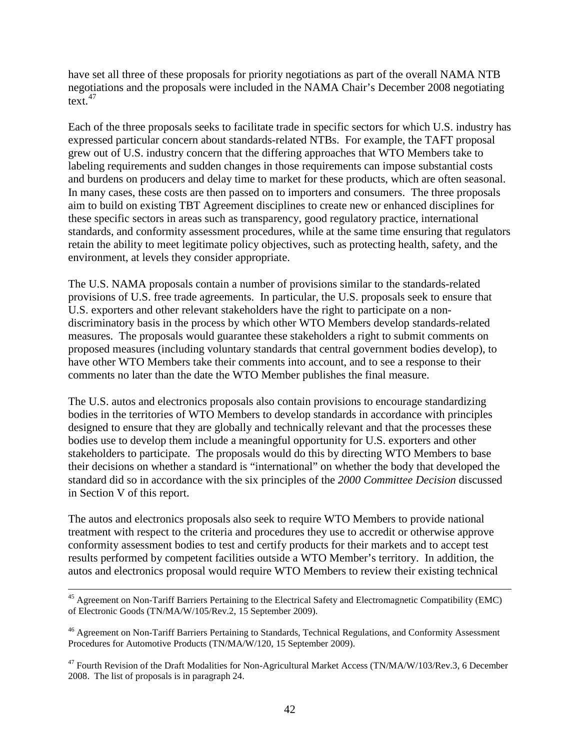have set all three of these proposals for priority negotiations as part of the overall NAMA NTB negotiations and the proposals were included in the NAMA Chair's December 2008 negotiating text. $47$ 

Each of the three proposals seeks to facilitate trade in specific sectors for which U.S. industry has expressed particular concern about standards-related NTBs. For example, the TAFT proposal grew out of U.S. industry concern that the differing approaches that WTO Members take to labeling requirements and sudden changes in those requirements can impose substantial costs and burdens on producers and delay time to market for these products, which are often seasonal. In many cases, these costs are then passed on to importers and consumers. The three proposals aim to build on existing TBT Agreement disciplines to create new or enhanced disciplines for these specific sectors in areas such as transparency, good regulatory practice, international standards, and conformity assessment procedures, while at the same time ensuring that regulators retain the ability to meet legitimate policy objectives, such as protecting health, safety, and the environment, at levels they consider appropriate.

The U.S. NAMA proposals contain a number of provisions similar to the standards-related provisions of U.S. free trade agreements. In particular, the U.S. proposals seek to ensure that U.S. exporters and other relevant stakeholders have the right to participate on a nondiscriminatory basis in the process by which other WTO Members develop standards-related measures. The proposals would guarantee these stakeholders a right to submit comments on proposed measures (including voluntary standards that central government bodies develop), to have other WTO Members take their comments into account, and to see a response to their comments no later than the date the WTO Member publishes the final measure.

The U.S. autos and electronics proposals also contain provisions to encourage standardizing bodies in the territories of WTO Members to develop standards in accordance with principles designed to ensure that they are globally and technically relevant and that the processes these bodies use to develop them include a meaningful opportunity for U.S. exporters and other stakeholders to participate. The proposals would do this by directing WTO Members to base their decisions on whether a standard is "international" on whether the body that developed the standard did so in accordance with the six principles of the *2000 Committee Decision* discussed in Section V of this report.

The autos and electronics proposals also seek to require WTO Members to provide national treatment with respect to the criteria and procedures they use to accredit or otherwise approve conformity assessment bodies to test and certify products for their markets and to accept test results performed by competent facilities outside a WTO Member's territory. In addition, the autos and electronics proposal would require WTO Members to review their existing technical

<sup>&</sup>lt;sup>45</sup> Agreement on Non-Tariff Barriers Pertaining to the Electrical Safety and Electromagnetic Compatibility (EMC) of Electronic Goods (TN/MA/W/105/Rev.2, 15 September 2009).

<sup>46</sup> Agreement on Non-Tariff Barriers Pertaining to Standards, Technical Regulations, and Conformity Assessment Procedures for Automotive Products (TN/MA/W/120, 15 September 2009).

<span id="page-41-0"></span><sup>&</sup>lt;sup>47</sup> Fourth Revision of the Draft Modalities for Non-Agricultural Market Access (TN/MA/W/103/Rev.3, 6 December 2008. The list of proposals is in paragraph 24.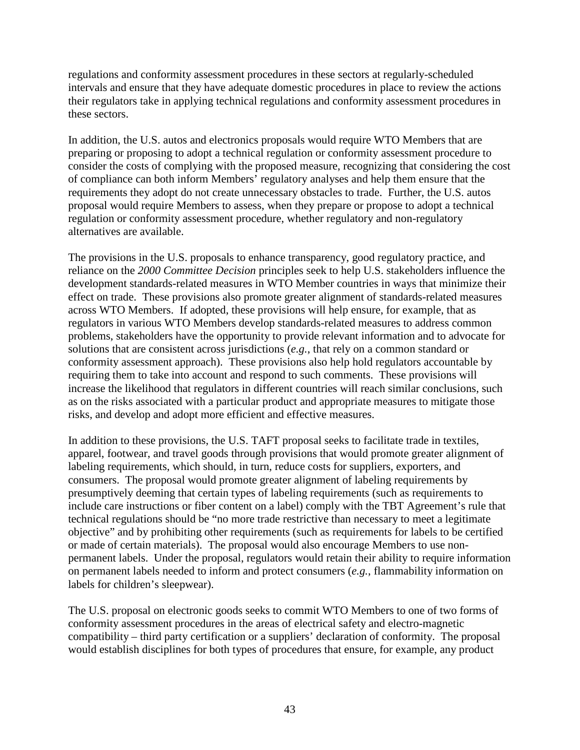regulations and conformity assessment procedures in these sectors at regularly-scheduled intervals and ensure that they have adequate domestic procedures in place to review the actions their regulators take in applying technical regulations and conformity assessment procedures in these sectors.

In addition, the U.S. autos and electronics proposals would require WTO Members that are preparing or proposing to adopt a technical regulation or conformity assessment procedure to consider the costs of complying with the proposed measure, recognizing that considering the cost of compliance can both inform Members' regulatory analyses and help them ensure that the requirements they adopt do not create unnecessary obstacles to trade. Further, the U.S. autos proposal would require Members to assess, when they prepare or propose to adopt a technical regulation or conformity assessment procedure, whether regulatory and non-regulatory alternatives are available.

The provisions in the U.S. proposals to enhance transparency, good regulatory practice, and reliance on the *2000 Committee Decision* principles seek to help U.S. stakeholders influence the development standards-related measures in WTO Member countries in ways that minimize their effect on trade. These provisions also promote greater alignment of standards-related measures across WTO Members. If adopted, these provisions will help ensure, for example, that as regulators in various WTO Members develop standards-related measures to address common problems, stakeholders have the opportunity to provide relevant information and to advocate for solutions that are consistent across jurisdictions (*e.g.*, that rely on a common standard or conformity assessment approach). These provisions also help hold regulators accountable by requiring them to take into account and respond to such comments. These provisions will increase the likelihood that regulators in different countries will reach similar conclusions, such as on the risks associated with a particular product and appropriate measures to mitigate those risks, and develop and adopt more efficient and effective measures.

In addition to these provisions, the U.S. TAFT proposal seeks to facilitate trade in textiles, apparel, footwear, and travel goods through provisions that would promote greater alignment of labeling requirements, which should, in turn, reduce costs for suppliers, exporters, and consumers. The proposal would promote greater alignment of labeling requirements by presumptively deeming that certain types of labeling requirements (such as requirements to include care instructions or fiber content on a label) comply with the TBT Agreement's rule that technical regulations should be "no more trade restrictive than necessary to meet a legitimate objective" and by prohibiting other requirements (such as requirements for labels to be certified or made of certain materials). The proposal would also encourage Members to use nonpermanent labels. Under the proposal, regulators would retain their ability to require information on permanent labels needed to inform and protect consumers (*e.g.*, flammability information on labels for children's sleepwear).

The U.S. proposal on electronic goods seeks to commit WTO Members to one of two forms of conformity assessment procedures in the areas of electrical safety and electro-magnetic compatibility – third party certification or a suppliers' declaration of conformity. The proposal would establish disciplines for both types of procedures that ensure, for example, any product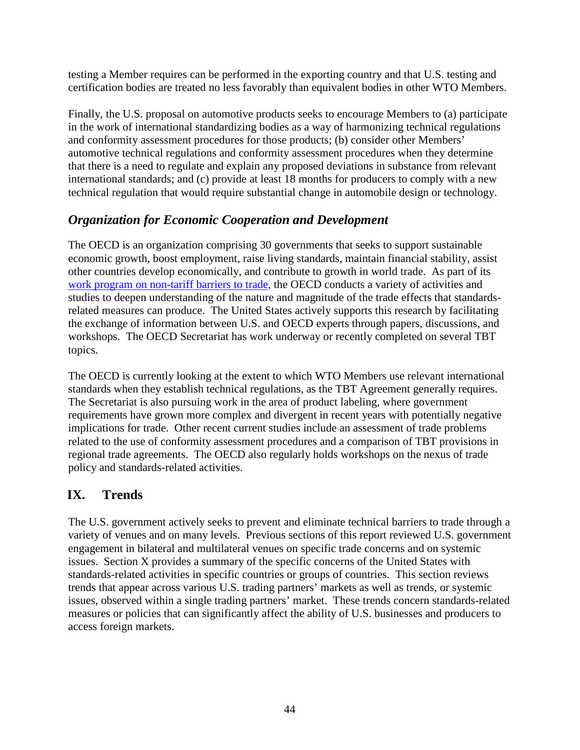testing a Member requires can be performed in the exporting country and that U.S. testing and certification bodies are treated no less favorably than equivalent bodies in other WTO Members.

Finally, the U.S. proposal on automotive products seeks to encourage Members to (a) participate in the work of international standardizing bodies as a way of harmonizing technical regulations and conformity assessment procedures for those products; (b) consider other Members' automotive technical regulations and conformity assessment procedures when they determine that there is a need to regulate and explain any proposed deviations in substance from relevant international standards; and (c) provide at least 18 months for producers to comply with a new technical regulation that would require substantial change in automobile design or technology.

# *Organization for Economic Cooperation and Development*

The OECD is an organization comprising 30 governments that seeks to support sustainable economic growth, boost employment, raise living standards, maintain financial stability, assist other countries develop economically, and contribute to growth in world trade. As part of its [work program on non-tariff barriers to trade,](http://www.oecd.org/document/11/0,3343,en_2649_36251006_1842622_1_1_1_1,00.html) the OECD conducts a variety of activities and studies to deepen understanding of the nature and magnitude of the trade effects that standardsrelated measures can produce. The United States actively supports this research by facilitating the exchange of information between U.S. and OECD experts through papers, discussions, and workshops. The OECD Secretariat has work underway or recently completed on several TBT topics.

The OECD is currently looking at the extent to which WTO Members use relevant international standards when they establish technical regulations, as the TBT Agreement generally requires. The Secretariat is also pursuing work in the area of product labeling, where government requirements have grown more complex and divergent in recent years with potentially negative implications for trade. Other recent current studies include an assessment of trade problems related to the use of conformity assessment procedures and a comparison of TBT provisions in regional trade agreements. The OECD also regularly holds workshops on the nexus of trade policy and standards-related activities.

# **IX. Trends**

The U.S. government actively seeks to prevent and eliminate technical barriers to trade through a variety of venues and on many levels. Previous sections of this report reviewed U.S. government engagement in bilateral and multilateral venues on specific trade concerns and on systemic issues. Section X provides a summary of the specific concerns of the United States with standards-related activities in specific countries or groups of countries. This section reviews trends that appear across various U.S. trading partners' markets as well as trends, or systemic issues, observed within a single trading partners' market. These trends concern standards-related measures or policies that can significantly affect the ability of U.S. businesses and producers to access foreign markets.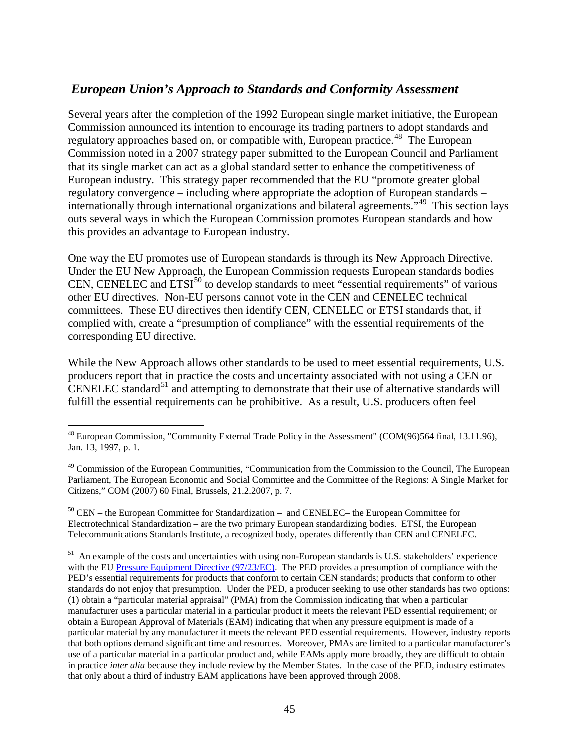# *European Union's Approach to Standards and Conformity Assessment*

Several years after the completion of the 1992 European single market initiative, the European Commission announced its intention to encourage its trading partners to adopt standards and regulatory approaches based on, or compatible with, European practice.<sup>[48](#page-44-0)</sup> The European Commission noted in a 2007 strategy paper submitted to the European Council and Parliament that its single market can act as a global standard setter to enhance the competitiveness of European industry. This strategy paper recommended that the EU "promote greater global regulatory convergence – including where appropriate the adoption of European standards – internationally through international organizations and bilateral agreements."[49](#page-44-1) This section lays outs several ways in which the European Commission promotes European standards and how this provides an advantage to European industry.

One way the EU promotes use of European standards is through its New Approach Directive. Under the EU New Approach, the European Commission requests European standards bodies CEN, CENELEC and  $ETSI<sup>50</sup>$  $ETSI<sup>50</sup>$  $ETSI<sup>50</sup>$  to develop standards to meet "essential requirements" of various other EU directives. Non-EU persons cannot vote in the CEN and CENELEC technical committees. These EU directives then identify CEN, CENELEC or ETSI standards that, if complied with, create a "presumption of compliance" with the essential requirements of the corresponding EU directive.

While the New Approach allows other standards to be used to meet essential requirements, U.S. producers report that in practice the costs and uncertainty associated with not using a CEN or CENELEC standard<sup>[51](#page-44-3)</sup> and attempting to demonstrate that their use of alternative standards will fulfill the essential requirements can be prohibitive. As a result, U.S. producers often feel

<span id="page-44-2"></span> $50$  CEN – the European Committee for Standardization – and CENELEC– the European Committee for Electrotechnical Standardization – are the two primary European standardizing bodies. ETSI, the European Telecommunications Standards Institute, a recognized body, operates differently than CEN and CENELEC.

<span id="page-44-3"></span><sup>51</sup> An example of the costs and uncertainties with using non-European standards is U.S. stakeholders' experience with the EU [Pressure Equipment Directive \(97/23/EC\).](http://eur-lex.europa.eu/LexUriServ/LexUriServ.do?uri=CONSLEG:1997L0023:20031120:en:PDF)The PED provides a presumption of compliance with the PED's essential requirements for products that conform to certain CEN standards; products that conform to other standards do not enjoy that presumption. Under the PED, a producer seeking to use other standards has two options: (1) obtain a "particular material appraisal" (PMA) from the Commission indicating that when a particular manufacturer uses a particular material in a particular product it meets the relevant PED essential requirement; or obtain a European Approval of Materials (EAM) indicating that when any pressure equipment is made of a particular material by any manufacturer it meets the relevant PED essential requirements. However, industry reports that both options demand significant time and resources. Moreover, PMAs are limited to a particular manufacturer's use of a particular material in a particular product and, while EAMs apply more broadly, they are difficult to obtain in practice *inter alia* because they include review by the Member States. In the case of the PED, industry estimates that only about a third of industry EAM applications have been approved through 2008.

<span id="page-44-0"></span><sup>&</sup>lt;sup>48</sup> European Commission, "Community External Trade Policy in the Assessment" (COM(96)564 final, 13.11.96), Jan. 13, 1997, p. 1.

<span id="page-44-1"></span><sup>&</sup>lt;sup>49</sup> Commission of the European Communities, "Communication from the Commission to the Council, The European Parliament, The European Economic and Social Committee and the Committee of the Regions: A Single Market for Citizens," COM (2007) 60 Final, Brussels, 21.2.2007, p. 7.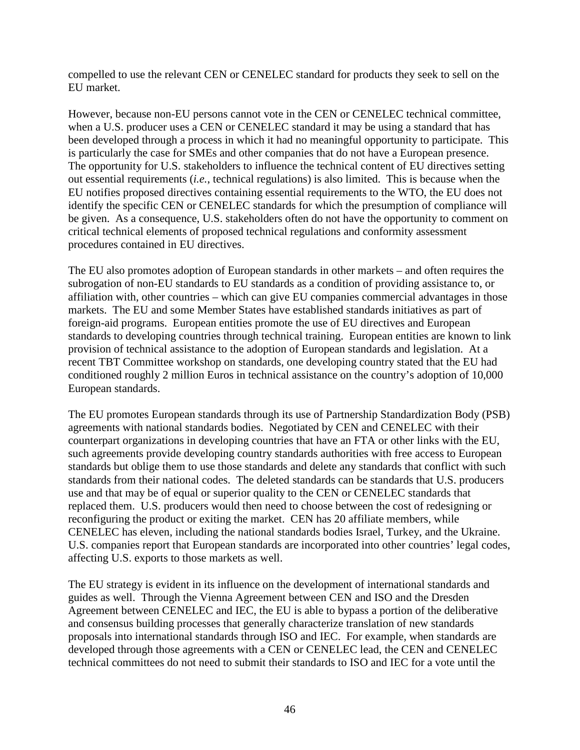compelled to use the relevant CEN or CENELEC standard for products they seek to sell on the EU market.

However, because non-EU persons cannot vote in the CEN or CENELEC technical committee, when a U.S. producer uses a CEN or CENELEC standard it may be using a standard that has been developed through a process in which it had no meaningful opportunity to participate. This is particularly the case for SMEs and other companies that do not have a European presence. The opportunity for U.S. stakeholders to influence the technical content of EU directives setting out essential requirements (*i.e.*, technical regulations) is also limited. This is because when the EU notifies proposed directives containing essential requirements to the WTO, the EU does not identify the specific CEN or CENELEC standards for which the presumption of compliance will be given. As a consequence, U.S. stakeholders often do not have the opportunity to comment on critical technical elements of proposed technical regulations and conformity assessment procedures contained in EU directives.

The EU also promotes adoption of European standards in other markets – and often requires the subrogation of non-EU standards to EU standards as a condition of providing assistance to, or affiliation with, other countries – which can give EU companies commercial advantages in those markets. The EU and some Member States have established standards initiatives as part of foreign-aid programs. European entities promote the use of EU directives and European standards to developing countries through technical training. European entities are known to link provision of technical assistance to the adoption of European standards and legislation. At a recent TBT Committee workshop on standards, one developing country stated that the EU had conditioned roughly 2 million Euros in technical assistance on the country's adoption of 10,000 European standards.

The EU promotes European standards through its use of Partnership Standardization Body (PSB) agreements with national standards bodies. Negotiated by CEN and CENELEC with their counterpart organizations in developing countries that have an FTA or other links with the EU, such agreements provide developing country standards authorities with free access to European standards but oblige them to use those standards and delete any standards that conflict with such standards from their national codes. The deleted standards can be standards that U.S. producers use and that may be of equal or superior quality to the CEN or CENELEC standards that replaced them. U.S. producers would then need to choose between the cost of redesigning or reconfiguring the product or exiting the market. CEN has 20 affiliate members, while CENELEC has eleven, including the national standards bodies Israel, Turkey, and the Ukraine. U.S. companies report that European standards are incorporated into other countries' legal codes, affecting U.S. exports to those markets as well.

The EU strategy is evident in its influence on the development of international standards and guides as well. Through the Vienna Agreement between CEN and ISO and the Dresden Agreement between CENELEC and IEC, the EU is able to bypass a portion of the deliberative and consensus building processes that generally characterize translation of new standards proposals into international standards through ISO and IEC. For example, when standards are developed through those agreements with a CEN or CENELEC lead, the CEN and CENELEC technical committees do not need to submit their standards to ISO and IEC for a vote until the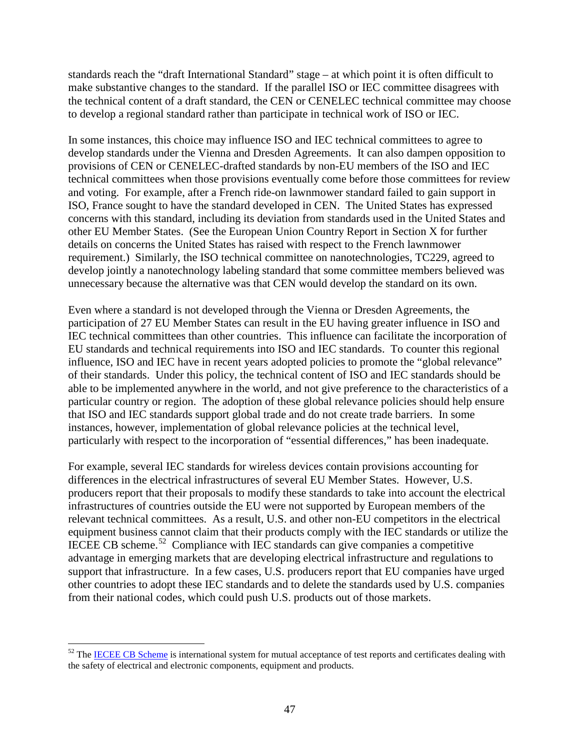standards reach the "draft International Standard" stage – at which point it is often difficult to make substantive changes to the standard. If the parallel ISO or IEC committee disagrees with the technical content of a draft standard, the CEN or CENELEC technical committee may choose to develop a regional standard rather than participate in technical work of ISO or IEC.

In some instances, this choice may influence ISO and IEC technical committees to agree to develop standards under the Vienna and Dresden Agreements. It can also dampen opposition to provisions of CEN or CENELEC-drafted standards by non-EU members of the ISO and IEC technical committees when those provisions eventually come before those committees for review and voting. For example, after a French ride-on lawnmower standard failed to gain support in ISO, France sought to have the standard developed in CEN. The United States has expressed concerns with this standard, including its deviation from standards used in the United States and other EU Member States. (See the European Union Country Report in Section X for further details on concerns the United States has raised with respect to the French lawnmower requirement.) Similarly, the ISO technical committee on nanotechnologies, TC229, agreed to develop jointly a nanotechnology labeling standard that some committee members believed was unnecessary because the alternative was that CEN would develop the standard on its own.

Even where a standard is not developed through the Vienna or Dresden Agreements, the participation of 27 EU Member States can result in the EU having greater influence in ISO and IEC technical committees than other countries. This influence can facilitate the incorporation of EU standards and technical requirements into ISO and IEC standards. To counter this regional influence, ISO and IEC have in recent years adopted policies to promote the "global relevance" of their standards. Under this policy, the technical content of ISO and IEC standards should be able to be implemented anywhere in the world, and not give preference to the characteristics of a particular country or region. The adoption of these global relevance policies should help ensure that ISO and IEC standards support global trade and do not create trade barriers. In some instances, however, implementation of global relevance policies at the technical level, particularly with respect to the incorporation of "essential differences," has been inadequate.

For example, several IEC standards for wireless devices contain provisions accounting for differences in the electrical infrastructures of several EU Member States. However, U.S. producers report that their proposals to modify these standards to take into account the electrical infrastructures of countries outside the EU were not supported by European members of the relevant technical committees. As a result, U.S. and other non-EU competitors in the electrical equipment business cannot claim that their products comply with the IEC standards or utilize the IECEE CB scheme.<sup>52</sup> Compliance with IEC standards can give companies a competitive advantage in emerging markets that are developing electrical infrastructure and regulations to support that infrastructure. In a few cases, U.S. producers report that EU companies have urged other countries to adopt these IEC standards and to delete the standards used by U.S. companies from their national codes, which could push U.S. products out of those markets.

<span id="page-46-0"></span> $52$  The [IECEE CB Scheme](http://www.iecee.org/cbscheme/pdf/cbfunct.pdf) is international system for mutual acceptance of test reports and certificates dealing with the safety of electrical and electronic components, equipment and products.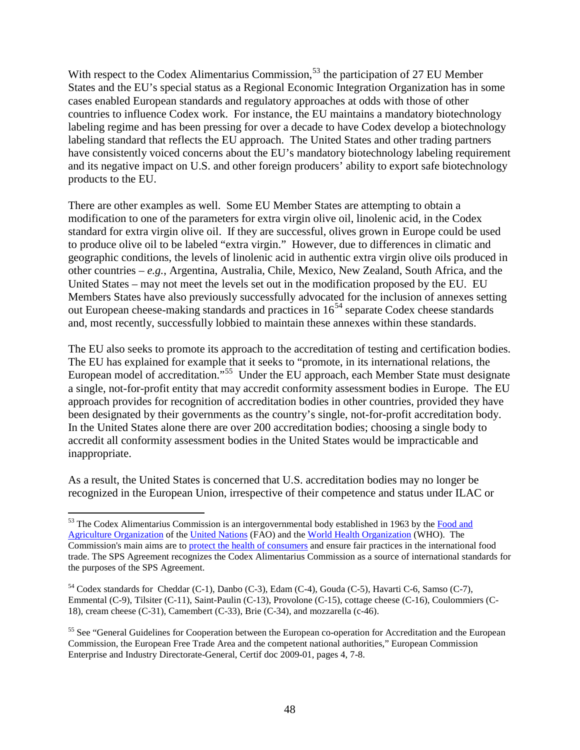With respect to the Codex Alimentarius Commission,  $5<sup>3</sup>$  the participation of 27 EU Member States and the EU's special status as a Regional Economic Integration Organization has in some cases enabled European standards and regulatory approaches at odds with those of other countries to influence Codex work. For instance, the EU maintains a mandatory biotechnology labeling regime and has been pressing for over a decade to have Codex develop a biotechnology labeling standard that reflects the EU approach. The United States and other trading partners have consistently voiced concerns about the EU's mandatory biotechnology labeling requirement and its negative impact on U.S. and other foreign producers' ability to export safe biotechnology products to the EU.

There are other examples as well. Some EU Member States are attempting to obtain a modification to one of the parameters for extra virgin olive oil, linolenic acid, in the Codex standard for extra virgin olive oil. If they are successful, olives grown in Europe could be used to produce olive oil to be labeled "extra virgin." However, due to differences in climatic and geographic conditions, the levels of linolenic acid in authentic extra virgin olive oils produced in other countries – *e.g.*, Argentina, Australia, Chile, Mexico, New Zealand, South Africa, and the United States – may not meet the levels set out in the modification proposed by the EU. EU Members States have also previously successfully advocated for the inclusion of annexes setting out European cheese-making standards and practices in  $16<sup>54</sup>$  $16<sup>54</sup>$  $16<sup>54</sup>$  separate Codex cheese standards and, most recently, successfully lobbied to maintain these annexes within these standards.

The EU also seeks to promote its approach to the accreditation of testing and certification bodies. The EU has explained for example that it seeks to "promote, in its international relations, the European model of accreditation."<sup>[55](#page-47-2)</sup> Under the EU approach, each Member State must designate a single, not-for-profit entity that may accredit conformity assessment bodies in Europe. The EU approach provides for recognition of accreditation bodies in other countries, provided they have been designated by their governments as the country's single, not-for-profit accreditation body. In the United States alone there are over 200 accreditation bodies; choosing a single body to accredit all conformity assessment bodies in the United States would be impracticable and inappropriate.

As a result, the United States is concerned that U.S. accreditation bodies may no longer be recognized in the European Union, irrespective of their competence and status under ILAC or

<span id="page-47-0"></span> $53$  The Codex Alimentarius Commission is an intergovernmental body established in 1963 by the Food and [Agriculture Organization](http://en.wikipedia.org/wiki/Food_and_Agriculture_Organization) of the [United Nations](http://en.wikipedia.org/wiki/United_Nations) (FAO) and the [World Health Organization](http://en.wikipedia.org/wiki/World_Health_Organization) (WHO). The Commission's main aims are to protect the [health of consumers](http://en.wikipedia.org/wiki/Consumer_protection) and ensure fair practices in the international food trade. The SPS Agreement recognizes the Codex Alimentarius Commission as a source of international standards for the purposes of the SPS Agreement.

<span id="page-47-1"></span><sup>54</sup> Codex standards for Cheddar (C-1), Danbo (C-3), Edam (C-4), Gouda (C-5), Havarti C-6, Samso (C-7), Emmental (C-9), Tilsiter (C-11), Saint-Paulin (C-13), Provolone (C-15), cottage cheese (C-16), Coulommiers (C-18), cream cheese (C-31), Camembert (C-33), Brie (C-34), and mozzarella (c-46).

<span id="page-47-2"></span><sup>&</sup>lt;sup>55</sup> See "General Guidelines for Cooperation between the European co-operation for Accreditation and the European Commission, the European Free Trade Area and the competent national authorities," European Commission Enterprise and Industry Directorate-General, Certif doc 2009-01, pages 4, 7-8.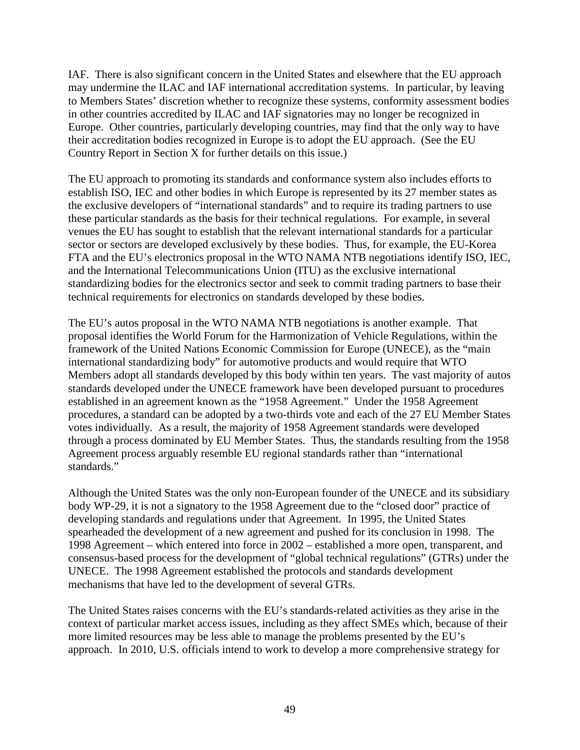IAF. There is also significant concern in the United States and elsewhere that the EU approach may undermine the ILAC and IAF international accreditation systems. In particular, by leaving to Members States' discretion whether to recognize these systems, conformity assessment bodies in other countries accredited by ILAC and IAF signatories may no longer be recognized in Europe. Other countries, particularly developing countries, may find that the only way to have their accreditation bodies recognized in Europe is to adopt the EU approach. (See the EU Country Report in Section X for further details on this issue.)

The EU approach to promoting its standards and conformance system also includes efforts to establish ISO, IEC and other bodies in which Europe is represented by its 27 member states as the exclusive developers of "international standards" and to require its trading partners to use these particular standards as the basis for their technical regulations. For example, in several venues the EU has sought to establish that the relevant international standards for a particular sector or sectors are developed exclusively by these bodies. Thus, for example, the EU-Korea FTA and the EU's electronics proposal in the WTO NAMA NTB negotiations identify ISO, IEC, and the International Telecommunications Union (ITU) as the exclusive international standardizing bodies for the electronics sector and seek to commit trading partners to base their technical requirements for electronics on standards developed by these bodies.

The EU's autos proposal in the WTO NAMA NTB negotiations is another example. That proposal identifies the World Forum for the Harmonization of Vehicle Regulations, within the framework of the United Nations Economic Commission for Europe (UNECE), as the "main international standardizing body" for automotive products and would require that WTO Members adopt all standards developed by this body within ten years. The vast majority of autos standards developed under the UNECE framework have been developed pursuant to procedures established in an agreement known as the "1958 Agreement." Under the 1958 Agreement procedures, a standard can be adopted by a two-thirds vote and each of the 27 EU Member States votes individually. As a result, the majority of 1958 Agreement standards were developed through a process dominated by EU Member States. Thus, the standards resulting from the 1958 Agreement process arguably resemble EU regional standards rather than "international standards."

Although the United States was the only non-European founder of the UNECE and its subsidiary body WP-29, it is not a signatory to the 1958 Agreement due to the "closed door" practice of developing standards and regulations under that Agreement. In 1995, the United States spearheaded the development of a new agreement and pushed for its conclusion in 1998. The 1998 Agreement – which entered into force in 2002 – established a more open, transparent, and consensus-based process for the development of "global technical regulations" (GTRs) under the UNECE. The 1998 Agreement established the protocols and standards development mechanisms that have led to the development of several GTRs.

The United States raises concerns with the EU's standards-related activities as they arise in the context of particular market access issues, including as they affect SMEs which, because of their more limited resources may be less able to manage the problems presented by the EU's approach. In 2010, U.S. officials intend to work to develop a more comprehensive strategy for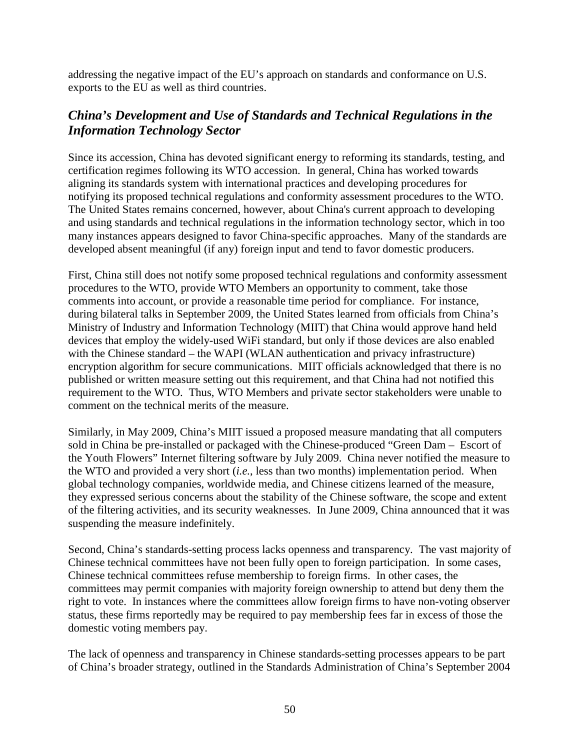addressing the negative impact of the EU's approach on standards and conformance on U.S. exports to the EU as well as third countries.

# *China's Development and Use of Standards and Technical Regulations in the Information Technology Sector*

Since its accession, China has devoted significant energy to reforming its standards, testing, and certification regimes following its WTO accession. In general, China has worked towards aligning its standards system with international practices and developing procedures for notifying its proposed technical regulations and conformity assessment procedures to the WTO. The United States remains concerned, however, about China's current approach to developing and using standards and technical regulations in the information technology sector, which in too many instances appears designed to favor China-specific approaches. Many of the standards are developed absent meaningful (if any) foreign input and tend to favor domestic producers.

First, China still does not notify some proposed technical regulations and conformity assessment procedures to the WTO, provide WTO Members an opportunity to comment, take those comments into account, or provide a reasonable time period for compliance. For instance, during bilateral talks in September 2009, the United States learned from officials from China's Ministry of Industry and Information Technology (MIIT) that China would approve hand held devices that employ the widely-used WiFi standard, but only if those devices are also enabled with the Chinese standard – the WAPI (WLAN authentication and privacy infrastructure) encryption algorithm for secure communications. MIIT officials acknowledged that there is no published or written measure setting out this requirement, and that China had not notified this requirement to the WTO. Thus, WTO Members and private sector stakeholders were unable to comment on the technical merits of the measure.

Similarly, in May 2009, China's MIIT issued a proposed measure mandating that all computers sold in China be pre-installed or packaged with the Chinese-produced "Green Dam – Escort of the Youth Flowers" Internet filtering software by July 2009. China never notified the measure to the WTO and provided a very short (*i.e.*, less than two months) implementation period. When global technology companies, worldwide media, and Chinese citizens learned of the measure, they expressed serious concerns about the stability of the Chinese software, the scope and extent of the filtering activities, and its security weaknesses. In June 2009, China announced that it was suspending the measure indefinitely.

Second, China's standards-setting process lacks openness and transparency. The vast majority of Chinese technical committees have not been fully open to foreign participation. In some cases, Chinese technical committees refuse membership to foreign firms. In other cases, the committees may permit companies with majority foreign ownership to attend but deny them the right to vote. In instances where the committees allow foreign firms to have non-voting observer status, these firms reportedly may be required to pay membership fees far in excess of those the domestic voting members pay.

The lack of openness and transparency in Chinese standards-setting processes appears to be part of China's broader strategy, outlined in the Standards Administration of China's September 2004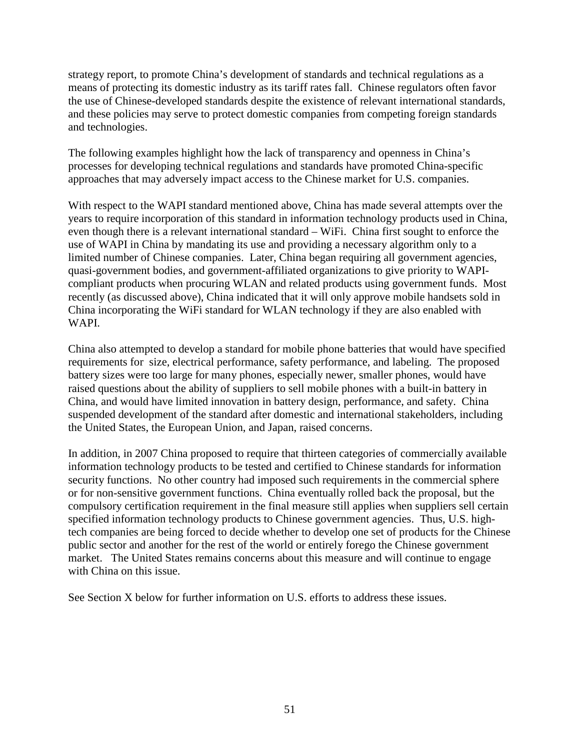strategy report, to promote China's development of standards and technical regulations as a means of protecting its domestic industry as its tariff rates fall. Chinese regulators often favor the use of Chinese-developed standards despite the existence of relevant international standards, and these policies may serve to protect domestic companies from competing foreign standards and technologies.

The following examples highlight how the lack of transparency and openness in China's processes for developing technical regulations and standards have promoted China-specific approaches that may adversely impact access to the Chinese market for U.S. companies.

With respect to the WAPI standard mentioned above, China has made several attempts over the years to require incorporation of this standard in information technology products used in China, even though there is a relevant international standard – WiFi. China first sought to enforce the use of WAPI in China by mandating its use and providing a necessary algorithm only to a limited number of Chinese companies. Later, China began requiring all government agencies, quasi-government bodies, and government-affiliated organizations to give priority to WAPIcompliant products when procuring WLAN and related products using government funds. Most recently (as discussed above), China indicated that it will only approve mobile handsets sold in China incorporating the WiFi standard for WLAN technology if they are also enabled with WAPI.

China also attempted to develop a standard for mobile phone batteries that would have specified requirements for size, electrical performance, safety performance, and labeling. The proposed battery sizes were too large for many phones, especially newer, smaller phones, would have raised questions about the ability of suppliers to sell mobile phones with a built-in battery in China, and would have limited innovation in battery design, performance, and safety. China suspended development of the standard after domestic and international stakeholders, including the United States, the European Union, and Japan, raised concerns.

In addition, in 2007 China proposed to require that thirteen categories of commercially available information technology products to be tested and certified to Chinese standards for information security functions. No other country had imposed such requirements in the commercial sphere or for non-sensitive government functions. China eventually rolled back the proposal, but the compulsory certification requirement in the final measure still applies when suppliers sell certain specified information technology products to Chinese government agencies. Thus, U.S. hightech companies are being forced to decide whether to develop one set of products for the Chinese public sector and another for the rest of the world or entirely forego the Chinese government market. The United States remains concerns about this measure and will continue to engage with China on this issue.

See Section X below for further information on U.S. efforts to address these issues.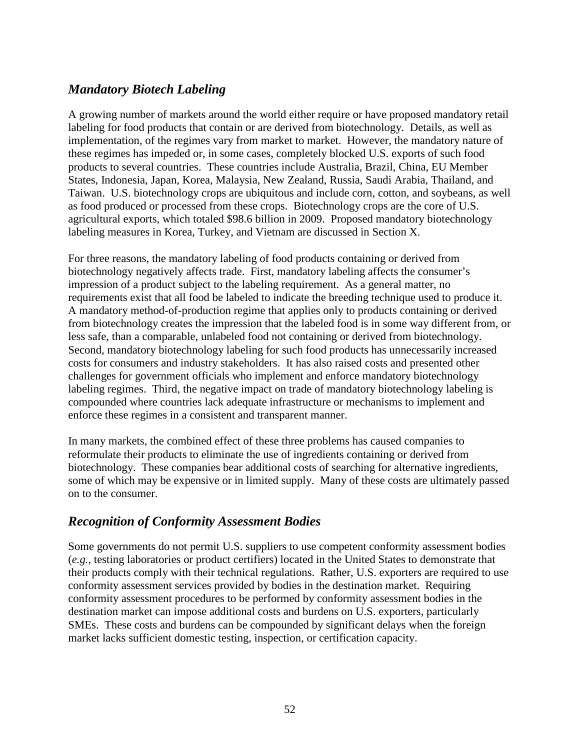# *Mandatory Biotech Labeling*

A growing number of markets around the world either require or have proposed mandatory retail labeling for food products that contain or are derived from biotechnology. Details, as well as implementation, of the regimes vary from market to market. However, the mandatory nature of these regimes has impeded or, in some cases, completely blocked U.S. exports of such food products to several countries. These countries include Australia, Brazil, China, EU Member States, Indonesia, Japan, Korea, Malaysia, New Zealand, Russia, Saudi Arabia, Thailand, and Taiwan. U.S. biotechnology crops are ubiquitous and include corn, cotton, and soybeans, as well as food produced or processed from these crops. Biotechnology crops are the core of U.S. agricultural exports, which totaled \$98.6 billion in 2009. Proposed mandatory biotechnology labeling measures in Korea, Turkey, and Vietnam are discussed in Section X.

For three reasons, the mandatory labeling of food products containing or derived from biotechnology negatively affects trade. First, mandatory labeling affects the consumer's impression of a product subject to the labeling requirement. As a general matter, no requirements exist that all food be labeled to indicate the breeding technique used to produce it. A mandatory method-of-production regime that applies only to products containing or derived from biotechnology creates the impression that the labeled food is in some way different from, or less safe, than a comparable, unlabeled food not containing or derived from biotechnology. Second, mandatory biotechnology labeling for such food products has unnecessarily increased costs for consumers and industry stakeholders. It has also raised costs and presented other challenges for government officials who implement and enforce mandatory biotechnology labeling regimes. Third, the negative impact on trade of mandatory biotechnology labeling is compounded where countries lack adequate infrastructure or mechanisms to implement and enforce these regimes in a consistent and transparent manner.

In many markets, the combined effect of these three problems has caused companies to reformulate their products to eliminate the use of ingredients containing or derived from biotechnology. These companies bear additional costs of searching for alternative ingredients, some of which may be expensive or in limited supply. Many of these costs are ultimately passed on to the consumer.

# *Recognition of Conformity Assessment Bodies*

Some governments do not permit U.S. suppliers to use competent conformity assessment bodies (*e.g.*, testing laboratories or product certifiers) located in the United States to demonstrate that their products comply with their technical regulations. Rather, U.S. exporters are required to use conformity assessment services provided by bodies in the destination market. Requiring conformity assessment procedures to be performed by conformity assessment bodies in the destination market can impose additional costs and burdens on U.S. exporters, particularly SMEs. These costs and burdens can be compounded by significant delays when the foreign market lacks sufficient domestic testing, inspection, or certification capacity.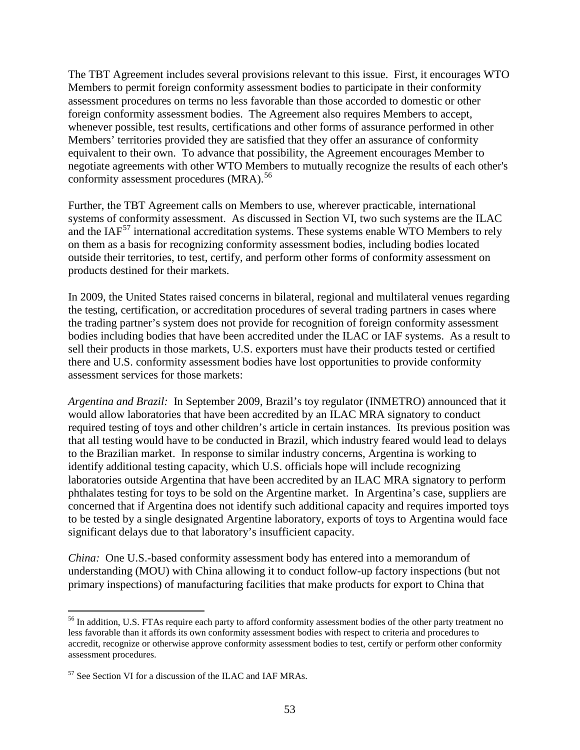The TBT Agreement includes several provisions relevant to this issue. First, it encourages WTO Members to permit foreign conformity assessment bodies to participate in their conformity assessment procedures on terms no less favorable than those accorded to domestic or other foreign conformity assessment bodies. The Agreement also requires Members to accept, whenever possible, test results, certifications and other forms of assurance performed in other Members' territories provided they are satisfied that they offer an assurance of conformity equivalent to their own. To advance that possibility, the Agreement encourages Member to negotiate agreements with other WTO Members to mutually recognize the results of each other's conformity assessment procedures (MRA).<sup>[56](#page-52-0)</sup>

Further, the TBT Agreement calls on Members to use, wherever practicable, international systems of conformity assessment. As discussed in Section VI, two such systems are the ILAC and the  $IAF<sup>57</sup>$  $IAF<sup>57</sup>$  $IAF<sup>57</sup>$  international accreditation systems. These systems enable WTO Members to rely on them as a basis for recognizing conformity assessment bodies, including bodies located outside their territories, to test, certify, and perform other forms of conformity assessment on products destined for their markets.

In 2009, the United States raised concerns in bilateral, regional and multilateral venues regarding the testing, certification, or accreditation procedures of several trading partners in cases where the trading partner's system does not provide for recognition of foreign conformity assessment bodies including bodies that have been accredited under the ILAC or IAF systems. As a result to sell their products in those markets, U.S. exporters must have their products tested or certified there and U.S. conformity assessment bodies have lost opportunities to provide conformity assessment services for those markets:

*Argentina and Brazil:* In September 2009, Brazil's toy regulator (INMETRO) announced that it would allow laboratories that have been accredited by an ILAC MRA signatory to conduct required testing of toys and other children's article in certain instances. Its previous position was that all testing would have to be conducted in Brazil, which industry feared would lead to delays to the Brazilian market. In response to similar industry concerns, Argentina is working to identify additional testing capacity, which U.S. officials hope will include recognizing laboratories outside Argentina that have been accredited by an ILAC MRA signatory to perform phthalates testing for toys to be sold on the Argentine market. In Argentina's case, suppliers are concerned that if Argentina does not identify such additional capacity and requires imported toys to be tested by a single designated Argentine laboratory, exports of toys to Argentina would face significant delays due to that laboratory's insufficient capacity.

*China:* One U.S.-based conformity assessment body has entered into a memorandum of understanding (MOU) with China allowing it to conduct follow-up factory inspections (but not primary inspections) of manufacturing facilities that make products for export to China that

<span id="page-52-0"></span><sup>&</sup>lt;sup>56</sup> In addition, U.S. FTAs require each party to afford conformity assessment bodies of the other party treatment no less favorable than it affords its own conformity assessment bodies with respect to criteria and procedures to accredit, recognize or otherwise approve conformity assessment bodies to test, certify or perform other conformity assessment procedures.

<span id="page-52-1"></span><sup>57</sup> See Section VI for a discussion of the ILAC and IAF MRAs.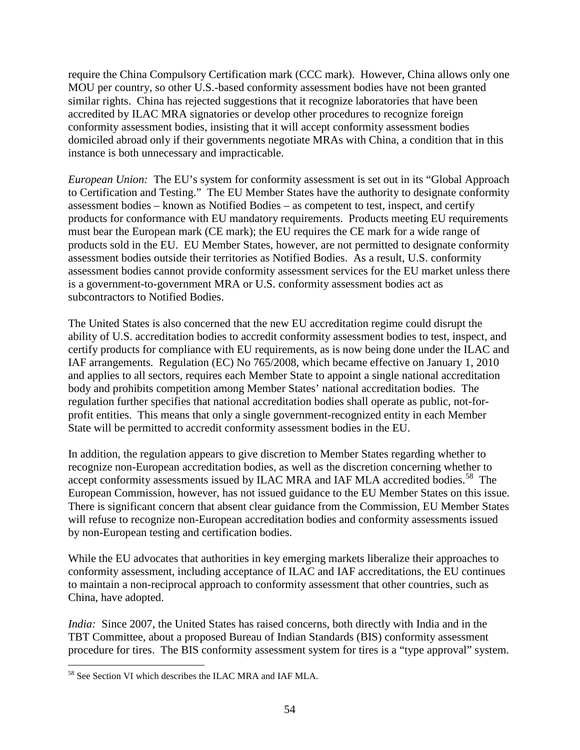require the China Compulsory Certification mark (CCC mark). However, China allows only one MOU per country, so other U.S.-based conformity assessment bodies have not been granted similar rights. China has rejected suggestions that it recognize laboratories that have been accredited by ILAC MRA signatories or develop other procedures to recognize foreign conformity assessment bodies, insisting that it will accept conformity assessment bodies domiciled abroad only if their governments negotiate MRAs with China, a condition that in this instance is both unnecessary and impracticable.

*European Union:* The EU's system for conformity assessment is set out in its "Global Approach to Certification and Testing." The EU Member States have the authority to designate conformity assessment bodies – known as Notified Bodies – as competent to test, inspect, and certify products for conformance with EU mandatory requirements. Products meeting EU requirements must bear the European mark (CE mark); the EU requires the CE mark for a wide range of products sold in the EU. EU Member States, however, are not permitted to designate conformity assessment bodies outside their territories as Notified Bodies. As a result, U.S. conformity assessment bodies cannot provide conformity assessment services for the EU market unless there is a government-to-government MRA or U.S. conformity assessment bodies act as subcontractors to Notified Bodies.

The United States is also concerned that the new EU accreditation regime could disrupt the ability of U.S. accreditation bodies to accredit conformity assessment bodies to test, inspect, and certify products for compliance with EU requirements, as is now being done under the ILAC and IAF arrangements. Regulation (EC) No 765/2008, which became effective on January 1, 2010 and applies to all sectors, requires each Member State to appoint a single national accreditation body and prohibits competition among Member States' national accreditation bodies. The regulation further specifies that national accreditation bodies shall operate as public, not-forprofit entities. This means that only a single government-recognized entity in each Member State will be permitted to accredit conformity assessment bodies in the EU.

In addition, the regulation appears to give discretion to Member States regarding whether to recognize non-European accreditation bodies, as well as the discretion concerning whether to accept conformity assessments issued by ILAC MRA and IAF MLA accredited bodies.<sup>58</sup> The European Commission, however, has not issued guidance to the EU Member States on this issue. There is significant concern that absent clear guidance from the Commission, EU Member States will refuse to recognize non-European accreditation bodies and conformity assessments issued by non-European testing and certification bodies.

While the EU advocates that authorities in key emerging markets liberalize their approaches to conformity assessment, including acceptance of ILAC and IAF accreditations, the EU continues to maintain a non-reciprocal approach to conformity assessment that other countries, such as China, have adopted.

*India:* Since 2007, the United States has raised concerns, both directly with India and in the TBT Committee, about a proposed Bureau of Indian Standards (BIS) conformity assessment procedure for tires. The BIS conformity assessment system for tires is a "type approval" system.

<span id="page-53-0"></span> <sup>58</sup> See Section VI which describes the ILAC MRA and IAF MLA.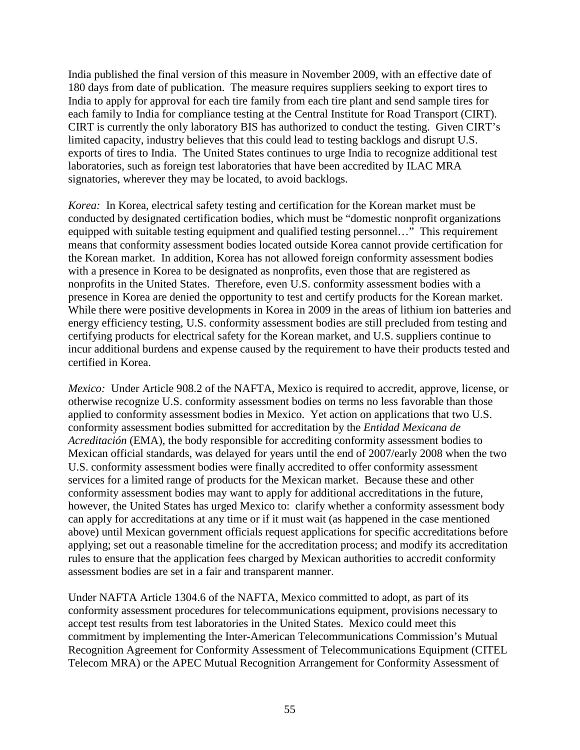India published the final version of this measure in November 2009, with an effective date of 180 days from date of publication. The measure requires suppliers seeking to export tires to India to apply for approval for each tire family from each tire plant and send sample tires for each family to India for compliance testing at the Central Institute for Road Transport (CIRT). CIRT is currently the only laboratory BIS has authorized to conduct the testing. Given CIRT's limited capacity, industry believes that this could lead to testing backlogs and disrupt U.S. exports of tires to India. The United States continues to urge India to recognize additional test laboratories, such as foreign test laboratories that have been accredited by ILAC MRA signatories, wherever they may be located, to avoid backlogs.

*Korea:* In Korea, electrical safety testing and certification for the Korean market must be conducted by designated certification bodies, which must be "domestic nonprofit organizations equipped with suitable testing equipment and qualified testing personnel…" This requirement means that conformity assessment bodies located outside Korea cannot provide certification for the Korean market. In addition, Korea has not allowed foreign conformity assessment bodies with a presence in Korea to be designated as nonprofits, even those that are registered as nonprofits in the United States. Therefore, even U.S. conformity assessment bodies with a presence in Korea are denied the opportunity to test and certify products for the Korean market. While there were positive developments in Korea in 2009 in the areas of lithium ion batteries and energy efficiency testing, U.S. conformity assessment bodies are still precluded from testing and certifying products for electrical safety for the Korean market, and U.S. suppliers continue to incur additional burdens and expense caused by the requirement to have their products tested and certified in Korea.

*Mexico:* Under Article 908.2 of the NAFTA, Mexico is required to accredit, approve, license, or otherwise recognize U.S. conformity assessment bodies on terms no less favorable than those applied to conformity assessment bodies in Mexico. Yet action on applications that two U.S. conformity assessment bodies submitted for accreditation by the *Entidad Mexicana de Acreditación* (EMA), the body responsible for accrediting conformity assessment bodies to Mexican official standards, was delayed for years until the end of 2007/early 2008 when the two U.S. conformity assessment bodies were finally accredited to offer conformity assessment services for a limited range of products for the Mexican market. Because these and other conformity assessment bodies may want to apply for additional accreditations in the future, however, the United States has urged Mexico to: clarify whether a conformity assessment body can apply for accreditations at any time or if it must wait (as happened in the case mentioned above) until Mexican government officials request applications for specific accreditations before applying; set out a reasonable timeline for the accreditation process; and modify its accreditation rules to ensure that the application fees charged by Mexican authorities to accredit conformity assessment bodies are set in a fair and transparent manner.

Under NAFTA Article 1304.6 of the NAFTA, Mexico committed to adopt, as part of its conformity assessment procedures for telecommunications equipment, provisions necessary to accept test results from test laboratories in the United States. Mexico could meet this commitment by implementing the Inter-American Telecommunications Commission's Mutual Recognition Agreement for Conformity Assessment of Telecommunications Equipment (CITEL Telecom MRA) or the APEC Mutual Recognition Arrangement for Conformity Assessment of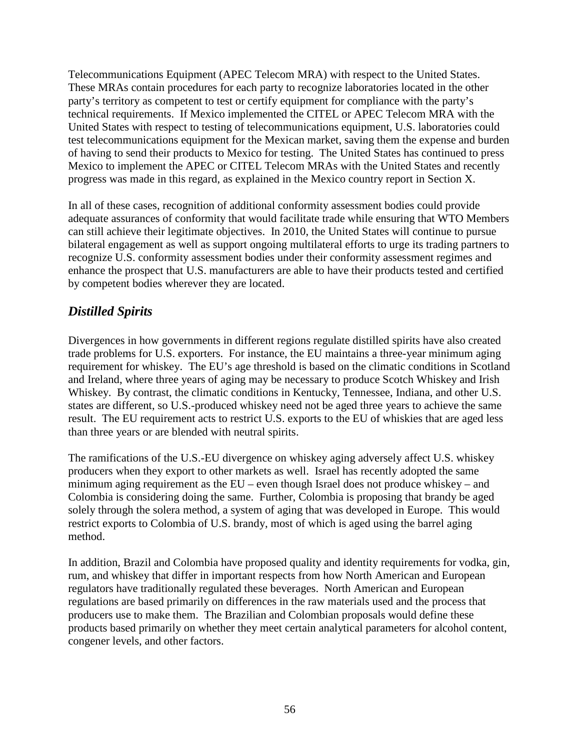Telecommunications Equipment (APEC Telecom MRA) with respect to the United States. These MRAs contain procedures for each party to recognize laboratories located in the other party's territory as competent to test or certify equipment for compliance with the party's technical requirements. If Mexico implemented the CITEL or APEC Telecom MRA with the United States with respect to testing of telecommunications equipment, U.S. laboratories could test telecommunications equipment for the Mexican market, saving them the expense and burden of having to send their products to Mexico for testing. The United States has continued to press Mexico to implement the APEC or CITEL Telecom MRAs with the United States and recently progress was made in this regard, as explained in the Mexico country report in Section X.

In all of these cases, recognition of additional conformity assessment bodies could provide adequate assurances of conformity that would facilitate trade while ensuring that WTO Members can still achieve their legitimate objectives. In 2010, the United States will continue to pursue bilateral engagement as well as support ongoing multilateral efforts to urge its trading partners to recognize U.S. conformity assessment bodies under their conformity assessment regimes and enhance the prospect that U.S. manufacturers are able to have their products tested and certified by competent bodies wherever they are located.

# *Distilled Spirits*

Divergences in how governments in different regions regulate distilled spirits have also created trade problems for U.S. exporters. For instance, the EU maintains a three-year minimum aging requirement for whiskey. The EU's age threshold is based on the climatic conditions in Scotland and Ireland, where three years of aging may be necessary to produce Scotch Whiskey and Irish Whiskey. By contrast, the climatic conditions in Kentucky, Tennessee, Indiana, and other U.S. states are different, so U.S.-produced whiskey need not be aged three years to achieve the same result. The EU requirement acts to restrict U.S. exports to the EU of whiskies that are aged less than three years or are blended with neutral spirits.

The ramifications of the U.S.-EU divergence on whiskey aging adversely affect U.S. whiskey producers when they export to other markets as well. Israel has recently adopted the same minimum aging requirement as the EU – even though Israel does not produce whiskey – and Colombia is considering doing the same. Further, Colombia is proposing that brandy be aged solely through the solera method, a system of aging that was developed in Europe. This would restrict exports to Colombia of U.S. brandy, most of which is aged using the barrel aging method.

In addition, Brazil and Colombia have proposed quality and identity requirements for vodka, gin, rum, and whiskey that differ in important respects from how North American and European regulators have traditionally regulated these beverages. North American and European regulations are based primarily on differences in the raw materials used and the process that producers use to make them. The Brazilian and Colombian proposals would define these products based primarily on whether they meet certain analytical parameters for alcohol content, congener levels, and other factors.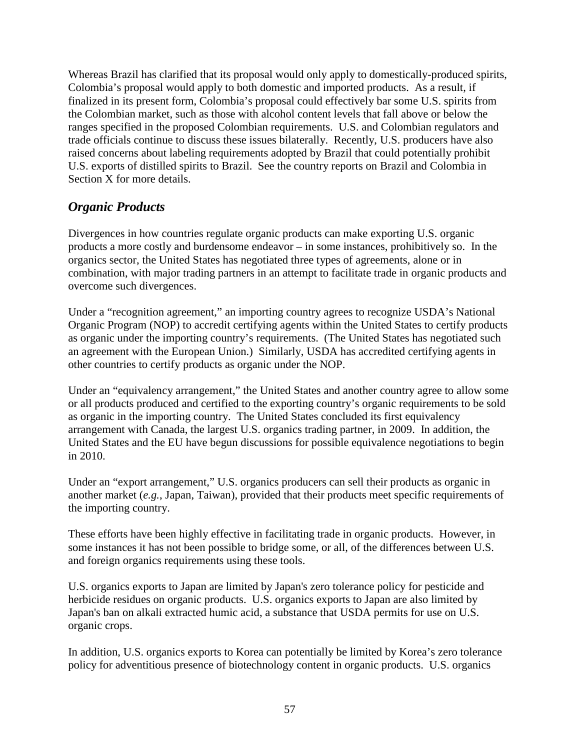Whereas Brazil has clarified that its proposal would only apply to domestically-produced spirits, Colombia's proposal would apply to both domestic and imported products. As a result, if finalized in its present form, Colombia's proposal could effectively bar some U.S. spirits from the Colombian market, such as those with alcohol content levels that fall above or below the ranges specified in the proposed Colombian requirements. U.S. and Colombian regulators and trade officials continue to discuss these issues bilaterally. Recently, U.S. producers have also raised concerns about labeling requirements adopted by Brazil that could potentially prohibit U.S. exports of distilled spirits to Brazil. See the country reports on Brazil and Colombia in Section X for more details.

# *Organic Products*

Divergences in how countries regulate organic products can make exporting U.S. organic products a more costly and burdensome endeavor – in some instances, prohibitively so. In the organics sector, the United States has negotiated three types of agreements, alone or in combination, with major trading partners in an attempt to facilitate trade in organic products and overcome such divergences.

Under a "recognition agreement," an importing country agrees to recognize USDA's National Organic Program (NOP) to accredit certifying agents within the United States to certify products as organic under the importing country's requirements. (The United States has negotiated such an agreement with the European Union.) Similarly, USDA has accredited certifying agents in other countries to certify products as organic under the NOP.

Under an "equivalency arrangement," the United States and another country agree to allow some or all products produced and certified to the exporting country's organic requirements to be sold as organic in the importing country. The United States concluded its first equivalency arrangement with Canada, the largest U.S. organics trading partner, in 2009. In addition, the United States and the EU have begun discussions for possible equivalence negotiations to begin in 2010.

Under an "export arrangement," U.S. organics producers can sell their products as organic in another market (*e.g.*, Japan, Taiwan), provided that their products meet specific requirements of the importing country.

These efforts have been highly effective in facilitating trade in organic products. However, in some instances it has not been possible to bridge some, or all, of the differences between U.S. and foreign organics requirements using these tools.

U.S. organics exports to Japan are limited by Japan's zero tolerance policy for pesticide and herbicide residues on organic products. U.S. organics exports to Japan are also limited by Japan's ban on alkali extracted humic acid, a substance that USDA permits for use on U.S. organic crops.

In addition, U.S. organics exports to Korea can potentially be limited by Korea's zero tolerance policy for adventitious presence of biotechnology content in organic products. U.S. organics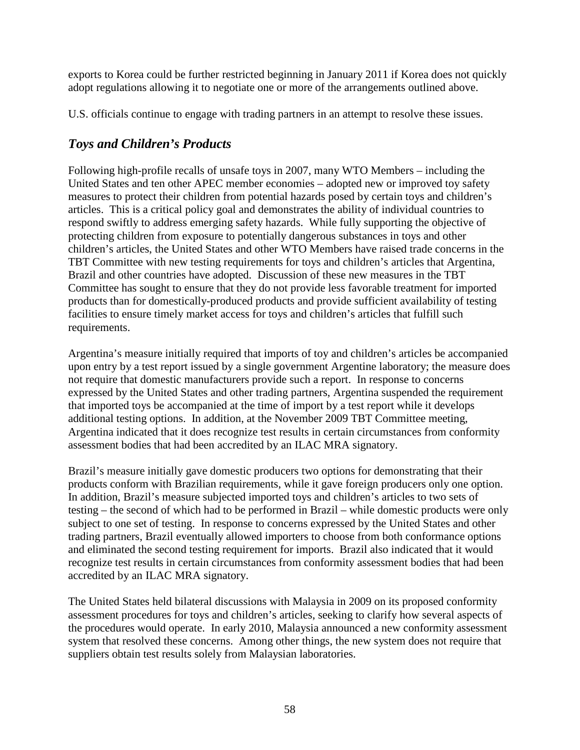exports to Korea could be further restricted beginning in January 2011 if Korea does not quickly adopt regulations allowing it to negotiate one or more of the arrangements outlined above.

U.S. officials continue to engage with trading partners in an attempt to resolve these issues.

# *Toys and Children's Products*

Following high-profile recalls of unsafe toys in 2007, many WTO Members – including the United States and ten other APEC member economies – adopted new or improved toy safety measures to protect their children from potential hazards posed by certain toys and children's articles. This is a critical policy goal and demonstrates the ability of individual countries to respond swiftly to address emerging safety hazards. While fully supporting the objective of protecting children from exposure to potentially dangerous substances in toys and other children's articles, the United States and other WTO Members have raised trade concerns in the TBT Committee with new testing requirements for toys and children's articles that Argentina, Brazil and other countries have adopted. Discussion of these new measures in the TBT Committee has sought to ensure that they do not provide less favorable treatment for imported products than for domestically-produced products and provide sufficient availability of testing facilities to ensure timely market access for toys and children's articles that fulfill such requirements.

Argentina's measure initially required that imports of toy and children's articles be accompanied upon entry by a test report issued by a single government Argentine laboratory; the measure does not require that domestic manufacturers provide such a report. In response to concerns expressed by the United States and other trading partners, Argentina suspended the requirement that imported toys be accompanied at the time of import by a test report while it develops additional testing options. In addition, at the November 2009 TBT Committee meeting, Argentina indicated that it does recognize test results in certain circumstances from conformity assessment bodies that had been accredited by an ILAC MRA signatory.

Brazil's measure initially gave domestic producers two options for demonstrating that their products conform with Brazilian requirements, while it gave foreign producers only one option. In addition, Brazil's measure subjected imported toys and children's articles to two sets of testing – the second of which had to be performed in Brazil – while domestic products were only subject to one set of testing. In response to concerns expressed by the United States and other trading partners, Brazil eventually allowed importers to choose from both conformance options and eliminated the second testing requirement for imports. Brazil also indicated that it would recognize test results in certain circumstances from conformity assessment bodies that had been accredited by an ILAC MRA signatory.

The United States held bilateral discussions with Malaysia in 2009 on its proposed conformity assessment procedures for toys and children's articles, seeking to clarify how several aspects of the procedures would operate. In early 2010, Malaysia announced a new conformity assessment system that resolved these concerns. Among other things, the new system does not require that suppliers obtain test results solely from Malaysian laboratories.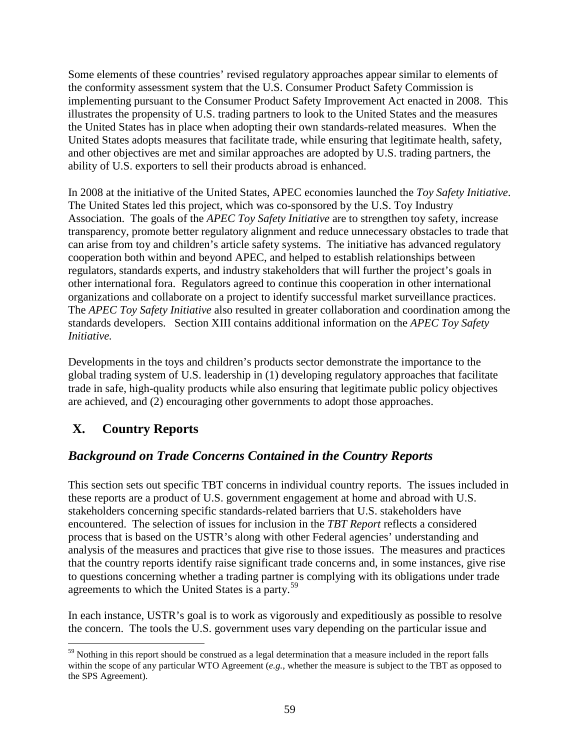Some elements of these countries' revised regulatory approaches appear similar to elements of the conformity assessment system that the U.S. Consumer Product Safety Commission is implementing pursuant to the Consumer Product Safety Improvement Act enacted in 2008. This illustrates the propensity of U.S. trading partners to look to the United States and the measures the United States has in place when adopting their own standards-related measures. When the United States adopts measures that facilitate trade, while ensuring that legitimate health, safety, and other objectives are met and similar approaches are adopted by U.S. trading partners, the ability of U.S. exporters to sell their products abroad is enhanced.

In 2008 at the initiative of the United States, APEC economies launched the *Toy Safety Initiative*. The United States led this project, which was co-sponsored by the U.S. Toy Industry Association. The goals of the *APEC Toy Safety Initiative* are to strengthen toy safety, increase transparency, promote better regulatory alignment and reduce unnecessary obstacles to trade that can arise from toy and children's article safety systems. The initiative has advanced regulatory cooperation both within and beyond APEC, and helped to establish relationships between regulators, standards experts, and industry stakeholders that will further the project's goals in other international fora. Regulators agreed to continue this cooperation in other international organizations and collaborate on a project to identify successful market surveillance practices. The *APEC Toy Safety Initiative* also resulted in greater collaboration and coordination among the standards developers. Section XIII contains additional information on the *APEC Toy Safety Initiative.*

Developments in the toys and children's products sector demonstrate the importance to the global trading system of U.S. leadership in (1) developing regulatory approaches that facilitate trade in safe, high-quality products while also ensuring that legitimate public policy objectives are achieved, and (2) encouraging other governments to adopt those approaches.

# **X. Country Reports**

# *Background on Trade Concerns Contained in the Country Reports*

This section sets out specific TBT concerns in individual country reports. The issues included in these reports are a product of U.S. government engagement at home and abroad with U.S. stakeholders concerning specific standards-related barriers that U.S. stakeholders have encountered. The selection of issues for inclusion in the *TBT Report* reflects a considered process that is based on the USTR's along with other Federal agencies' understanding and analysis of the measures and practices that give rise to those issues. The measures and practices that the country reports identify raise significant trade concerns and, in some instances, give rise to questions concerning whether a trading partner is complying with its obligations under trade agreements to which the United States is a party.<sup>[59](#page-58-0)</sup>

In each instance, USTR's goal is to work as vigorously and expeditiously as possible to resolve the concern. The tools the U.S. government uses vary depending on the particular issue and

<span id="page-58-0"></span><sup>&</sup>lt;sup>59</sup> Nothing in this report should be construed as a legal determination that a measure included in the report falls within the scope of any particular WTO Agreement (*e.g.*, whether the measure is subject to the TBT as opposed to the SPS Agreement).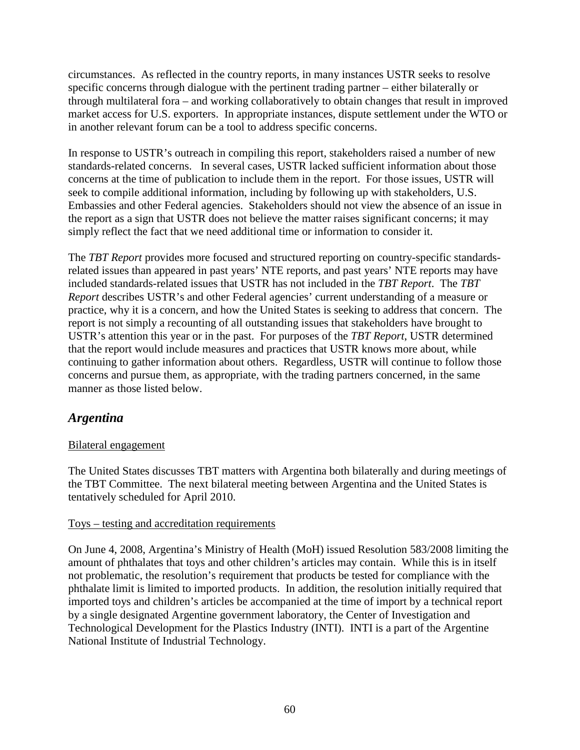circumstances. As reflected in the country reports, in many instances USTR seeks to resolve specific concerns through dialogue with the pertinent trading partner – either bilaterally or through multilateral fora – and working collaboratively to obtain changes that result in improved market access for U.S. exporters. In appropriate instances, dispute settlement under the WTO or in another relevant forum can be a tool to address specific concerns.

In response to USTR's outreach in compiling this report, stakeholders raised a number of new standards-related concerns. In several cases, USTR lacked sufficient information about those concerns at the time of publication to include them in the report. For those issues, USTR will seek to compile additional information, including by following up with stakeholders, U.S. Embassies and other Federal agencies. Stakeholders should not view the absence of an issue in the report as a sign that USTR does not believe the matter raises significant concerns; it may simply reflect the fact that we need additional time or information to consider it.

The *TBT Report* provides more focused and structured reporting on country-specific standardsrelated issues than appeared in past years' NTE reports, and past years' NTE reports may have included standards-related issues that USTR has not included in the *TBT Report*. The *TBT Report* describes USTR's and other Federal agencies' current understanding of a measure or practice, why it is a concern, and how the United States is seeking to address that concern. The report is not simply a recounting of all outstanding issues that stakeholders have brought to USTR's attention this year or in the past. For purposes of the *TBT Report*, USTR determined that the report would include measures and practices that USTR knows more about, while continuing to gather information about others. Regardless, USTR will continue to follow those concerns and pursue them, as appropriate, with the trading partners concerned, in the same manner as those listed below.

# *Argentina*

### Bilateral engagement

The United States discusses TBT matters with Argentina both bilaterally and during meetings of the TBT Committee. The next bilateral meeting between Argentina and the United States is tentatively scheduled for April 2010.

#### Toys – testing and accreditation requirements

On June 4, 2008, Argentina's Ministry of Health (MoH) issued Resolution 583/2008 limiting the amount of phthalates that toys and other children's articles may contain. While this is in itself not problematic, the resolution's requirement that products be tested for compliance with the phthalate limit is limited to imported products. In addition, the resolution initially required that imported toys and children's articles be accompanied at the time of import by a technical report by a single designated Argentine government laboratory, the Center of Investigation and Technological Development for the Plastics Industry (INTI). INTI is a part of the Argentine National Institute of Industrial Technology.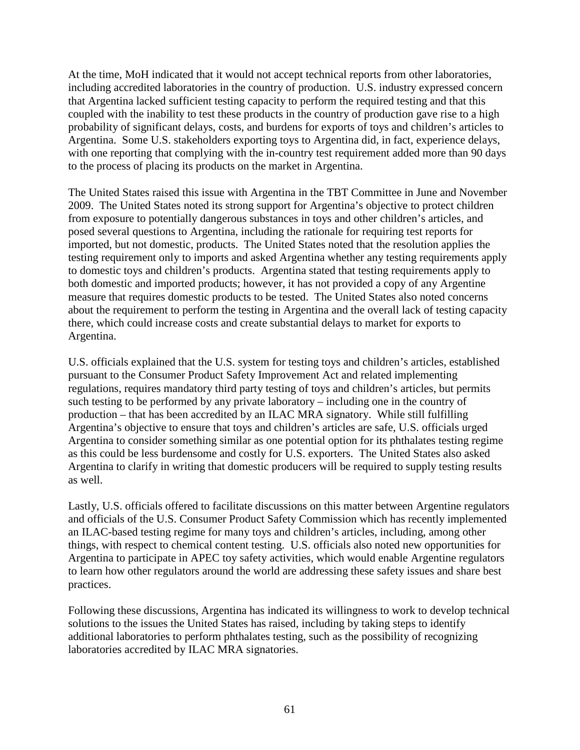At the time, MoH indicated that it would not accept technical reports from other laboratories, including accredited laboratories in the country of production. U.S. industry expressed concern that Argentina lacked sufficient testing capacity to perform the required testing and that this coupled with the inability to test these products in the country of production gave rise to a high probability of significant delays, costs, and burdens for exports of toys and children's articles to Argentina. Some U.S. stakeholders exporting toys to Argentina did, in fact, experience delays, with one reporting that complying with the in-country test requirement added more than 90 days to the process of placing its products on the market in Argentina.

The United States raised this issue with Argentina in the TBT Committee in June and November 2009. The United States noted its strong support for Argentina's objective to protect children from exposure to potentially dangerous substances in toys and other children's articles, and posed several questions to Argentina, including the rationale for requiring test reports for imported, but not domestic, products. The United States noted that the resolution applies the testing requirement only to imports and asked Argentina whether any testing requirements apply to domestic toys and children's products. Argentina stated that testing requirements apply to both domestic and imported products; however, it has not provided a copy of any Argentine measure that requires domestic products to be tested. The United States also noted concerns about the requirement to perform the testing in Argentina and the overall lack of testing capacity there, which could increase costs and create substantial delays to market for exports to Argentina.

U.S. officials explained that the U.S. system for testing toys and children's articles, established pursuant to the Consumer Product Safety Improvement Act and related implementing regulations, requires mandatory third party testing of toys and children's articles, but permits such testing to be performed by any private laboratory – including one in the country of production – that has been accredited by an ILAC MRA signatory. While still fulfilling Argentina's objective to ensure that toys and children's articles are safe, U.S. officials urged Argentina to consider something similar as one potential option for its phthalates testing regime as this could be less burdensome and costly for U.S. exporters. The United States also asked Argentina to clarify in writing that domestic producers will be required to supply testing results as well.

Lastly, U.S. officials offered to facilitate discussions on this matter between Argentine regulators and officials of the U.S. Consumer Product Safety Commission which has recently implemented an ILAC-based testing regime for many toys and children's articles, including, among other things, with respect to chemical content testing. U.S. officials also noted new opportunities for Argentina to participate in APEC toy safety activities, which would enable Argentine regulators to learn how other regulators around the world are addressing these safety issues and share best practices.

Following these discussions, Argentina has indicated its willingness to work to develop technical solutions to the issues the United States has raised, including by taking steps to identify additional laboratories to perform phthalates testing, such as the possibility of recognizing laboratories accredited by ILAC MRA signatories.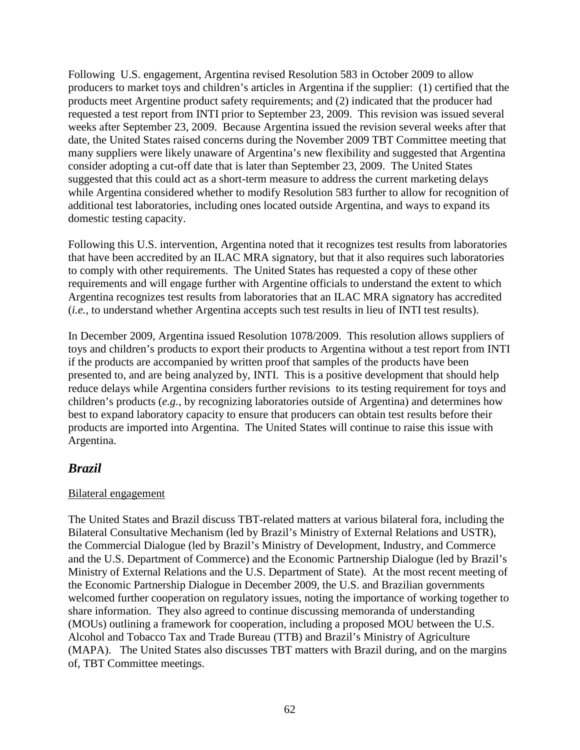Following U.S. engagement, Argentina revised Resolution 583 in October 2009 to allow producers to market toys and children's articles in Argentina if the supplier: (1) certified that the products meet Argentine product safety requirements; and (2) indicated that the producer had requested a test report from INTI prior to September 23, 2009. This revision was issued several weeks after September 23, 2009. Because Argentina issued the revision several weeks after that date, the United States raised concerns during the November 2009 TBT Committee meeting that many suppliers were likely unaware of Argentina's new flexibility and suggested that Argentina consider adopting a cut-off date that is later than September 23, 2009. The United States suggested that this could act as a short-term measure to address the current marketing delays while Argentina considered whether to modify Resolution 583 further to allow for recognition of additional test laboratories, including ones located outside Argentina, and ways to expand its domestic testing capacity.

Following this U.S. intervention, Argentina noted that it recognizes test results from laboratories that have been accredited by an ILAC MRA signatory, but that it also requires such laboratories to comply with other requirements. The United States has requested a copy of these other requirements and will engage further with Argentine officials to understand the extent to which Argentina recognizes test results from laboratories that an ILAC MRA signatory has accredited (*i.e.*, to understand whether Argentina accepts such test results in lieu of INTI test results).

In December 2009, Argentina issued Resolution 1078/2009. This resolution allows suppliers of toys and children's products to export their products to Argentina without a test report from INTI if the products are accompanied by written proof that samples of the products have been presented to, and are being analyzed by, INTI. This is a positive development that should help reduce delays while Argentina considers further revisions to its testing requirement for toys and children's products (*e.g.*, by recognizing laboratories outside of Argentina) and determines how best to expand laboratory capacity to ensure that producers can obtain test results before their products are imported into Argentina. The United States will continue to raise this issue with Argentina.

# *Brazil*

### Bilateral engagement

The United States and Brazil discuss TBT-related matters at various bilateral fora, including the Bilateral Consultative Mechanism (led by Brazil's Ministry of External Relations and USTR), the Commercial Dialogue (led by Brazil's Ministry of Development, Industry, and Commerce and the U.S. Department of Commerce) and the Economic Partnership Dialogue (led by Brazil's Ministry of External Relations and the U.S. Department of State). At the most recent meeting of the Economic Partnership Dialogue in December 2009, the U.S. and Brazilian governments welcomed further cooperation on regulatory issues, noting the importance of working together to share information. They also agreed to continue discussing memoranda of understanding (MOUs) outlining a framework for cooperation, including a proposed MOU between the U.S. Alcohol and Tobacco Tax and Trade Bureau (TTB) and Brazil's Ministry of Agriculture (MAPA). The United States also discusses TBT matters with Brazil during, and on the margins of, TBT Committee meetings.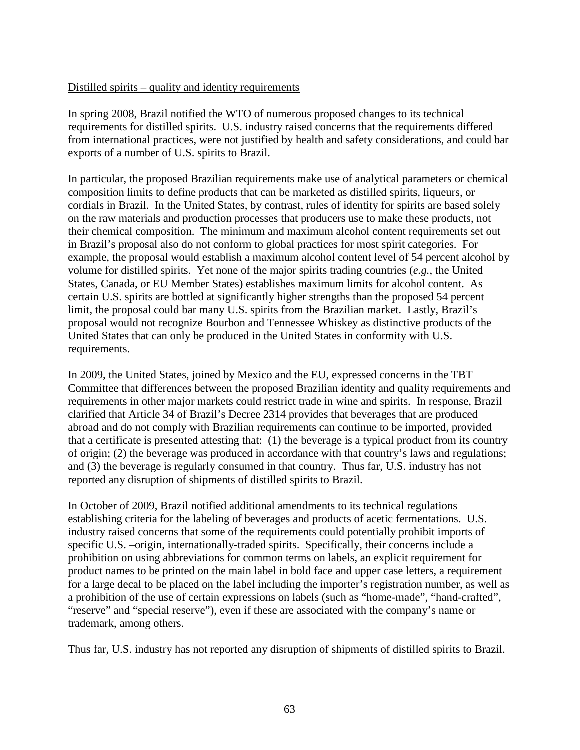#### Distilled spirits – quality and identity requirements

In spring 2008, Brazil notified the WTO of numerous proposed changes to its technical requirements for distilled spirits. U.S. industry raised concerns that the requirements differed from international practices, were not justified by health and safety considerations, and could bar exports of a number of U.S. spirits to Brazil.

In particular, the proposed Brazilian requirements make use of analytical parameters or chemical composition limits to define products that can be marketed as distilled spirits, liqueurs, or cordials in Brazil. In the United States, by contrast, rules of identity for spirits are based solely on the raw materials and production processes that producers use to make these products, not their chemical composition. The minimum and maximum alcohol content requirements set out in Brazil's proposal also do not conform to global practices for most spirit categories. For example, the proposal would establish a maximum alcohol content level of 54 percent alcohol by volume for distilled spirits. Yet none of the major spirits trading countries (*e.g.*, the United States, Canada, or EU Member States) establishes maximum limits for alcohol content. As certain U.S. spirits are bottled at significantly higher strengths than the proposed 54 percent limit, the proposal could bar many U.S. spirits from the Brazilian market. Lastly, Brazil's proposal would not recognize Bourbon and Tennessee Whiskey as distinctive products of the United States that can only be produced in the United States in conformity with U.S. requirements.

In 2009, the United States, joined by Mexico and the EU, expressed concerns in the TBT Committee that differences between the proposed Brazilian identity and quality requirements and requirements in other major markets could restrict trade in wine and spirits. In response, Brazil clarified that Article 34 of Brazil's Decree 2314 provides that beverages that are produced abroad and do not comply with Brazilian requirements can continue to be imported, provided that a certificate is presented attesting that: (1) the beverage is a typical product from its country of origin; (2) the beverage was produced in accordance with that country's laws and regulations; and (3) the beverage is regularly consumed in that country. Thus far, U.S. industry has not reported any disruption of shipments of distilled spirits to Brazil.

In October of 2009, Brazil notified additional amendments to its technical regulations establishing criteria for the labeling of beverages and products of acetic fermentations. U.S. industry raised concerns that some of the requirements could potentially prohibit imports of specific U.S. –origin, internationally-traded spirits. Specifically, their concerns include a prohibition on using abbreviations for common terms on labels, an explicit requirement for product names to be printed on the main label in bold face and upper case letters, a requirement for a large decal to be placed on the label including the importer's registration number, as well as a prohibition of the use of certain expressions on labels (such as "home-made", "hand-crafted", "reserve" and "special reserve"), even if these are associated with the company's name or trademark, among others.

Thus far, U.S. industry has not reported any disruption of shipments of distilled spirits to Brazil.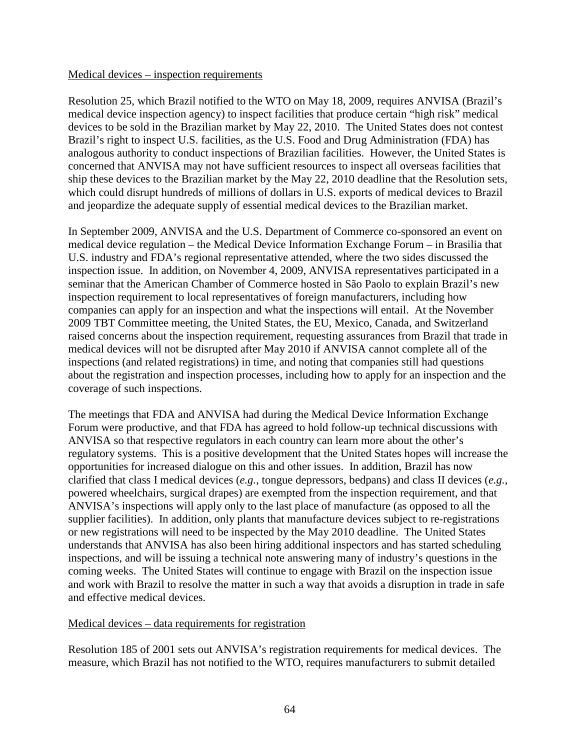#### Medical devices – inspection requirements

Resolution 25, which Brazil notified to the WTO on May 18, 2009, requires ANVISA (Brazil's medical device inspection agency) to inspect facilities that produce certain "high risk" medical devices to be sold in the Brazilian market by May 22, 2010. The United States does not contest Brazil's right to inspect U.S. facilities, as the U.S. Food and Drug Administration (FDA) has analogous authority to conduct inspections of Brazilian facilities. However, the United States is concerned that ANVISA may not have sufficient resources to inspect all overseas facilities that ship these devices to the Brazilian market by the May 22, 2010 deadline that the Resolution sets, which could disrupt hundreds of millions of dollars in U.S. exports of medical devices to Brazil and jeopardize the adequate supply of essential medical devices to the Brazilian market.

In September 2009, ANVISA and the U.S. Department of Commerce co-sponsored an event on medical device regulation – the Medical Device Information Exchange Forum – in Brasilia that U.S. industry and FDA's regional representative attended, where the two sides discussed the inspection issue. In addition, on November 4, 2009, ANVISA representatives participated in a seminar that the American Chamber of Commerce hosted in São Paolo to explain Brazil's new inspection requirement to local representatives of foreign manufacturers, including how companies can apply for an inspection and what the inspections will entail. At the November 2009 TBT Committee meeting, the United States, the EU, Mexico, Canada, and Switzerland raised concerns about the inspection requirement, requesting assurances from Brazil that trade in medical devices will not be disrupted after May 2010 if ANVISA cannot complete all of the inspections (and related registrations) in time, and noting that companies still had questions about the registration and inspection processes, including how to apply for an inspection and the coverage of such inspections.

The meetings that FDA and ANVISA had during the Medical Device Information Exchange Forum were productive, and that FDA has agreed to hold follow-up technical discussions with ANVISA so that respective regulators in each country can learn more about the other's regulatory systems. This is a positive development that the United States hopes will increase the opportunities for increased dialogue on this and other issues. In addition, Brazil has now clarified that class I medical devices (*e.g.*, tongue depressors, bedpans) and class II devices (*e.g.*, powered wheelchairs, surgical drapes) are exempted from the inspection requirement, and that ANVISA's inspections will apply only to the last place of manufacture (as opposed to all the supplier facilities). In addition, only plants that manufacture devices subject to re-registrations or new registrations will need to be inspected by the May 2010 deadline. The United States understands that ANVISA has also been hiring additional inspectors and has started scheduling inspections, and will be issuing a technical note answering many of industry's questions in the coming weeks. The United States will continue to engage with Brazil on the inspection issue and work with Brazil to resolve the matter in such a way that avoids a disruption in trade in safe and effective medical devices.

#### Medical devices – data requirements for registration

Resolution 185 of 2001 sets out ANVISA's registration requirements for medical devices. The measure, which Brazil has not notified to the WTO, requires manufacturers to submit detailed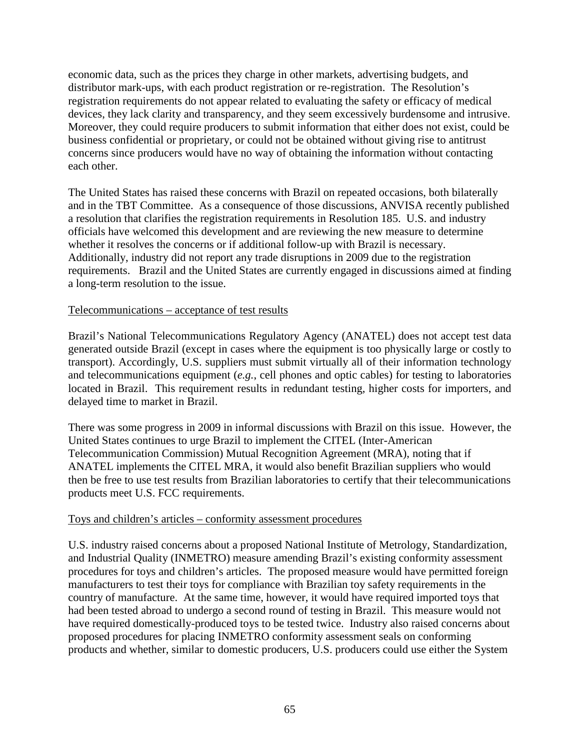economic data, such as the prices they charge in other markets, advertising budgets, and distributor mark-ups, with each product registration or re-registration. The Resolution's registration requirements do not appear related to evaluating the safety or efficacy of medical devices, they lack clarity and transparency, and they seem excessively burdensome and intrusive. Moreover, they could require producers to submit information that either does not exist, could be business confidential or proprietary, or could not be obtained without giving rise to antitrust concerns since producers would have no way of obtaining the information without contacting each other.

The United States has raised these concerns with Brazil on repeated occasions, both bilaterally and in the TBT Committee. As a consequence of those discussions, ANVISA recently published a resolution that clarifies the registration requirements in Resolution 185. U.S. and industry officials have welcomed this development and are reviewing the new measure to determine whether it resolves the concerns or if additional follow-up with Brazil is necessary. Additionally, industry did not report any trade disruptions in 2009 due to the registration requirements. Brazil and the United States are currently engaged in discussions aimed at finding a long-term resolution to the issue.

#### Telecommunications – acceptance of test results

Brazil's National Telecommunications Regulatory Agency (ANATEL) does not accept test data generated outside Brazil (except in cases where the equipment is too physically large or costly to transport). Accordingly, U.S. suppliers must submit virtually all of their information technology and telecommunications equipment (*e.g.*, cell phones and optic cables) for testing to laboratories located in Brazil. This requirement results in redundant testing, higher costs for importers, and delayed time to market in Brazil.

There was some progress in 2009 in informal discussions with Brazil on this issue. However, the United States continues to urge Brazil to implement the CITEL (Inter-American Telecommunication Commission) Mutual Recognition Agreement (MRA), noting that if ANATEL implements the CITEL MRA, it would also benefit Brazilian suppliers who would then be free to use test results from Brazilian laboratories to certify that their telecommunications products meet U.S. FCC requirements.

#### Toys and children's articles – conformity assessment procedures

U.S. industry raised concerns about a proposed National Institute of Metrology, Standardization, and Industrial Quality (INMETRO) measure amending Brazil's existing conformity assessment procedures for toys and children's articles. The proposed measure would have permitted foreign manufacturers to test their toys for compliance with Brazilian toy safety requirements in the country of manufacture. At the same time, however, it would have required imported toys that had been tested abroad to undergo a second round of testing in Brazil. This measure would not have required domestically-produced toys to be tested twice. Industry also raised concerns about proposed procedures for placing INMETRO conformity assessment seals on conforming products and whether, similar to domestic producers, U.S. producers could use either the System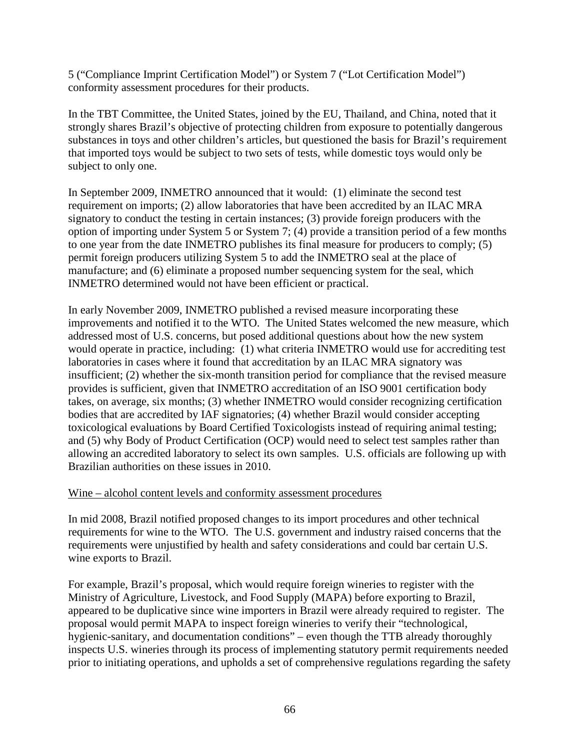5 ("Compliance Imprint Certification Model") or System 7 ("Lot Certification Model") conformity assessment procedures for their products.

In the TBT Committee, the United States, joined by the EU, Thailand, and China, noted that it strongly shares Brazil's objective of protecting children from exposure to potentially dangerous substances in toys and other children's articles, but questioned the basis for Brazil's requirement that imported toys would be subject to two sets of tests, while domestic toys would only be subject to only one.

In September 2009, INMETRO announced that it would: (1) eliminate the second test requirement on imports; (2) allow laboratories that have been accredited by an ILAC MRA signatory to conduct the testing in certain instances; (3) provide foreign producers with the option of importing under System 5 or System 7; (4) provide a transition period of a few months to one year from the date INMETRO publishes its final measure for producers to comply; (5) permit foreign producers utilizing System 5 to add the INMETRO seal at the place of manufacture; and (6) eliminate a proposed number sequencing system for the seal, which INMETRO determined would not have been efficient or practical.

In early November 2009, INMETRO published a revised measure incorporating these improvements and notified it to the WTO. The United States welcomed the new measure, which addressed most of U.S. concerns, but posed additional questions about how the new system would operate in practice, including: (1) what criteria INMETRO would use for accrediting test laboratories in cases where it found that accreditation by an ILAC MRA signatory was insufficient; (2) whether the six-month transition period for compliance that the revised measure provides is sufficient, given that INMETRO accreditation of an ISO 9001 certification body takes, on average, six months; (3) whether INMETRO would consider recognizing certification bodies that are accredited by IAF signatories; (4) whether Brazil would consider accepting toxicological evaluations by Board Certified Toxicologists instead of requiring animal testing; and (5) why Body of Product Certification (OCP) would need to select test samples rather than allowing an accredited laboratory to select its own samples. U.S. officials are following up with Brazilian authorities on these issues in 2010.

#### Wine – alcohol content levels and conformity assessment procedures

In mid 2008, Brazil notified proposed changes to its import procedures and other technical requirements for wine to the WTO. The U.S. government and industry raised concerns that the requirements were unjustified by health and safety considerations and could bar certain U.S. wine exports to Brazil.

For example, Brazil's proposal, which would require foreign wineries to register with the Ministry of Agriculture, Livestock, and Food Supply (MAPA) before exporting to Brazil, appeared to be duplicative since wine importers in Brazil were already required to register. The proposal would permit MAPA to inspect foreign wineries to verify their "technological, hygienic-sanitary, and documentation conditions" – even though the TTB already thoroughly inspects U.S. wineries through its process of implementing statutory permit requirements needed prior to initiating operations, and upholds a set of comprehensive regulations regarding the safety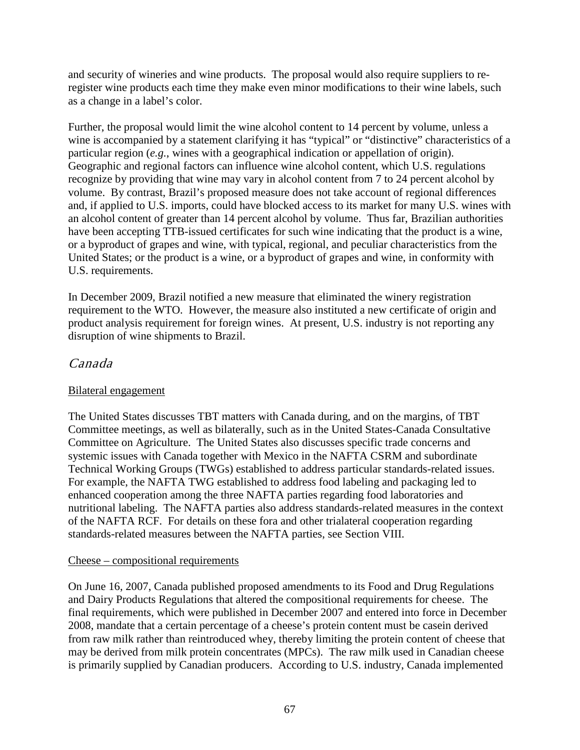and security of wineries and wine products. The proposal would also require suppliers to reregister wine products each time they make even minor modifications to their wine labels, such as a change in a label's color.

Further, the proposal would limit the wine alcohol content to 14 percent by volume, unless a wine is accompanied by a statement clarifying it has "typical" or "distinctive" characteristics of a particular region (*e.g.*, wines with a geographical indication or appellation of origin). Geographic and regional factors can influence wine alcohol content, which U.S. regulations recognize by providing that wine may vary in alcohol content from 7 to 24 percent alcohol by volume. By contrast, Brazil's proposed measure does not take account of regional differences and, if applied to U.S. imports, could have blocked access to its market for many U.S. wines with an alcohol content of greater than 14 percent alcohol by volume. Thus far, Brazilian authorities have been accepting TTB-issued certificates for such wine indicating that the product is a wine, or a byproduct of grapes and wine, with typical, regional, and peculiar characteristics from the United States; or the product is a wine, or a byproduct of grapes and wine, in conformity with U.S. requirements.

In December 2009, Brazil notified a new measure that eliminated the winery registration requirement to the WTO. However, the measure also instituted a new certificate of origin and product analysis requirement for foreign wines. At present, U.S. industry is not reporting any disruption of wine shipments to Brazil.

# Canada

### Bilateral engagement

The United States discusses TBT matters with Canada during, and on the margins, of TBT Committee meetings, as well as bilaterally, such as in the United States-Canada Consultative Committee on Agriculture. The United States also discusses specific trade concerns and systemic issues with Canada together with Mexico in the NAFTA CSRM and subordinate Technical Working Groups (TWGs) established to address particular standards-related issues. For example, the NAFTA TWG established to address food labeling and packaging led to enhanced cooperation among the three NAFTA parties regarding food laboratories and nutritional labeling. The NAFTA parties also address standards-related measures in the context of the NAFTA RCF. For details on these fora and other trialateral cooperation regarding standards-related measures between the NAFTA parties, see Section VIII.

### Cheese – compositional requirements

On June 16, 2007, Canada published proposed amendments to its Food and Drug Regulations and Dairy Products Regulations that altered the compositional requirements for cheese. The final requirements, which were published in December 2007 and entered into force in December 2008, mandate that a certain percentage of a cheese's protein content must be casein derived from raw milk rather than reintroduced whey, thereby limiting the protein content of cheese that may be derived from milk protein concentrates (MPCs). The raw milk used in Canadian cheese is primarily supplied by Canadian producers. According to U.S. industry, Canada implemented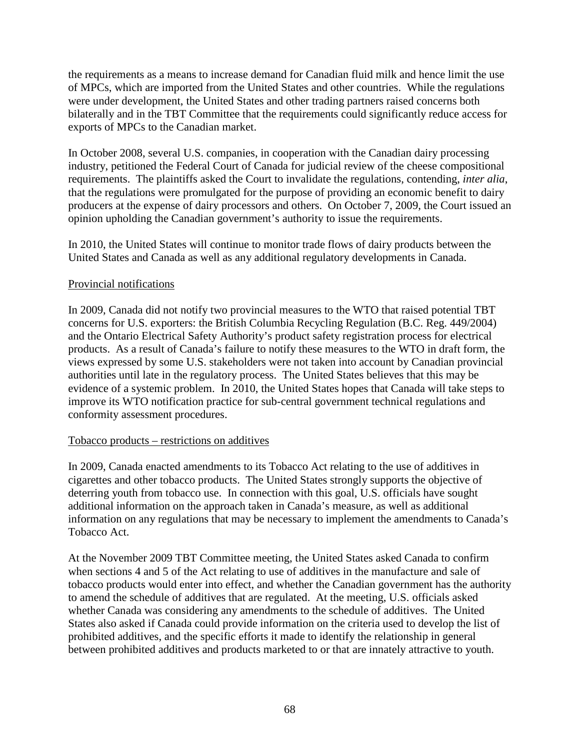the requirements as a means to increase demand for Canadian fluid milk and hence limit the use of MPCs, which are imported from the United States and other countries. While the regulations were under development, the United States and other trading partners raised concerns both bilaterally and in the TBT Committee that the requirements could significantly reduce access for exports of MPCs to the Canadian market.

In October 2008, several U.S. companies, in cooperation with the Canadian dairy processing industry, petitioned the Federal Court of Canada for judicial review of the cheese compositional requirements. The plaintiffs asked the Court to invalidate the regulations, contending, *inter alia*, that the regulations were promulgated for the purpose of providing an economic benefit to dairy producers at the expense of dairy processors and others. On October 7, 2009, the Court issued an opinion upholding the Canadian government's authority to issue the requirements.

In 2010, the United States will continue to monitor trade flows of dairy products between the United States and Canada as well as any additional regulatory developments in Canada.

#### Provincial notifications

In 2009, Canada did not notify two provincial measures to the WTO that raised potential TBT concerns for U.S. exporters: the British Columbia Recycling Regulation (B.C. Reg. 449/2004) and the Ontario Electrical Safety Authority's product safety registration process for electrical products. As a result of Canada's failure to notify these measures to the WTO in draft form, the views expressed by some U.S. stakeholders were not taken into account by Canadian provincial authorities until late in the regulatory process. The United States believes that this may be evidence of a systemic problem. In 2010, the United States hopes that Canada will take steps to improve its WTO notification practice for sub-central government technical regulations and conformity assessment procedures.

#### Tobacco products – restrictions on additives

In 2009, Canada enacted amendments to its Tobacco Act relating to the use of additives in cigarettes and other tobacco products. The United States strongly supports the objective of deterring youth from tobacco use. In connection with this goal, U.S. officials have sought additional information on the approach taken in Canada's measure, as well as additional information on any regulations that may be necessary to implement the amendments to Canada's Tobacco Act.

At the November 2009 TBT Committee meeting, the United States asked Canada to confirm when sections 4 and 5 of the Act relating to use of additives in the manufacture and sale of tobacco products would enter into effect, and whether the Canadian government has the authority to amend the schedule of additives that are regulated. At the meeting, U.S. officials asked whether Canada was considering any amendments to the schedule of additives. The United States also asked if Canada could provide information on the criteria used to develop the list of prohibited additives, and the specific efforts it made to identify the relationship in general between prohibited additives and products marketed to or that are innately attractive to youth.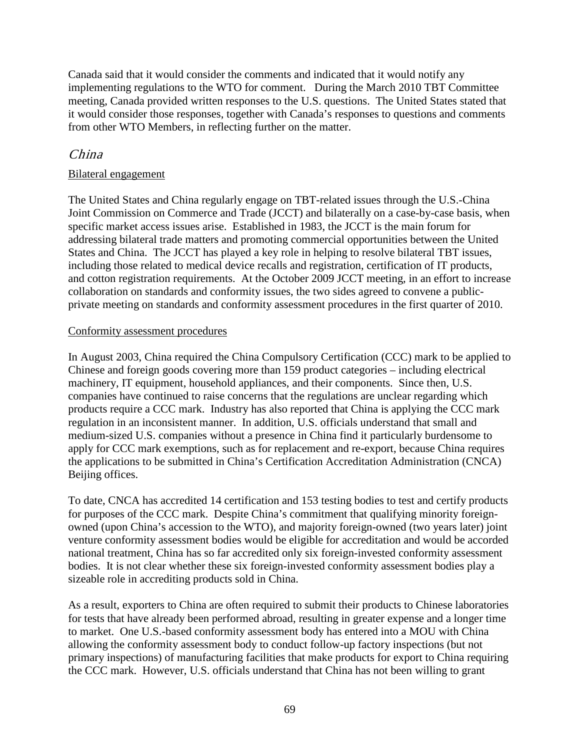Canada said that it would consider the comments and indicated that it would notify any implementing regulations to the WTO for comment. During the March 2010 TBT Committee meeting, Canada provided written responses to the U.S. questions. The United States stated that it would consider those responses, together with Canada's responses to questions and comments from other WTO Members, in reflecting further on the matter.

## China

### Bilateral engagement

The United States and China regularly engage on TBT-related issues through the U.S.-China Joint Commission on Commerce and Trade (JCCT) and bilaterally on a case-by-case basis, when specific market access issues arise. Established in 1983, the JCCT is the main forum for addressing bilateral trade matters and promoting commercial opportunities between the United States and China. The JCCT has played a key role in helping to resolve bilateral TBT issues, including those related to medical device recalls and registration, certification of IT products, and cotton registration requirements. At the October 2009 JCCT meeting, in an effort to increase collaboration on standards and conformity issues, the two sides agreed to convene a publicprivate meeting on standards and conformity assessment procedures in the first quarter of 2010.

#### Conformity assessment procedures

In August 2003, China required the China Compulsory Certification (CCC) mark to be applied to Chinese and foreign goods covering more than 159 product categories – including electrical machinery, IT equipment, household appliances, and their components. Since then, U.S. companies have continued to raise concerns that the regulations are unclear regarding which products require a CCC mark. Industry has also reported that China is applying the CCC mark regulation in an inconsistent manner. In addition, U.S. officials understand that small and medium-sized U.S. companies without a presence in China find it particularly burdensome to apply for CCC mark exemptions, such as for replacement and re-export, because China requires the applications to be submitted in China's Certification Accreditation Administration (CNCA) Beijing offices.

To date, CNCA has accredited 14 certification and 153 testing bodies to test and certify products for purposes of the CCC mark. Despite China's commitment that qualifying minority foreignowned (upon China's accession to the WTO), and majority foreign-owned (two years later) joint venture conformity assessment bodies would be eligible for accreditation and would be accorded national treatment, China has so far accredited only six foreign-invested conformity assessment bodies. It is not clear whether these six foreign-invested conformity assessment bodies play a sizeable role in accrediting products sold in China.

As a result, exporters to China are often required to submit their products to Chinese laboratories for tests that have already been performed abroad, resulting in greater expense and a longer time to market. One U.S.-based conformity assessment body has entered into a MOU with China allowing the conformity assessment body to conduct follow-up factory inspections (but not primary inspections) of manufacturing facilities that make products for export to China requiring the CCC mark. However, U.S. officials understand that China has not been willing to grant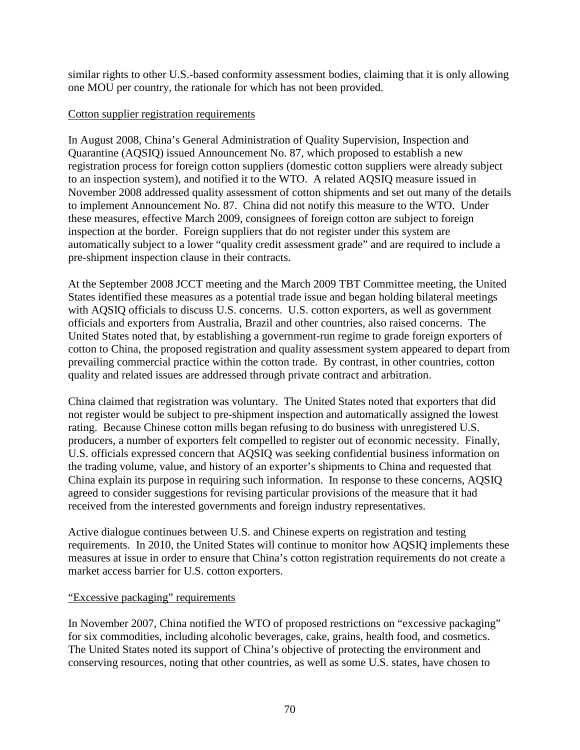similar rights to other U.S.-based conformity assessment bodies, claiming that it is only allowing one MOU per country, the rationale for which has not been provided.

### Cotton supplier registration requirements

In August 2008, China's General Administration of Quality Supervision, Inspection and Quarantine (AQSIQ) issued Announcement No. 87, which proposed to establish a new registration process for foreign cotton suppliers (domestic cotton suppliers were already subject to an inspection system), and notified it to the WTO. A related AQSIQ measure issued in November 2008 addressed quality assessment of cotton shipments and set out many of the details to implement Announcement No. 87. China did not notify this measure to the WTO. Under these measures, effective March 2009, consignees of foreign cotton are subject to foreign inspection at the border. Foreign suppliers that do not register under this system are automatically subject to a lower "quality credit assessment grade" and are required to include a pre-shipment inspection clause in their contracts.

At the September 2008 JCCT meeting and the March 2009 TBT Committee meeting, the United States identified these measures as a potential trade issue and began holding bilateral meetings with AQSIQ officials to discuss U.S. concerns. U.S. cotton exporters, as well as government officials and exporters from Australia, Brazil and other countries, also raised concerns. The United States noted that, by establishing a government-run regime to grade foreign exporters of cotton to China, the proposed registration and quality assessment system appeared to depart from prevailing commercial practice within the cotton trade. By contrast, in other countries, cotton quality and related issues are addressed through private contract and arbitration.

China claimed that registration was voluntary. The United States noted that exporters that did not register would be subject to pre-shipment inspection and automatically assigned the lowest rating. Because Chinese cotton mills began refusing to do business with unregistered U.S. producers, a number of exporters felt compelled to register out of economic necessity. Finally, U.S. officials expressed concern that AQSIQ was seeking confidential business information on the trading volume, value, and history of an exporter's shipments to China and requested that China explain its purpose in requiring such information. In response to these concerns, AQSIQ agreed to consider suggestions for revising particular provisions of the measure that it had received from the interested governments and foreign industry representatives.

Active dialogue continues between U.S. and Chinese experts on registration and testing requirements. In 2010, the United States will continue to monitor how AQSIQ implements these measures at issue in order to ensure that China's cotton registration requirements do not create a market access barrier for U.S. cotton exporters.

### "Excessive packaging" requirements

In November 2007, China notified the WTO of proposed restrictions on "excessive packaging" for six commodities, including alcoholic beverages, cake, grains, health food, and cosmetics. The United States noted its support of China's objective of protecting the environment and conserving resources, noting that other countries, as well as some U.S. states, have chosen to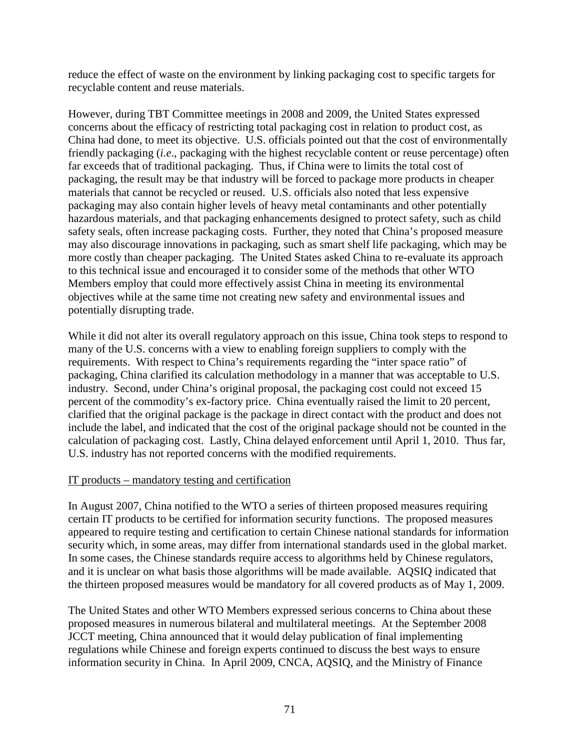reduce the effect of waste on the environment by linking packaging cost to specific targets for recyclable content and reuse materials.

However, during TBT Committee meetings in 2008 and 2009, the United States expressed concerns about the efficacy of restricting total packaging cost in relation to product cost, as China had done, to meet its objective. U.S. officials pointed out that the cost of environmentally friendly packaging (*i.e*., packaging with the highest recyclable content or reuse percentage) often far exceeds that of traditional packaging. Thus, if China were to limits the total cost of packaging, the result may be that industry will be forced to package more products in cheaper materials that cannot be recycled or reused. U.S. officials also noted that less expensive packaging may also contain higher levels of heavy metal contaminants and other potentially hazardous materials, and that packaging enhancements designed to protect safety, such as child safety seals, often increase packaging costs. Further, they noted that China's proposed measure may also discourage innovations in packaging, such as smart shelf life packaging, which may be more costly than cheaper packaging. The United States asked China to re-evaluate its approach to this technical issue and encouraged it to consider some of the methods that other WTO Members employ that could more effectively assist China in meeting its environmental objectives while at the same time not creating new safety and environmental issues and potentially disrupting trade.

While it did not alter its overall regulatory approach on this issue, China took steps to respond to many of the U.S. concerns with a view to enabling foreign suppliers to comply with the requirements. With respect to China's requirements regarding the "inter space ratio" of packaging, China clarified its calculation methodology in a manner that was acceptable to U.S. industry. Second, under China's original proposal, the packaging cost could not exceed 15 percent of the commodity's ex-factory price. China eventually raised the limit to 20 percent, clarified that the original package is the package in direct contact with the product and does not include the label, and indicated that the cost of the original package should not be counted in the calculation of packaging cost. Lastly, China delayed enforcement until April 1, 2010. Thus far, U.S. industry has not reported concerns with the modified requirements.

### IT products – mandatory testing and certification

In August 2007, China notified to the WTO a series of thirteen proposed measures requiring certain IT products to be certified for information security functions. The proposed measures appeared to require testing and certification to certain Chinese national standards for information security which, in some areas, may differ from international standards used in the global market. In some cases, the Chinese standards require access to algorithms held by Chinese regulators, and it is unclear on what basis those algorithms will be made available. AQSIQ indicated that the thirteen proposed measures would be mandatory for all covered products as of May 1, 2009.

The United States and other WTO Members expressed serious concerns to China about these proposed measures in numerous bilateral and multilateral meetings. At the September 2008 JCCT meeting, China announced that it would delay publication of final implementing regulations while Chinese and foreign experts continued to discuss the best ways to ensure information security in China. In April 2009, CNCA, AQSIQ, and the Ministry of Finance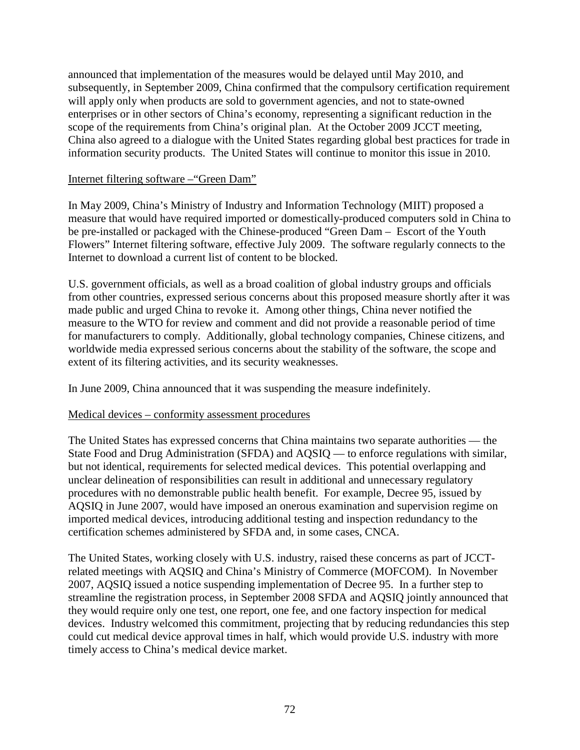announced that implementation of the measures would be delayed until May 2010, and subsequently, in September 2009, China confirmed that the compulsory certification requirement will apply only when products are sold to government agencies, and not to state-owned enterprises or in other sectors of China's economy, representing a significant reduction in the scope of the requirements from China's original plan. At the October 2009 JCCT meeting, China also agreed to a dialogue with the United States regarding global best practices for trade in information security products. The United States will continue to monitor this issue in 2010.

### Internet filtering software –"Green Dam"

In May 2009, China's Ministry of Industry and Information Technology (MIIT) proposed a measure that would have required imported or domestically-produced computers sold in China to be pre-installed or packaged with the Chinese-produced "Green Dam – Escort of the Youth Flowers" Internet filtering software, effective July 2009. The software regularly connects to the Internet to download a current list of content to be blocked.

U.S. government officials, as well as a broad coalition of global industry groups and officials from other countries, expressed serious concerns about this proposed measure shortly after it was made public and urged China to revoke it. Among other things, China never notified the measure to the WTO for review and comment and did not provide a reasonable period of time for manufacturers to comply. Additionally, global technology companies, Chinese citizens, and worldwide media expressed serious concerns about the stability of the software, the scope and extent of its filtering activities, and its security weaknesses.

In June 2009, China announced that it was suspending the measure indefinitely.

#### Medical devices – conformity assessment procedures

The United States has expressed concerns that China maintains two separate authorities — the State Food and Drug Administration (SFDA) and AQSIQ — to enforce regulations with similar, but not identical, requirements for selected medical devices. This potential overlapping and unclear delineation of responsibilities can result in additional and unnecessary regulatory procedures with no demonstrable public health benefit. For example, Decree 95, issued by AQSIQ in June 2007, would have imposed an onerous examination and supervision regime on imported medical devices, introducing additional testing and inspection redundancy to the certification schemes administered by SFDA and, in some cases, CNCA.

The United States, working closely with U.S. industry, raised these concerns as part of JCCTrelated meetings with AQSIQ and China's Ministry of Commerce (MOFCOM). In November 2007, AQSIQ issued a notice suspending implementation of Decree 95. In a further step to streamline the registration process, in September 2008 SFDA and AQSIQ jointly announced that they would require only one test, one report, one fee, and one factory inspection for medical devices. Industry welcomed this commitment, projecting that by reducing redundancies this step could cut medical device approval times in half, which would provide U.S. industry with more timely access to China's medical device market.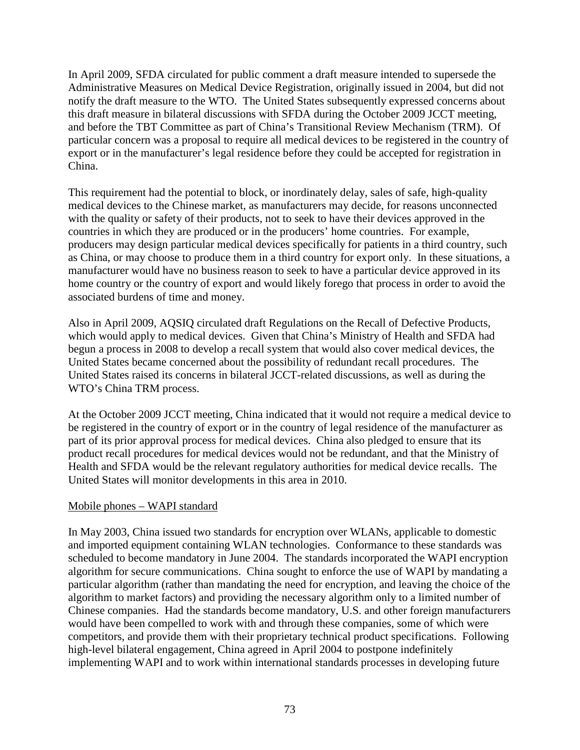In April 2009, SFDA circulated for public comment a draft measure intended to supersede the Administrative Measures on Medical Device Registration, originally issued in 2004, but did not notify the draft measure to the WTO. The United States subsequently expressed concerns about this draft measure in bilateral discussions with SFDA during the October 2009 JCCT meeting, and before the TBT Committee as part of China's Transitional Review Mechanism (TRM). Of particular concern was a proposal to require all medical devices to be registered in the country of export or in the manufacturer's legal residence before they could be accepted for registration in China.

This requirement had the potential to block, or inordinately delay, sales of safe, high-quality medical devices to the Chinese market, as manufacturers may decide, for reasons unconnected with the quality or safety of their products, not to seek to have their devices approved in the countries in which they are produced or in the producers' home countries. For example, producers may design particular medical devices specifically for patients in a third country, such as China, or may choose to produce them in a third country for export only. In these situations, a manufacturer would have no business reason to seek to have a particular device approved in its home country or the country of export and would likely forego that process in order to avoid the associated burdens of time and money.

Also in April 2009, AQSIQ circulated draft Regulations on the Recall of Defective Products, which would apply to medical devices. Given that China's Ministry of Health and SFDA had begun a process in 2008 to develop a recall system that would also cover medical devices, the United States became concerned about the possibility of redundant recall procedures. The United States raised its concerns in bilateral JCCT-related discussions, as well as during the WTO's China TRM process.

At the October 2009 JCCT meeting, China indicated that it would not require a medical device to be registered in the country of export or in the country of legal residence of the manufacturer as part of its prior approval process for medical devices. China also pledged to ensure that its product recall procedures for medical devices would not be redundant, and that the Ministry of Health and SFDA would be the relevant regulatory authorities for medical device recalls. The United States will monitor developments in this area in 2010.

## Mobile phones – WAPI standard

In May 2003, China issued two standards for encryption over WLANs, applicable to domestic and imported equipment containing WLAN technologies. Conformance to these standards was scheduled to become mandatory in June 2004. The standards incorporated the WAPI encryption algorithm for secure communications. China sought to enforce the use of WAPI by mandating a particular algorithm (rather than mandating the need for encryption, and leaving the choice of the algorithm to market factors) and providing the necessary algorithm only to a limited number of Chinese companies. Had the standards become mandatory, U.S. and other foreign manufacturers would have been compelled to work with and through these companies, some of which were competitors, and provide them with their proprietary technical product specifications. Following high-level bilateral engagement, China agreed in April 2004 to postpone indefinitely implementing WAPI and to work within international standards processes in developing future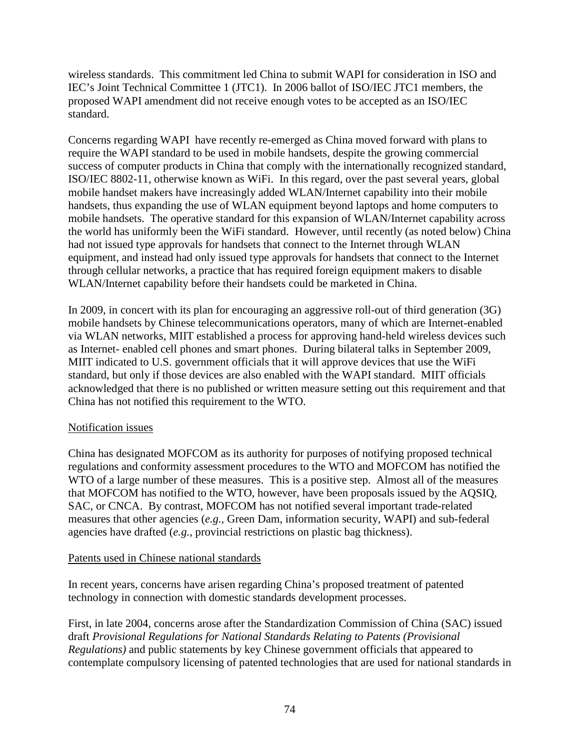wireless standards. This commitment led China to submit WAPI for consideration in ISO and IEC's Joint Technical Committee 1 (JTC1). In 2006 ballot of ISO/IEC JTC1 members, the proposed WAPI amendment did not receive enough votes to be accepted as an ISO/IEC standard.

Concerns regarding WAPI have recently re-emerged as China moved forward with plans to require the WAPI standard to be used in mobile handsets, despite the growing commercial success of computer products in China that comply with the internationally recognized standard, ISO/IEC 8802-11, otherwise known as WiFi. In this regard, over the past several years, global mobile handset makers have increasingly added WLAN/Internet capability into their mobile handsets, thus expanding the use of WLAN equipment beyond laptops and home computers to mobile handsets. The operative standard for this expansion of WLAN/Internet capability across the world has uniformly been the WiFi standard. However, until recently (as noted below) China had not issued type approvals for handsets that connect to the Internet through WLAN equipment, and instead had only issued type approvals for handsets that connect to the Internet through cellular networks, a practice that has required foreign equipment makers to disable WLAN/Internet capability before their handsets could be marketed in China.

In 2009, in concert with its plan for encouraging an aggressive roll-out of third generation (3G) mobile handsets by Chinese telecommunications operators, many of which are Internet-enabled via WLAN networks, MIIT established a process for approving hand-held wireless devices such as Internet- enabled cell phones and smart phones. During bilateral talks in September 2009, MIIT indicated to U.S. government officials that it will approve devices that use the WiFi standard, but only if those devices are also enabled with the WAPI standard. MIIT officials acknowledged that there is no published or written measure setting out this requirement and that China has not notified this requirement to the WTO.

## Notification issues

China has designated MOFCOM as its authority for purposes of notifying proposed technical regulations and conformity assessment procedures to the WTO and MOFCOM has notified the WTO of a large number of these measures. This is a positive step. Almost all of the measures that MOFCOM has notified to the WTO, however, have been proposals issued by the AQSIQ, SAC, or CNCA. By contrast, MOFCOM has not notified several important trade-related measures that other agencies (*e.g.*, Green Dam, information security, WAPI) and sub-federal agencies have drafted (*e.g.*, provincial restrictions on plastic bag thickness).

#### Patents used in Chinese national standards

In recent years, concerns have arisen regarding China's proposed treatment of patented technology in connection with domestic standards development processes.

First, in late 2004, concerns arose after the Standardization Commission of China (SAC) issued draft *Provisional Regulations for National Standards Relating to Patents (Provisional Regulations)* and public statements by key Chinese government officials that appeared to contemplate compulsory licensing of patented technologies that are used for national standards in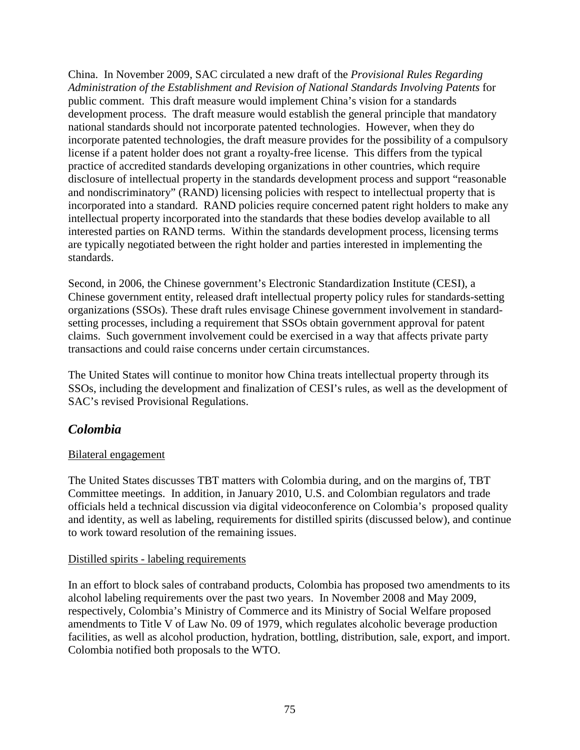China. In November 2009, SAC circulated a new draft of the *Provisional Rules Regarding Administration of the Establishment and Revision of National Standards Involving Patents* for public comment. This draft measure would implement China's vision for a standards development process. The draft measure would establish the general principle that mandatory national standards should not incorporate patented technologies. However, when they do incorporate patented technologies, the draft measure provides for the possibility of a compulsory license if a patent holder does not grant a royalty-free license. This differs from the typical practice of accredited standards developing organizations in other countries, which require disclosure of intellectual property in the standards development process and support "reasonable and nondiscriminatory" (RAND) licensing policies with respect to intellectual property that is incorporated into a standard. RAND policies require concerned patent right holders to make any intellectual property incorporated into the standards that these bodies develop available to all interested parties on RAND terms. Within the standards development process, licensing terms are typically negotiated between the right holder and parties interested in implementing the standards.

Second, in 2006, the Chinese government's Electronic Standardization Institute (CESI), a Chinese government entity, released draft intellectual property policy rules for standards-setting organizations (SSOs). These draft rules envisage Chinese government involvement in standardsetting processes, including a requirement that SSOs obtain government approval for patent claims. Such government involvement could be exercised in a way that affects private party transactions and could raise concerns under certain circumstances.

The United States will continue to monitor how China treats intellectual property through its SSOs, including the development and finalization of CESI's rules, as well as the development of SAC's revised Provisional Regulations.

# *Colombia*

## Bilateral engagement

The United States discusses TBT matters with Colombia during, and on the margins of, TBT Committee meetings. In addition, in January 2010, U.S. and Colombian regulators and trade officials held a technical discussion via digital videoconference on Colombia's proposed quality and identity, as well as labeling, requirements for distilled spirits (discussed below), and continue to work toward resolution of the remaining issues.

#### Distilled spirits - labeling requirements

In an effort to block sales of contraband products, Colombia has proposed two amendments to its alcohol labeling requirements over the past two years. In November 2008 and May 2009, respectively, Colombia's Ministry of Commerce and its Ministry of Social Welfare proposed amendments to Title V of Law No. 09 of 1979, which regulates alcoholic beverage production facilities, as well as alcohol production, hydration, bottling, distribution, sale, export, and import. Colombia notified both proposals to the WTO.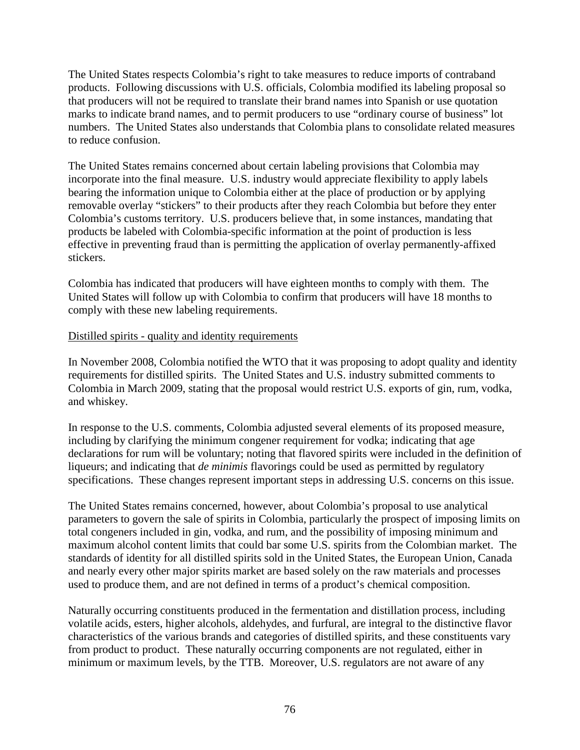The United States respects Colombia's right to take measures to reduce imports of contraband products. Following discussions with U.S. officials, Colombia modified its labeling proposal so that producers will not be required to translate their brand names into Spanish or use quotation marks to indicate brand names, and to permit producers to use "ordinary course of business" lot numbers. The United States also understands that Colombia plans to consolidate related measures to reduce confusion.

The United States remains concerned about certain labeling provisions that Colombia may incorporate into the final measure. U.S. industry would appreciate flexibility to apply labels bearing the information unique to Colombia either at the place of production or by applying removable overlay "stickers" to their products after they reach Colombia but before they enter Colombia's customs territory. U.S. producers believe that, in some instances, mandating that products be labeled with Colombia-specific information at the point of production is less effective in preventing fraud than is permitting the application of overlay permanently-affixed stickers.

Colombia has indicated that producers will have eighteen months to comply with them. The United States will follow up with Colombia to confirm that producers will have 18 months to comply with these new labeling requirements.

#### Distilled spirits - quality and identity requirements

In November 2008, Colombia notified the WTO that it was proposing to adopt quality and identity requirements for distilled spirits. The United States and U.S. industry submitted comments to Colombia in March 2009, stating that the proposal would restrict U.S. exports of gin, rum, vodka, and whiskey.

In response to the U.S. comments, Colombia adjusted several elements of its proposed measure, including by clarifying the minimum congener requirement for vodka; indicating that age declarations for rum will be voluntary; noting that flavored spirits were included in the definition of liqueurs; and indicating that *de minimis* flavorings could be used as permitted by regulatory specifications. These changes represent important steps in addressing U.S. concerns on this issue.

The United States remains concerned, however, about Colombia's proposal to use analytical parameters to govern the sale of spirits in Colombia, particularly the prospect of imposing limits on total congeners included in gin, vodka, and rum, and the possibility of imposing minimum and maximum alcohol content limits that could bar some U.S. spirits from the Colombian market. The standards of identity for all distilled spirits sold in the United States, the European Union, Canada and nearly every other major spirits market are based solely on the raw materials and processes used to produce them, and are not defined in terms of a product's chemical composition.

Naturally occurring constituents produced in the fermentation and distillation process, including volatile acids, esters, higher alcohols, aldehydes, and furfural, are integral to the distinctive flavor characteristics of the various brands and categories of distilled spirits, and these constituents vary from product to product. These naturally occurring components are not regulated, either in minimum or maximum levels, by the TTB. Moreover, U.S. regulators are not aware of any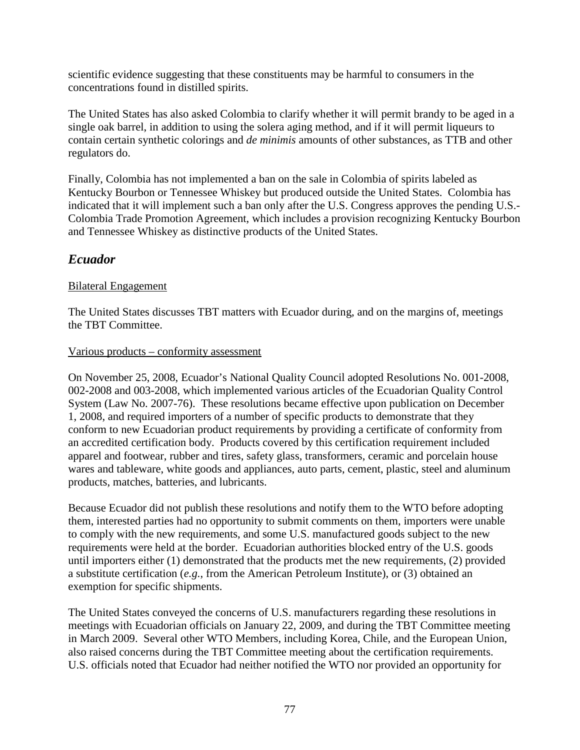scientific evidence suggesting that these constituents may be harmful to consumers in the concentrations found in distilled spirits.

The United States has also asked Colombia to clarify whether it will permit brandy to be aged in a single oak barrel, in addition to using the solera aging method, and if it will permit liqueurs to contain certain synthetic colorings and *de minimis* amounts of other substances, as TTB and other regulators do.

Finally, Colombia has not implemented a ban on the sale in Colombia of spirits labeled as Kentucky Bourbon or Tennessee Whiskey but produced outside the United States. Colombia has indicated that it will implement such a ban only after the U.S. Congress approves the pending U.S.- Colombia Trade Promotion Agreement, which includes a provision recognizing Kentucky Bourbon and Tennessee Whiskey as distinctive products of the United States.

# *Ecuador*

## Bilateral Engagement

The United States discusses TBT matters with Ecuador during, and on the margins of, meetings the TBT Committee.

#### Various products – conformity assessment

On November 25, 2008, Ecuador's National Quality Council adopted Resolutions No. 001-2008, 002-2008 and 003-2008, which implemented various articles of the Ecuadorian Quality Control System (Law No. 2007-76). These resolutions became effective upon publication on December 1, 2008, and required importers of a number of specific products to demonstrate that they conform to new Ecuadorian product requirements by providing a certificate of conformity from an accredited certification body. Products covered by this certification requirement included apparel and footwear, rubber and tires, safety glass, transformers, ceramic and porcelain house wares and tableware, white goods and appliances, auto parts, cement, plastic, steel and aluminum products, matches, batteries, and lubricants.

Because Ecuador did not publish these resolutions and notify them to the WTO before adopting them, interested parties had no opportunity to submit comments on them, importers were unable to comply with the new requirements, and some U.S. manufactured goods subject to the new requirements were held at the border. Ecuadorian authorities blocked entry of the U.S. goods until importers either (1) demonstrated that the products met the new requirements, (2) provided a substitute certification (*e.g.*, from the American Petroleum Institute), or (3) obtained an exemption for specific shipments.

The United States conveyed the concerns of U.S. manufacturers regarding these resolutions in meetings with Ecuadorian officials on January 22, 2009, and during the TBT Committee meeting in March 2009. Several other WTO Members, including Korea, Chile, and the European Union, also raised concerns during the TBT Committee meeting about the certification requirements. U.S. officials noted that Ecuador had neither notified the WTO nor provided an opportunity for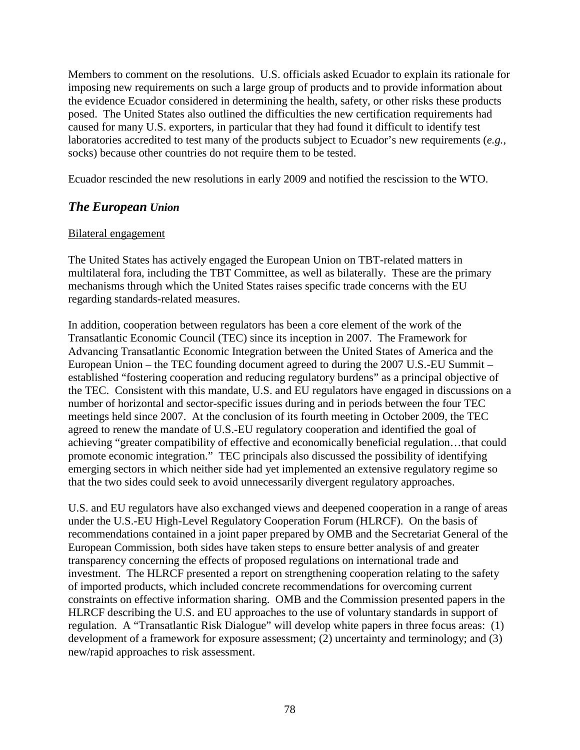Members to comment on the resolutions. U.S. officials asked Ecuador to explain its rationale for imposing new requirements on such a large group of products and to provide information about the evidence Ecuador considered in determining the health, safety, or other risks these products posed. The United States also outlined the difficulties the new certification requirements had caused for many U.S. exporters, in particular that they had found it difficult to identify test laboratories accredited to test many of the products subject to Ecuador's new requirements (*e.g.*, socks) because other countries do not require them to be tested.

Ecuador rescinded the new resolutions in early 2009 and notified the rescission to the WTO.

# *The European Union*

#### Bilateral engagement

The United States has actively engaged the European Union on TBT-related matters in multilateral fora, including the TBT Committee, as well as bilaterally. These are the primary mechanisms through which the United States raises specific trade concerns with the EU regarding standards-related measures.

In addition, cooperation between regulators has been a core element of the work of the Transatlantic Economic Council (TEC) since its inception in 2007. The Framework for Advancing Transatlantic Economic Integration between the United States of America and the European Union – the TEC founding document agreed to during the 2007 U.S.-EU Summit – established "fostering cooperation and reducing regulatory burdens" as a principal objective of the TEC. Consistent with this mandate, U.S. and EU regulators have engaged in discussions on a number of horizontal and sector-specific issues during and in periods between the four TEC meetings held since 2007. At the conclusion of its fourth meeting in October 2009, the TEC agreed to renew the mandate of U.S.-EU regulatory cooperation and identified the goal of achieving "greater compatibility of effective and economically beneficial regulation…that could promote economic integration." TEC principals also discussed the possibility of identifying emerging sectors in which neither side had yet implemented an extensive regulatory regime so that the two sides could seek to avoid unnecessarily divergent regulatory approaches.

U.S. and EU regulators have also exchanged views and deepened cooperation in a range of areas under the U.S.-EU High-Level Regulatory Cooperation Forum (HLRCF). On the basis of recommendations contained in a joint paper prepared by OMB and the Secretariat General of the European Commission, both sides have taken steps to ensure better analysis of and greater transparency concerning the effects of proposed regulations on international trade and investment. The HLRCF presented a report on strengthening cooperation relating to the safety of imported products, which included concrete recommendations for overcoming current constraints on effective information sharing. OMB and the Commission presented papers in the HLRCF describing the U.S. and EU approaches to the use of voluntary standards in support of regulation. A "Transatlantic Risk Dialogue" will develop white papers in three focus areas: (1) development of a framework for exposure assessment; (2) uncertainty and terminology; and (3) new/rapid approaches to risk assessment.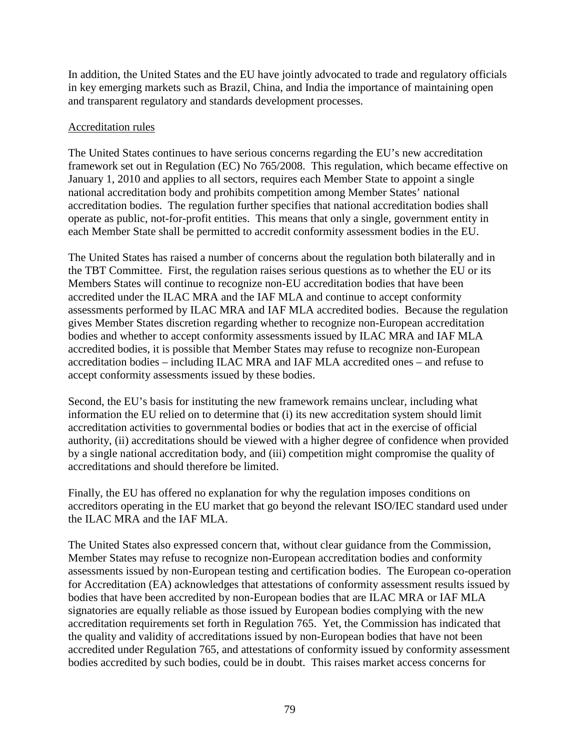In addition, the United States and the EU have jointly advocated to trade and regulatory officials in key emerging markets such as Brazil, China, and India the importance of maintaining open and transparent regulatory and standards development processes.

#### Accreditation rules

The United States continues to have serious concerns regarding the EU's new accreditation framework set out in Regulation (EC) No 765/2008. This regulation, which became effective on January 1, 2010 and applies to all sectors, requires each Member State to appoint a single national accreditation body and prohibits competition among Member States' national accreditation bodies. The regulation further specifies that national accreditation bodies shall operate as public, not-for-profit entities. This means that only a single, government entity in each Member State shall be permitted to accredit conformity assessment bodies in the EU.

The United States has raised a number of concerns about the regulation both bilaterally and in the TBT Committee. First, the regulation raises serious questions as to whether the EU or its Members States will continue to recognize non-EU accreditation bodies that have been accredited under the ILAC MRA and the IAF MLA and continue to accept conformity assessments performed by ILAC MRA and IAF MLA accredited bodies. Because the regulation gives Member States discretion regarding whether to recognize non-European accreditation bodies and whether to accept conformity assessments issued by ILAC MRA and IAF MLA accredited bodies, it is possible that Member States may refuse to recognize non-European accreditation bodies – including ILAC MRA and IAF MLA accredited ones – and refuse to accept conformity assessments issued by these bodies.

Second, the EU's basis for instituting the new framework remains unclear, including what information the EU relied on to determine that (i) its new accreditation system should limit accreditation activities to governmental bodies or bodies that act in the exercise of official authority, (ii) accreditations should be viewed with a higher degree of confidence when provided by a single national accreditation body, and (iii) competition might compromise the quality of accreditations and should therefore be limited.

Finally, the EU has offered no explanation for why the regulation imposes conditions on accreditors operating in the EU market that go beyond the relevant ISO/IEC standard used under the ILAC MRA and the IAF MLA.

The United States also expressed concern that, without clear guidance from the Commission, Member States may refuse to recognize non-European accreditation bodies and conformity assessments issued by non-European testing and certification bodies. The European co-operation for Accreditation (EA) acknowledges that attestations of conformity assessment results issued by bodies that have been accredited by non-European bodies that are ILAC MRA or IAF MLA signatories are equally reliable as those issued by European bodies complying with the new accreditation requirements set forth in Regulation 765. Yet, the Commission has indicated that the quality and validity of accreditations issued by non-European bodies that have not been accredited under Regulation 765, and attestations of conformity issued by conformity assessment bodies accredited by such bodies, could be in doubt. This raises market access concerns for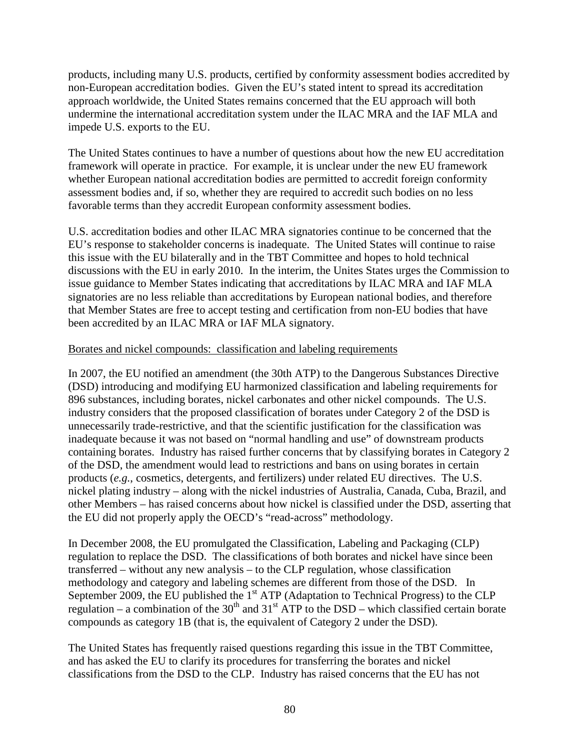products, including many U.S. products, certified by conformity assessment bodies accredited by non-European accreditation bodies. Given the EU's stated intent to spread its accreditation approach worldwide, the United States remains concerned that the EU approach will both undermine the international accreditation system under the ILAC MRA and the IAF MLA and impede U.S. exports to the EU.

The United States continues to have a number of questions about how the new EU accreditation framework will operate in practice. For example, it is unclear under the new EU framework whether European national accreditation bodies are permitted to accredit foreign conformity assessment bodies and, if so, whether they are required to accredit such bodies on no less favorable terms than they accredit European conformity assessment bodies.

U.S. accreditation bodies and other ILAC MRA signatories continue to be concerned that the EU's response to stakeholder concerns is inadequate. The United States will continue to raise this issue with the EU bilaterally and in the TBT Committee and hopes to hold technical discussions with the EU in early 2010. In the interim, the Unites States urges the Commission to issue guidance to Member States indicating that accreditations by ILAC MRA and IAF MLA signatories are no less reliable than accreditations by European national bodies, and therefore that Member States are free to accept testing and certification from non-EU bodies that have been accredited by an ILAC MRA or IAF MLA signatory.

#### Borates and nickel compounds: classification and labeling requirements

In 2007, the EU notified an amendment (the 30th ATP) to the Dangerous Substances Directive (DSD) introducing and modifying EU harmonized classification and labeling requirements for 896 substances, including borates, nickel carbonates and other nickel compounds. The U.S. industry considers that the proposed classification of borates under Category 2 of the DSD is unnecessarily trade-restrictive, and that the scientific justification for the classification was inadequate because it was not based on "normal handling and use" of downstream products containing borates. Industry has raised further concerns that by classifying borates in Category 2 of the DSD, the amendment would lead to restrictions and bans on using borates in certain products (*e.g.*, cosmetics, detergents, and fertilizers) under related EU directives. The U.S. nickel plating industry – along with the nickel industries of Australia, Canada, Cuba, Brazil, and other Members – has raised concerns about how nickel is classified under the DSD, asserting that the EU did not properly apply the OECD's "read-across" methodology.

In December 2008, the EU promulgated the Classification, Labeling and Packaging (CLP) regulation to replace the DSD. The classifications of both borates and nickel have since been transferred – without any new analysis – to the CLP regulation, whose classification methodology and category and labeling schemes are different from those of the DSD. In September 2009, the EU published the  $1<sup>st</sup>$  ATP (Adaptation to Technical Progress) to the CLP regulation – a combination of the  $30<sup>th</sup>$  and  $31<sup>st</sup>$  ATP to the DSD – which classified certain borate compounds as category 1B (that is, the equivalent of Category 2 under the DSD).

The United States has frequently raised questions regarding this issue in the TBT Committee, and has asked the EU to clarify its procedures for transferring the borates and nickel classifications from the DSD to the CLP. Industry has raised concerns that the EU has not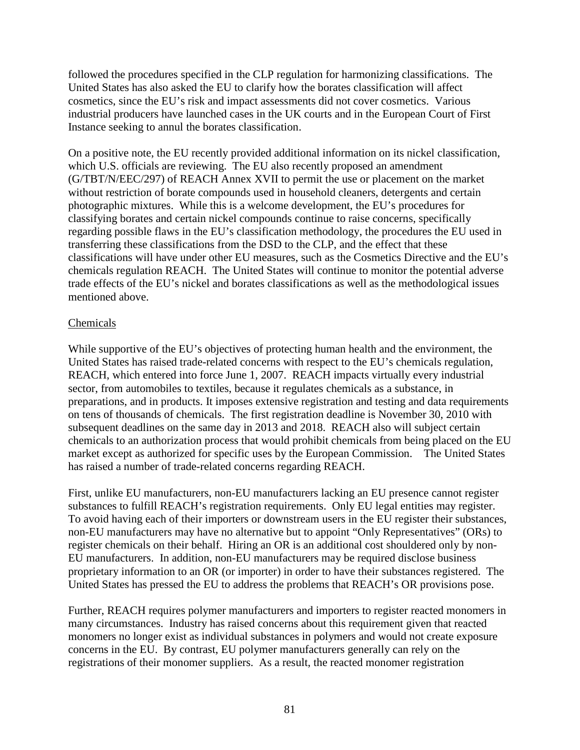followed the procedures specified in the CLP regulation for harmonizing classifications. The United States has also asked the EU to clarify how the borates classification will affect cosmetics, since the EU's risk and impact assessments did not cover cosmetics. Various industrial producers have launched cases in the UK courts and in the European Court of First Instance seeking to annul the borates classification.

On a positive note, the EU recently provided additional information on its nickel classification, which U.S. officials are reviewing. The EU also recently proposed an amendment (G/TBT/N/EEC/297) of REACH Annex XVII to permit the use or placement on the market without restriction of borate compounds used in household cleaners, detergents and certain photographic mixtures. While this is a welcome development, the EU's procedures for classifying borates and certain nickel compounds continue to raise concerns, specifically regarding possible flaws in the EU's classification methodology, the procedures the EU used in transferring these classifications from the DSD to the CLP, and the effect that these classifications will have under other EU measures, such as the Cosmetics Directive and the EU's chemicals regulation REACH. The United States will continue to monitor the potential adverse trade effects of the EU's nickel and borates classifications as well as the methodological issues mentioned above.

#### **Chemicals**

While supportive of the EU's objectives of protecting human health and the environment, the United States has raised trade-related concerns with respect to the EU's chemicals regulation, REACH, which entered into force June 1, 2007. REACH impacts virtually every industrial sector, from automobiles to textiles, because it regulates chemicals as a substance, in preparations, and in products. It imposes extensive registration and testing and data requirements on tens of thousands of chemicals. The first registration deadline is November 30, 2010 with subsequent deadlines on the same day in 2013 and 2018. REACH also will subject certain chemicals to an authorization process that would prohibit chemicals from being placed on the EU market except as authorized for specific uses by the European Commission. The United States has raised a number of trade-related concerns regarding REACH.

First, unlike EU manufacturers, non-EU manufacturers lacking an EU presence cannot register substances to fulfill REACH's registration requirements. Only EU legal entities may register. To avoid having each of their importers or downstream users in the EU register their substances, non-EU manufacturers may have no alternative but to appoint "Only Representatives" (ORs) to register chemicals on their behalf. Hiring an OR is an additional cost shouldered only by non-EU manufacturers. In addition, non-EU manufacturers may be required disclose business proprietary information to an OR (or importer) in order to have their substances registered. The United States has pressed the EU to address the problems that REACH's OR provisions pose.

Further, REACH requires polymer manufacturers and importers to register reacted monomers in many circumstances. Industry has raised concerns about this requirement given that reacted monomers no longer exist as individual substances in polymers and would not create exposure concerns in the EU. By contrast, EU polymer manufacturers generally can rely on the registrations of their monomer suppliers. As a result, the reacted monomer registration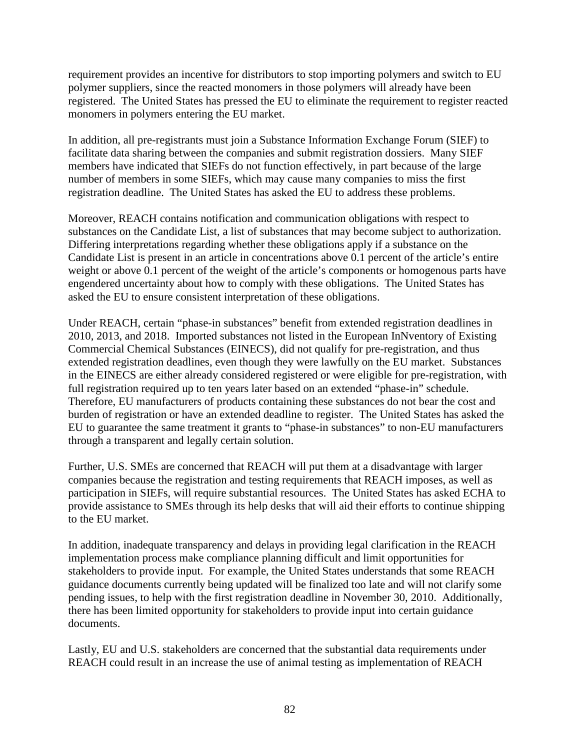requirement provides an incentive for distributors to stop importing polymers and switch to EU polymer suppliers, since the reacted monomers in those polymers will already have been registered. The United States has pressed the EU to eliminate the requirement to register reacted monomers in polymers entering the EU market.

In addition, all pre-registrants must join a Substance Information Exchange Forum (SIEF) to facilitate data sharing between the companies and submit registration dossiers. Many SIEF members have indicated that SIEFs do not function effectively, in part because of the large number of members in some SIEFs, which may cause many companies to miss the first registration deadline. The United States has asked the EU to address these problems.

Moreover, REACH contains notification and communication obligations with respect to substances on the Candidate List, a list of substances that may become subject to authorization. Differing interpretations regarding whether these obligations apply if a substance on the Candidate List is present in an article in concentrations above 0.1 percent of the article's entire weight or above 0.1 percent of the weight of the article's components or homogenous parts have engendered uncertainty about how to comply with these obligations. The United States has asked the EU to ensure consistent interpretation of these obligations.

Under REACH, certain "phase-in substances" benefit from extended registration deadlines in 2010, 2013, and 2018. Imported substances not listed in the European InNventory of Existing Commercial Chemical Substances (EINECS), did not qualify for pre-registration, and thus extended registration deadlines, even though they were lawfully on the EU market. Substances in the EINECS are either already considered registered or were eligible for pre-registration, with full registration required up to ten years later based on an extended "phase-in" schedule. Therefore, EU manufacturers of products containing these substances do not bear the cost and burden of registration or have an extended deadline to register. The United States has asked the EU to guarantee the same treatment it grants to "phase-in substances" to non-EU manufacturers through a transparent and legally certain solution.

Further, U.S. SMEs are concerned that REACH will put them at a disadvantage with larger companies because the registration and testing requirements that REACH imposes, as well as participation in SIEFs, will require substantial resources. The United States has asked ECHA to provide assistance to SMEs through its help desks that will aid their efforts to continue shipping to the EU market.

In addition, inadequate transparency and delays in providing legal clarification in the REACH implementation process make compliance planning difficult and limit opportunities for stakeholders to provide input. For example, the United States understands that some REACH guidance documents currently being updated will be finalized too late and will not clarify some pending issues, to help with the first registration deadline in November 30, 2010. Additionally, there has been limited opportunity for stakeholders to provide input into certain guidance documents.

Lastly, EU and U.S. stakeholders are concerned that the substantial data requirements under REACH could result in an increase the use of animal testing as implementation of REACH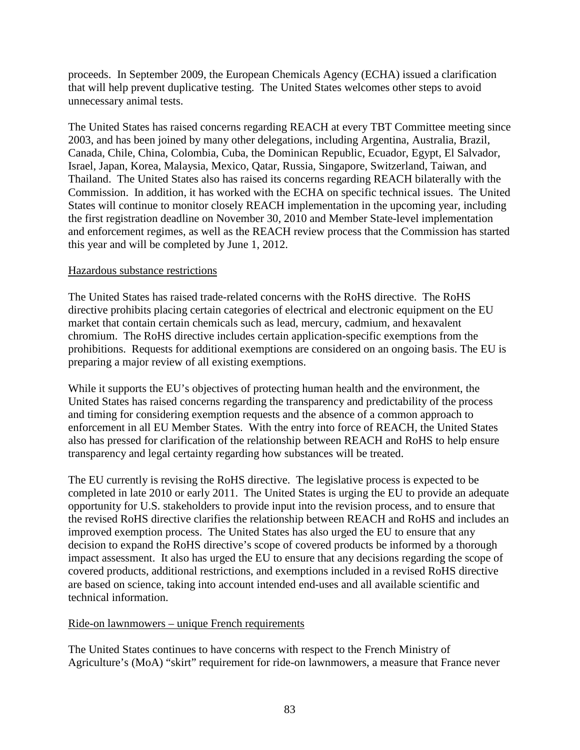proceeds. In September 2009, the European Chemicals Agency (ECHA) issued a clarification that will help prevent duplicative testing. The United States welcomes other steps to avoid unnecessary animal tests.

The United States has raised concerns regarding REACH at every TBT Committee meeting since 2003, and has been joined by many other delegations, including Argentina, Australia, Brazil, Canada, Chile, China, Colombia, Cuba, the Dominican Republic, Ecuador, Egypt, El Salvador, Israel, Japan, Korea, Malaysia, Mexico, Qatar, Russia, Singapore, Switzerland, Taiwan, and Thailand. The United States also has raised its concerns regarding REACH bilaterally with the Commission. In addition, it has worked with the ECHA on specific technical issues. The United States will continue to monitor closely REACH implementation in the upcoming year, including the first registration deadline on November 30, 2010 and Member State-level implementation and enforcement regimes, as well as the REACH review process that the Commission has started this year and will be completed by June 1, 2012.

#### Hazardous substance restrictions

The United States has raised trade-related concerns with the RoHS directive. The RoHS directive prohibits placing certain categories of electrical and electronic equipment on the EU market that contain certain chemicals such as lead, mercury, cadmium, and hexavalent chromium. The RoHS directive includes certain application-specific exemptions from the prohibitions. Requests for additional exemptions are considered on an ongoing basis. The EU is preparing a major review of all existing exemptions.

While it supports the EU's objectives of protecting human health and the environment, the United States has raised concerns regarding the transparency and predictability of the process and timing for considering exemption requests and the absence of a common approach to enforcement in all EU Member States. With the entry into force of REACH, the United States also has pressed for clarification of the relationship between REACH and RoHS to help ensure transparency and legal certainty regarding how substances will be treated.

The EU currently is revising the RoHS directive. The legislative process is expected to be completed in late 2010 or early 2011. The United States is urging the EU to provide an adequate opportunity for U.S. stakeholders to provide input into the revision process, and to ensure that the revised RoHS directive clarifies the relationship between REACH and RoHS and includes an improved exemption process. The United States has also urged the EU to ensure that any decision to expand the RoHS directive's scope of covered products be informed by a thorough impact assessment. It also has urged the EU to ensure that any decisions regarding the scope of covered products, additional restrictions, and exemptions included in a revised RoHS directive are based on science, taking into account intended end-uses and all available scientific and technical information.

## Ride-on lawnmowers – unique French requirements

The United States continues to have concerns with respect to the French Ministry of Agriculture's (MoA) "skirt" requirement for ride-on lawnmowers, a measure that France never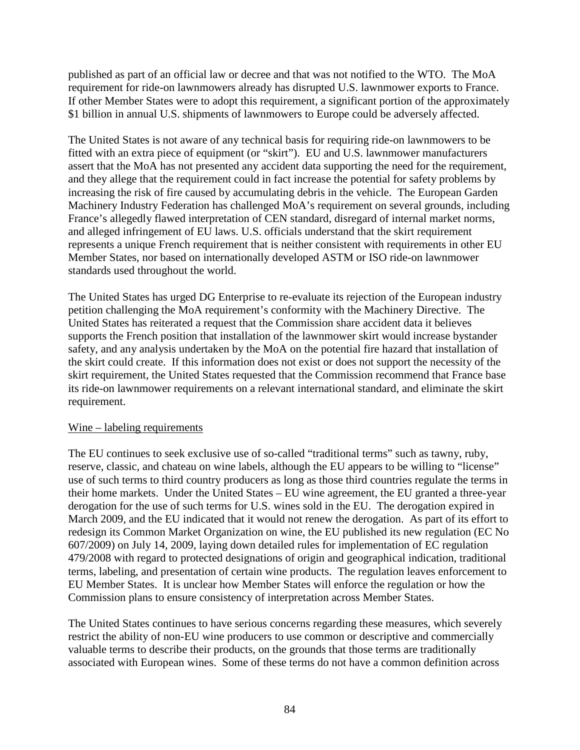published as part of an official law or decree and that was not notified to the WTO. The MoA requirement for ride-on lawnmowers already has disrupted U.S. lawnmower exports to France. If other Member States were to adopt this requirement, a significant portion of the approximately \$1 billion in annual U.S. shipments of lawnmowers to Europe could be adversely affected.

The United States is not aware of any technical basis for requiring ride-on lawnmowers to be fitted with an extra piece of equipment (or "skirt"). EU and U.S. lawnmower manufacturers assert that the MoA has not presented any accident data supporting the need for the requirement, and they allege that the requirement could in fact increase the potential for safety problems by increasing the risk of fire caused by accumulating debris in the vehicle. The European Garden Machinery Industry Federation has challenged MoA's requirement on several grounds, including France's allegedly flawed interpretation of CEN standard, disregard of internal market norms, and alleged infringement of EU laws. U.S. officials understand that the skirt requirement represents a unique French requirement that is neither consistent with requirements in other EU Member States, nor based on internationally developed ASTM or ISO ride-on lawnmower standards used throughout the world.

The United States has urged DG Enterprise to re-evaluate its rejection of the European industry petition challenging the MoA requirement's conformity with the Machinery Directive. The United States has reiterated a request that the Commission share accident data it believes supports the French position that installation of the lawnmower skirt would increase bystander safety, and any analysis undertaken by the MoA on the potential fire hazard that installation of the skirt could create. If this information does not exist or does not support the necessity of the skirt requirement, the United States requested that the Commission recommend that France base its ride-on lawnmower requirements on a relevant international standard, and eliminate the skirt requirement.

#### Wine – labeling requirements

The EU continues to seek exclusive use of so-called "traditional terms" such as tawny, ruby, reserve, classic, and chateau on wine labels, although the EU appears to be willing to "license" use of such terms to third country producers as long as those third countries regulate the terms in their home markets. Under the United States – EU wine agreement, the EU granted a three-year derogation for the use of such terms for U.S. wines sold in the EU. The derogation expired in March 2009, and the EU indicated that it would not renew the derogation. As part of its effort to redesign its Common Market Organization on wine, the EU published its new regulation (EC No 607/2009) on July 14, 2009, laying down detailed rules for implementation of EC regulation 479/2008 with regard to protected designations of origin and geographical indication, traditional terms, labeling, and presentation of certain wine products. The regulation leaves enforcement to EU Member States. It is unclear how Member States will enforce the regulation or how the Commission plans to ensure consistency of interpretation across Member States.

The United States continues to have serious concerns regarding these measures, which severely restrict the ability of non-EU wine producers to use common or descriptive and commercially valuable terms to describe their products, on the grounds that those terms are traditionally associated with European wines. Some of these terms do not have a common definition across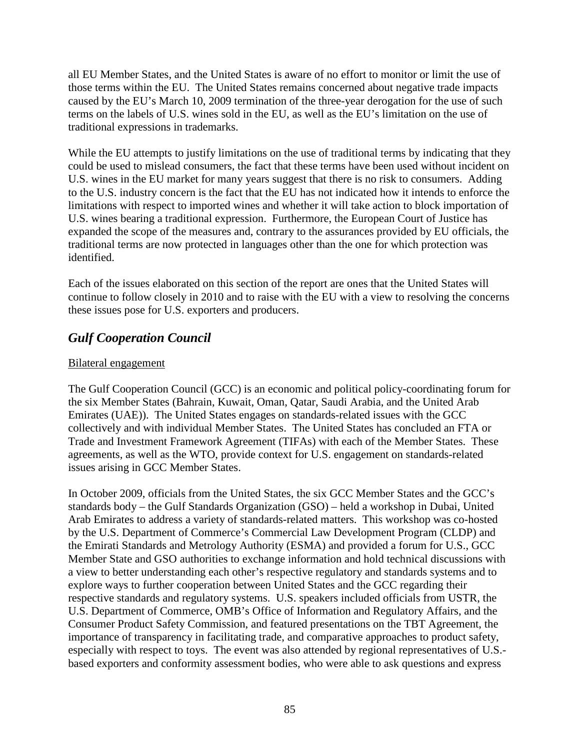all EU Member States, and the United States is aware of no effort to monitor or limit the use of those terms within the EU. The United States remains concerned about negative trade impacts caused by the EU's March 10, 2009 termination of the three-year derogation for the use of such terms on the labels of U.S. wines sold in the EU, as well as the EU's limitation on the use of traditional expressions in trademarks.

While the EU attempts to justify limitations on the use of traditional terms by indicating that they could be used to mislead consumers, the fact that these terms have been used without incident on U.S. wines in the EU market for many years suggest that there is no risk to consumers. Adding to the U.S. industry concern is the fact that the EU has not indicated how it intends to enforce the limitations with respect to imported wines and whether it will take action to block importation of U.S. wines bearing a traditional expression. Furthermore, the European Court of Justice has expanded the scope of the measures and, contrary to the assurances provided by EU officials, the traditional terms are now protected in languages other than the one for which protection was identified.

Each of the issues elaborated on this section of the report are ones that the United States will continue to follow closely in 2010 and to raise with the EU with a view to resolving the concerns these issues pose for U.S. exporters and producers.

# *Gulf Cooperation Council*

## Bilateral engagement

The Gulf Cooperation Council (GCC) is an economic and political policy-coordinating forum for the six Member States (Bahrain, Kuwait, Oman, Qatar, Saudi Arabia, and the United Arab Emirates (UAE)). The United States engages on standards-related issues with the GCC collectively and with individual Member States. The United States has concluded an FTA or Trade and Investment Framework Agreement (TIFAs) with each of the Member States. These agreements, as well as the WTO, provide context for U.S. engagement on standards-related issues arising in GCC Member States.

In October 2009, officials from the United States, the six GCC Member States and the GCC's standards body – the Gulf Standards Organization (GSO) – held a workshop in Dubai, United Arab Emirates to address a variety of standards-related matters. This workshop was co-hosted by the U.S. Department of Commerce's Commercial Law Development Program (CLDP) and the Emirati Standards and Metrology Authority (ESMA) and provided a forum for U.S., GCC Member State and GSO authorities to exchange information and hold technical discussions with a view to better understanding each other's respective regulatory and standards systems and to explore ways to further cooperation between United States and the GCC regarding their respective standards and regulatory systems. U.S. speakers included officials from USTR, the U.S. Department of Commerce, OMB's Office of Information and Regulatory Affairs, and the Consumer Product Safety Commission, and featured presentations on the TBT Agreement, the importance of transparency in facilitating trade, and comparative approaches to product safety, especially with respect to toys. The event was also attended by regional representatives of U.S. based exporters and conformity assessment bodies, who were able to ask questions and express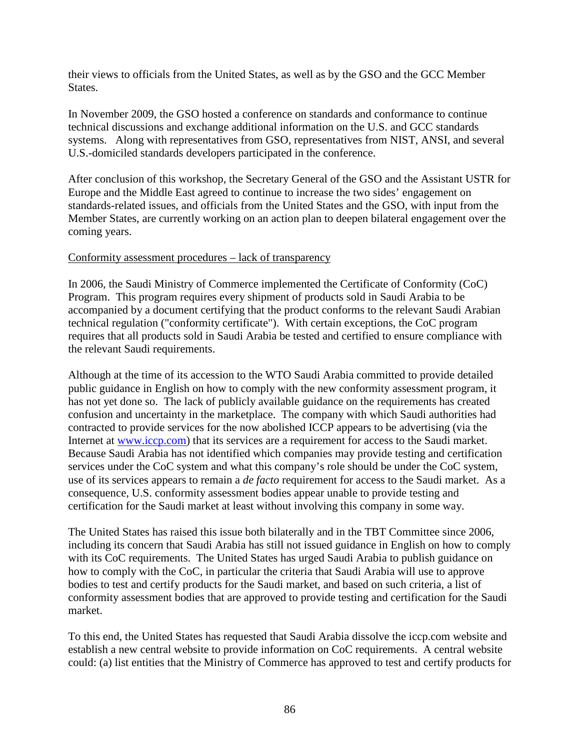their views to officials from the United States, as well as by the GSO and the GCC Member States.

In November 2009, the GSO hosted a conference on standards and conformance to continue technical discussions and exchange additional information on the U.S. and GCC standards systems. Along with representatives from GSO, representatives from NIST, ANSI, and several U.S.-domiciled standards developers participated in the conference.

After conclusion of this workshop, the Secretary General of the GSO and the Assistant USTR for Europe and the Middle East agreed to continue to increase the two sides' engagement on standards-related issues, and officials from the United States and the GSO, with input from the Member States, are currently working on an action plan to deepen bilateral engagement over the coming years.

#### Conformity assessment procedures – lack of transparency

In 2006, the Saudi Ministry of Commerce implemented the Certificate of Conformity (CoC) Program. This program requires every shipment of products sold in Saudi Arabia to be accompanied by a document certifying that the product conforms to the relevant Saudi Arabian technical regulation ("conformity certificate"). With certain exceptions, the CoC program requires that all products sold in Saudi Arabia be tested and certified to ensure compliance with the relevant Saudi requirements.

Although at the time of its accession to the WTO Saudi Arabia committed to provide detailed public guidance in English on how to comply with the new conformity assessment program, it has not yet done so. The lack of publicly available guidance on the requirements has created confusion and uncertainty in the marketplace. The company with which Saudi authorities had contracted to provide services for the now abolished ICCP appears to be advertising (via the Internet at [www.iccp.com\)](http://www.iccp.com/) that its services are a requirement for access to the Saudi market. Because Saudi Arabia has not identified which companies may provide testing and certification services under the CoC system and what this company's role should be under the CoC system, use of its services appears to remain a *de facto* requirement for access to the Saudi market. As a consequence, U.S. conformity assessment bodies appear unable to provide testing and certification for the Saudi market at least without involving this company in some way.

The United States has raised this issue both bilaterally and in the TBT Committee since 2006, including its concern that Saudi Arabia has still not issued guidance in English on how to comply with its CoC requirements. The United States has urged Saudi Arabia to publish guidance on how to comply with the CoC, in particular the criteria that Saudi Arabia will use to approve bodies to test and certify products for the Saudi market, and based on such criteria, a list of conformity assessment bodies that are approved to provide testing and certification for the Saudi market.

To this end, the United States has requested that Saudi Arabia dissolve the iccp.com website and establish a new central website to provide information on CoC requirements. A central website could: (a) list entities that the Ministry of Commerce has approved to test and certify products for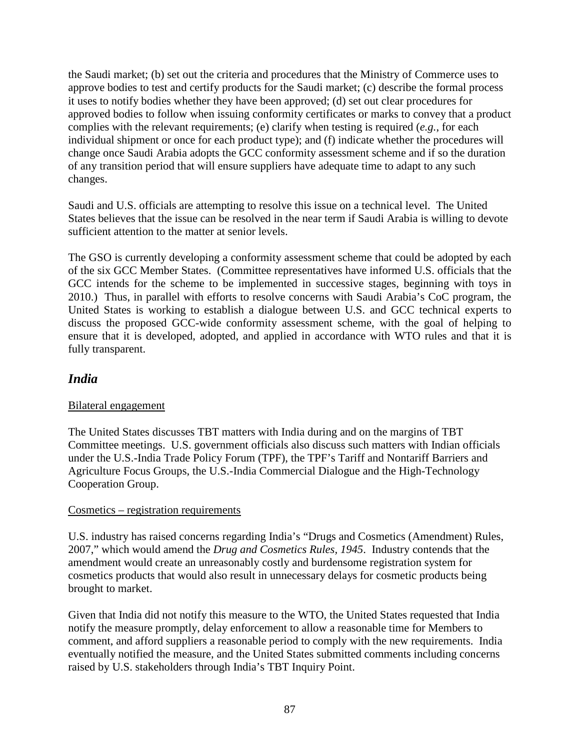the Saudi market; (b) set out the criteria and procedures that the Ministry of Commerce uses to approve bodies to test and certify products for the Saudi market; (c) describe the formal process it uses to notify bodies whether they have been approved; (d) set out clear procedures for approved bodies to follow when issuing conformity certificates or marks to convey that a product complies with the relevant requirements; (e) clarify when testing is required (*e.g.*, for each individual shipment or once for each product type); and (f) indicate whether the procedures will change once Saudi Arabia adopts the GCC conformity assessment scheme and if so the duration of any transition period that will ensure suppliers have adequate time to adapt to any such changes.

Saudi and U.S. officials are attempting to resolve this issue on a technical level. The United States believes that the issue can be resolved in the near term if Saudi Arabia is willing to devote sufficient attention to the matter at senior levels.

The GSO is currently developing a conformity assessment scheme that could be adopted by each of the six GCC Member States. (Committee representatives have informed U.S. officials that the GCC intends for the scheme to be implemented in successive stages, beginning with toys in 2010.) Thus, in parallel with efforts to resolve concerns with Saudi Arabia's CoC program, the United States is working to establish a dialogue between U.S. and GCC technical experts to discuss the proposed GCC-wide conformity assessment scheme, with the goal of helping to ensure that it is developed, adopted, and applied in accordance with WTO rules and that it is fully transparent.

# *India*

## Bilateral engagement

The United States discusses TBT matters with India during and on the margins of TBT Committee meetings. U.S. government officials also discuss such matters with Indian officials under the U.S.-India Trade Policy Forum (TPF), the TPF's Tariff and Nontariff Barriers and Agriculture Focus Groups, the U.S.-India Commercial Dialogue and the High-Technology Cooperation Group.

## Cosmetics – registration requirements

U.S. industry has raised concerns regarding India's "Drugs and Cosmetics (Amendment) Rules, 2007," which would amend the *Drug and Cosmetics Rules, 1945*. Industry contends that the amendment would create an unreasonably costly and burdensome registration system for cosmetics products that would also result in unnecessary delays for cosmetic products being brought to market.

Given that India did not notify this measure to the WTO, the United States requested that India notify the measure promptly, delay enforcement to allow a reasonable time for Members to comment, and afford suppliers a reasonable period to comply with the new requirements. India eventually notified the measure, and the United States submitted comments including concerns raised by U.S. stakeholders through India's TBT Inquiry Point.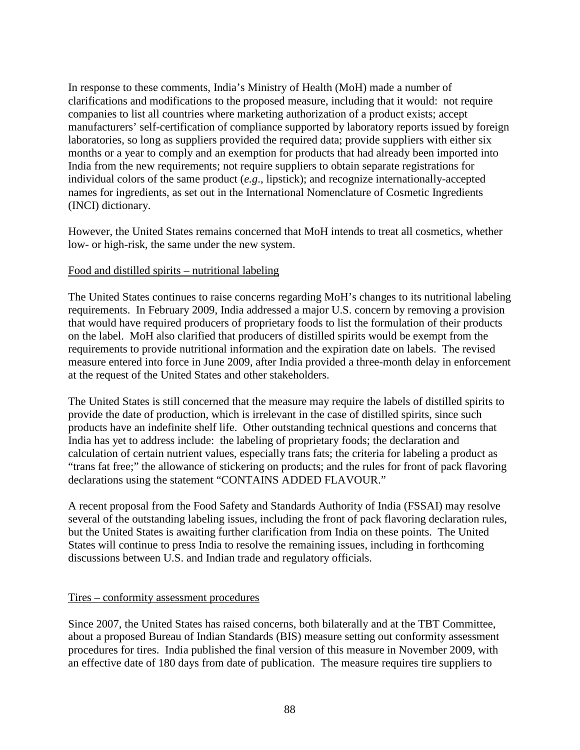In response to these comments, India's Ministry of Health (MoH) made a number of clarifications and modifications to the proposed measure, including that it would: not require companies to list all countries where marketing authorization of a product exists; accept manufacturers' self-certification of compliance supported by laboratory reports issued by foreign laboratories, so long as suppliers provided the required data; provide suppliers with either six months or a year to comply and an exemption for products that had already been imported into India from the new requirements; not require suppliers to obtain separate registrations for individual colors of the same product (*e.g*., lipstick); and recognize internationally-accepted names for ingredients, as set out in the International Nomenclature of Cosmetic Ingredients (INCI) dictionary.

However, the United States remains concerned that MoH intends to treat all cosmetics, whether low- or high-risk, the same under the new system.

#### Food and distilled spirits – nutritional labeling

The United States continues to raise concerns regarding MoH's changes to its nutritional labeling requirements. In February 2009, India addressed a major U.S. concern by removing a provision that would have required producers of proprietary foods to list the formulation of their products on the label. MoH also clarified that producers of distilled spirits would be exempt from the requirements to provide nutritional information and the expiration date on labels. The revised measure entered into force in June 2009, after India provided a three-month delay in enforcement at the request of the United States and other stakeholders.

The United States is still concerned that the measure may require the labels of distilled spirits to provide the date of production, which is irrelevant in the case of distilled spirits, since such products have an indefinite shelf life. Other outstanding technical questions and concerns that India has yet to address include: the labeling of proprietary foods; the declaration and calculation of certain nutrient values, especially trans fats; the criteria for labeling a product as "trans fat free;" the allowance of stickering on products; and the rules for front of pack flavoring declarations using the statement "CONTAINS ADDED FLAVOUR."

A recent proposal from the Food Safety and Standards Authority of India (FSSAI) may resolve several of the outstanding labeling issues, including the front of pack flavoring declaration rules, but the United States is awaiting further clarification from India on these points. The United States will continue to press India to resolve the remaining issues, including in forthcoming discussions between U.S. and Indian trade and regulatory officials.

#### Tires – conformity assessment procedures

Since 2007, the United States has raised concerns, both bilaterally and at the TBT Committee, about a proposed Bureau of Indian Standards (BIS) measure setting out conformity assessment procedures for tires. India published the final version of this measure in November 2009, with an effective date of 180 days from date of publication. The measure requires tire suppliers to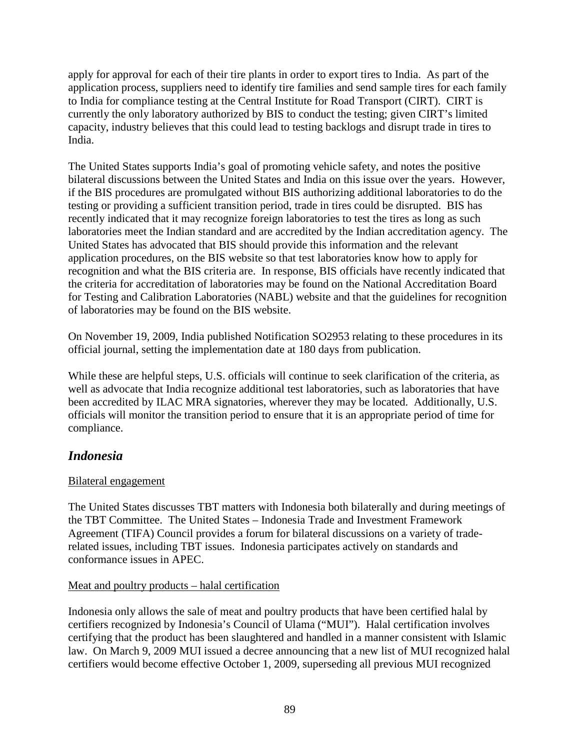apply for approval for each of their tire plants in order to export tires to India. As part of the application process, suppliers need to identify tire families and send sample tires for each family to India for compliance testing at the Central Institute for Road Transport (CIRT). CIRT is currently the only laboratory authorized by BIS to conduct the testing; given CIRT's limited capacity, industry believes that this could lead to testing backlogs and disrupt trade in tires to India.

The United States supports India's goal of promoting vehicle safety, and notes the positive bilateral discussions between the United States and India on this issue over the years. However, if the BIS procedures are promulgated without BIS authorizing additional laboratories to do the testing or providing a sufficient transition period, trade in tires could be disrupted. BIS has recently indicated that it may recognize foreign laboratories to test the tires as long as such laboratories meet the Indian standard and are accredited by the Indian accreditation agency. The United States has advocated that BIS should provide this information and the relevant application procedures, on the BIS website so that test laboratories know how to apply for recognition and what the BIS criteria are. In response, BIS officials have recently indicated that the criteria for accreditation of laboratories may be found on the National Accreditation Board for Testing and Calibration Laboratories (NABL) website and that the guidelines for recognition of laboratories may be found on the BIS website.

On November 19, 2009, India published Notification SO2953 relating to these procedures in its official journal, setting the implementation date at 180 days from publication.

While these are helpful steps, U.S. officials will continue to seek clarification of the criteria, as well as advocate that India recognize additional test laboratories, such as laboratories that have been accredited by ILAC MRA signatories, wherever they may be located. Additionally, U.S. officials will monitor the transition period to ensure that it is an appropriate period of time for compliance.

# *Indonesia*

## Bilateral engagement

The United States discusses TBT matters with Indonesia both bilaterally and during meetings of the TBT Committee. The United States – Indonesia Trade and Investment Framework Agreement (TIFA) Council provides a forum for bilateral discussions on a variety of traderelated issues, including TBT issues. Indonesia participates actively on standards and conformance issues in APEC.

## Meat and poultry products – halal certification

Indonesia only allows the sale of meat and poultry products that have been certified halal by certifiers recognized by Indonesia's Council of Ulama ("MUI"). Halal certification involves certifying that the product has been slaughtered and handled in a manner consistent with Islamic law. On March 9, 2009 MUI issued a decree announcing that a new list of MUI recognized halal certifiers would become effective October 1, 2009, superseding all previous MUI recognized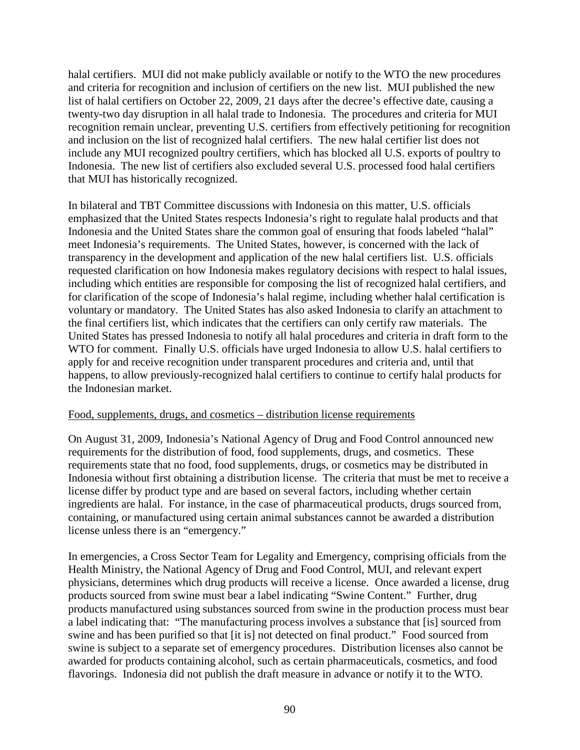halal certifiers. MUI did not make publicly available or notify to the WTO the new procedures and criteria for recognition and inclusion of certifiers on the new list. MUI published the new list of halal certifiers on October 22, 2009, 21 days after the decree's effective date, causing a twenty-two day disruption in all halal trade to Indonesia. The procedures and criteria for MUI recognition remain unclear, preventing U.S. certifiers from effectively petitioning for recognition and inclusion on the list of recognized halal certifiers. The new halal certifier list does not include any MUI recognized poultry certifiers, which has blocked all U.S. exports of poultry to Indonesia. The new list of certifiers also excluded several U.S. processed food halal certifiers that MUI has historically recognized.

In bilateral and TBT Committee discussions with Indonesia on this matter, U.S. officials emphasized that the United States respects Indonesia's right to regulate halal products and that Indonesia and the United States share the common goal of ensuring that foods labeled "halal" meet Indonesia's requirements. The United States, however, is concerned with the lack of transparency in the development and application of the new halal certifiers list. U.S. officials requested clarification on how Indonesia makes regulatory decisions with respect to halal issues, including which entities are responsible for composing the list of recognized halal certifiers, and for clarification of the scope of Indonesia's halal regime, including whether halal certification is voluntary or mandatory. The United States has also asked Indonesia to clarify an attachment to the final certifiers list, which indicates that the certifiers can only certify raw materials. The United States has pressed Indonesia to notify all halal procedures and criteria in draft form to the WTO for comment. Finally U.S. officials have urged Indonesia to allow U.S. halal certifiers to apply for and receive recognition under transparent procedures and criteria and, until that happens, to allow previously-recognized halal certifiers to continue to certify halal products for the Indonesian market.

#### Food, supplements, drugs, and cosmetics – distribution license requirements

On August 31, 2009, Indonesia's National Agency of Drug and Food Control announced new requirements for the distribution of food, food supplements, drugs, and cosmetics. These requirements state that no food, food supplements, drugs, or cosmetics may be distributed in Indonesia without first obtaining a distribution license. The criteria that must be met to receive a license differ by product type and are based on several factors, including whether certain ingredients are halal. For instance, in the case of pharmaceutical products, drugs sourced from, containing, or manufactured using certain animal substances cannot be awarded a distribution license unless there is an "emergency."

In emergencies, a Cross Sector Team for Legality and Emergency, comprising officials from the Health Ministry, the National Agency of Drug and Food Control, MUI, and relevant expert physicians, determines which drug products will receive a license. Once awarded a license, drug products sourced from swine must bear a label indicating "Swine Content." Further, drug products manufactured using substances sourced from swine in the production process must bear a label indicating that: "The manufacturing process involves a substance that [is] sourced from swine and has been purified so that [it is] not detected on final product." Food sourced from swine is subject to a separate set of emergency procedures. Distribution licenses also cannot be awarded for products containing alcohol, such as certain pharmaceuticals, cosmetics, and food flavorings. Indonesia did not publish the draft measure in advance or notify it to the WTO.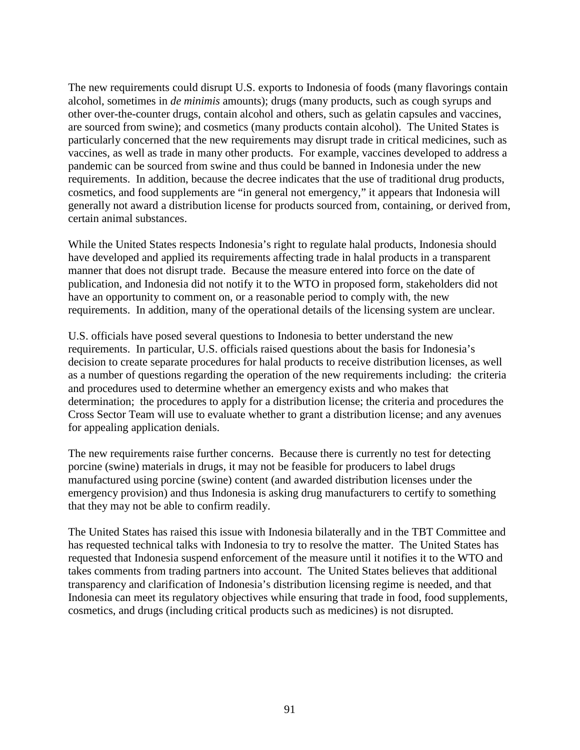The new requirements could disrupt U.S. exports to Indonesia of foods (many flavorings contain alcohol, sometimes in *de minimis* amounts); drugs (many products, such as cough syrups and other over-the-counter drugs, contain alcohol and others, such as gelatin capsules and vaccines, are sourced from swine); and cosmetics (many products contain alcohol). The United States is particularly concerned that the new requirements may disrupt trade in critical medicines, such as vaccines, as well as trade in many other products. For example, vaccines developed to address a pandemic can be sourced from swine and thus could be banned in Indonesia under the new requirements. In addition, because the decree indicates that the use of traditional drug products, cosmetics, and food supplements are "in general not emergency," it appears that Indonesia will generally not award a distribution license for products sourced from, containing, or derived from, certain animal substances.

While the United States respects Indonesia's right to regulate halal products, Indonesia should have developed and applied its requirements affecting trade in halal products in a transparent manner that does not disrupt trade. Because the measure entered into force on the date of publication, and Indonesia did not notify it to the WTO in proposed form, stakeholders did not have an opportunity to comment on, or a reasonable period to comply with, the new requirements. In addition, many of the operational details of the licensing system are unclear.

U.S. officials have posed several questions to Indonesia to better understand the new requirements. In particular, U.S. officials raised questions about the basis for Indonesia's decision to create separate procedures for halal products to receive distribution licenses, as well as a number of questions regarding the operation of the new requirements including: the criteria and procedures used to determine whether an emergency exists and who makes that determination; the procedures to apply for a distribution license; the criteria and procedures the Cross Sector Team will use to evaluate whether to grant a distribution license; and any avenues for appealing application denials.

The new requirements raise further concerns. Because there is currently no test for detecting porcine (swine) materials in drugs, it may not be feasible for producers to label drugs manufactured using porcine (swine) content (and awarded distribution licenses under the emergency provision) and thus Indonesia is asking drug manufacturers to certify to something that they may not be able to confirm readily.

The United States has raised this issue with Indonesia bilaterally and in the TBT Committee and has requested technical talks with Indonesia to try to resolve the matter. The United States has requested that Indonesia suspend enforcement of the measure until it notifies it to the WTO and takes comments from trading partners into account. The United States believes that additional transparency and clarification of Indonesia's distribution licensing regime is needed, and that Indonesia can meet its regulatory objectives while ensuring that trade in food, food supplements, cosmetics, and drugs (including critical products such as medicines) is not disrupted.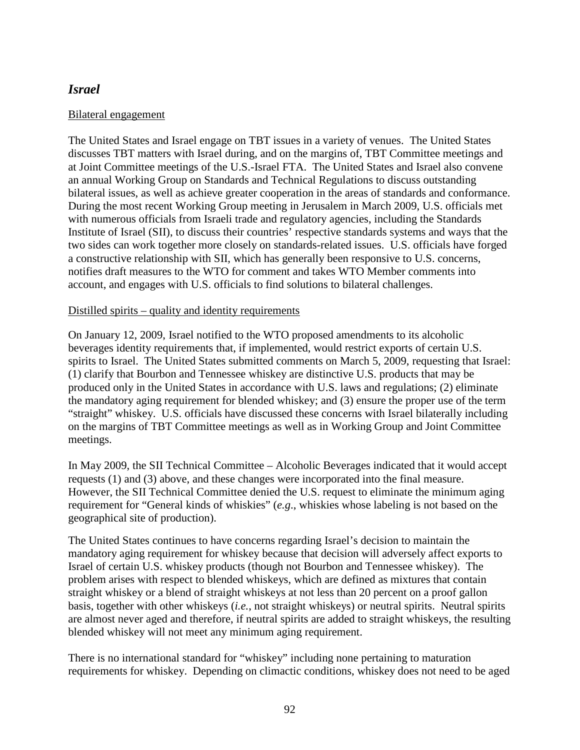# *Israel*

### Bilateral engagement

The United States and Israel engage on TBT issues in a variety of venues. The United States discusses TBT matters with Israel during, and on the margins of, TBT Committee meetings and at Joint Committee meetings of the U.S.-Israel FTA. The United States and Israel also convene an annual Working Group on Standards and Technical Regulations to discuss outstanding bilateral issues, as well as achieve greater cooperation in the areas of standards and conformance. During the most recent Working Group meeting in Jerusalem in March 2009, U.S. officials met with numerous officials from Israeli trade and regulatory agencies, including the Standards Institute of Israel (SII), to discuss their countries' respective standards systems and ways that the two sides can work together more closely on standards-related issues. U.S. officials have forged a constructive relationship with SII, which has generally been responsive to U.S. concerns, notifies draft measures to the WTO for comment and takes WTO Member comments into account, and engages with U.S. officials to find solutions to bilateral challenges.

#### Distilled spirits – quality and identity requirements

On January 12, 2009, Israel notified to the WTO proposed amendments to its alcoholic beverages identity requirements that, if implemented, would restrict exports of certain U.S. spirits to Israel. The United States submitted comments on March 5, 2009, requesting that Israel: (1) clarify that Bourbon and Tennessee whiskey are distinctive U.S. products that may be produced only in the United States in accordance with U.S. laws and regulations; (2) eliminate the mandatory aging requirement for blended whiskey; and (3) ensure the proper use of the term "straight" whiskey. U.S. officials have discussed these concerns with Israel bilaterally including on the margins of TBT Committee meetings as well as in Working Group and Joint Committee meetings.

In May 2009, the SII Technical Committee – Alcoholic Beverages indicated that it would accept requests (1) and (3) above, and these changes were incorporated into the final measure. However, the SII Technical Committee denied the U.S. request to eliminate the minimum aging requirement for "General kinds of whiskies" (*e.g*., whiskies whose labeling is not based on the geographical site of production).

The United States continues to have concerns regarding Israel's decision to maintain the mandatory aging requirement for whiskey because that decision will adversely affect exports to Israel of certain U.S. whiskey products (though not Bourbon and Tennessee whiskey). The problem arises with respect to blended whiskeys, which are defined as mixtures that contain straight whiskey or a blend of straight whiskeys at not less than 20 percent on a proof gallon basis, together with other whiskeys (*i.e.*, not straight whiskeys) or neutral spirits. Neutral spirits are almost never aged and therefore, if neutral spirits are added to straight whiskeys, the resulting blended whiskey will not meet any minimum aging requirement.

There is no international standard for "whiskey" including none pertaining to maturation requirements for whiskey. Depending on climactic conditions, whiskey does not need to be aged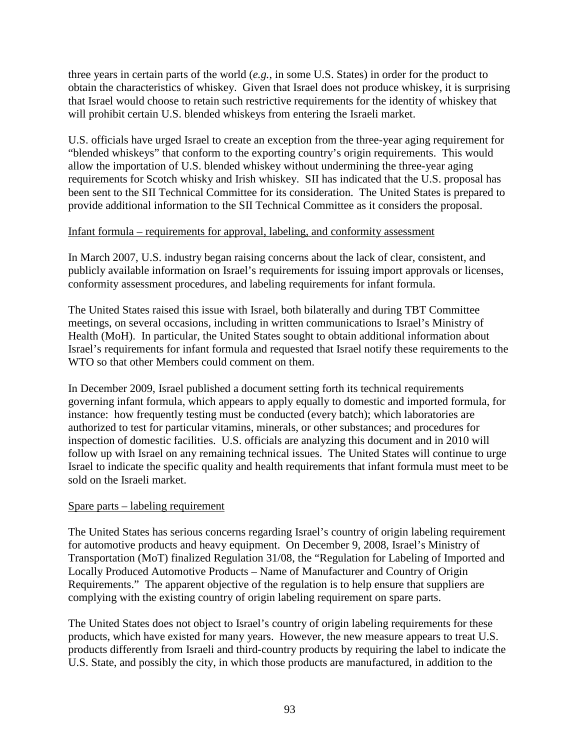three years in certain parts of the world (*e.g.*, in some U.S. States) in order for the product to obtain the characteristics of whiskey. Given that Israel does not produce whiskey, it is surprising that Israel would choose to retain such restrictive requirements for the identity of whiskey that will prohibit certain U.S. blended whiskeys from entering the Israeli market.

U.S. officials have urged Israel to create an exception from the three-year aging requirement for "blended whiskeys" that conform to the exporting country's origin requirements. This would allow the importation of U.S. blended whiskey without undermining the three-year aging requirements for Scotch whisky and Irish whiskey. SII has indicated that the U.S. proposal has been sent to the SII Technical Committee for its consideration. The United States is prepared to provide additional information to the SII Technical Committee as it considers the proposal.

## Infant formula – requirements for approval, labeling, and conformity assessment

In March 2007, U.S. industry began raising concerns about the lack of clear, consistent, and publicly available information on Israel's requirements for issuing import approvals or licenses, conformity assessment procedures, and labeling requirements for infant formula.

The United States raised this issue with Israel, both bilaterally and during TBT Committee meetings, on several occasions, including in written communications to Israel's Ministry of Health (MoH). In particular, the United States sought to obtain additional information about Israel's requirements for infant formula and requested that Israel notify these requirements to the WTO so that other Members could comment on them.

In December 2009, Israel published a document setting forth its technical requirements governing infant formula, which appears to apply equally to domestic and imported formula, for instance: how frequently testing must be conducted (every batch); which laboratories are authorized to test for particular vitamins, minerals, or other substances; and procedures for inspection of domestic facilities. U.S. officials are analyzing this document and in 2010 will follow up with Israel on any remaining technical issues. The United States will continue to urge Israel to indicate the specific quality and health requirements that infant formula must meet to be sold on the Israeli market.

#### Spare parts – labeling requirement

The United States has serious concerns regarding Israel's country of origin labeling requirement for automotive products and heavy equipment. On December 9, 2008, Israel's Ministry of Transportation (MoT) finalized Regulation 31/08, the "Regulation for Labeling of Imported and Locally Produced Automotive Products – Name of Manufacturer and Country of Origin Requirements." The apparent objective of the regulation is to help ensure that suppliers are complying with the existing country of origin labeling requirement on spare parts.

The United States does not object to Israel's country of origin labeling requirements for these products, which have existed for many years. However, the new measure appears to treat U.S. products differently from Israeli and third-country products by requiring the label to indicate the U.S. State, and possibly the city, in which those products are manufactured, in addition to the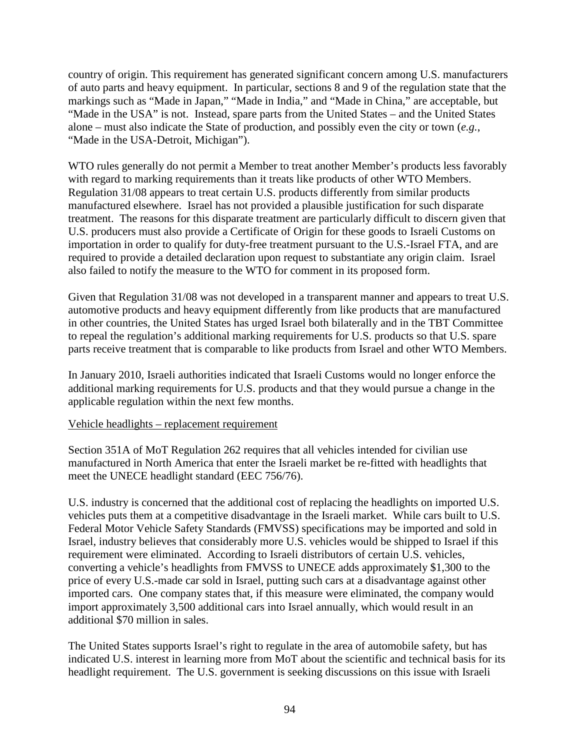country of origin. This requirement has generated significant concern among U.S. manufacturers of auto parts and heavy equipment. In particular, sections 8 and 9 of the regulation state that the markings such as "Made in Japan," "Made in India," and "Made in China," are acceptable, but "Made in the USA" is not. Instead, spare parts from the United States – and the United States alone – must also indicate the State of production, and possibly even the city or town (*e.g.*, "Made in the USA-Detroit, Michigan").

WTO rules generally do not permit a Member to treat another Member's products less favorably with regard to marking requirements than it treats like products of other WTO Members. Regulation 31/08 appears to treat certain U.S. products differently from similar products manufactured elsewhere. Israel has not provided a plausible justification for such disparate treatment. The reasons for this disparate treatment are particularly difficult to discern given that U.S. producers must also provide a Certificate of Origin for these goods to Israeli Customs on importation in order to qualify for duty-free treatment pursuant to the U.S.-Israel FTA, and are required to provide a detailed declaration upon request to substantiate any origin claim. Israel also failed to notify the measure to the WTO for comment in its proposed form.

Given that Regulation 31/08 was not developed in a transparent manner and appears to treat U.S. automotive products and heavy equipment differently from like products that are manufactured in other countries, the United States has urged Israel both bilaterally and in the TBT Committee to repeal the regulation's additional marking requirements for U.S. products so that U.S. spare parts receive treatment that is comparable to like products from Israel and other WTO Members.

In January 2010, Israeli authorities indicated that Israeli Customs would no longer enforce the additional marking requirements for U.S. products and that they would pursue a change in the applicable regulation within the next few months.

#### Vehicle headlights – replacement requirement

Section 351A of MoT Regulation 262 requires that all vehicles intended for civilian use manufactured in North America that enter the Israeli market be re-fitted with headlights that meet the UNECE headlight standard (EEC 756/76).

U.S. industry is concerned that the additional cost of replacing the headlights on imported U.S. vehicles puts them at a competitive disadvantage in the Israeli market. While cars built to U.S. Federal Motor Vehicle Safety Standards (FMVSS) specifications may be imported and sold in Israel, industry believes that considerably more U.S. vehicles would be shipped to Israel if this requirement were eliminated. According to Israeli distributors of certain U.S. vehicles, converting a vehicle's headlights from FMVSS to UNECE adds approximately \$1,300 to the price of every U.S.-made car sold in Israel, putting such cars at a disadvantage against other imported cars. One company states that, if this measure were eliminated, the company would import approximately 3,500 additional cars into Israel annually, which would result in an additional \$70 million in sales.

The United States supports Israel's right to regulate in the area of automobile safety, but has indicated U.S. interest in learning more from MoT about the scientific and technical basis for its headlight requirement. The U.S. government is seeking discussions on this issue with Israeli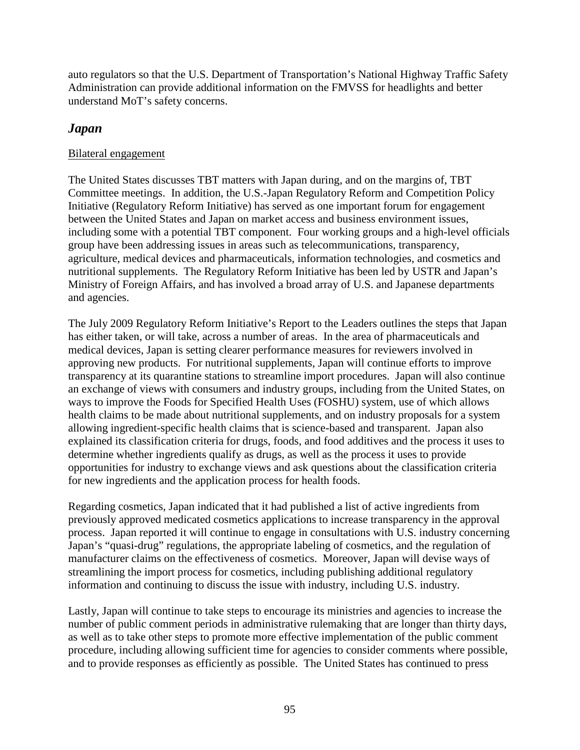auto regulators so that the U.S. Department of Transportation's National Highway Traffic Safety Administration can provide additional information on the FMVSS for headlights and better understand MoT's safety concerns.

# *Japan*

## Bilateral engagement

The United States discusses TBT matters with Japan during, and on the margins of, TBT Committee meetings. In addition, the U.S.-Japan Regulatory Reform and Competition Policy Initiative (Regulatory Reform Initiative) has served as one important forum for engagement between the United States and Japan on market access and business environment issues, including some with a potential TBT component. Four working groups and a high-level officials group have been addressing issues in areas such as telecommunications, transparency, agriculture, medical devices and pharmaceuticals, information technologies, and cosmetics and nutritional supplements. The Regulatory Reform Initiative has been led by USTR and Japan's Ministry of Foreign Affairs, and has involved a broad array of U.S. and Japanese departments and agencies.

The July 2009 Regulatory Reform Initiative's Report to the Leaders outlines the steps that Japan has either taken, or will take, across a number of areas. In the area of pharmaceuticals and medical devices, Japan is setting clearer performance measures for reviewers involved in approving new products. For nutritional supplements, Japan will continue efforts to improve transparency at its quarantine stations to streamline import procedures. Japan will also continue an exchange of views with consumers and industry groups, including from the United States, on ways to improve the Foods for Specified Health Uses (FOSHU) system, use of which allows health claims to be made about nutritional supplements, and on industry proposals for a system allowing ingredient-specific health claims that is science-based and transparent. Japan also explained its classification criteria for drugs, foods, and food additives and the process it uses to determine whether ingredients qualify as drugs, as well as the process it uses to provide opportunities for industry to exchange views and ask questions about the classification criteria for new ingredients and the application process for health foods.

Regarding cosmetics, Japan indicated that it had published a list of active ingredients from previously approved medicated cosmetics applications to increase transparency in the approval process. Japan reported it will continue to engage in consultations with U.S. industry concerning Japan's "quasi-drug" regulations, the appropriate labeling of cosmetics, and the regulation of manufacturer claims on the effectiveness of cosmetics. Moreover, Japan will devise ways of streamlining the import process for cosmetics, including publishing additional regulatory information and continuing to discuss the issue with industry, including U.S. industry.

Lastly, Japan will continue to take steps to encourage its ministries and agencies to increase the number of public comment periods in administrative rulemaking that are longer than thirty days, as well as to take other steps to promote more effective implementation of the public comment procedure, including allowing sufficient time for agencies to consider comments where possible, and to provide responses as efficiently as possible. The United States has continued to press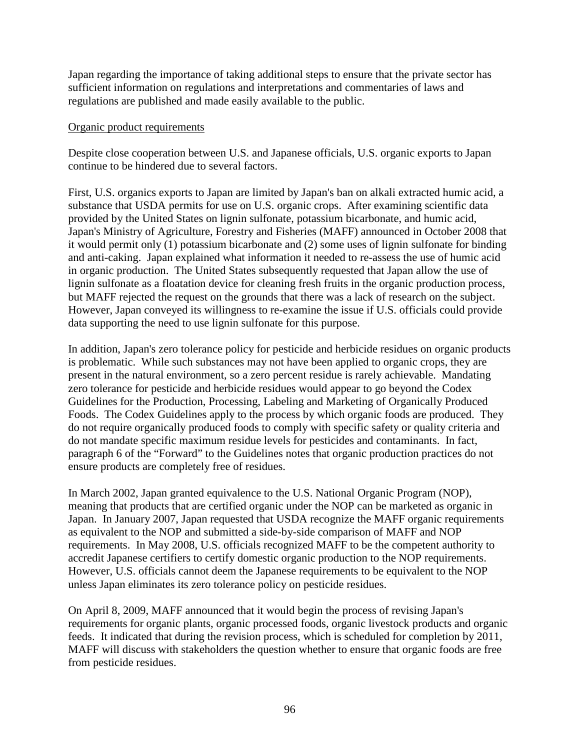Japan regarding the importance of taking additional steps to ensure that the private sector has sufficient information on regulations and interpretations and commentaries of laws and regulations are published and made easily available to the public.

#### Organic product requirements

Despite close cooperation between U.S. and Japanese officials, U.S. organic exports to Japan continue to be hindered due to several factors.

First, U.S. organics exports to Japan are limited by Japan's ban on alkali extracted humic acid, a substance that USDA permits for use on U.S. organic crops. After examining scientific data provided by the United States on lignin sulfonate, potassium bicarbonate, and humic acid, Japan's Ministry of Agriculture, Forestry and Fisheries (MAFF) announced in October 2008 that it would permit only (1) potassium bicarbonate and (2) some uses of lignin sulfonate for binding and anti-caking. Japan explained what information it needed to re-assess the use of humic acid in organic production. The United States subsequently requested that Japan allow the use of lignin sulfonate as a floatation device for cleaning fresh fruits in the organic production process, but MAFF rejected the request on the grounds that there was a lack of research on the subject. However, Japan conveyed its willingness to re-examine the issue if U.S. officials could provide data supporting the need to use lignin sulfonate for this purpose.

In addition, Japan's zero tolerance policy for pesticide and herbicide residues on organic products is problematic. While such substances may not have been applied to organic crops, they are present in the natural environment, so a zero percent residue is rarely achievable. Mandating zero tolerance for pesticide and herbicide residues would appear to go beyond the Codex Guidelines for the Production, Processing, Labeling and Marketing of Organically Produced Foods. The Codex Guidelines apply to the process by which organic foods are produced. They do not require organically produced foods to comply with specific safety or quality criteria and do not mandate specific maximum residue levels for pesticides and contaminants. In fact, paragraph 6 of the "Forward" to the Guidelines notes that organic production practices do not ensure products are completely free of residues.

In March 2002, Japan granted equivalence to the U.S. National Organic Program (NOP), meaning that products that are certified organic under the NOP can be marketed as organic in Japan. In January 2007, Japan requested that USDA recognize the MAFF organic requirements as equivalent to the NOP and submitted a side-by-side comparison of MAFF and NOP requirements. In May 2008, U.S. officials recognized MAFF to be the competent authority to accredit Japanese certifiers to certify domestic organic production to the NOP requirements. However, U.S. officials cannot deem the Japanese requirements to be equivalent to the NOP unless Japan eliminates its zero tolerance policy on pesticide residues.

On April 8, 2009, MAFF announced that it would begin the process of revising Japan's requirements for organic plants, organic processed foods, organic livestock products and organic feeds. It indicated that during the revision process, which is scheduled for completion by 2011, MAFF will discuss with stakeholders the question whether to ensure that organic foods are free from pesticide residues.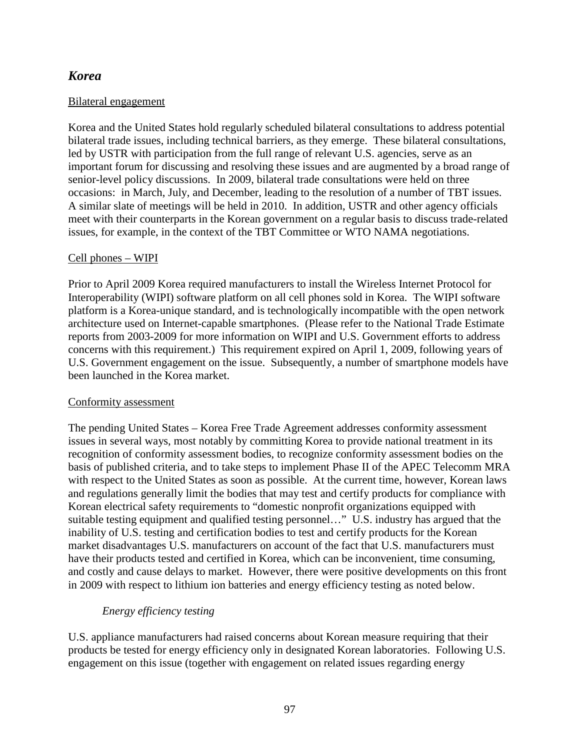# *Korea*

## Bilateral engagement

Korea and the United States hold regularly scheduled bilateral consultations to address potential bilateral trade issues, including technical barriers, as they emerge. These bilateral consultations, led by USTR with participation from the full range of relevant U.S. agencies, serve as an important forum for discussing and resolving these issues and are augmented by a broad range of senior-level policy discussions. In 2009, bilateral trade consultations were held on three occasions: in March, July, and December, leading to the resolution of a number of TBT issues. A similar slate of meetings will be held in 2010. In addition, USTR and other agency officials meet with their counterparts in the Korean government on a regular basis to discuss trade-related issues, for example, in the context of the TBT Committee or WTO NAMA negotiations.

## Cell phones – WIPI

Prior to April 2009 Korea required manufacturers to install the Wireless Internet Protocol for Interoperability (WIPI) software platform on all cell phones sold in Korea. The WIPI software platform is a Korea-unique standard, and is technologically incompatible with the open network architecture used on Internet-capable smartphones. (Please refer to the National Trade Estimate reports from 2003-2009 for more information on WIPI and U.S. Government efforts to address concerns with this requirement.) This requirement expired on April 1, 2009, following years of U.S. Government engagement on the issue. Subsequently, a number of smartphone models have been launched in the Korea market.

## Conformity assessment

The pending United States – Korea Free Trade Agreement addresses conformity assessment issues in several ways, most notably by committing Korea to provide national treatment in its recognition of conformity assessment bodies, to recognize conformity assessment bodies on the basis of published criteria, and to take steps to implement Phase II of the APEC Telecomm MRA with respect to the United States as soon as possible. At the current time, however, Korean laws and regulations generally limit the bodies that may test and certify products for compliance with Korean electrical safety requirements to "domestic nonprofit organizations equipped with suitable testing equipment and qualified testing personnel…" U.S. industry has argued that the inability of U.S. testing and certification bodies to test and certify products for the Korean market disadvantages U.S. manufacturers on account of the fact that U.S. manufacturers must have their products tested and certified in Korea, which can be inconvenient, time consuming, and costly and cause delays to market. However, there were positive developments on this front in 2009 with respect to lithium ion batteries and energy efficiency testing as noted below.

## *Energy efficiency testing*

U.S. appliance manufacturers had raised concerns about Korean measure requiring that their products be tested for energy efficiency only in designated Korean laboratories. Following U.S. engagement on this issue (together with engagement on related issues regarding energy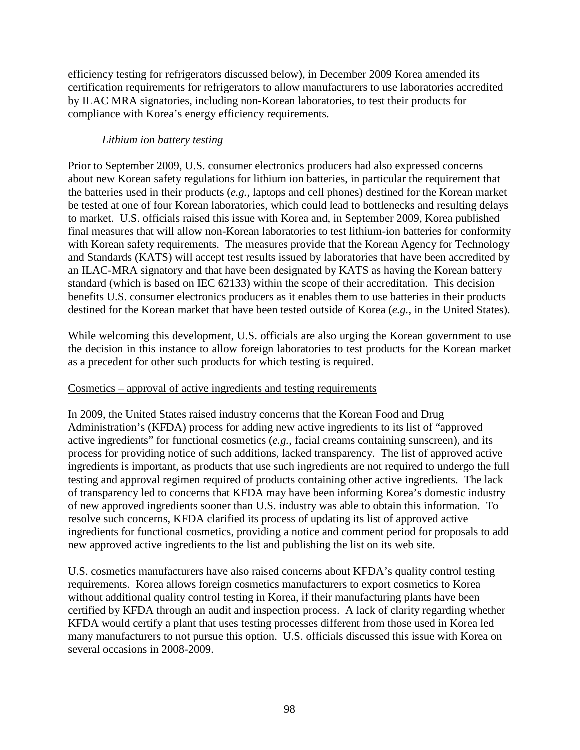efficiency testing for refrigerators discussed below), in December 2009 Korea amended its certification requirements for refrigerators to allow manufacturers to use laboratories accredited by ILAC MRA signatories, including non-Korean laboratories, to test their products for compliance with Korea's energy efficiency requirements.

### *Lithium ion battery testing*

Prior to September 2009, U.S. consumer electronics producers had also expressed concerns about new Korean safety regulations for lithium ion batteries, in particular the requirement that the batteries used in their products (*e.g.*, laptops and cell phones) destined for the Korean market be tested at one of four Korean laboratories, which could lead to bottlenecks and resulting delays to market. U.S. officials raised this issue with Korea and, in September 2009, Korea published final measures that will allow non-Korean laboratories to test lithium-ion batteries for conformity with Korean safety requirements. The measures provide that the Korean Agency for Technology and Standards (KATS) will accept test results issued by laboratories that have been accredited by an ILAC-MRA signatory and that have been designated by KATS as having the Korean battery standard (which is based on IEC 62133) within the scope of their accreditation. This decision benefits U.S. consumer electronics producers as it enables them to use batteries in their products destined for the Korean market that have been tested outside of Korea (*e.g.*, in the United States).

While welcoming this development, U.S. officials are also urging the Korean government to use the decision in this instance to allow foreign laboratories to test products for the Korean market as a precedent for other such products for which testing is required.

## Cosmetics – approval of active ingredients and testing requirements

In 2009, the United States raised industry concerns that the Korean Food and Drug Administration's (KFDA) process for adding new active ingredients to its list of "approved active ingredients" for functional cosmetics (*e.g.*, facial creams containing sunscreen), and its process for providing notice of such additions, lacked transparency. The list of approved active ingredients is important, as products that use such ingredients are not required to undergo the full testing and approval regimen required of products containing other active ingredients. The lack of transparency led to concerns that KFDA may have been informing Korea's domestic industry of new approved ingredients sooner than U.S. industry was able to obtain this information. To resolve such concerns, KFDA clarified its process of updating its list of approved active ingredients for functional cosmetics, providing a notice and comment period for proposals to add new approved active ingredients to the list and publishing the list on its web site.

U.S. cosmetics manufacturers have also raised concerns about KFDA's quality control testing requirements. Korea allows foreign cosmetics manufacturers to export cosmetics to Korea without additional quality control testing in Korea, if their manufacturing plants have been certified by KFDA through an audit and inspection process. A lack of clarity regarding whether KFDA would certify a plant that uses testing processes different from those used in Korea led many manufacturers to not pursue this option. U.S. officials discussed this issue with Korea on several occasions in 2008-2009.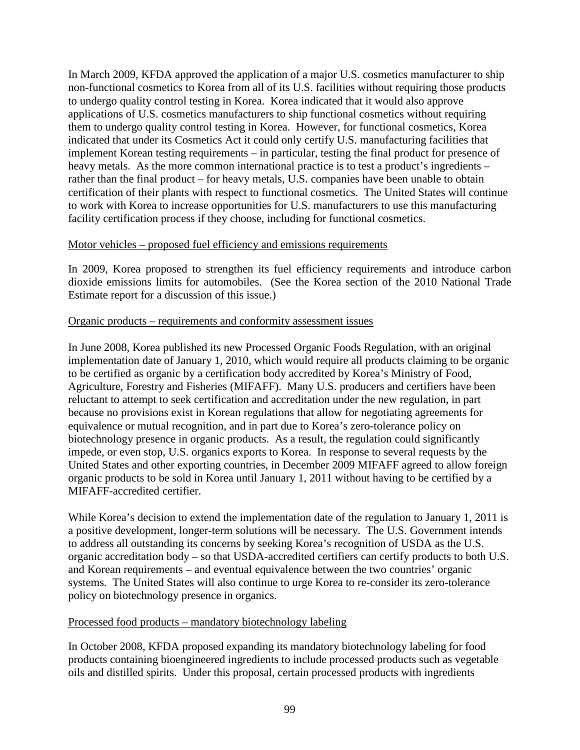In March 2009, KFDA approved the application of a major U.S. cosmetics manufacturer to ship non-functional cosmetics to Korea from all of its U.S. facilities without requiring those products to undergo quality control testing in Korea. Korea indicated that it would also approve applications of U.S. cosmetics manufacturers to ship functional cosmetics without requiring them to undergo quality control testing in Korea. However, for functional cosmetics, Korea indicated that under its Cosmetics Act it could only certify U.S. manufacturing facilities that implement Korean testing requirements – in particular, testing the final product for presence of heavy metals. As the more common international practice is to test a product's ingredients – rather than the final product – for heavy metals, U.S. companies have been unable to obtain certification of their plants with respect to functional cosmetics. The United States will continue to work with Korea to increase opportunities for U.S. manufacturers to use this manufacturing facility certification process if they choose, including for functional cosmetics.

#### Motor vehicles – proposed fuel efficiency and emissions requirements

In 2009, Korea proposed to strengthen its fuel efficiency requirements and introduce carbon dioxide emissions limits for automobiles. (See the Korea section of the 2010 National Trade Estimate report for a discussion of this issue.)

#### Organic products – requirements and conformity assessment issues

In June 2008, Korea published its new Processed Organic Foods Regulation, with an original implementation date of January 1, 2010, which would require all products claiming to be organic to be certified as organic by a certification body accredited by Korea's Ministry of Food, Agriculture, Forestry and Fisheries (MIFAFF). Many U.S. producers and certifiers have been reluctant to attempt to seek certification and accreditation under the new regulation, in part because no provisions exist in Korean regulations that allow for negotiating agreements for equivalence or mutual recognition, and in part due to Korea's zero-tolerance policy on biotechnology presence in organic products. As a result, the regulation could significantly impede, or even stop, U.S. organics exports to Korea. In response to several requests by the United States and other exporting countries, in December 2009 MIFAFF agreed to allow foreign organic products to be sold in Korea until January 1, 2011 without having to be certified by a MIFAFF-accredited certifier.

While Korea's decision to extend the implementation date of the regulation to January 1, 2011 is a positive development, longer-term solutions will be necessary. The U.S. Government intends to address all outstanding its concerns by seeking Korea's recognition of USDA as the U.S. organic accreditation body – so that USDA-accredited certifiers can certify products to both U.S. and Korean requirements – and eventual equivalence between the two countries' organic systems. The United States will also continue to urge Korea to re-consider its zero-tolerance policy on biotechnology presence in organics.

## Processed food products – mandatory biotechnology labeling

In October 2008, KFDA proposed expanding its mandatory biotechnology labeling for food products containing bioengineered ingredients to include processed products such as vegetable oils and distilled spirits. Under this proposal, certain processed products with ingredients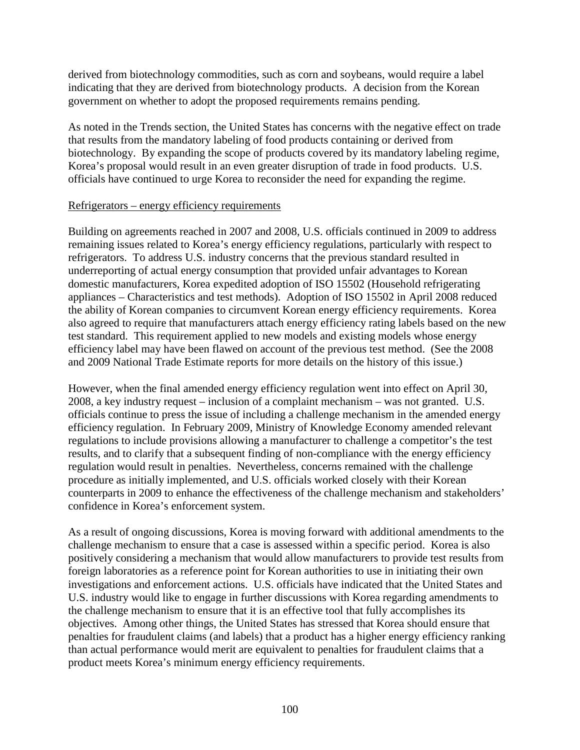derived from biotechnology commodities, such as corn and soybeans, would require a label indicating that they are derived from biotechnology products. A decision from the Korean government on whether to adopt the proposed requirements remains pending.

As noted in the Trends section, the United States has concerns with the negative effect on trade that results from the mandatory labeling of food products containing or derived from biotechnology. By expanding the scope of products covered by its mandatory labeling regime, Korea's proposal would result in an even greater disruption of trade in food products. U.S. officials have continued to urge Korea to reconsider the need for expanding the regime.

#### Refrigerators – energy efficiency requirements

Building on agreements reached in 2007 and 2008, U.S. officials continued in 2009 to address remaining issues related to Korea's energy efficiency regulations, particularly with respect to refrigerators. To address U.S. industry concerns that the previous standard resulted in underreporting of actual energy consumption that provided unfair advantages to Korean domestic manufacturers, Korea expedited adoption of ISO 15502 (Household refrigerating appliances – Characteristics and test methods). Adoption of ISO 15502 in April 2008 reduced the ability of Korean companies to circumvent Korean energy efficiency requirements. Korea also agreed to require that manufacturers attach energy efficiency rating labels based on the new test standard. This requirement applied to new models and existing models whose energy efficiency label may have been flawed on account of the previous test method. (See the 2008 and 2009 National Trade Estimate reports for more details on the history of this issue.)

However, when the final amended energy efficiency regulation went into effect on April 30, 2008, a key industry request – inclusion of a complaint mechanism – was not granted. U.S. officials continue to press the issue of including a challenge mechanism in the amended energy efficiency regulation. In February 2009, Ministry of Knowledge Economy amended relevant regulations to include provisions allowing a manufacturer to challenge a competitor's the test results, and to clarify that a subsequent finding of non-compliance with the energy efficiency regulation would result in penalties. Nevertheless, concerns remained with the challenge procedure as initially implemented, and U.S. officials worked closely with their Korean counterparts in 2009 to enhance the effectiveness of the challenge mechanism and stakeholders' confidence in Korea's enforcement system.

As a result of ongoing discussions, Korea is moving forward with additional amendments to the challenge mechanism to ensure that a case is assessed within a specific period. Korea is also positively considering a mechanism that would allow manufacturers to provide test results from foreign laboratories as a reference point for Korean authorities to use in initiating their own investigations and enforcement actions. U.S. officials have indicated that the United States and U.S. industry would like to engage in further discussions with Korea regarding amendments to the challenge mechanism to ensure that it is an effective tool that fully accomplishes its objectives. Among other things, the United States has stressed that Korea should ensure that penalties for fraudulent claims (and labels) that a product has a higher energy efficiency ranking than actual performance would merit are equivalent to penalties for fraudulent claims that a product meets Korea's minimum energy efficiency requirements.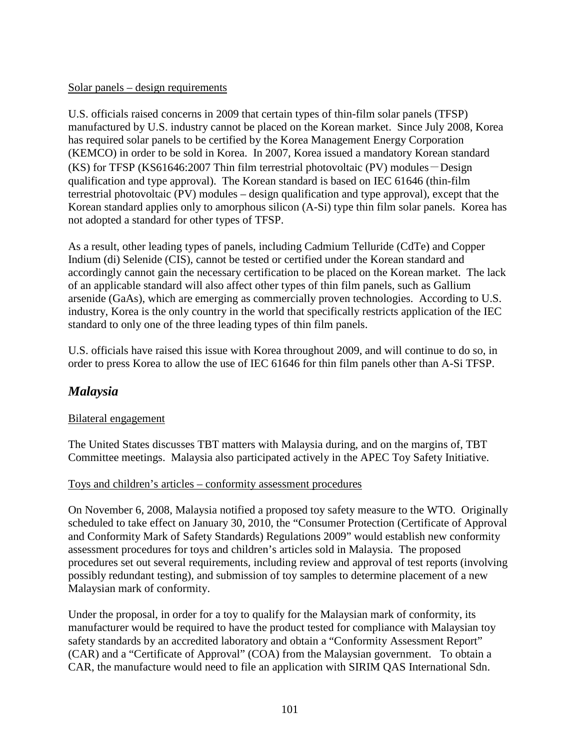### Solar panels – design requirements

U.S. officials raised concerns in 2009 that certain types of thin-film solar panels (TFSP) manufactured by U.S. industry cannot be placed on the Korean market. Since July 2008, Korea has required solar panels to be certified by the Korea Management Energy Corporation (KEMCO) in order to be sold in Korea. In 2007, Korea issued a mandatory Korean standard  $(KS)$  for TFSP (KS61646:2007 Thin film terrestrial photovoltaic (PV) modules  $-$  Design qualification and type approval). The Korean standard is based on IEC 61646 (thin-film terrestrial photovoltaic (PV) modules – design qualification and type approval), except that the Korean standard applies only to amorphous silicon (A-Si) type thin film solar panels. Korea has not adopted a standard for other types of TFSP.

As a result, other leading types of panels, including Cadmium Telluride (CdTe) and Copper Indium (di) Selenide (CIS), cannot be tested or certified under the Korean standard and accordingly cannot gain the necessary certification to be placed on the Korean market. The lack of an applicable standard will also affect other types of thin film panels, such as Gallium arsenide (GaAs), which are emerging as commercially proven technologies. According to U.S. industry, Korea is the only country in the world that specifically restricts application of the IEC standard to only one of the three leading types of thin film panels.

U.S. officials have raised this issue with Korea throughout 2009, and will continue to do so, in order to press Korea to allow the use of IEC 61646 for thin film panels other than A-Si TFSP.

## *Malaysia*

#### Bilateral engagement

The United States discusses TBT matters with Malaysia during, and on the margins of, TBT Committee meetings. Malaysia also participated actively in the APEC Toy Safety Initiative.

## Toys and children's articles – conformity assessment procedures

On November 6, 2008, Malaysia notified a proposed toy safety measure to the WTO. Originally scheduled to take effect on January 30, 2010, the "Consumer Protection (Certificate of Approval and Conformity Mark of Safety Standards) Regulations 2009" would establish new conformity assessment procedures for toys and children's articles sold in Malaysia. The proposed procedures set out several requirements, including review and approval of test reports (involving possibly redundant testing), and submission of toy samples to determine placement of a new Malaysian mark of conformity.

Under the proposal, in order for a toy to qualify for the Malaysian mark of conformity, its manufacturer would be required to have the product tested for compliance with Malaysian toy safety standards by an accredited laboratory and obtain a "Conformity Assessment Report" (CAR) and a "Certificate of Approval" (COA) from the Malaysian government. To obtain a CAR, the manufacture would need to file an application with SIRIM QAS International Sdn.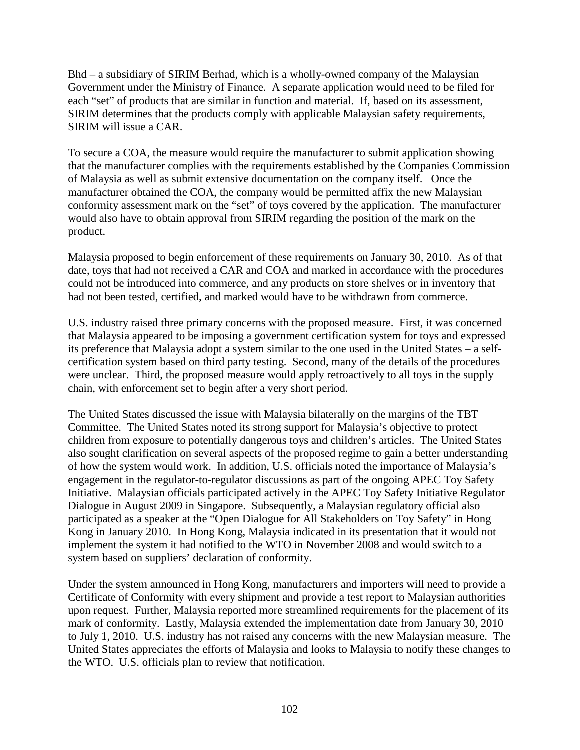Bhd – a subsidiary of SIRIM Berhad, which is a wholly-owned company of the Malaysian Government under the Ministry of Finance. A separate application would need to be filed for each "set" of products that are similar in function and material. If, based on its assessment, SIRIM determines that the products comply with applicable Malaysian safety requirements, SIRIM will issue a CAR.

To secure a COA, the measure would require the manufacturer to submit application showing that the manufacturer complies with the requirements established by the Companies Commission of Malaysia as well as submit extensive documentation on the company itself. Once the manufacturer obtained the COA, the company would be permitted affix the new Malaysian conformity assessment mark on the "set" of toys covered by the application. The manufacturer would also have to obtain approval from SIRIM regarding the position of the mark on the product.

Malaysia proposed to begin enforcement of these requirements on January 30, 2010. As of that date, toys that had not received a CAR and COA and marked in accordance with the procedures could not be introduced into commerce, and any products on store shelves or in inventory that had not been tested, certified, and marked would have to be withdrawn from commerce.

U.S. industry raised three primary concerns with the proposed measure. First, it was concerned that Malaysia appeared to be imposing a government certification system for toys and expressed its preference that Malaysia adopt a system similar to the one used in the United States – a selfcertification system based on third party testing. Second, many of the details of the procedures were unclear. Third, the proposed measure would apply retroactively to all toys in the supply chain, with enforcement set to begin after a very short period.

The United States discussed the issue with Malaysia bilaterally on the margins of the TBT Committee. The United States noted its strong support for Malaysia's objective to protect children from exposure to potentially dangerous toys and children's articles. The United States also sought clarification on several aspects of the proposed regime to gain a better understanding of how the system would work. In addition, U.S. officials noted the importance of Malaysia's engagement in the regulator-to-regulator discussions as part of the ongoing APEC Toy Safety Initiative. Malaysian officials participated actively in the APEC Toy Safety Initiative Regulator Dialogue in August 2009 in Singapore. Subsequently, a Malaysian regulatory official also participated as a speaker at the "Open Dialogue for All Stakeholders on Toy Safety" in Hong Kong in January 2010. In Hong Kong, Malaysia indicated in its [presentation](http://www.toyassociation.org/AM/Template.cfm?Section=APEC_Meeting) that it would not implement the system it had notified to the WTO in November 2008 and would switch to a system based on suppliers' declaration of conformity.

Under the system announced in Hong Kong, manufacturers and importers will need to provide a Certificate of Conformity with every shipment and provide a test report to Malaysian authorities upon request. Further, Malaysia reported more streamlined requirements for the placement of its mark of conformity. Lastly, Malaysia extended the implementation date from January 30, 2010 to July 1, 2010. U.S. industry has not raised any concerns with the new Malaysian measure. The United States appreciates the efforts of Malaysia and looks to Malaysia to notify these changes to the WTO. U.S. officials plan to review that notification.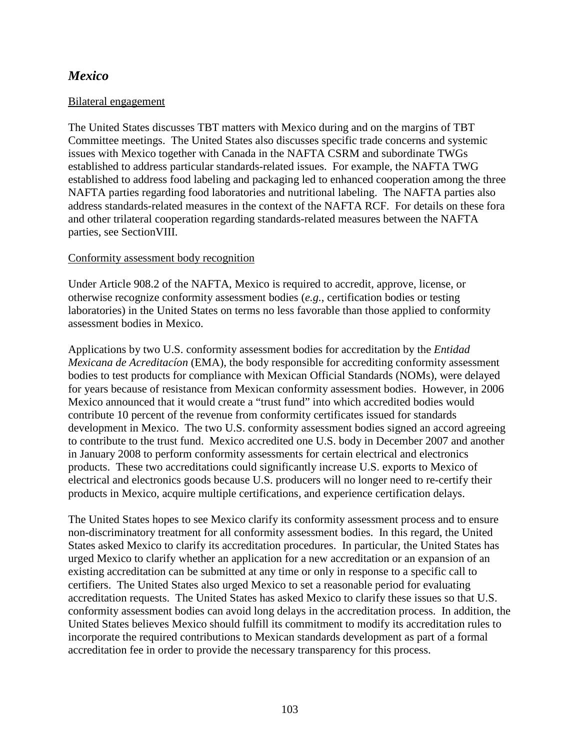# *Mexico*

#### Bilateral engagement

The United States discusses TBT matters with Mexico during and on the margins of TBT Committee meetings. The United States also discusses specific trade concerns and systemic issues with Mexico together with Canada in the NAFTA CSRM and subordinate TWGs established to address particular standards-related issues. For example, the NAFTA TWG established to address food labeling and packaging led to enhanced cooperation among the three NAFTA parties regarding food laboratories and nutritional labeling. The NAFTA parties also address standards-related measures in the context of the NAFTA RCF. For details on these fora and other trilateral cooperation regarding standards-related measures between the NAFTA parties, see SectionVIII.

#### Conformity assessment body recognition

Under Article 908.2 of the NAFTA, Mexico is required to accredit, approve, license, or otherwise recognize conformity assessment bodies (*e.g.*, certification bodies or testing laboratories) in the United States on terms no less favorable than those applied to conformity assessment bodies in Mexico.

Applications by two U.S. conformity assessment bodies for accreditation by the *Entidad Mexicana de Acreditacíon* (EMA), the body responsible for accrediting conformity assessment bodies to test products for compliance with Mexican Official Standards (NOMs), were delayed for years because of resistance from Mexican conformity assessment bodies. However, in 2006 Mexico announced that it would create a "trust fund" into which accredited bodies would contribute 10 percent of the revenue from conformity certificates issued for standards development in Mexico. The two U.S. conformity assessment bodies signed an accord agreeing to contribute to the trust fund. Mexico accredited one U.S. body in December 2007 and another in January 2008 to perform conformity assessments for certain electrical and electronics products. These two accreditations could significantly increase U.S. exports to Mexico of electrical and electronics goods because U.S. producers will no longer need to re-certify their products in Mexico, acquire multiple certifications, and experience certification delays.

The United States hopes to see Mexico clarify its conformity assessment process and to ensure non-discriminatory treatment for all conformity assessment bodies. In this regard, the United States asked Mexico to clarify its accreditation procedures. In particular, the United States has urged Mexico to clarify whether an application for a new accreditation or an expansion of an existing accreditation can be submitted at any time or only in response to a specific call to certifiers. The United States also urged Mexico to set a reasonable period for evaluating accreditation requests. The United States has asked Mexico to clarify these issues so that U.S. conformity assessment bodies can avoid long delays in the accreditation process. In addition, the United States believes Mexico should fulfill its commitment to modify its accreditation rules to incorporate the required contributions to Mexican standards development as part of a formal accreditation fee in order to provide the necessary transparency for this process.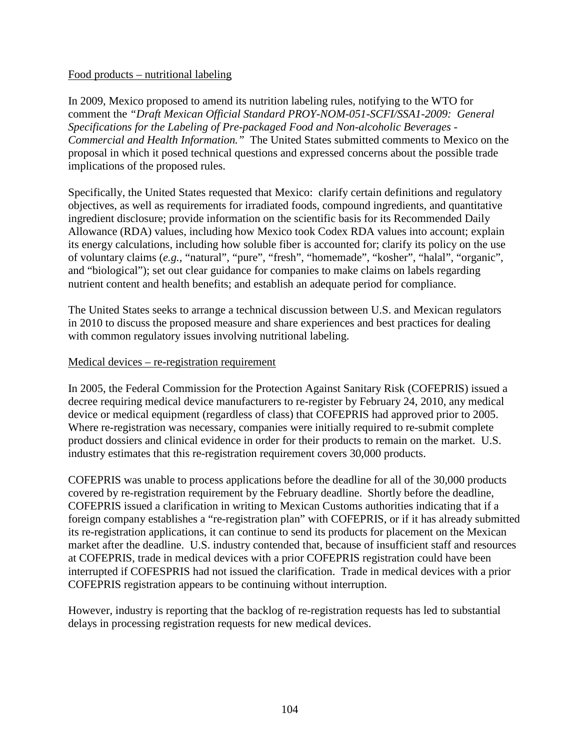#### Food products – nutritional labeling

In 2009, Mexico proposed to amend its nutrition labeling rules, notifying to the WTO for comment the *"Draft Mexican Official Standard PROY-NOM-051-SCFI/SSA1-2009: General Specifications for the Labeling of Pre-packaged Food and Non-alcoholic Beverages - Commercial and Health Information."* The United States submitted comments to Mexico on the proposal in which it posed technical questions and expressed concerns about the possible trade implications of the proposed rules.

Specifically, the United States requested that Mexico: clarify certain definitions and regulatory objectives, as well as requirements for irradiated foods, compound ingredients, and quantitative ingredient disclosure; provide information on the scientific basis for its Recommended Daily Allowance (RDA) values, including how Mexico took Codex RDA values into account; explain its energy calculations, including how soluble fiber is accounted for; clarify its policy on the use of voluntary claims (*e.g.*, "natural", "pure", "fresh", "homemade", "kosher", "halal", "organic", and "biological"); set out clear guidance for companies to make claims on labels regarding nutrient content and health benefits; and establish an adequate period for compliance.

The United States seeks to arrange a technical discussion between U.S. and Mexican regulators in 2010 to discuss the proposed measure and share experiences and best practices for dealing with common regulatory issues involving nutritional labeling.

#### Medical devices – re-registration requirement

In 2005, the Federal Commission for the Protection Against Sanitary Risk (COFEPRIS) issued a decree requiring medical device manufacturers to re-register by February 24, 2010, any medical device or medical equipment (regardless of class) that COFEPRIS had approved prior to 2005. Where re-registration was necessary, companies were initially required to re-submit complete product dossiers and clinical evidence in order for their products to remain on the market. U.S. industry estimates that this re-registration requirement covers 30,000 products.

COFEPRIS was unable to process applications before the deadline for all of the 30,000 products covered by re-registration requirement by the February deadline. Shortly before the deadline, COFEPRIS issued a clarification in writing to Mexican Customs authorities indicating that if a foreign company establishes a "re-registration plan" with COFEPRIS, or if it has already submitted its re-registration applications, it can continue to send its products for placement on the Mexican market after the deadline. U.S. industry contended that, because of insufficient staff and resources at COFEPRIS, trade in medical devices with a prior COFEPRIS registration could have been interrupted if COFESPRIS had not issued the clarification. Trade in medical devices with a prior COFEPRIS registration appears to be continuing without interruption.

However, industry is reporting that the backlog of re-registration requests has led to substantial delays in processing registration requests for new medical devices.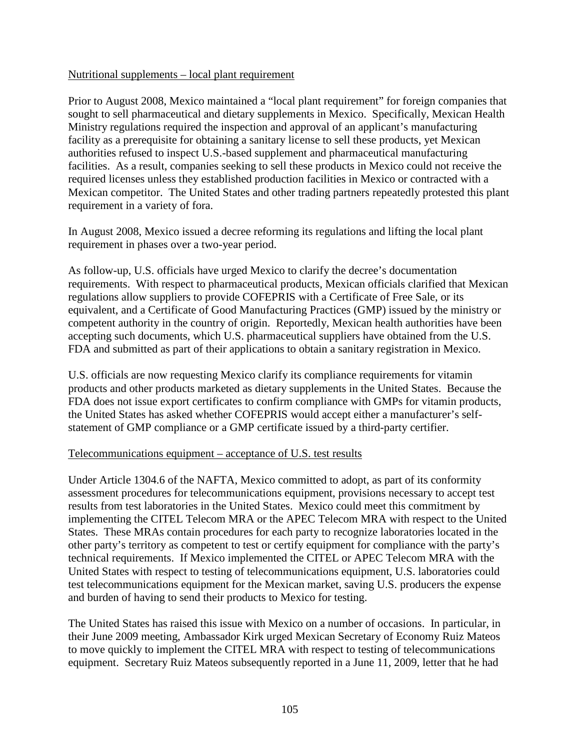#### Nutritional supplements – local plant requirement

Prior to August 2008, Mexico maintained a "local plant requirement" for foreign companies that sought to sell pharmaceutical and dietary supplements in Mexico. Specifically, Mexican Health Ministry regulations required the inspection and approval of an applicant's manufacturing facility as a prerequisite for obtaining a sanitary license to sell these products, yet Mexican authorities refused to inspect U.S.-based supplement and pharmaceutical manufacturing facilities. As a result, companies seeking to sell these products in Mexico could not receive the required licenses unless they established production facilities in Mexico or contracted with a Mexican competitor. The United States and other trading partners repeatedly protested this plant requirement in a variety of fora.

In August 2008, Mexico issued a decree reforming its regulations and lifting the local plant requirement in phases over a two-year period.

As follow-up, U.S. officials have urged Mexico to clarify the decree's documentation requirements. With respect to pharmaceutical products, Mexican officials clarified that Mexican regulations allow suppliers to provide COFEPRIS with a Certificate of Free Sale, or its equivalent, and a Certificate of Good Manufacturing Practices (GMP) issued by the ministry or competent authority in the country of origin. Reportedly, Mexican health authorities have been accepting such documents, which U.S. pharmaceutical suppliers have obtained from the U.S. FDA and submitted as part of their applications to obtain a sanitary registration in Mexico.

U.S. officials are now requesting Mexico clarify its compliance requirements for vitamin products and other products marketed as dietary supplements in the United States. Because the FDA does not issue export certificates to confirm compliance with GMPs for vitamin products, the United States has asked whether COFEPRIS would accept either a manufacturer's selfstatement of GMP compliance or a GMP certificate issued by a third-party certifier.

### Telecommunications equipment – acceptance of U.S. test results

Under Article 1304.6 of the NAFTA, Mexico committed to adopt, as part of its conformity assessment procedures for telecommunications equipment, provisions necessary to accept test results from test laboratories in the United States. Mexico could meet this commitment by implementing the CITEL Telecom MRA or the APEC Telecom MRA with respect to the United States. These MRAs contain procedures for each party to recognize laboratories located in the other party's territory as competent to test or certify equipment for compliance with the party's technical requirements. If Mexico implemented the CITEL or APEC Telecom MRA with the United States with respect to testing of telecommunications equipment, U.S. laboratories could test telecommunications equipment for the Mexican market, saving U.S. producers the expense and burden of having to send their products to Mexico for testing.

The United States has raised this issue with Mexico on a number of occasions. In particular, in their June 2009 meeting, Ambassador Kirk urged Mexican Secretary of Economy Ruiz Mateos to move quickly to implement the CITEL MRA with respect to testing of telecommunications equipment. Secretary Ruiz Mateos subsequently reported in a June 11, 2009, letter that he had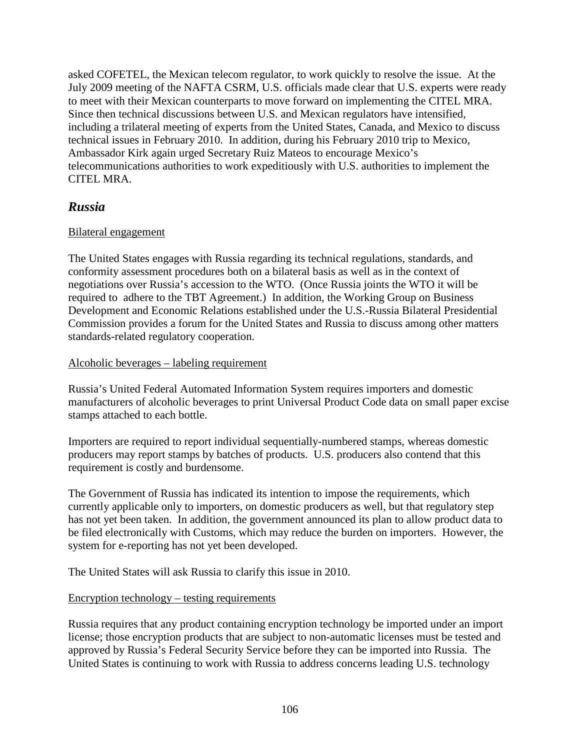asked COFETEL, the Mexican telecom regulator, to work quickly to resolve the issue. At the July 2009 meeting of the NAFTA CSRM, U.S. officials made clear that U.S. experts were ready to meet with their Mexican counterparts to move forward on implementing the CITEL MRA. Since then technical discussions between U.S. and Mexican regulators have intensified, including a trilateral meeting of experts from the United States, Canada, and Mexico to discuss technical issues in February 2010. In addition, during his February 2010 trip to Mexico, Ambassador Kirk again urged Secretary Ruiz Mateos to encourage Mexico's telecommunications authorities to work expeditiously with U.S. authorities to implement the CITEL MRA.

# *Russia*

## Bilateral engagement

The United States engages with Russia regarding its technical regulations, standards, and conformity assessment procedures both on a bilateral basis as well as in the context of negotiations over Russia's accession to the WTO. (Once Russia joints the WTO it will be required to adhere to the TBT Agreement.) In addition, the Working Group on Business Development and Economic Relations established under the U.S.-Russia Bilateral Presidential Commission provides a forum for the United States and Russia to discuss among other matters standards-related regulatory cooperation.

## Alcoholic beverages – labeling requirement

Russia's United Federal Automated Information System requires importers and domestic manufacturers of alcoholic beverages to print Universal Product Code data on small paper excise stamps attached to each bottle.

Importers are required to report individual sequentially-numbered stamps, whereas domestic producers may report stamps by batches of products. U.S. producers also contend that this requirement is costly and burdensome.

The Government of Russia has indicated its intention to impose the requirements, which currently applicable only to importers, on domestic producers as well, but that regulatory step has not yet been taken. In addition, the government announced its plan to allow product data to be filed electronically with Customs, which may reduce the burden on importers. However, the system for e-reporting has not yet been developed.

The United States will ask Russia to clarify this issue in 2010.

## Encryption technology – testing requirements

Russia requires that any product containing encryption technology be imported under an import license; those encryption products that are subject to non-automatic licenses must be tested and approved by Russia's Federal Security Service before they can be imported into Russia. The United States is continuing to work with Russia to address concerns leading U.S. technology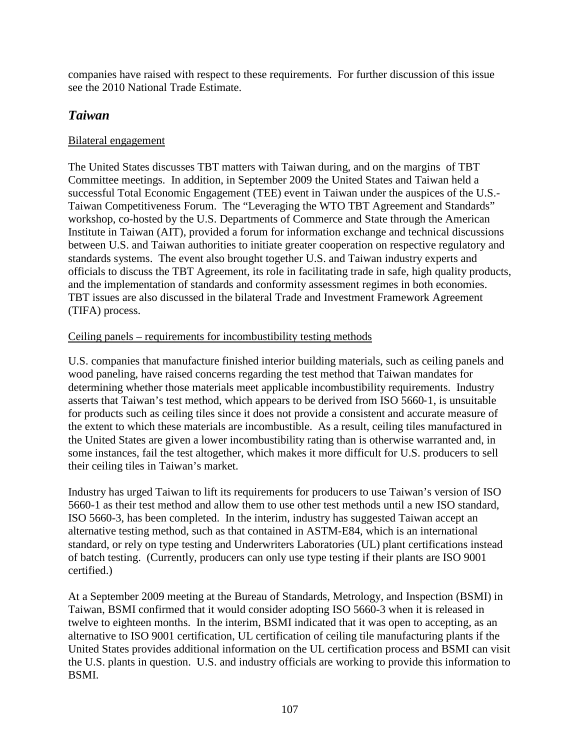companies have raised with respect to these requirements. For further discussion of this issue see the 2010 National Trade Estimate.

# *Taiwan*

## Bilateral engagement

The United States discusses TBT matters with Taiwan during, and on the margins of TBT Committee meetings. In addition, in September 2009 the United States and Taiwan held a successful Total Economic Engagement (TEE) event in Taiwan under the auspices of the U.S.- Taiwan Competitiveness Forum. The "Leveraging the WTO TBT Agreement and Standards" workshop, co-hosted by the U.S. Departments of Commerce and State through the American Institute in Taiwan (AIT), provided a forum for information exchange and technical discussions between U.S. and Taiwan authorities to initiate greater cooperation on respective regulatory and standards systems. The event also brought together U.S. and Taiwan industry experts and officials to discuss the TBT Agreement, its role in facilitating trade in safe, high quality products, and the implementation of standards and conformity assessment regimes in both economies. TBT issues are also discussed in the bilateral Trade and Investment Framework Agreement (TIFA) process.

## Ceiling panels – requirements for incombustibility testing methods

U.S. companies that manufacture finished interior building materials, such as ceiling panels and wood paneling, have raised concerns regarding the test method that Taiwan mandates for determining whether those materials meet applicable incombustibility requirements. Industry asserts that Taiwan's test method, which appears to be derived from ISO 5660‐1, is unsuitable for products such as ceiling tiles since it does not provide a consistent and accurate measure of the extent to which these materials are incombustible. As a result, ceiling tiles manufactured in the United States are given a lower incombustibility rating than is otherwise warranted and, in some instances, fail the test altogether, which makes it more difficult for U.S. producers to sell their ceiling tiles in Taiwan's market.

Industry has urged Taiwan to lift its requirements for producers to use Taiwan's version of ISO 5660-1 as their test method and allow them to use other test methods until a new ISO standard, ISO 5660-3, has been completed. In the interim, industry has suggested Taiwan accept an alternative testing method, such as that contained in ASTM-E84, which is an international standard, or rely on type testing and Underwriters Laboratories (UL) plant certifications instead of batch testing. (Currently, producers can only use type testing if their plants are ISO 9001 certified.)

At a September 2009 meeting at the Bureau of Standards, Metrology, and Inspection (BSMI) in Taiwan, BSMI confirmed that it would consider adopting ISO 5660-3 when it is released in twelve to eighteen months. In the interim, BSMI indicated that it was open to accepting, as an alternative to ISO 9001 certification, UL certification of ceiling tile manufacturing plants if the United States provides additional information on the UL certification process and BSMI can visit the U.S. plants in question. U.S. and industry officials are working to provide this information to BSMI.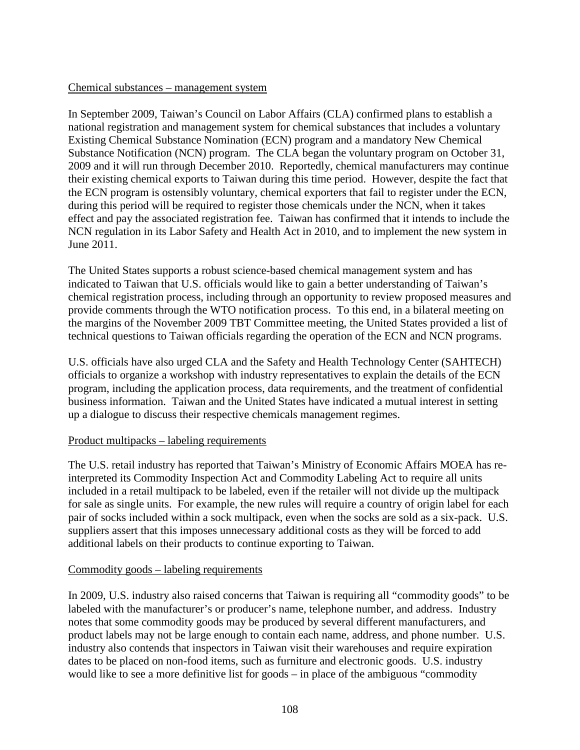#### Chemical substances – management system

In September 2009, Taiwan's Council on Labor Affairs (CLA) confirmed plans to establish a national registration and management system for chemical substances that includes a voluntary Existing Chemical Substance Nomination (ECN) program and a mandatory New Chemical Substance Notification (NCN) program. The CLA began the voluntary program on October 31, 2009 and it will run through December 2010. Reportedly, chemical manufacturers may continue their existing chemical exports to Taiwan during this time period. However, despite the fact that the ECN program is ostensibly voluntary, chemical exporters that fail to register under the ECN, during this period will be required to register those chemicals under the NCN, when it takes effect and pay the associated registration fee. Taiwan has confirmed that it intends to include the NCN regulation in its Labor Safety and Health Act in 2010, and to implement the new system in June 2011.

The United States supports a robust science-based chemical management system and has indicated to Taiwan that U.S. officials would like to gain a better understanding of Taiwan's chemical registration process, including through an opportunity to review proposed measures and provide comments through the WTO notification process. To this end, in a bilateral meeting on the margins of the November 2009 TBT Committee meeting, the United States provided a list of technical questions to Taiwan officials regarding the operation of the ECN and NCN programs.

U.S. officials have also urged CLA and the Safety and Health Technology Center (SAHTECH) officials to organize a workshop with industry representatives to explain the details of the ECN program, including the application process, data requirements, and the treatment of confidential business information. Taiwan and the United States have indicated a mutual interest in setting up a dialogue to discuss their respective chemicals management regimes.

#### Product multipacks – labeling requirements

The U.S. retail industry has reported that Taiwan's Ministry of Economic Affairs MOEA has reinterpreted its Commodity Inspection Act and Commodity Labeling Act to require all units included in a retail multipack to be labeled, even if the retailer will not divide up the multipack for sale as single units. For example, the new rules will require a country of origin label for each pair of socks included within a sock multipack, even when the socks are sold as a six-pack. U.S. suppliers assert that this imposes unnecessary additional costs as they will be forced to add additional labels on their products to continue exporting to Taiwan.

#### Commodity goods – labeling requirements

In 2009, U.S. industry also raised concerns that Taiwan is requiring all "commodity goods" to be labeled with the manufacturer's or producer's name, telephone number, and address. Industry notes that some commodity goods may be produced by several different manufacturers, and product labels may not be large enough to contain each name, address, and phone number. U.S. industry also contends that inspectors in Taiwan visit their warehouses and require expiration dates to be placed on non-food items, such as furniture and electronic goods. U.S. industry would like to see a more definitive list for goods – in place of the ambiguous "commodity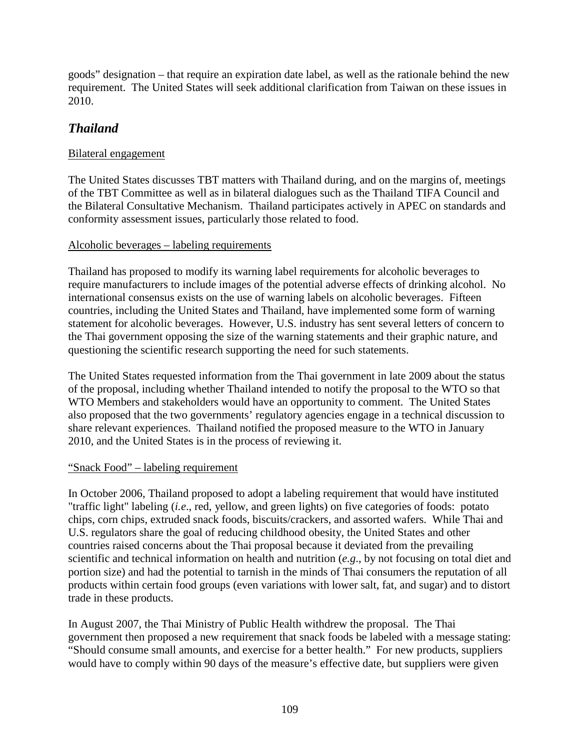goods" designation – that require an expiration date label, as well as the rationale behind the new requirement. The United States will seek additional clarification from Taiwan on these issues in 2010.

## *Thailand*

## Bilateral engagement

The United States discusses TBT matters with Thailand during, and on the margins of, meetings of the TBT Committee as well as in bilateral dialogues such as the Thailand TIFA Council and the Bilateral Consultative Mechanism. Thailand participates actively in APEC on standards and conformity assessment issues, particularly those related to food.

## Alcoholic beverages – labeling requirements

Thailand has proposed to modify its warning label requirements for alcoholic beverages to require manufacturers to include images of the potential adverse effects of drinking alcohol. No international consensus exists on the use of warning labels on alcoholic beverages. Fifteen countries, including the United States and Thailand, have implemented some form of warning statement for alcoholic beverages. However, U.S. industry has sent several letters of concern to the Thai government opposing the size of the warning statements and their graphic nature, and questioning the scientific research supporting the need for such statements.

The United States requested information from the Thai government in late 2009 about the status of the proposal, including whether Thailand intended to notify the proposal to the WTO so that WTO Members and stakeholders would have an opportunity to comment. The United States also proposed that the two governments' regulatory agencies engage in a technical discussion to share relevant experiences. Thailand notified the proposed measure to the WTO in January 2010, and the United States is in the process of reviewing it.

## "Snack Food" – labeling requirement

In October 2006, Thailand proposed to adopt a labeling requirement that would have instituted "traffic light" labeling (*i.e*., red, yellow, and green lights) on five categories of foods: potato chips, corn chips, extruded snack foods, biscuits/crackers, and assorted wafers. While Thai and U.S. regulators share the goal of reducing childhood obesity, the United States and other countries raised concerns about the Thai proposal because it deviated from the prevailing scientific and technical information on health and nutrition (*e.g*., by not focusing on total diet and portion size) and had the potential to tarnish in the minds of Thai consumers the reputation of all products within certain food groups (even variations with lower salt, fat, and sugar) and to distort trade in these products.

In August 2007, the Thai Ministry of Public Health withdrew the proposal. The Thai government then proposed a new requirement that snack foods be labeled with a message stating: "Should consume small amounts, and exercise for a better health." For new products, suppliers would have to comply within 90 days of the measure's effective date, but suppliers were given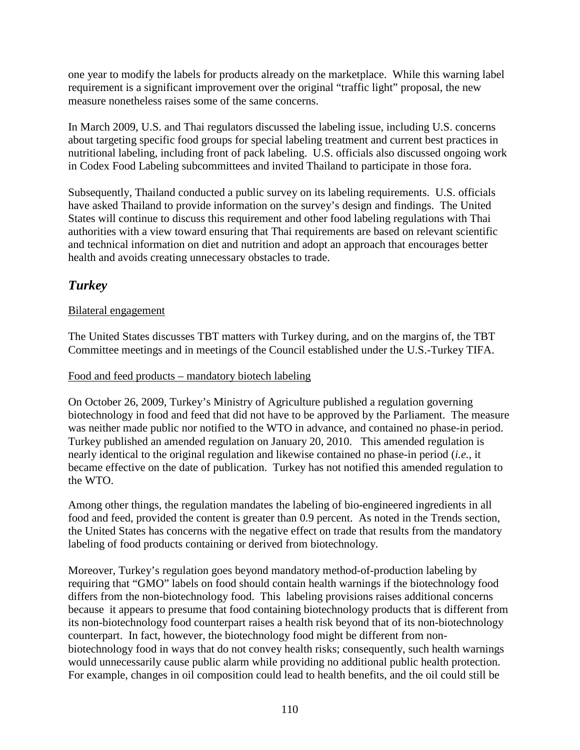one year to modify the labels for products already on the marketplace. While this warning label requirement is a significant improvement over the original "traffic light" proposal, the new measure nonetheless raises some of the same concerns.

In March 2009, U.S. and Thai regulators discussed the labeling issue, including U.S. concerns about targeting specific food groups for special labeling treatment and current best practices in nutritional labeling, including front of pack labeling. U.S. officials also discussed ongoing work in Codex Food Labeling subcommittees and invited Thailand to participate in those fora.

Subsequently, Thailand conducted a public survey on its labeling requirements. U.S. officials have asked Thailand to provide information on the survey's design and findings. The United States will continue to discuss this requirement and other food labeling regulations with Thai authorities with a view toward ensuring that Thai requirements are based on relevant scientific and technical information on diet and nutrition and adopt an approach that encourages better health and avoids creating unnecessary obstacles to trade.

## *Turkey*

## Bilateral engagement

The United States discusses TBT matters with Turkey during, and on the margins of, the TBT Committee meetings and in meetings of the Council established under the U.S.-Turkey TIFA.

## Food and feed products – mandatory biotech labeling

On October 26, 2009, Turkey's Ministry of Agriculture published a regulation governing biotechnology in food and feed that did not have to be approved by the Parliament. The measure was neither made public nor notified to the WTO in advance, and contained no phase-in period. Turkey published an amended regulation on January 20, 2010. This amended regulation is nearly identical to the original regulation and likewise contained no phase-in period (*i.e.*, it became effective on the date of publication. Turkey has not notified this amended regulation to the WTO.

Among other things, the regulation mandates the labeling of bio-engineered ingredients in all food and feed, provided the content is greater than 0.9 percent. As noted in the Trends section, the United States has concerns with the negative effect on trade that results from the mandatory labeling of food products containing or derived from biotechnology.

Moreover, Turkey's regulation goes beyond mandatory method-of-production labeling by requiring that "GMO" labels on food should contain health warnings if the biotechnology food differs from the non-biotechnology food. This labeling provisions raises additional concerns because it appears to presume that food containing biotechnology products that is different from its non-biotechnology food counterpart raises a health risk beyond that of its non-biotechnology counterpart. In fact, however, the biotechnology food might be different from nonbiotechnology food in ways that do not convey health risks; consequently, such health warnings would unnecessarily cause public alarm while providing no additional public health protection. For example, changes in oil composition could lead to health benefits, and the oil could still be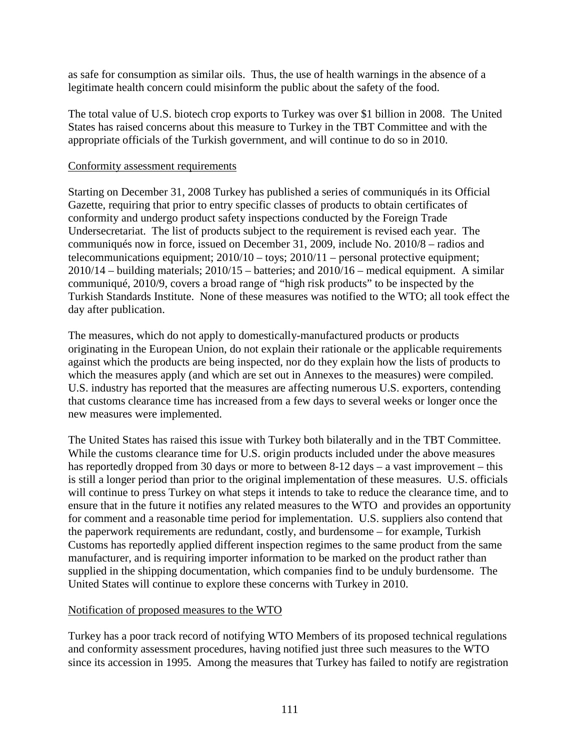as safe for consumption as similar oils. Thus, the use of health warnings in the absence of a legitimate health concern could misinform the public about the safety of the food.

The total value of U.S. biotech crop exports to Turkey was over \$1 billion in 2008. The United States has raised concerns about this measure to Turkey in the TBT Committee and with the appropriate officials of the Turkish government, and will continue to do so in 2010.

#### Conformity assessment requirements

Starting on December 31, 2008 Turkey has published a series of communiqués in its Official Gazette, requiring that prior to entry specific classes of products to obtain certificates of conformity and undergo product safety inspections conducted by the Foreign Trade Undersecretariat. The list of products subject to the requirement is revised each year. The communiqués now in force, issued on December 31, 2009, include No. 2010/8 – radios and telecommunications equipment; 2010/10 – toys; 2010/11 – personal protective equipment;  $2010/14$  – building materials;  $2010/15$  – batteries; and  $2010/16$  – medical equipment. A similar communiqué, 2010/9, covers a broad range of "high risk products" to be inspected by the Turkish Standards Institute. None of these measures was notified to the WTO; all took effect the day after publication.

The measures, which do not apply to domestically-manufactured products or products originating in the European Union, do not explain their rationale or the applicable requirements against which the products are being inspected, nor do they explain how the lists of products to which the measures apply (and which are set out in Annexes to the measures) were compiled. U.S. industry has reported that the measures are affecting numerous U.S. exporters, contending that customs clearance time has increased from a few days to several weeks or longer once the new measures were implemented.

The United States has raised this issue with Turkey both bilaterally and in the TBT Committee. While the customs clearance time for U.S. origin products included under the above measures has reportedly dropped from 30 days or more to between 8-12 days – a vast improvement – this is still a longer period than prior to the original implementation of these measures. U.S. officials will continue to press Turkey on what steps it intends to take to reduce the clearance time, and to ensure that in the future it notifies any related measures to the WTO and provides an opportunity for comment and a reasonable time period for implementation. U.S. suppliers also contend that the paperwork requirements are redundant, costly, and burdensome – for example, Turkish Customs has reportedly applied different inspection regimes to the same product from the same manufacturer, and is requiring importer information to be marked on the product rather than supplied in the shipping documentation, which companies find to be unduly burdensome. The United States will continue to explore these concerns with Turkey in 2010.

## Notification of proposed measures to the WTO

Turkey has a poor track record of notifying WTO Members of its proposed technical regulations and conformity assessment procedures, having notified just three such measures to the WTO since its accession in 1995. Among the measures that Turkey has failed to notify are registration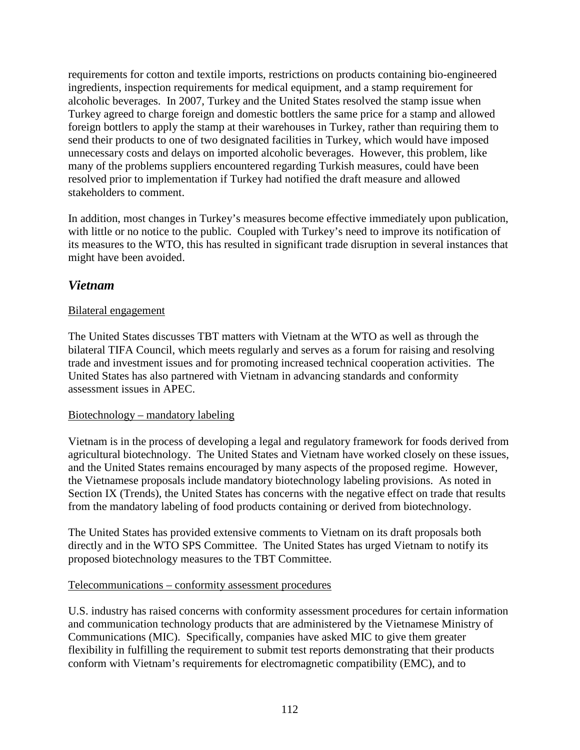requirements for cotton and textile imports, restrictions on products containing bio-engineered ingredients, inspection requirements for medical equipment, and a stamp requirement for alcoholic beverages. In 2007, Turkey and the United States resolved the stamp issue when Turkey agreed to charge foreign and domestic bottlers the same price for a stamp and allowed foreign bottlers to apply the stamp at their warehouses in Turkey, rather than requiring them to send their products to one of two designated facilities in Turkey, which would have imposed unnecessary costs and delays on imported alcoholic beverages. However, this problem, like many of the problems suppliers encountered regarding Turkish measures, could have been resolved prior to implementation if Turkey had notified the draft measure and allowed stakeholders to comment.

In addition, most changes in Turkey's measures become effective immediately upon publication, with little or no notice to the public. Coupled with Turkey's need to improve its notification of its measures to the WTO, this has resulted in significant trade disruption in several instances that might have been avoided.

## *Vietnam*

## Bilateral engagement

The United States discusses TBT matters with Vietnam at the WTO as well as through the bilateral TIFA Council, which meets regularly and serves as a forum for raising and resolving trade and investment issues and for promoting increased technical cooperation activities. The United States has also partnered with Vietnam in advancing standards and conformity assessment issues in APEC.

## Biotechnology – mandatory labeling

Vietnam is in the process of developing a legal and regulatory framework for foods derived from agricultural biotechnology. The United States and Vietnam have worked closely on these issues, and the United States remains encouraged by many aspects of the proposed regime. However, the Vietnamese proposals include mandatory biotechnology labeling provisions. As noted in Section IX (Trends), the United States has concerns with the negative effect on trade that results from the mandatory labeling of food products containing or derived from biotechnology.

The United States has provided extensive comments to Vietnam on its draft proposals both directly and in the WTO SPS Committee. The United States has urged Vietnam to notify its proposed biotechnology measures to the TBT Committee.

## Telecommunications – conformity assessment procedures

U.S. industry has raised concerns with conformity assessment procedures for certain information and communication technology products that are administered by the Vietnamese Ministry of Communications (MIC). Specifically, companies have asked MIC to give them greater flexibility in fulfilling the requirement to submit test reports demonstrating that their products conform with Vietnam's requirements for electromagnetic compatibility (EMC), and to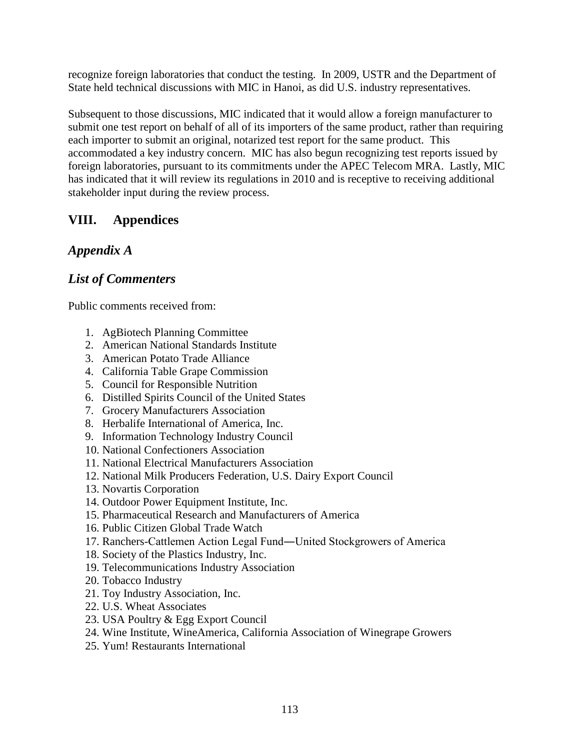recognize foreign laboratories that conduct the testing. In 2009, USTR and the Department of State held technical discussions with MIC in Hanoi, as did U.S. industry representatives.

Subsequent to those discussions, MIC indicated that it would allow a foreign manufacturer to submit one test report on behalf of all of its importers of the same product, rather than requiring each importer to submit an original, notarized test report for the same product. This accommodated a key industry concern. MIC has also begun recognizing test reports issued by foreign laboratories, pursuant to its commitments under the APEC Telecom MRA. Lastly, MIC has indicated that it will review its regulations in 2010 and is receptive to receiving additional stakeholder input during the review process.

# **VIII. Appendices**

# *Appendix A*

# *List of Commenters*

Public comments received from:

- 1. AgBiotech Planning Committee
- 2. American National Standards Institute
- 3. American Potato Trade Alliance
- 4. California Table Grape Commission
- 5. Council for Responsible Nutrition
- 6. Distilled Spirits Council of the United States
- 7. Grocery Manufacturers Association
- 8. Herbalife International of America, Inc.
- 9. Information Technology Industry Council
- 10. National Confectioners Association
- 11. National Electrical Manufacturers Association
- 12. National Milk Producers Federation, U.S. Dairy Export Council
- 13. Novartis Corporation
- 14. Outdoor Power Equipment Institute, Inc.
- 15. Pharmaceutical Research and Manufacturers of America
- 16. Public Citizen Global Trade Watch
- 17. Ranchers-Cattlemen Action Legal Fund―United Stockgrowers of America
- 18. Society of the Plastics Industry, Inc.
- 19. Telecommunications Industry Association
- 20. Tobacco Industry
- 21. Toy Industry Association, Inc.
- 22. U.S. Wheat Associates
- 23. USA Poultry & Egg Export Council
- 24. Wine Institute, WineAmerica, California Association of Winegrape Growers
- 25. Yum! Restaurants International